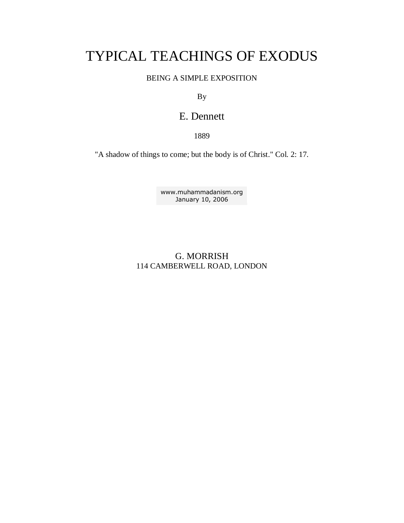# TYPICAL TEACHINGS OF EXODUS

## BEING A SIMPLE EXPOSITION

By

## E. Dennett

1889

"A shadow of things to come; but the body is of Christ." Col. 2: 17.

[www.muhammadanism.org](http://www.muhammadanism.org/default.htm) January 10, 2006

## G. MORRISH 114 CAMBERWELL ROAD, LONDON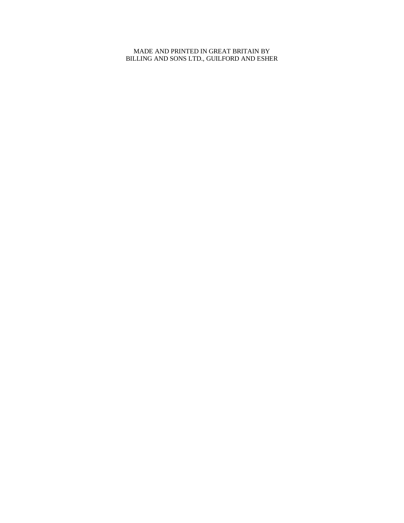#### MADE AND PRINTED IN GREAT BRITAIN BY BILLING AND SONS LTD., GUILFORD AND ESHER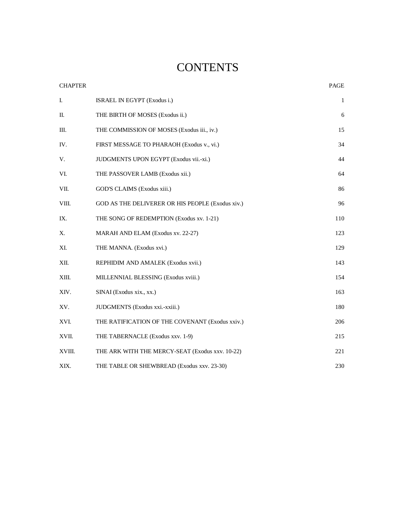# **CONTENTS**

| <b>CHAPTER</b> |                                                  | PAGE         |
|----------------|--------------------------------------------------|--------------|
| I.             | ISRAEL IN EGYPT (Exodus i.)                      | $\mathbf{1}$ |
| П.             | THE BIRTH OF MOSES (Exodus ii.)                  | 6            |
| Ш.             | THE COMMISSION OF MOSES (Exodus iii., iv.)       | 15           |
| IV.            | FIRST MESSAGE TO PHARAOH (Exodus v., vi.)        | 34           |
| V.             | JUDGMENTS UPON EGYPT (Exodus vii.-xi.)           | 44           |
| VI.            | THE PASSOVER LAMB (Exodus xii.)                  | 64           |
| VII.           | GOD'S CLAIMS (Exodus xiii.)                      | 86           |
| VIII.          | GOD AS THE DELIVERER OR HIS PEOPLE (Exodus xiv.) | 96           |
| IX.            | THE SONG OF REDEMPTION (Exodus xv. 1-21)         | 110          |
| Х.             | MARAH AND ELAM (Exodus xv. 22-27)                | 123          |
| XI.            | THE MANNA. (Exodus xvi.)                         | 129          |
| XII.           | REPHIDIM AND AMALEK (Exodus xvii.)               | 143          |
| XIII.          | MILLENNIAL BLESSING (Exodus xviii.)              | 154          |
| XIV.           | SINAI (Exodus xix., xx.)                         | 163          |
| XV.            | JUDGMENTS (Exodus xxi.-xxiii.)                   | 180          |
| XVI.           | THE RATIFICATION OF THE COVENANT (Exodus xxiv.)  | 206          |
| XVII.          | THE TABERNACLE (Exodus xxv. 1-9)                 | 215          |
| XVIII.         | THE ARK WITH THE MERCY-SEAT (Exodus xxv. 10-22)  | 221          |
| XIX.           | THE TABLE OR SHEWBREAD (Exodus xxv. 23-30)       | 230          |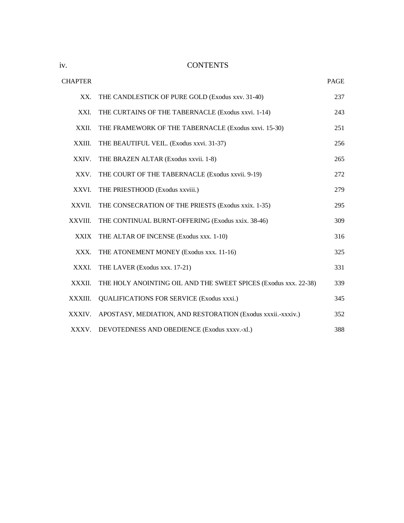iv. CONTENTS

| <b>CHAPTER</b> |                                                                 | PAGE |
|----------------|-----------------------------------------------------------------|------|
| XX.            | THE CANDLESTICK OF PURE GOLD (Exodus xxv. 31-40)                | 237  |
| XXI.           | THE CURTAINS OF THE TABERNACLE (Exodus xxvi. 1-14)              | 243  |
| XXII.          | THE FRAMEWORK OF THE TABERNACLE (Exodus xxvi. 15-30)            | 251  |
| XXIII.         | THE BEAUTIFUL VEIL. (Exodus xxvi. 31-37)                        | 256  |
| XXIV.          | THE BRAZEN ALTAR (Exodus xxvii. 1-8)                            | 265  |
| XXV.           | THE COURT OF THE TABERNACLE (Exodus xxvii. 9-19)                | 272  |
| XXVI.          | THE PRIESTHOOD (Exodus xxviii.)                                 | 279  |
| XXVII.         | THE CONSECRATION OF THE PRIESTS (Exodus xxix. 1-35)             | 295  |
| XXVIII.        | THE CONTINUAL BURNT-OFFERING (Exodus xxix. 38-46)               | 309  |
| <b>XXIX</b>    | THE ALTAR OF INCENSE (Exodus xxx. 1-10)                         | 316  |
| XXX.           | THE ATONEMENT MONEY (Exodus xxx. 11-16)                         | 325  |
| XXXI.          | THE LAVER (Exodus xxx. 17-21)                                   | 331  |
| XXXII.         | THE HOLY ANOINTING OIL AND THE SWEET SPICES (Exodus xxx. 22-38) | 339  |
| XXXIII.        | <b>QUALIFICATIONS FOR SERVICE (Exodus xxxi.)</b>                | 345  |
| XXXIV.         | APOSTASY, MEDIATION, AND RESTORATION (Exodus xxxii.-xxxiv.)     | 352  |
| XXXV.          | DEVOTEDNESS AND OBEDIENCE (Exodus xxxv.-xl.)                    | 388  |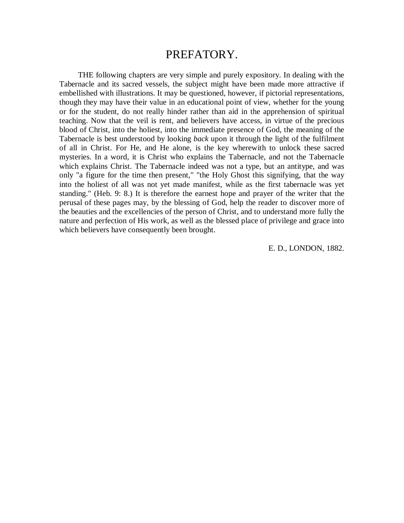## PREFATORY.

THE following chapters are very simple and purely expository. In dealing with the Tabernacle and its sacred vessels, the subject might have been made more attractive if embellished with illustrations. It may be questioned, however, if pictorial representations, though they may have their value in an educational point of view, whether for the young or for the student, do not really hinder rather than aid in the apprehension of spiritual teaching. Now that the veil is rent, and believers have access, in virtue of the precious blood of Christ, into the holiest, into the immediate presence of God, the meaning of the Tabernacle is best understood by looking *back* upon it through the light of the fulfilment of all in Christ. For He, and He alone, is the key wherewith to unlock these sacred mysteries. In a word, it is Christ who explains the Tabernacle, and not the Tabernacle which explains Christ. The Tabernacle indeed was not a type, but an antitype, and was only "a figure for the time then present," "the Holy Ghost this signifying, that the way into the holiest of all was not yet made manifest, while as the first tabernacle was yet standing." (Heb. 9: 8.) It is therefore the earnest hope and prayer of the writer that the perusal of these pages may, by the blessing of God, help the reader to discover more of the beauties and the excellencies of the person of Christ, and to understand more fully the nature and perfection of His work, as well as the blessed place of privilege and grace into which believers have consequently been brought.

E. D., LONDON, 1882.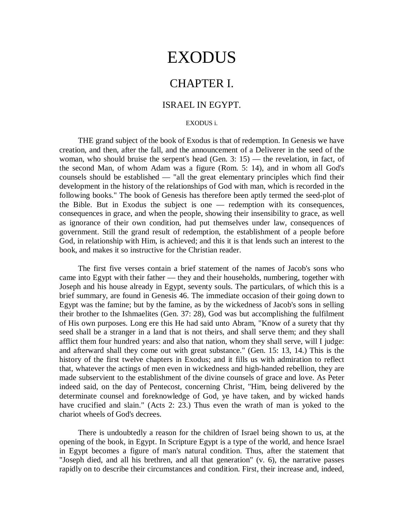# EXODUS

## CHAPTER I.

## ISRAEL IN EGYPT.

#### EXODUS i.

THE grand subject of the book of Exodus is that of redemption. In Genesis we have creation, and then, after the fall, and the announcement of a Deliverer in the seed of the woman, who should bruise the serpent's head (Gen. 3: 15) — the revelation, in fact, of the second Man, of whom Adam was a figure (Rom. 5: 14), and in whom all God's counsels should be established — "all the great elementary principles which find their development in the history of the relationships of God with man, which is recorded in the following books." The book of Genesis has therefore been aptly termed the seed-plot of the Bible. But in Exodus the subject is one — redemption with its consequences, consequences in grace, and when the people, showing their insensibility to grace, as well as ignorance of their own condition, had put themselves under law, consequences of government. Still the grand result of redemption, the establishment of a people before God, in relationship with Him, is achieved; and this it is that lends such an interest to the book, and makes it so instructive for the Christian reader.

The first five verses contain a brief statement of the names of Jacob's sons who came into Egypt with their father — they and their households, numbering, together with Joseph and his house already in Egypt, seventy souls. The particulars, of which this is a brief summary, are found in Genesis 46. The immediate occasion of their going down to Egypt was the famine; but by the famine, as by the wickedness of Jacob's sons in selling their brother to the Ishmaelites (Gen. 37: 28), God was but accomplishing the fulfilment of His own purposes. Long ere this He had said unto Abram, "Know of a surety that thy seed shall be a stranger in a land that is not theirs, and shall serve them; and they shall afflict them four hundred years: and also that nation, whom they shall serve, will I judge: and afterward shall they come out with great substance." (Gen. 15: 13, 14.) This is the history of the first twelve chapters in Exodus; and it fills us with admiration to reflect that, whatever the actings of men even in wickedness and high-handed rebellion, they are made subservient to the establishment of the divine counsels of grace and love. As Peter indeed said, on the day of Pentecost, concerning Christ, "Him, being delivered by the determinate counsel and foreknowledge of God, ye have taken, and by wicked hands have crucified and slain." (Acts 2: 23.) Thus even the wrath of man is yoked to the chariot wheels of God's decrees.

There is undoubtedly a reason for the children of Israel being shown to us, at the opening of the book, in Egypt. In Scripture Egypt is a type of the world, and hence Israel in Egypt becomes a figure of man's natural condition. Thus, after the statement that "Joseph died, and all his brethren, and all that generation" (v. 6), the narrative passes rapidly on to describe their circumstances and condition. First, their increase and, indeed,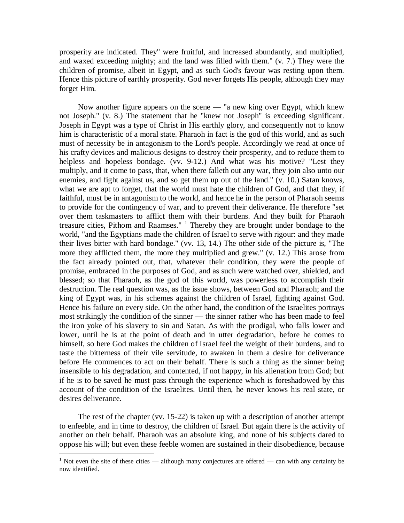prosperity are indicated. They" were fruitful, and increased abundantly, and multiplied, and waxed exceeding mighty; and the land was filled with them." (v. 7.) They were the children of promise, albeit in Egypt, and as such God's favour was resting upon them. Hence this picture of earthly prosperity. God never forgets His people, although they may forget Him.

Now another figure appears on the scene — "a new king over Egypt, which knew not Joseph." (v. 8.) The statement that he "knew not Joseph" is exceeding significant. Joseph in Egypt was a type of Christ in His earthly glory, and consequently not to know him is characteristic of a moral state. Pharaoh in fact is the god of this world, and as such must of necessity be in antagonism to the Lord's people. Accordingly we read at once of his crafty devices and malicious designs to destroy their prosperity, and to reduce them to helpless and hopeless bondage. (vv. 9-12.) And what was his motive? "Lest they multiply, and it come to pass, that, when there falleth out any war, they join also unto our enemies, and fight against us, and so get them up out of the land." (v. 10.) Satan knows, what we are apt to forget, that the world must hate the children of God, and that they, if faithful, must be in antagonism to the world, and hence he in the person of Pharaoh seems to provide for the contingency of war, and to prevent their deliverance. He therefore "set over them taskmasters to afflict them with their burdens. And they built for Pharaoh treasure cities, Pithom and Raamses."  $1$  Thereby they are brought under bondage to the world, "and the Egyptians made the children of Israel to serve with rigour: and they made their lives bitter with hard bondage." (vv. 13, 14.) The other side of the picture is, "The more they afflicted them, the more they multiplied and grew." (v. 12.) This arose from the fact already pointed out, that, whatever their condition, they were the people of promise, embraced in the purposes of God, and as such were watched over, shielded, and blessed; so that Pharaoh, as the god of this world, was powerless to accomplish their destruction. The real question was, as the issue shows, between God and Pharaoh; and the king of Egypt was, in his schemes against the children of Israel, fighting against God. Hence his failure on every side. On the other hand, the condition of the Israelites portrays most strikingly the condition of the sinner — the sinner rather who has been made to feel the iron yoke of his slavery to sin and Satan. As with the prodigal, who falls lower and lower, until he is at the point of death and in utter degradation, before he comes to himself, so here God makes the children of Israel feel the weight of their burdens, and to taste the bitterness of their vile servitude, to awaken in them a desire for deliverance before He commences to act on their behalf. There is such a thing as the sinner being insensible to his degradation, and contented, if not happy, in his alienation from God; but if he is to be saved he must pass through the experience which is foreshadowed by this account of the condition of the Israelites. Until then, he never knows his real state, or desires deliverance.

The rest of the chapter (vv. 15-22) is taken up with a description of another attempt to enfeeble, and in time to destroy, the children of Israel. But again there is the activity of another on their behalf. Pharaoh was an absolute king, and none of his subjects dared to oppose his will; but even these feeble women are sustained in their disobedience, because

 $\overline{a}$ 

<sup>&</sup>lt;sup>1</sup> Not even the site of these cities — although many conjectures are offered — can with any certainty be now identified.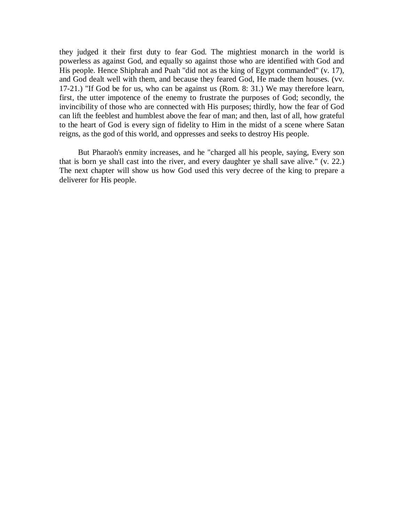they judged it their first duty to fear God. The mightiest monarch in the world is powerless as against God, and equally so against those who are identified with God and His people. Hence Shiphrah and Puah "did not as the king of Egypt commanded" (v. 17), and God dealt well with them, and because they feared God, He made them houses. (vv. 17-21.) "If God be for us, who can be against us (Rom. 8: 31.) We may therefore learn, first, the utter impotence of the enemy to frustrate the purposes of God; secondly, the invincibility of those who are connected with His purposes; thirdly, how the fear of God can lift the feeblest and humblest above the fear of man; and then, last of all, how grateful to the heart of God is every sign of fidelity to Him in the midst of a scene where Satan reigns, as the god of this world, and oppresses and seeks to destroy His people.

But Pharaoh's enmity increases, and he "charged all his people, saying, Every son that is born ye shall cast into the river, and every daughter ye shall save alive." (v. 22.) The next chapter will show us how God used this very decree of the king to prepare a deliverer for His people.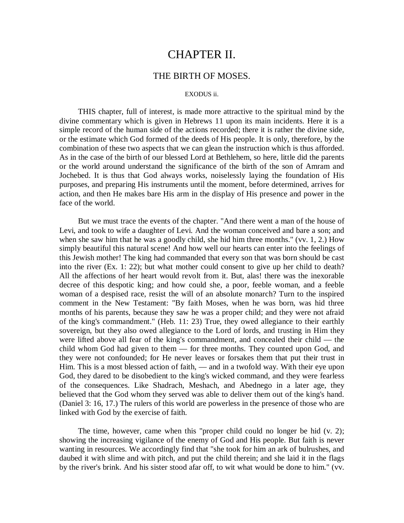# CHAPTER II.

## THE BIRTH OF MOSES.

#### EXODUS ii.

THIS chapter, full of interest, is made more attractive to the spiritual mind by the divine commentary which is given in Hebrews 11 upon its main incidents. Here it is a simple record of the human side of the actions recorded; there it is rather the divine side, or the estimate which God formed of the deeds of His people. It is only, therefore, by the combination of these two aspects that we can glean the instruction which is thus afforded. As in the case of the birth of our blessed Lord at Bethlehem, so here, little did the parents or the world around understand the significance of the birth of the son of Amram and Jochebed. It is thus that God always works, noiselessly laying the foundation of His purposes, and preparing His instruments until the moment, before determined, arrives for action, and then He makes bare His arm in the display of His presence and power in the face of the world.

But we must trace the events of the chapter. "And there went a man of the house of Levi, and took to wife a daughter of Levi. And the woman conceived and bare a son; and when she saw him that he was a goodly child, she hid him three months." (vv. 1, 2.) How simply beautiful this natural scene! And how well our hearts can enter into the feelings of this Jewish mother! The king had commanded that every son that was born should be cast into the river (Ex. 1: 22); but what mother could consent to give up her child to death? All the affections of her heart would revolt from it. But, alas! there was the inexorable decree of this despotic king; and how could she, a poor, feeble woman, and a feeble woman of a despised race, resist the will of an absolute monarch? Turn to the inspired comment in the New Testament: "By faith Moses, when he was born, was hid three months of his parents, because they saw he was a proper child; and they were not afraid of the king's commandment." (Heb. 11: 23) True, they owed allegiance to their earthly sovereign, but they also owed allegiance to the Lord of lords, and trusting in Him they were lifted above all fear of the king's commandment, and concealed their child — the child whom God had given to them — for three months. They counted upon God, and they were not confounded; for He never leaves or forsakes them that put their trust in Him. This is a most blessed action of faith, — and in a twofold way. With their eye upon God, they dared to be disobedient to the king's wicked command, and they were fearless of the consequences. Like Shadrach, Meshach, and Abednego in a later age, they believed that the God whom they served was able to deliver them out of the king's hand. (Daniel 3: 16, 17.) The rulers of this world are powerless in the presence of those who are linked with God by the exercise of faith.

The time, however, came when this "proper child could no longer be hid (v. 2); showing the increasing vigilance of the enemy of God and His people. But faith is never wanting in resources. We accordingly find that "she took for him an ark of bulrushes, and daubed it with slime and with pitch, and put the child therein; and she laid it in the flags by the river's brink. And his sister stood afar off, to wit what would be done to him." (vv.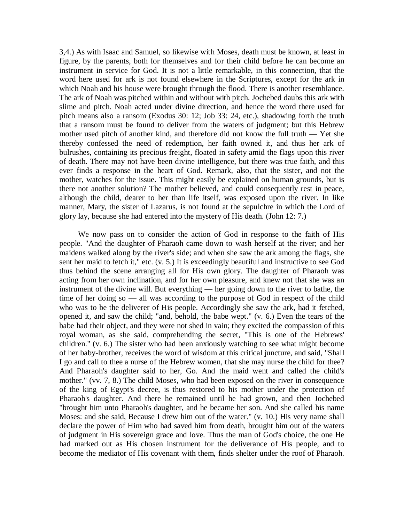3,4.) As with Isaac and Samuel, so likewise with Moses, death must be known, at least in figure, by the parents, both for themselves and for their child before he can become an instrument in service for God. It is not a little remarkable, in this connection, that the word here used for ark is not found elsewhere in the Scriptures, except for the ark in which Noah and his house were brought through the flood. There is another resemblance. The ark of Noah was pitched within and without with pitch. Jochebed daubs this ark with slime and pitch. Noah acted under divine direction, and hence the word there used for pitch means also a ransom (Exodus 30: 12; Job 33: 24, etc.), shadowing forth the truth that a ransom must be found to deliver from the waters of judgment; but this Hebrew mother used pitch of another kind, and therefore did not know the full truth — Yet she thereby confessed the need of redemption, her faith owned it, and thus her ark of bulrushes, containing its precious freight, floated in safety amid the flags upon this river of death. There may not have been divine intelligence, but there was true faith, and this ever finds a response in the heart of God. Remark, also, that the sister, and not the mother, watches for the issue. This might easily be explained on human grounds, but is there not another solution? The mother believed, and could consequently rest in peace, although the child, dearer to her than life itself, was exposed upon the river. In like manner, Mary, the sister of Lazarus, is not found at the sepulchre in which the Lord of glory lay, because she had entered into the mystery of His death. (John 12: 7.)

We now pass on to consider the action of God in response to the faith of His people. "And the daughter of Pharaoh came down to wash herself at the river; and her maidens walked along by the river's side; and when she saw the ark among the flags, she sent her maid to fetch it," etc. (v. 5.) It is exceedingly beautiful and instructive to see God thus behind the scene arranging all for His own glory. The daughter of Pharaoh was acting from her own inclination, and for her own pleasure, and knew not that she was an instrument of the divine will. But everything — her going down to the river to bathe, the time of her doing so — all was according to the purpose of God in respect of the child who was to be the deliverer of His people. Accordingly she saw the ark, had it fetched, opened it, and saw the child; "and, behold, the babe wept." (v. 6.) Even the tears of the babe had their object, and they were not shed in vain; they excited the compassion of this royal woman, as she said, comprehending the secret, "This is one of the Hebrews' children." (v. 6.) The sister who had been anxiously watching to see what might become of her baby-brother, receives the word of wisdom at this critical juncture, and said, "Shall I go and call to thee a nurse of the Hebrew women, that she may nurse the child for thee? And Pharaoh's daughter said to her, Go. And the maid went and called the child's mother." (vv. 7, 8.) The child Moses, who had been exposed on the river in consequence of the king of Egypt's decree, is thus restored to his mother under the protection of Pharaoh's daughter. And there he remained until he had grown, and then Jochebed "brought him unto Pharaoh's daughter, and he became her son. And she called his name Moses: and she said, Because I drew him out of the water." (v. 10.) His very name shall declare the power of Him who had saved him from death, brought him out of the waters of judgment in His sovereign grace and love. Thus the man of God's choice, the one He had marked out as His chosen instrument for the deliverance of His people, and to become the mediator of His covenant with them, finds shelter under the roof of Pharaoh.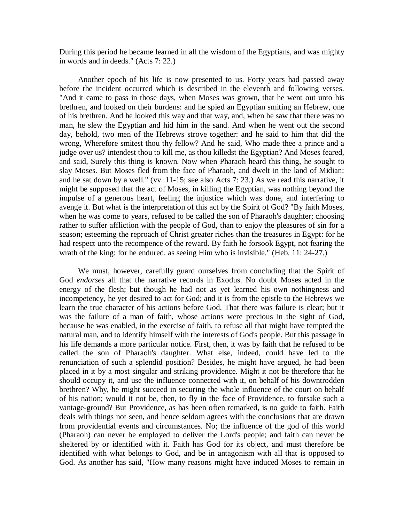During this period he became learned in all the wisdom of the Egyptians, and was mighty in words and in deeds." (Acts 7: 22.)

Another epoch of his life is now presented to us. Forty years had passed away before the incident occurred which is described in the eleventh and following verses. "And it came to pass in those days, when Moses was grown, that he went out unto his brethren, and looked on their burdens: and he spied an Egyptian smiting an Hebrew, one of his brethren. And he looked this way and that way, and, when he saw that there was no man, he slew the Egyptian and hid him in the sand. And when he went out the second day, behold, two men of the Hebrews strove together: and he said to him that did the wrong, Wherefore smitest thou thy fellow? And he said, Who made thee a prince and a judge over us? intendest thou to kill me, as thou killedst the Egyptian? And Moses feared, and said, Surely this thing is known. Now when Pharaoh heard this thing, he sought to slay Moses. But Moses fled from the face of Pharaoh, and dwelt in the land of Midian: and he sat down by a well." (vv. 11-15; see also Acts 7: 23.) As we read this narrative, it might be supposed that the act of Moses, in killing the Egyptian, was nothing beyond the impulse of a generous heart, feeling the injustice which was done, and interfering to avenge it. But what is the interpretation of this act by the Spirit of God? "By faith Moses, when he was come to years, refused to be called the son of Pharaoh's daughter; choosing rather to suffer affliction with the people of God, than to enjoy the pleasures of sin for a season; esteeming the reproach of Christ greater riches than the treasures in Egypt: for he had respect unto the recompence of the reward. By faith he forsook Egypt, not fearing the wrath of the king: for he endured, as seeing Him who is invisible." (Heb. 11: 24-27.)

We must, however, carefully guard ourselves from concluding that the Spirit of God *endorses* all that the narrative records in Exodus. No doubt Moses acted in the energy of the flesh; but though he had not as yet learned his own nothingness and incompetency, he yet desired to act for God; and it is from the epistle to the Hebrews we learn the true character of his actions before God. That there was failure is clear; but it was the failure of a man of faith, whose actions were precious in the sight of God, because he was enabled, in the exercise of faith, to refuse all that might have tempted the natural man, and to identify himself with the interests of God's people. But this passage in his life demands a more particular notice. First, then, it was by faith that he refused to be called the son of Pharaoh's daughter. What else, indeed, could have led to the renunciation of such a splendid position? Besides, he might have argued, he had been placed in it by a most singular and striking providence. Might it not be therefore that he should occupy it, and use the influence connected with it, on behalf of his downtrodden brethren? Why, he might succeed in securing the whole influence of the court on behalf of his nation; would it not be, then, to fly in the face of Providence, to forsake such a vantage-ground? But Providence, as has been often remarked, is no guide to faith. Faith deals with things not seen, and hence seldom agrees with the conclusions that are drawn from providential events and circumstances. No; the influence of the god of this world (Pharaoh) can never be employed to deliver the Lord's people; and faith can never be sheltered by or identified with it. Faith has God for its object, and must therefore be identified with what belongs to God, and be in antagonism with all that is opposed to God. As another has said, "How many reasons might have induced Moses to remain in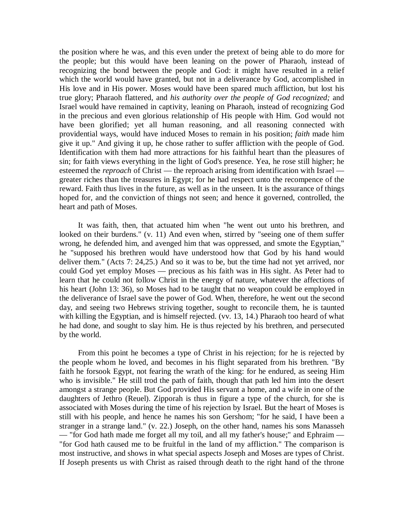the position where he was, and this even under the pretext of being able to do more for the people; but this would have been leaning on the power of Pharaoh, instead of recognizing the bond between the people and God: it might have resulted in a relief which the world would have granted, but not in a deliverance by God, accomplished in His love and in His power. Moses would have been spared much affliction, but lost his true glory; Pharaoh flattered, and *his authority over the people of God recognized;* and Israel would have remained in captivity, leaning on Pharaoh, instead of recognizing God in the precious and even glorious relationship of His people with Him. God would not have been glorified; yet all human reasoning, and all reasoning connected with providential ways, would have induced Moses to remain in his position; *faith* made him give it up." And giving it up, he chose rather to suffer affliction with the people of God. Identification with them had more attractions for his faithful heart than the pleasures of sin; for faith views everything in the light of God's presence. Yea, he rose still higher; he esteemed the *reproach* of Christ — the reproach arising from identification with Israel greater riches than the treasures in Egypt; for he had respect unto the recompence of the reward. Faith thus lives in the future, as well as in the unseen. It is the assurance of things hoped for, and the conviction of things not seen; and hence it governed, controlled, the heart and path of Moses.

It was faith, then, that actuated him when "he went out unto his brethren, and looked on their burdens." (v. 11) And even when, stirred by "seeing one of them suffer wrong, he defended him, and avenged him that was oppressed, and smote the Egyptian," he "supposed his brethren would have understood how that God by his hand would deliver them." (Acts 7: 24,25.) And so it was to be, but the time had not yet arrived, nor could God yet employ Moses — precious as his faith was in His sight. As Peter had to learn that he could not follow Christ in the energy of nature, whatever the affections of his heart (John 13: 36), so Moses had to be taught that no weapon could be employed in the deliverance of Israel save the power of God. When, therefore, he went out the second day, and seeing two Hebrews striving together, sought to reconcile them, he is taunted with killing the Egyptian, and is himself rejected. (vv. 13, 14.) Pharaoh too heard of what he had done, and sought to slay him. He is thus rejected by his brethren, and persecuted by the world.

From this point he becomes a type of Christ in his rejection; for he is rejected by the people whom he loved, and becomes in his flight separated from his brethren. "By faith he forsook Egypt, not fearing the wrath of the king: for he endured, as seeing Him who is invisible." He still trod the path of faith, though that path led him into the desert amongst a strange people. But God provided His servant a home, and a wife in one of the daughters of Jethro (Reuel). Zipporah is thus in figure a type of the church, for she is associated with Moses during the time of his rejection by Israel. But the heart of Moses is still with his people, and hence he names his son Gershom; "for he said, I have been a stranger in a strange land." (v. 22.) Joseph, on the other hand, names his sons Manasseh — "for God hath made me forget all my toil, and all my father's house;" and Ephraim — "for God hath caused me to be fruitful in the land of my affliction." The comparison is most instructive, and shows in what special aspects Joseph and Moses are types of Christ. If Joseph presents us with Christ as raised through death to the right hand of the throne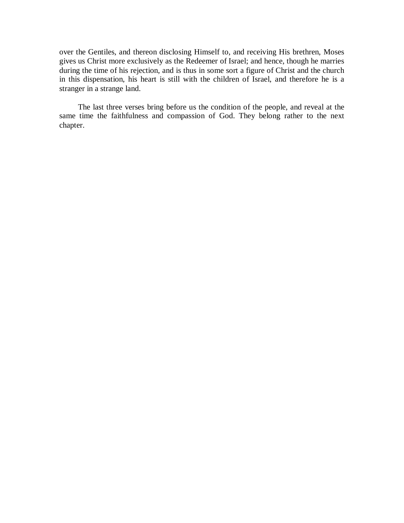over the Gentiles, and thereon disclosing Himself to, and receiving His brethren, Moses gives us Christ more exclusively as the Redeemer of Israel; and hence, though he marries during the time of his rejection, and is thus in some sort a figure of Christ and the church in this dispensation, his heart is still with the children of Israel, and therefore he is a stranger in a strange land.

The last three verses bring before us the condition of the people, and reveal at the same time the faithfulness and compassion of God. They belong rather to the next chapter.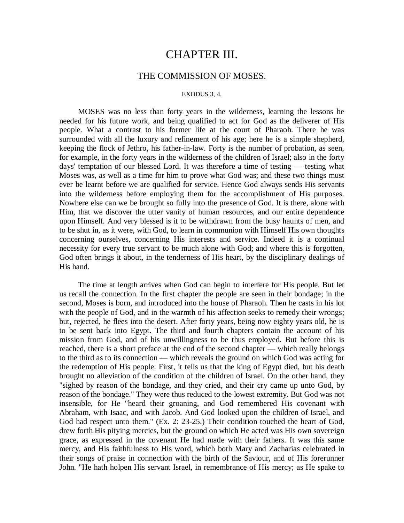## CHAPTER III.

### THE COMMISSION OF MOSES.

#### EXODUS 3, 4.

MOSES was no less than forty years in the wilderness, learning the lessons he needed for his future work, and being qualified to act for God as the deliverer of His people. What a contrast to his former life at the court of Pharaoh. There he was surrounded with all the luxury and refinement of his age; here he is a simple shepherd, keeping the flock of Jethro, his father-in-law. Forty is the number of probation, as seen, for example, in the forty years in the wilderness of the children of Israel; also in the forty days' temptation of our blessed Lord. It was therefore a time of testing — testing what Moses was, as well as a time for him to prove what God was; and these two things must ever be learnt before we are qualified for service. Hence God always sends His servants into the wilderness before employing them for the accomplishment of His purposes. Nowhere else can we be brought so fully into the presence of God. It is there, alone with Him, that we discover the utter vanity of human resources, and our entire dependence upon Himself. And very blessed is it to be withdrawn from the busy haunts of men, and to be shut in, as it were, with God, to learn in communion with Himself His own thoughts concerning ourselves, concerning His interests and service. Indeed it is a continual necessity for every true servant to be much alone with God; and where this is forgotten, God often brings it about, in the tenderness of His heart, by the disciplinary dealings of His hand.

The time at length arrives when God can begin to interfere for His people. But let us recall the connection. In the first chapter the people are seen in their bondage; in the second, Moses is born, and introduced into the house of Pharaoh. Then he casts in his lot with the people of God, and in the warmth of his affection seeks to remedy their wrongs; but, rejected, he flees into the desert. After forty years, being now eighty years old, he is to be sent back into Egypt. The third and fourth chapters contain the account of his mission from God, and of his unwillingness to be thus employed. But before this is reached, there is a short preface at the end of the second chapter — which really belongs to the third as to its connection — which reveals the ground on which God was acting for the redemption of His people. First, it tells us that the king of Egypt died, but his death brought no alleviation of the condition of the children of Israel. On the other hand, they "sighed by reason of the bondage, and they cried, and their cry came up unto God, by reason of the bondage." They were thus reduced to the lowest extremity. But God was not insensible, for He "heard their groaning, and God remembered His covenant with Abraham, with Isaac, and with Jacob. And God looked upon the children of Israel, and God had respect unto them." (Ex. 2: 23-25.) Their condition touched the heart of God, drew forth His pitying mercies, but the ground on which He acted was His own sovereign grace, as expressed in the covenant He had made with their fathers. It was this same mercy, and His faithfulness to His word, which both Mary and Zacharias celebrated in their songs of praise in connection with the birth of the Saviour, and of His forerunner John. "He hath holpen His servant Israel, in remembrance of His mercy; as He spake to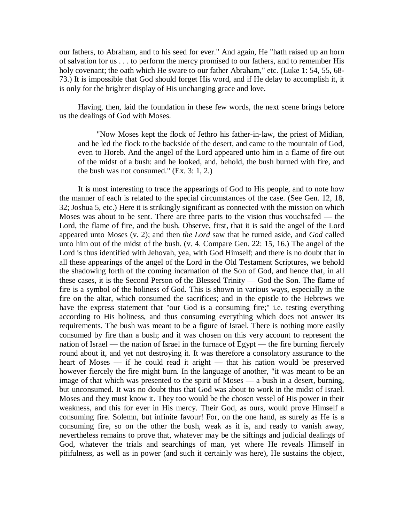our fathers, to Abraham, and to his seed for ever." And again, He "hath raised up an horn of salvation for us . . . to perform the mercy promised to our fathers, and to remember His holy covenant; the oath which He sware to our father Abraham," etc. (Luke 1: 54, 55, 68-73.) It is impossible that God should forget His word, and if He delay to accomplish it, it is only for the brighter display of His unchanging grace and love.

Having, then, laid the foundation in these few words, the next scene brings before us the dealings of God with Moses.

"Now Moses kept the flock of Jethro his father-in-law, the priest of Midian, and he led the flock to the backside of the desert, and came to the mountain of God, even to Horeb. And the angel of the Lord appeared unto him in a flame of fire out of the midst of a bush: and he looked, and, behold, the bush burned with fire, and the bush was not consumed." (Ex. 3: 1, 2.)

It is most interesting to trace the appearings of God to His people, and to note how the manner of each is related to the special circumstances of the case. (See Gen. 12, 18, 32; Joshua 5, etc.) Here it is strikingly significant as connected with the mission on which Moses was about to be sent. There are three parts to the vision thus vouchsafed — the Lord, the flame of fire, and the bush. Observe, first, that it is said the angel of the Lord appeared unto Moses (v. 2); and then *the Lord* saw that he turned aside, and *God* called unto him out of the midst of the bush. (v. 4. Compare Gen. 22: 15, 16.) The angel of the Lord is thus identified with Jehovah, yea, with God Himself; and there is no doubt that in all these appearings of the angel of the Lord in the Old Testament Scriptures, we behold the shadowing forth of the coming incarnation of the Son of God, and hence that, in all these cases, it is the Second Person of the Blessed Trinity — God the Son. The flame of fire is a symbol of the holiness of God. This is shown in various ways, especially in the fire on the altar, which consumed the sacrifices; and in the epistle to the Hebrews we have the express statement that "our God is a consuming fire;" i.e. testing everything according to His holiness, and thus consuming everything which does not answer its requirements. The bush was meant to be a figure of Israel. There is nothing more easily consumed by fire than a bush; and it was chosen on this very account to represent the nation of Israel — the nation of Israel in the furnace of Egypt — the fire burning fiercely round about it, and yet not destroying it. It was therefore a consolatory assurance to the heart of Moses — if he could read it aright — that his nation would be preserved however fiercely the fire might burn. In the language of another, "it was meant to be an image of that which was presented to the spirit of Moses — a bush in a desert, burning, but unconsumed. It was no doubt thus that God was about to work in the midst of Israel. Moses and they must know it. They too would be the chosen vessel of His power in their weakness, and this for ever in His mercy. Their God, as ours, would prove Himself a consuming fire. Solemn, but infinite favour! For, on the one hand, as surely as He is a consuming fire, so on the other the bush, weak as it is, and ready to vanish away, nevertheless remains to prove that, whatever may be the siftings and judicial dealings of God, whatever the trials and searchings of man, yet where He reveals Himself in pitifulness, as well as in power (and such it certainly was here), He sustains the object,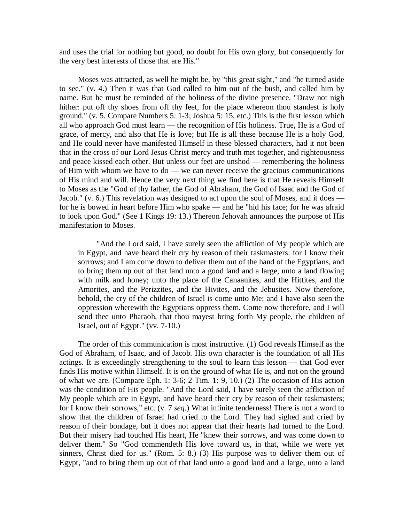and uses the trial for nothing but good, no doubt for His own glory, but consequently for the very best interests of those that are His."

Moses was attracted, as well he might be, by "this great sight," and "he turned aside to see." (v. 4.) Then it was that God called to him out of the bush, and called him by name. But he must be reminded of the holiness of the divine presence. "Draw not nigh hither: put off thy shoes from off thy feet, for the place whereon thou standest is holy ground." (v. 5. Compare Numbers 5: 1-3; Joshua 5: 15, etc.) This is the first lesson which all who approach God must learn — the recognition of His holiness. True, He is a God of grace, of mercy, and also that He is love; but He is all these because He is a holy God, and He could never have manifested Himself in these blessed characters, had it not been that in the cross of our Lord Jesus Christ mercy and truth met together, and righteousness and peace kissed each other. But unless our feet are unshod — remembering the holiness of Him with whom we have to do — we can never receive the gracious communications of His mind and will. Hence the very next thing we find here is that He reveals Himself to Moses as the "God of thy father, the God of Abraham, the God of Isaac and the God of Jacob." (v. 6.) This revelation was designed to act upon the soul of Moses, and it does for he is bowed in heart before Him who spake — and he "hid his face; for he was afraid to look upon God." (See 1 Kings 19: 13.) Thereon Jehovah announces the purpose of His manifestation to Moses.

"And the Lord said, I have surely seen the affliction of My people which are in Egypt, and have heard their cry by reason of their taskmasters: for I know their sorrows; and I am come down to deliver them out of the hand of the Egyptians, and to bring them up out of that land unto a good land and a large, unto a land flowing with milk and honey; unto the place of the Canaanites, and the Hittites, and the Amorites, and the Perizzites, and the Hivites, and the Jebusites. Now therefore, behold, the cry of the children of Israel is come unto Me: and I have also seen the oppression wherewith the Egyptians oppress them. Come now therefore, and I will send thee unto Pharaoh, that thou mayest bring forth My people, the children of Israel, out of Egypt." (vv. 7-10.)

The order of this communication is most instructive. (1) God reveals Himself as the God of Abraham, of Isaac, and of Jacob. His own character is the foundation of all His actings. It is exceedingly strengthening to the soul to learn this lesson — that God ever finds His motive within Himself. It is on the ground of what He is, and not on the ground of what we are. (Compare Eph. 1: 3-6; 2 Tim. 1: 9, 10.) (2) The occasion of His action was the condition of His people. "And the Lord said, I have surely seen the affliction of My people which are in Egypt, and have heard their cry by reason of their taskmasters; for I know their sorrows," etc. (v. 7 *seq*.) What infinite tenderness! There is not a word to show that the children of Israel had cried to the Lord. They had sighed and cried by reason of their bondage, but it does not appear that their hearts had turned to the Lord. But their misery had touched His heart, He "knew their sorrows, and was come down to deliver them." So "God commendeth His love toward us, in that, while we were yet sinners, Christ died for us." (Rom. 5: 8.) (3) His purpose was to deliver them out of Egypt, "and to bring them up out of that land unto a good land and a large, unto a land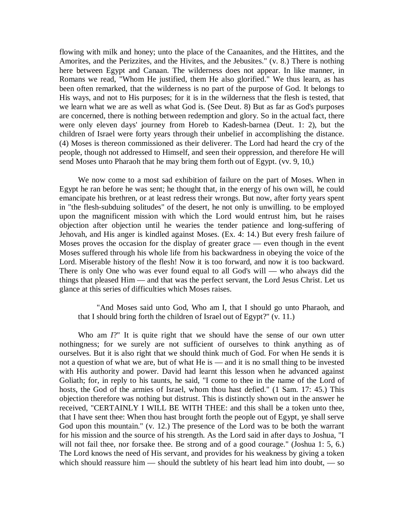flowing with milk and honey; unto the place of the Canaanites, and the Hittites, and the Amorites, and the Perizzites, and the Hivites, and the Jebusites." (v. 8.) There is nothing here between Egypt and Canaan. The wilderness does not appear. In like manner, in Romans we read, "Whom He justified, them He also glorified." We thus learn, as has been often remarked, that the wilderness is no part of the purpose of God. It belongs to His ways, and not to His purposes; for it is in the wilderness that the flesh is tested, that we learn what we are as well as what God is. (See Deut. 8) But as far as God's purposes are concerned, there is nothing between redemption and glory. So in the actual fact, there were only eleven days' journey from Horeb to Kadesh-barnea (Deut. 1: 2), but the children of Israel were forty years through their unbelief in accomplishing the distance. (4) Moses is thereon commissioned as their deliverer. The Lord had heard the cry of the people, though not addressed to Himself, and seen their oppression, and therefore He will send Moses unto Pharaoh that he may bring them forth out of Egypt. (vv. 9, 10,)

We now come to a most sad exhibition of failure on the part of Moses. When in Egypt he ran before he was sent; he thought that, in the energy of his own will, he could emancipate his brethren, or at least redress their wrongs. But now, after forty years spent in "the flesh-subduing solitudes" of the desert, he not only is unwilling. to be employed upon the magnificent mission with which the Lord would entrust him, but he raises objection after objection until he wearies the tender patience and long-suffering of Jehovah, and His anger is kindled against Moses. (Ex. 4: 14.) But every fresh failure of Moses proves the occasion for the display of greater grace — even though in the event Moses suffered through his whole life from his backwardness in obeying the voice of the Lord. Miserable history of the flesh! Now it is too forward, and now it is too backward. There is only One who was ever found equal to all God's will — who always did the things that pleased Him — and that was the perfect servant, the Lord Jesus Christ. Let us glance at this series of difficulties which Moses raises.

"And Moses said unto God, Who am I, that I should go unto Pharaoh, and that I should bring forth the children of Israel out of Egypt?" (v. 11.)

Who am *I*?" It is quite right that we should have the sense of our own utter nothingness; for we surely are not sufficient of ourselves to think anything as of ourselves. But it is also right that we should think much of God. For when He sends it is not a question of what we are, but of what He is — and it is no small thing to be invested with His authority and power. David had learnt this lesson when he advanced against Goliath; for, in reply to his taunts, he said, "I come to thee in the name of the Lord of hosts, the God of the armies of Israel, whom thou hast defied." (1 Sam. 17: 45.) This objection therefore was nothing but distrust. This is distinctly shown out in the answer he received, "CERTAINLY I WILL BE WITH THEE: and this shall be a token unto thee, that I have sent thee: When thou hast brought forth the people out of Egypt, ye shall serve God upon this mountain." (v. 12.) The presence of the Lord was to be both the warrant for his mission and the source of his strength. As the Lord said in after days to Joshua, "I will not fail thee, nor forsake thee. Be strong and of a good courage." (Joshua 1: 5, 6.) The Lord knows the need of His servant, and provides for his weakness by giving a token which should reassure him — should the subtlety of his heart lead him into doubt, — so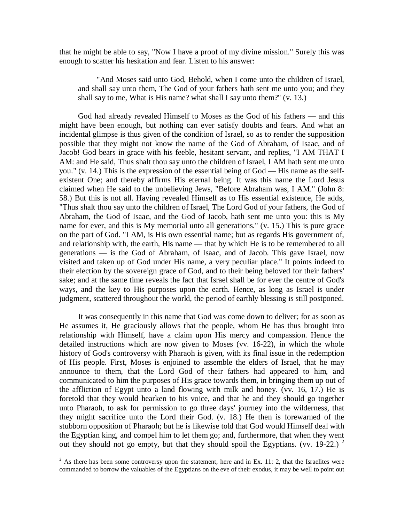that he might be able to say, "Now I have a proof of my divine mission." Surely this was enough to scatter his hesitation and fear. Listen to his answer:

"And Moses said unto God, Behold, when I come unto the children of Israel, and shall say unto them, The God of your fathers hath sent me unto you; and they shall say to me, What is His name? what shall I say unto them?" (v. 13.)

God had already revealed Himself to Moses as the God of his fathers — and this might have been enough, but nothing can ever satisfy doubts and fears. And what an incidental glimpse is thus given of the condition of Israel, so as to render the supposition possible that they might not know the name of the God of Abraham, of Isaac, and of Jacob! God bears in grace with his feeble, hesitant servant, and replies, "I AM THAT I AM: and He said, Thus shalt thou say unto the children of Israel, I AM hath sent me unto you." (v. 14.) This is the expression of the essential being of God — His name as the selfexistent One; and thereby affirms His eternal being. It was this name the Lord Jesus claimed when He said to the unbelieving Jews, "Before Abraham was, I AM." (John 8: 58.) But this is not all. Having revealed Himself as to His essential existence, He adds, "Thus shalt thou say unto the children of Israel, The Lord God of your fathers, the God of Abraham, the God of Isaac, and the God of Jacob, hath sent me unto you: this is My name for ever, and this is My memorial unto all generations." (v. 15.) This is pure grace on the part of God. "I AM, is His own essential name; but as regards His government of, and relationship with, the earth, His name — that by which He is to be remembered to all generations — is the God of Abraham, of Isaac, and of Jacob. This gave Israel, now visited and taken up of God under His name, a very peculiar place." It points indeed to their election by the sovereign grace of God, and to their being beloved for their fathers' sake; and at the same time reveals the fact that Israel shall be for ever the centre of God's ways, and the key to His purposes upon the earth. Hence, as long as Israel is under judgment, scattered throughout the world, the period of earthly blessing is still postponed.

It was consequently in this name that God was come down to deliver; for as soon as He assumes it, He graciously allows that the people, whom He has thus brought into relationship with Himself, have a claim upon His mercy and compassion. Hence the detailed instructions which are now given to Moses (vv. 16-22), in which the whole history of God's controversy with Pharaoh is given, with its final issue in the redemption of His people. First, Moses is enjoined to assemble the elders of Israel, that he may announce to them, that the Lord God of their fathers had appeared to him, and communicated to him the purposes of His grace towards them, in bringing them up out of the affliction of Egypt unto a land flowing with milk and honey. (vv. 16, 17.) He is foretold that they would hearken to his voice, and that he and they should go together unto Pharaoh, to ask for permission to go three days' journey into the wilderness, that they might sacrifice unto the Lord their God. (v. 18.) He then is forewarned of the stubborn opposition of Pharaoh; but he is likewise told that God would Himself deal with the Egyptian king, and compel him to let them go; and, furthermore, that when they went out they should not go empty, but that they should spoil the Egyptians. (vv. 19-22.)  $^2$ 

 $\overline{a}$ 

 $2^2$  As there has been some controversy upon the statement, here and in Ex. 11: 2, that the Israelites were commanded to borrow the valuables of the Egyptians on the eve of their exodus, it may be well to point out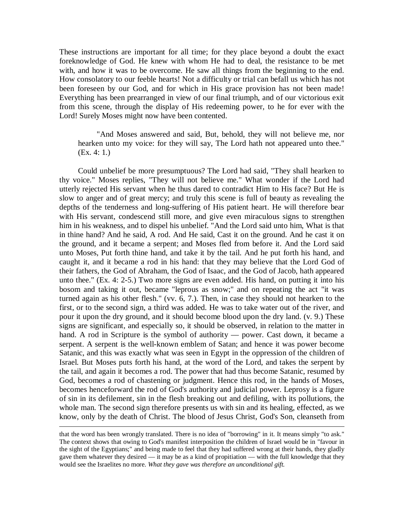These instructions are important for all time; for they place beyond a doubt the exact foreknowledge of God. He knew with whom He had to deal, the resistance to be met with, and how it was to be overcome. He saw all things from the beginning to the end. How consolatory to our feeble hearts! Not a difficulty or trial can befall us which has not been foreseen by our God, and for which in His grace provision has not been made! Everything has been prearranged in view of our final triumph, and of our victorious exit from this scene, through the display of His redeeming power, to he for ever with the Lord! Surely Moses might now have been contented.

"And Moses answered and said, But, behold, they will not believe me, nor hearken unto my voice: for they will say, The Lord hath not appeared unto thee." (Ex. 4: 1.)

Could unbelief be more presumptuous? The Lord had said, "They shall hearken to thy voice." Moses replies, "They will not believe me." What wonder if the Lord had utterly rejected His servant when he thus dared to contradict Him to His face? But He is slow to anger and of great mercy; and truly this scene is full of beauty as revealing the depths of the tenderness and long-suffering of His patient heart. He will therefore bear with His servant, condescend still more, and give even miraculous signs to strengthen him in his weakness, and to dispel his unbelief. "And the Lord said unto him, What is that in thine hand? And he said, A rod. And He said, Cast it on the ground. And he cast it on the ground, and it became a serpent; and Moses fled from before it. And the Lord said unto Moses, Put forth thine hand, and take it by the tail. And he put forth his hand, and caught it, and it became a rod in his hand: that they may believe that the Lord God of their fathers, the God of Abraham, the God of Isaac, and the God of Jacob, hath appeared unto thee." (Ex. 4: 2-5.) Two more signs are even added. His hand, on putting it into his bosom and taking it out, became "leprous as snow;" and on repeating the act "it was turned again as his other flesh." (vv. 6, 7.). Then, in case they should not hearken to the first, or to the second sign, a third was added. He was to take water out of the river, and pour it upon the dry ground, and it should become blood upon the dry land. (v. 9.) These signs are significant, and especially so, it should be observed, in relation to the matter in hand. A rod in Scripture is the symbol of authority — power. Cast down, it became a serpent. A serpent is the well-known emblem of Satan; and hence it was power become Satanic, and this was exactly what was seen in Egypt in the oppression of the children of Israel. But Moses puts forth his hand, at the word of the Lord, and takes the serpent by the tail, and again it becomes a rod. The power that had thus become Satanic, resumed by God, becomes a rod of chastening or judgment. Hence this rod, in the hands of Moses, becomes henceforward the rod of God's authority and judicial power. Leprosy is a figure of sin in its defilement, sin in the flesh breaking out and defiling, with its pollutions, the whole man. The second sign therefore presents us with sin and its healing, effected, as we know, only by the death of Christ. The blood of Jesus Christ, God's Son, cleanseth from

 $\overline{a}$ 

that the word has been wrongly translated. There is no idea of "borrowing" in it. It means simply "to ask." The context shows that owing to God's manifest interposition the children of Israel would be in "favour in the sight of the Egyptians;" and being made to feel that they had suffered wrong at their hands, they gladly gave them whatever they desired — it may be as a kind of propitiation — with the full knowledge that they would see the Israelites no more. *What they gave was therefore an unconditional gift.*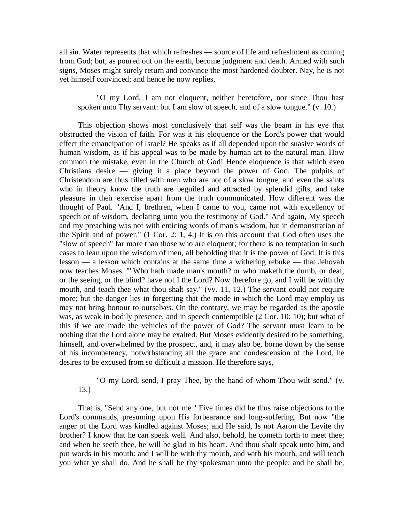all sin. Water represents that which refreshes — source of life and refreshment as coming from God; but, as poured out on the earth, become judgment and death. Armed with such signs, Moses might surely return and convince the most hardened doubter. Nay, he is not yet himself convinced; and hence he now replies,

"O my Lord, I am not eloquent, neither heretofore, nor since Thou hast spoken unto Thy servant: but I am slow of speech, and of a slow tongue." (v. 10.)

This objection shows most conclusively that self was the beam in his eye that obstructed the vision of faith. For was it his eloquence or the Lord's power that would effect the emancipation of Israel? He speaks as if all depended upon the suasive words of human wisdom, as if his appeal was to be made by human art to the natural man. How common the mistake, even in the Church of God! Hence eloquence is that which even Christians desire — giving it a place beyond the power of God. The pulpits of Christendom are thus filled with men who are not of a slow tongue, and even the saints who in theory know the truth are beguiled and attracted by splendid gifts, and take pleasure in their exercise apart from the truth communicated. How different was the thought of Paul. "And I, brethren, when I came to you, came not with excellency of speech or of wisdom, declaring unto you the testimony of God." And again, My speech and my preaching was not with enticing words of man's wisdom, but in demonstration of the Spirit and of power." (1 Cor. 2: 1, 4.) It is on this account that God often uses the "slow of speech" far more than those who are eloquent; for there is no temptation in such cases to lean upon the wisdom of men, all beholding that it is the power of God. It is this lesson — a lesson which contains at the same time a withering rebuke — that Jehovah now teaches Moses. ""Who hath made man's mouth? or who maketh the dumb, or deaf, or the seeing, or the blind? have not I the Lord? Now therefore go, and I will be with thy mouth, and teach thee what thou shalt say." (vv. 11, 12.) The servant could not require more; but the danger lies in forgetting that the mode in which the Lord may employ us may not bring honour to ourselves. On the contrary, we may be regarded as the apostle was, as weak in bodily presence, and in speech contemptible (2 Cor. 10: 10); but what of this if we are made the vehicles of the power of God? The servant must learn to be nothing that the Lord alone may be exalted. But Moses evidently desired to be something, himself, and overwhelmed by the prospect, and, it may also be, borne down by the sense of his incompetency, notwithstanding all the grace and condescension of the Lord, he desires to be excused from so difficult a mission. He therefore says,

"O my Lord, send, I pray Thee, by the hand of whom Thou wilt send." (v. 13.)

That is, "Send any one, but not me." Five times did he thus raise objections to the Lord's commands, presuming upon His forbearance and long-suffering. But now "the anger of the Lord was kindled against Moses; and He said, Is not Aaron the Levite thy brother? I know that he can speak well. And also, behold, he cometh forth to meet thee; and when he seeth thee, he will be glad in his heart. And thou shalt speak unto him, and put words in his mouth: and I will be with thy mouth, and with his mouth, and will teach you what ye shall do. And he shall be thy spokesman unto the people: and he shall be,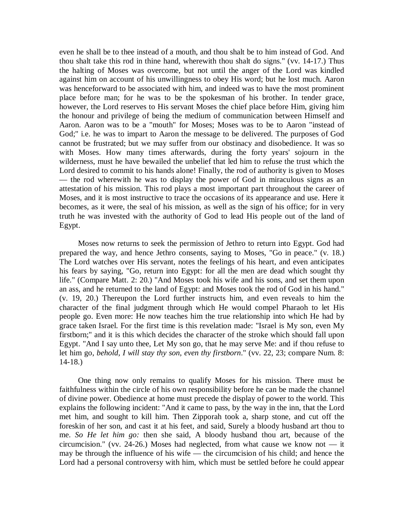even he shall be to thee instead of a mouth, and thou shalt be to him instead of God. And thou shalt take this rod in thine hand, wherewith thou shalt do signs." (vv. 14-17.) Thus the halting of Moses was overcome, but not until the anger of the Lord was kindled against him on account of his unwillingness to obey His word; but he lost much. Aaron was henceforward to be associated with him, and indeed was to have the most prominent place before man; for he was to be the spokesman of his brother. In tender grace, however, the Lord reserves to His servant Moses the chief place before Him, giving him the honour and privilege of being the medium of communication between Himself and Aaron. Aaron was to be a "mouth" for Moses; Moses was to be to Aaron "instead of God;" i.e. he was to impart to Aaron the message to be delivered. The purposes of God cannot be frustrated; but we may suffer from our obstinacy and disobedience. It was so with Moses. How many times afterwards, during the forty years' sojourn in the wilderness, must he have bewailed the unbelief that led him to refuse the trust which the Lord desired to commit to his hands alone! Finally, the rod of authority is given to Moses — the rod wherewith he was to display the power of God in miraculous signs as an attestation of his mission. This rod plays a most important part throughout the career of Moses, and it is most instructive to trace the occasions of its appearance and use. Here it becomes, as it were, the seal of his mission, as well as the sign of his office; for in very truth he was invested with the authority of God to lead His people out of the land of Egypt.

Moses now returns to seek the permission of Jethro to return into Egypt. God had prepared the way, and hence Jethro consents, saying to Moses, "Go in peace." (v. 18.) The Lord watches over His servant, notes the feelings of his heart, and even anticipates his fears by saying, "Go, return into Egypt: for all the men are dead which sought thy life." (Compare Matt. 2: 20.) "And Moses took his wife and his sons, and set them upon an ass, and he returned to the land of Egypt: and Moses took the rod of God in his hand." (v. 19, 20.) Thereupon the Lord further instructs him, and even reveals to him the character of the final judgment through which He would compel Pharaoh to let His people go. Even more: He now teaches him the true relationship into which He had by grace taken Israel. For the first time is this revelation made: "Israel is My son, even My firstborn;" and it is this which decides the character of the stroke which should fall upon Egypt. "And I say unto thee, Let My son go, that he may serve Me: and if thou refuse to let him go, *behold, I will stay thy son, even thy firstborn*." (vv. 22, 23; compare Num. 8: 14-18.)

One thing now only remains to qualify Moses for his mission. There must be faithfulness within the circle of his own responsibility before he can be made the channel of divine power. Obedience at home must precede the display of power to the world. This explains the following incident: "And it came to pass, by the way in the inn, that the Lord met him, and sought to kill him. Then Zipporah took a, sharp stone, and cut off the foreskin of her son, and cast it at his feet, and said, Surely a bloody husband art thou to me. *So He let him go:* then she said, A bloody husband thou art, because of the circumcision." (vv. 24-26.) Moses had neglected, from what cause we know not  $-$  it may be through the influence of his wife — the circumcision of his child; and hence the Lord had a personal controversy with him, which must be settled before he could appear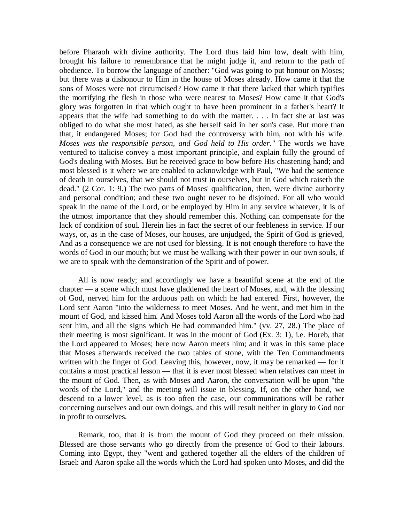before Pharaoh with divine authority. The Lord thus laid him low, dealt with him, brought his failure to remembrance that he might judge it, and return to the path of obedience. To borrow the language of another: "God was going to put honour on Moses; but there was a dishonour to Him in the house of Moses already. How came it that the sons of Moses were not circumcised? How came it that there lacked that which typifies the mortifying the flesh in those who were nearest to Moses? How came it that God's glory was forgotten in that which ought to have been prominent in a father's heart? It appears that the wife had something to do with the matter. . . . In fact she at last was obliged to do what she most hated, as she herself said in her son's case. But more than that, it endangered Moses; for God had the controversy with him, not with his wife. *Moses was the responsible person, and God held to His order."* The words we have ventured to italicise convey a most important principle, and explain fully the ground of God's dealing with Moses. But he received grace to bow before His chastening hand; and most blessed is it where we are enabled to acknowledge with Paul, "We had the sentence of death in ourselves, that we should not trust in ourselves, but in God which raiseth the dead." (2 Cor. 1: 9.) The two parts of Moses' qualification, then, were divine authority and personal condition; and these two ought never to be disjoined. For all who would speak in the name of the Lord, or be employed by Him in any service whatever, it is of the utmost importance that they should remember this. Nothing can compensate for the lack of condition of soul. Herein lies in fact the secret of our feebleness in service. If our ways, or, as in the case of Moses, our houses, are unjudged, the Spirit of God is grieved, And as a consequence we are not used for blessing. It is not enough therefore to have the words of God in our mouth; but we must be walking with their power in our own souls, if we are to speak with the demonstration of the Spirit and of power.

All is now ready; and accordingly we have a beautiful scene at the end of the chapter — a scene which must have gladdened the heart of Moses, and, with the blessing of God, nerved him for the arduous path on which he had entered. First, however, the Lord sent Aaron "into the wilderness to meet Moses. And he went, and met him in the mount of God, and kissed him. And Moses told Aaron all the words of the Lord who had sent him, and all the signs which He had commanded him." (vv. 27, 28.) The place of their meeting is most significant. It was in the mount of God (Ex. 3: 1), i.e. Horeb, that the Lord appeared to Moses; here now Aaron meets him; and it was in this same place that Moses afterwards received the two tables of stone, with the Ten Commandments written with the finger of God. Leaving this, however, now, it may be remarked — for it contains a most practical lesson — that it is ever most blessed when relatives can meet in the mount of God. Then, as with Moses and Aaron, the conversation will be upon "the words of the Lord," and the meeting will issue in blessing. If, on the other hand, we descend to a lower level, as is too often the case, our communications will be rather concerning ourselves and our own doings, and this will result neither in glory to God nor in profit to ourselves.

Remark, too, that it is from the mount of God they proceed on their mission. Blessed are those servants who go directly from the presence of God to their labours. Coming into Egypt, they "went and gathered together all the elders of the children of Israel: and Aaron spake all the words which the Lord had spoken unto Moses, and did the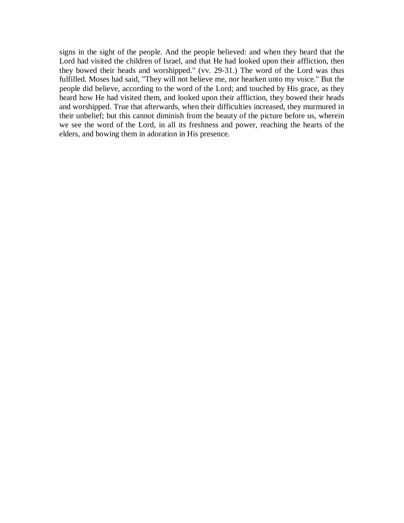signs in the sight of the people. And the people believed: and when they heard that the Lord had visited the children of Israel, and that He had looked upon their affliction, then they bowed their heads and worshipped." (vv. 29-31.) The word of the Lord was thus fulfilled. Moses had said, "They will not believe me, nor hearken unto my voice." But the people did believe, according to the word of the Lord; and touched by His grace, as they heard how He had visited them, and looked upon their affliction, they bowed their heads and worshipped. True that afterwards, when their difficulties increased, they murmured in their unbelief; but this cannot diminish from the beauty of the picture before us, wherein we see the word of the Lord, in all its freshness and power, reaching the hearts of the elders, and bowing them in adoration in His presence.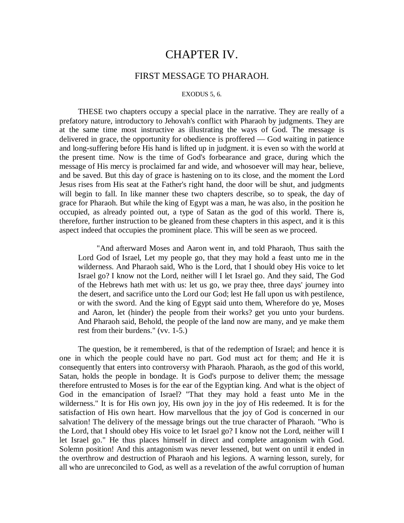# CHAPTER IV.

## FIRST MESSAGE TO PHARAOH.

#### EXODUS 5, 6.

THESE two chapters occupy a special place in the narrative. They are really of a prefatory nature, introductory to Jehovah's conflict with Pharaoh by judgments. They are at the same time most instructive as illustrating the ways of God. The message is delivered in grace, the opportunity for obedience is proffered — God waiting in patience and long-suffering before His hand is lifted up in judgment. it is even so with the world at the present time. Now is the time of God's forbearance and grace, during which the message of His mercy is proclaimed far and wide, and whosoever will may hear, believe, and be saved. But this day of grace is hastening on to its close, and the moment the Lord Jesus rises from His seat at the Father's right hand, the door will be shut, and judgments will begin to fall. In like manner these two chapters describe, so to speak, the day of grace for Pharaoh. But while the king of Egypt was a man, he was also, in the position he occupied, as already pointed out, a type of Satan as the god of this world. There is, therefore, further instruction to be gleaned from these chapters in this aspect, and it is this aspect indeed that occupies the prominent place. This will be seen as we proceed.

"And afterward Moses and Aaron went in, and told Pharaoh, Thus saith the Lord God of Israel, Let my people go, that they may hold a feast unto me in the wilderness. And Pharaoh said, Who is the Lord, that I should obey His voice to let Israel go? I know not the Lord, neither will I let Israel go. And they said, The God of the Hebrews hath met with us: let us go, we pray thee, three days' journey into the desert, and sacrifice unto the Lord our God; lest He fall upon us with pestilence, or with the sword. And the king of Egypt said unto them, Wherefore do ye, Moses and Aaron, let (hinder) the people from their works? get you unto your burdens. And Pharaoh said, Behold, the people of the land now are many, and ye make them rest from their burdens." (vv. 1-5.)

The question, be it remembered, is that of the redemption of Israel; and hence it is one in which the people could have no part. God must act for them; and He it is consequently that enters into controversy with Pharaoh. Pharaoh, as the god of this world, Satan, holds the people in bondage. It is God's purpose to deliver them; the message therefore entrusted to Moses is for the ear of the Egyptian king. And what is the object of God in the emancipation of Israel? "That they may hold a feast unto Me in the wilderness." It is for His own joy, His own joy in the joy of His redeemed. It is for the satisfaction of His own heart. How marvellous that the joy of God is concerned in our salvation! The delivery of the message brings out the true character of Pharaoh. "Who is the Lord, that I should obey His voice to let Israel go? I know not the Lord, neither will I let Israel go." He thus places himself in direct and complete antagonism with God. Solemn position! And this antagonism was never lessened, but went on until it ended in the overthrow and destruction of Pharaoh and his legions. A warning lesson, surely, for all who are unreconciled to God, as well as a revelation of the awful corruption of human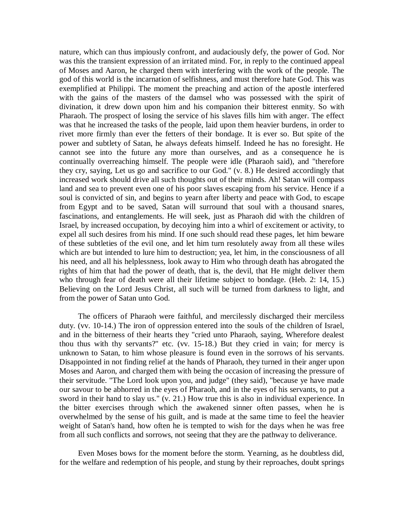nature, which can thus impiously confront, and audaciously defy, the power of God. Nor was this the transient expression of an irritated mind. For, in reply to the continued appeal of Moses and Aaron, he charged them with interfering with the work of the people. The god of this world is the incarnation of selfishness, and must therefore hate God. This was exemplified at Philippi. The moment the preaching and action of the apostle interfered with the gains of the masters of the damsel who was possessed with the spirit of divination, it drew down upon him and his companion their bitterest enmity. So with Pharaoh. The prospect of losing the service of his slaves fills him with anger. The effect was that he increased the tasks of the people, laid upon them heavier burdens, in order to rivet more firmly than ever the fetters of their bondage. It is ever so. But spite of the power and subtlety of Satan, he always defeats himself. Indeed he has no foresight. He cannot see into the future any more than ourselves, and as a consequence he is continually overreaching himself. The people were idle (Pharaoh said), and "therefore they cry, saying, Let us go and sacrifice to our God." (v. 8.) He desired accordingly that increased work should drive all such thoughts out of their minds. Ah! Satan will compass land and sea to prevent even one of his poor slaves escaping from his service. Hence if a soul is convicted of sin, and begins to yearn after liberty and peace with God, to escape from Egypt and to be saved, Satan will surround that soul with a thousand snares, fascinations, and entanglements. He will seek, just as Pharaoh did with the children of Israel, by increased occupation, by decoying him into a whirl of excitement or activity, to expel all such desires from his mind. If one such should read these pages, let him beware of these subtleties of the evil one, and let him turn resolutely away from all these wiles which are but intended to lure him to destruction; yea, let him, in the consciousness of all his need, and all his helplessness, look away to Him who through death has abrogated the rights of him that had the power of death, that is, the devil, that He might deliver them who through fear of death were all their lifetime subject to bondage. (Heb. 2: 14, 15.) Believing on the Lord Jesus Christ, all such will be turned from darkness to light, and from the power of Satan unto God.

The officers of Pharaoh were faithful, and mercilessly discharged their merciless duty. (vv. 10-14.) The iron of oppression entered into the souls of the children of Israel, and in the bitterness of their hearts they "cried unto Pharaoh, saying, Wherefore dealest thou thus with thy servants?" etc. (vv. 15-18.) But they cried in vain; for mercy is unknown to Satan, to him whose pleasure is found even in the sorrows of his servants. Disappointed in not finding relief at the hands of Pharaoh, they turned in their anger upon Moses and Aaron, and charged them with being the occasion of increasing the pressure of their servitude. "The Lord look upon you, and judge" (they said), "because ye have made our savour to be abhorred in the eyes of Pharaoh, and in the eyes of his servants, to put a sword in their hand to slay us." (v. 21.) How true this is also in individual experience. In the bitter exercises through which the awakened sinner often passes, when he is overwhelmed by the sense of his guilt, and is made at the same time to feel the heavier weight of Satan's hand, how often he is tempted to wish for the days when he was free from all such conflicts and sorrows, not seeing that they are the pathway to deliverance.

Even Moses bows for the moment before the storm. Yearning, as he doubtless did, for the welfare and redemption of his people, and stung by their reproaches, doubt springs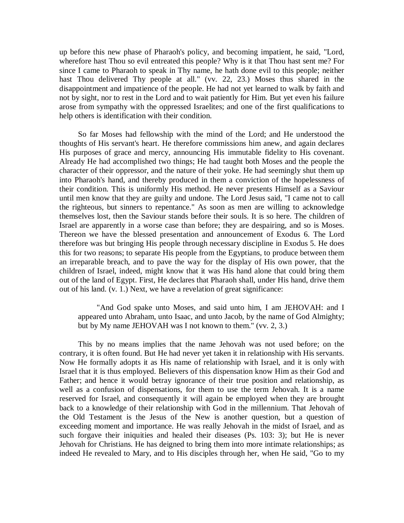up before this new phase of Pharaoh's policy, and becoming impatient, he said, "Lord, wherefore hast Thou so evil entreated this people? Why is it that Thou hast sent me? For since I came to Pharaoh to speak in Thy name, he hath done evil to this people; neither hast Thou delivered Thy people at all." (vv. 22, 23.) Moses thus shared in the disappointment and impatience of the people. He had not yet learned to walk by faith and not by sight, nor to rest in the Lord and to wait patiently for Him. But yet even his failure arose from sympathy with the oppressed Israelites; and one of the first qualifications to help others is identification with their condition.

So far Moses had fellowship with the mind of the Lord; and He understood the thoughts of His servant's heart. He therefore commissions him anew, and again declares His purposes of grace and mercy, announcing His immutable fidelity to His covenant. Already He had accomplished two things; He had taught both Moses and the people the character of their oppressor, and the nature of their yoke. He had seemingly shut them up into Pharaoh's hand, and thereby produced in them a conviction of the hopelessness of their condition. This is uniformly His method. He never presents Himself as a Saviour until men know that they are guilty and undone. The Lord Jesus said, "I came not to call the righteous, but sinners to repentance." As soon as men are willing to acknowledge themselves lost, then the Saviour stands before their souls. It is so here. The children of Israel are apparently in a worse case than before; they are despairing, and so is Moses. Thereon we have the blessed presentation and announcement of Exodus 6. The Lord therefore was but bringing His people through necessary discipline in Exodus 5. He does this for two reasons; to separate His people from the Egyptians, to produce between them an irreparable breach, and to pave the way for the display of His own power, that the children of Israel, indeed, might know that it was His hand alone that could bring them out of the land of Egypt. First, He declares that Pharaoh shall, under His hand, drive them out of his land. (v. 1.) Next, we have a revelation of great significance:

"And God spake unto Moses, and said unto him, I am JEHOVAH: and I appeared unto Abraham, unto Isaac, and unto Jacob, by the name of God Almighty; but by My name JEHOVAH was I not known to them." (vv. 2, 3.)

This by no means implies that the name Jehovah was not used before; on the contrary, it is often found. But He had never yet taken it in relationship with His servants. Now He formally adopts it as His name of relationship with Israel, and it is only with Israel that it is thus employed. Believers of this dispensation know Him as their God and Father; and hence it would betray ignorance of their true position and relationship, as well as a confusion of dispensations, for them to use the term Jehovah. It is a name reserved for Israel, and consequently it will again be employed when they are brought back to a knowledge of their relationship with God in the millennium. That Jehovah of the Old Testament is the Jesus of the New is another question, but a question of exceeding moment and importance. He was really Jehovah in the midst of Israel, and as such forgave their iniquities and healed their diseases (Ps. 103: 3); but He is never Jehovah for Christians. He has deigned to bring them into more intimate relationships; as indeed He revealed to Mary, and to His disciples through her, when He said, "Go to my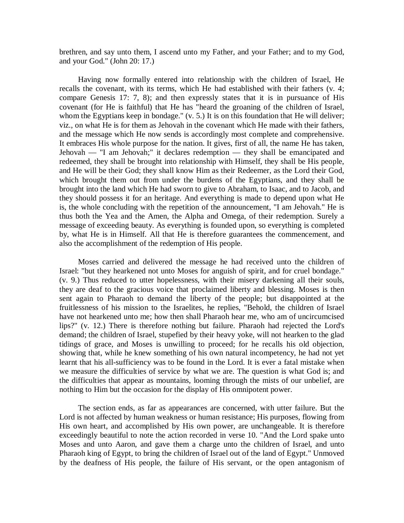brethren, and say unto them, I ascend unto my Father, and your Father; and to my God, and your God." (John 20: 17.)

Having now formally entered into relationship with the children of Israel, He recalls the covenant, with its terms, which He had established with their fathers (v. 4; compare Genesis 17: 7, 8); and then expressly states that it is in pursuance of His covenant (for He is faithful) that He has "heard the groaning of the children of Israel, whom the Egyptians keep in bondage." (v. 5.) It is on this foundation that He will deliver; viz., on what He is for them as Jehovah in the covenant which He made with their fathers, and the message which He now sends is accordingly most complete and comprehensive. It embraces His whole purpose for the nation. It gives, first of all, the name He has taken, Jehovah — "I am Jehovah;" it declares redemption — they shall be emancipated and redeemed, they shall be brought into relationship with Himself, they shall be His people, and He will be their God; they shall know Him as their Redeemer, as the Lord their God, which brought them out from under the burdens of the Egyptians, and they shall be brought into the land which He had sworn to give to Abraham, to Isaac, and to Jacob, and they should possess it for an heritage. And everything is made to depend upon what He is, the whole concluding with the repetition of the announcement, "I am Jehovah." He is thus both the Yea and the Amen, the Alpha and Omega, of their redemption. Surely a message of exceeding beauty. As everything is founded upon, so everything is completed by, what He is in Himself. All that He is therefore guarantees the commencement, and also the accomplishment of the redemption of His people.

Moses carried and delivered the message he had received unto the children of Israel: "but they hearkened not unto Moses for anguish of spirit, and for cruel bondage." (v. 9.) Thus reduced to utter hopelessness, with their misery darkening all their souls, they are deaf to the gracious voice that proclaimed liberty and blessing. Moses is then sent again to Pharaoh to demand the liberty of the people; but disappointed at the fruitlessness of his mission to the Israelites, he replies, "Behold, the children of Israel have not hearkened unto me; how then shall Pharaoh hear me, who am of uncircumcised lips?" (v. 12.) There is therefore nothing but failure. Pharaoh had rejected the Lord's demand; the children of Israel, stupefied by their heavy yoke, will not hearken to the glad tidings of grace, and Moses is unwilling to proceed; for he recalls his old objection, showing that, while he knew something of his own natural incompetency, he had not yet learnt that his all-sufficiency was to be found in the Lord. It is ever a fatal mistake when we measure the difficulties of service by what we are. The question is what God is; and the difficulties that appear as mountains, looming through the mists of our unbelief, are nothing to Him but the occasion for the display of His omnipotent power.

The section ends, as far as appearances are concerned, with utter failure. But the Lord is not affected by human weakness or human resistance; His purposes, flowing from His own heart, and accomplished by His own power, are unchangeable. It is therefore exceedingly beautiful to note the action recorded in verse 10. "And the Lord spake unto Moses and unto Aaron, and gave them a charge unto the children of Israel, and unto Pharaoh king of Egypt, to bring the children of Israel out of the land of Egypt." Unmoved by the deafness of His people, the failure of His servant, or the open antagonism of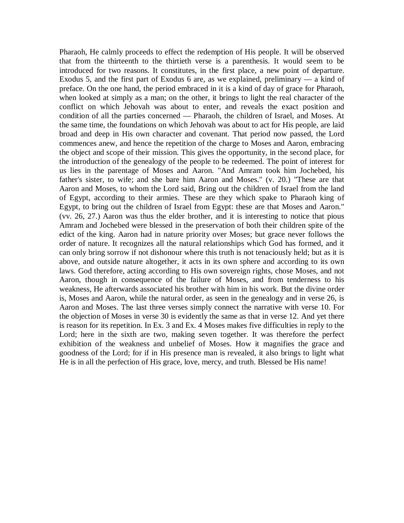Pharaoh, He calmly proceeds to effect the redemption of His people. It will be observed that from the thirteenth to the thirtieth verse is a parenthesis. It would seem to be introduced for two reasons. It constitutes, in the first place, a new point of departure. Exodus 5, and the first part of Exodus 6 are, as we explained, preliminary — a kind of preface. On the one hand, the period embraced in it is a kind of day of grace for Pharaoh, when looked at simply as a man; on the other, it brings to light the real character of the conflict on which Jehovah was about to enter, and reveals the exact position and condition of all the parties concerned — Pharaoh, the children of Israel, and Moses. At the same time, the foundations on which Jehovah was about to act for His people, are laid broad and deep in His own character and covenant. That period now passed, the Lord commences anew, and hence the repetition of the charge to Moses and Aaron, embracing the object and scope of their mission. This gives the opportunity, in the second place, for the introduction of the genealogy of the people to be redeemed. The point of interest for us lies in the parentage of Moses and Aaron. "And Amram took him Jochebed, his father's sister, to wife; and she bare him Aaron and Moses." (v. 20.) "These are that Aaron and Moses, to whom the Lord said, Bring out the children of Israel from the land of Egypt, according to their armies. These are they which spake to Pharaoh king of Egypt, to bring out the children of Israel from Egypt: these are that Moses and Aaron." (vv. 26, 27.) Aaron was thus the elder brother, and it is interesting to notice that pious Amram and Jochebed were blessed in the preservation of both their children spite of the edict of the king. Aaron had in nature priority over Moses; but grace never follows the order of nature. It recognizes all the natural relationships which God has formed, and it can only bring sorrow if not dishonour where this truth is not tenaciously held; but as it is above, and outside nature altogether, it acts in its own sphere and according to its own laws. God therefore, acting according to His own sovereign rights, chose Moses, and not Aaron, though in consequence of the failure of Moses, and from tenderness to his weakness, He afterwards associated his brother with him in his work. But the divine order is, Moses and Aaron, while the natural order, as seen in the genealogy and in verse 26, is Aaron and Moses. The last three verses simply connect the narrative with verse 10. For the objection of Moses in verse 30 is evidently the same as that in verse 12. And yet there is reason for its repetition. In Ex. 3 and Ex. 4 Moses makes five difficulties in reply to the Lord; here in the sixth are two, making seven together. It was therefore the perfect exhibition of the weakness and unbelief of Moses. How it magnifies the grace and goodness of the Lord; for if in His presence man is revealed, it also brings to light what He is in all the perfection of His grace, love, mercy, and truth. Blessed be His name!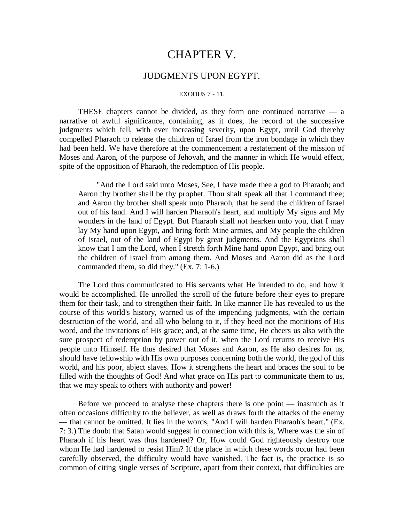# CHAPTER V.

### JUDGMENTS UPON EGYPT.

#### EXODUS 7 - 11.

THESE chapters cannot be divided, as they form one continued narrative — a narrative of awful significance, containing, as it does, the record of the successive judgments which fell, with ever increasing severity, upon Egypt, until God thereby compelled Pharaoh to release the children of Israel from the iron bondage in which they had been held. We have therefore at the commencement a restatement of the mission of Moses and Aaron, of the purpose of Jehovah, and the manner in which He would effect, spite of the opposition of Pharaoh, the redemption of His people.

"And the Lord said unto Moses, See, I have made thee a god to Pharaoh; and Aaron thy brother shall be thy prophet. Thou shalt speak all that I command thee; and Aaron thy brother shall speak unto Pharaoh, that he send the children of Israel out of his land. And I will harden Pharaoh's heart, and multiply My signs and My wonders in the land of Egypt. But Pharaoh shall not hearken unto you, that I may lay My hand upon Egypt, and bring forth Mine armies, and My people the children of Israel, out of the land of Egypt by great judgments. And the Egyptians shall know that I am the Lord, when I stretch forth Mine hand upon Egypt, and bring out the children of Israel from among them. And Moses and Aaron did as the Lord commanded them, so did they." (Ex. 7: 1-6.)

The Lord thus communicated to His servants what He intended to do, and how it would be accomplished. He unrolled the scroll of the future before their eyes to prepare them for their task, and to strengthen their faith. In like manner He has revealed to us the course of this world's history, warned us of the impending judgments, with the certain destruction of the world, and all who belong to it, if they heed not the monitions of His word, and the invitations of His grace; and, at the same time, He cheers us also with the sure prospect of redemption by power out of it, when the Lord returns to receive His people unto Himself. He thus desired that Moses and Aaron, as He also desires for us, should have fellowship with His own purposes concerning both the world, the god of this world, and his poor, abject slaves. How it strengthens the heart and braces the soul to be filled with the thoughts of God! And what grace on His part to communicate them to us, that we may speak to others with authority and power!

Before we proceed to analyse these chapters there is one point — inasmuch as it often occasions difficulty to the believer, as well as draws forth the attacks of the enemy — that cannot be omitted. It lies in the words, "And I will harden Pharaoh's heart." (Ex. 7: 3.) The doubt that Satan would suggest in connection with this is, Where was the sin of Pharaoh if his heart was thus hardened? Or, How could God righteously destroy one whom He had hardened to resist Him? If the place in which these words occur had been carefully observed, the difficulty would have vanished. The fact is, the practice is so common of citing single verses of Scripture, apart from their context, that difficulties are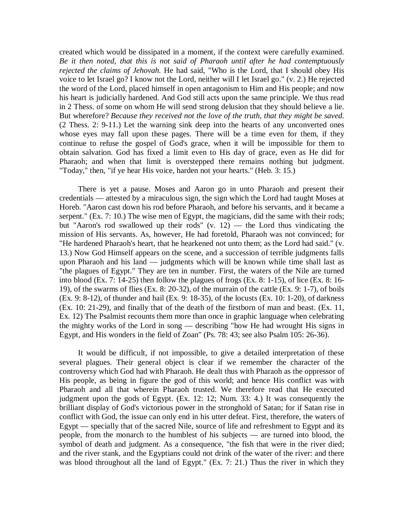created which would be dissipated in a moment, if the context were carefully examined. *Be it then noted, that this is not said of Pharaoh until after he had contemptuously rejected the claims of Jehovah.* He had said, "Who is the Lord, that I should obey His voice to let Israel go? I know not the Lord, neither will I let Israel go." (v. 2.) He rejected the word of the Lord, placed himself in open antagonism to Him and His people; and now his heart is judicially hardened. And God still acts upon the same principle. We thus read in 2 Thess. of some on whom He will send strong delusion that they should believe a lie. But wherefore? *Because they received not the love of the truth, that they might be saved.*  (2 Thess. 2: 9-11.) Let the warning sink deep into the hearts of any unconverted ones whose eyes may fall upon these pages. There will be a time even for them, if they continue to refuse the gospel of God's grace, when it will be impossible for them to obtain salvation. God has fixed a limit even to His day of grace, even as He did for Pharaoh; and when that limit is overstepped there remains nothing but judgment. "Today," then, "if ye hear His voice, harden not your hearts." (Heb. 3: 15.)

There is yet a pause. Moses and Aaron go in unto Pharaoh and present their credentials — attested by a miraculous sign, the sign which the Lord had taught Moses at Horeb. "Aaron cast down his rod before Pharaoh, and before his servants, and it became a serpent." (Ex. 7: 10.) The wise men of Egypt, the magicians, did the same with their rods; but "Aaron's rod swallowed up their rods" (v. 12) — the Lord thus vindicating the mission of His servants. As, however, He had foretold, Pharaoh was not convinced; for "He hardened Pharaoh's heart, that he hearkened not unto them; as the Lord had said." (v. 13.) Now God Himself appears on the scene, and a succession of terrible judgments falls upon Pharaoh and his land — judgments which will be known while time shall last as "the plagues of Egypt." They are ten in number. First, the waters of the Nile are turned into blood (Ex. 7: 14-25) then follow the plagues of frogs (Ex. 8: 1-15), of lice (Ex. 8: 16- 19), of the swarms of flies (Ex. 8: 20-32), of the murrain of the cattle (Ex. 9: 1-7), of boils (Ex. 9: 8-12), of thunder and hail (Ex. 9: 18-35), of the locusts (Ex. 10: 1-20), of darkness (Ex. 10: 21-29), and finally that of the death of the firstborn of man and beast. (Ex. 11, Ex. 12) The Psalmist recounts them more than once in graphic language when celebrating the mighty works of the Lord in song — describing "how He had wrought His signs in Egypt, and His wonders in the field of Zoan" (Ps. 78: 43; see also Psalm 105: 26-36).

It would be difficult, if not impossible, to give a detailed interpretation of these several plagues. Their general object is clear if we remember the character of the controversy which God had with Pharaoh. He dealt thus with Pharaoh as the oppressor of His people, as being in figure the god of this world; and hence His conflict was with Pharaoh and all that wherein Pharaoh trusted. We therefore read that He executed judgment upon the gods of Egypt. (Ex. 12: 12; Num. 33: 4.) It was consequently the brilliant display of God's victorious power in the stronghold of Satan; for if Satan rise in conflict with God, the issue can only end in his utter defeat. First, therefore, the waters of Egypt — specially that of the sacred Nile, source of life and refreshment to Egypt and its people, from the monarch to the humblest of his subjects — are turned into blood, the symbol of death and judgment. As a consequence, "the fish that were in the river died; and the river stank, and the Egyptians could not drink of the water of the river: and there was blood throughout all the land of Egypt." (Ex. 7: 21.) Thus the river in which they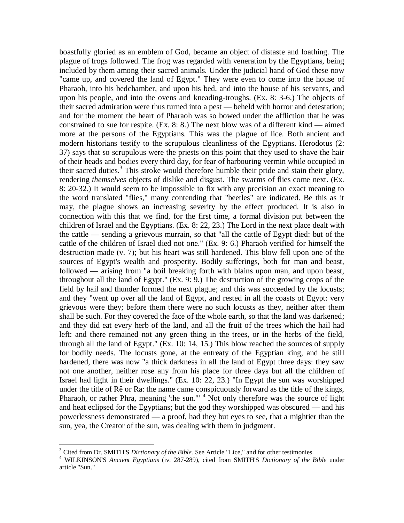boastfully gloried as an emblem of God, became an object of distaste and loathing. The plague of frogs followed. The frog was regarded with veneration by the Egyptians, being included by them among their sacred animals. Under the judicial hand of God these now "came up, and covered the land of Egypt." They were even to come into the house of Pharaoh, into his bedchamber, and upon his bed, and into the house of his servants, and upon his people, and into the ovens and kneading-troughs. (Ex. 8: 3-6.) The objects of their sacred admiration were thus turned into a pest — beheld with horror and detestation; and for the moment the heart of Pharaoh was so bowed under the affliction that he was constrained to sue for respite.  $(Ex, 8; 8)$ . The next blow was of a different kind — aimed more at the persons of the Egyptians. This was the plague of lice. Both ancient and modern historians testify to the scrupulous cleanliness of the Egyptians. Herodotus (2: 37) says that so scrupulous were the priests on this point that they used to shave the hair of their heads and bodies every third day, for fear of harbouring vermin while occupied in their sacred duties.<sup>3</sup> This stroke would therefore humble their pride and stain their glory, rendering *themselves* objects of dislike and disgust. The swarms of flies come next. (Ex. 8: 20-32.) It would seem to be impossible to fix with any precision an exact meaning to the word translated "flies," many contending that "beetles" are indicated. Be this as it may, the plague shows an increasing severity by the effect produced. It is also in connection with this that we find, for the first time, a formal division put between the children of Israel and the Egyptians. (Ex. 8: 22, 23.) The Lord in the next place dealt with the cattle — sending a grievous murrain, so that "all the cattle of Egypt died: but of the cattle of the children of Israel died not one." (Ex. 9: 6.) Pharaoh verified for himself the destruction made (v. 7); but his heart was still hardened. This blow fell upon one of the sources of Egypt's wealth and prosperity. Bodily sufferings, both for man and beast, followed — arising from "a boil breaking forth with blains upon man, and upon beast, throughout all the land of Egypt." (Ex. 9: 9.) The destruction of the growing crops of the field by hail and thunder formed the next plague; and this was succeeded by the locusts; and they "went up over all the land of Egypt, and rested in all the coasts of Egypt: very grievous were they; before them there were no such locusts as they, neither after them shall be such. For they covered the face of the whole earth, so that the land was darkened; and they did eat every herb of the land, and all the fruit of the trees which the hail had left: and there remained not any green thing in the trees, or in the herbs of the field, through all the land of Egypt." (Ex. 10: 14, 15.) This blow reached the sources of supply for bodily needs. The locusts gone, at the entreaty of the Egyptian king, and he still hardened, there was now "a thick darkness in all the land of Egypt three days: they saw not one another, neither rose any from his place for three days but all the children of Israel had light in their dwellings." (Ex. 10: 22, 23.) "In Egypt the sun was worshipped under the title of Rê or Ra: the name came conspicuously forward as the title of the kings, Pharaoh, or rather Phra, meaning 'the sun."<sup>4</sup> Not only therefore was the source of light and heat eclipsed for the Egyptians; but the god they worshipped was obscured — and his powerlessness demonstrated — a proof, had they but eyes to see, that a mightier than the sun, yea, the Creator of the sun, was dealing with them in judgment.

 $\overline{a}$ 

<sup>&</sup>lt;sup>3</sup> Cited from Dr. SMITH'S *Dictionary of the Bible*. See Article "Lice," and for other testimonies.

<sup>4</sup> WILKINSON'S *Ancient Egyptians* (iv. 287-289), cited from SMITH'S *Dictionary of the Bible* under article "Sun."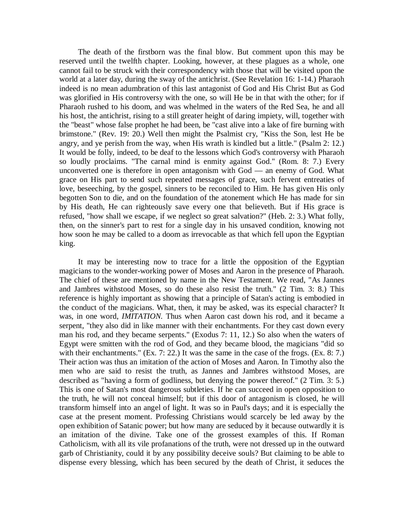The death of the firstborn was the final blow. But comment upon this may be reserved until the twelfth chapter. Looking, however, at these plagues as a whole, one cannot fail to be struck with their correspondency with those that will be visited upon the world at a later day, during the sway of the antichrist. (See Revelation 16: 1-14.) Pharaoh indeed is no mean adumbration of this last antagonist of God and His Christ But as God was glorified in His controversy with the one, so will He be in that with the other; for if Pharaoh rushed to his doom, and was whelmed in the waters of the Red Sea, he and all his host, the antichrist, rising to a still greater height of daring impiety, will, together with the "beast" whose false prophet he had been, be "cast alive into a lake of fire burning with brimstone." (Rev. 19: 20.) Well then might the Psalmist cry, "Kiss the Son, lest He be angry, and ye perish from the way, when His wrath is kindled but a little." (Psalm 2: 12.) It would be folly, indeed, to be deaf to the lessons which God's controversy with Pharaoh so loudly proclaims. "The carnal mind is enmity against God." (Rom. 8: 7.) Every unconverted one is therefore in open antagonism with God — an enemy of God. What grace on His part to send such repeated messages of grace, such fervent entreaties of love, beseeching, by the gospel, sinners to be reconciled to Him. He has given His only begotten Son to die, and on the foundation of the atonement which He has made for sin by His death, He can righteously save every one that believeth. But if His grace is refused, "how shall we escape, if we neglect so great salvation?" (Heb. 2: 3.) What folly, then, on the sinner's part to rest for a single day in his unsaved condition, knowing not how soon he may be called to a doom as irrevocable as that which fell upon the Egyptian king.

It may be interesting now to trace for a little the opposition of the Egyptian magicians to the wonder-working power of Moses and Aaron in the presence of Pharaoh. The chief of these are mentioned by name in the New Testament. We read, "As Jannes and Jambres withstood Moses, so do these also resist the truth." (2 Tim. 3: 8.) This reference is highly important as showing that a principle of Satan's acting is embodied in the conduct of the magicians. What, then, it may be asked, was its especial character? It was, in one word, *IMITATION.* Thus when Aaron cast down his rod, and it became a serpent, "they also did in like manner with their enchantments. For they cast down every man his rod, and they became serpents." (Exodus 7: 11, 12.) So also when the waters of Egypt were smitten with the rod of God, and they became blood, the magicians "did so with their enchantments." (Ex. 7: 22.) It was the same in the case of the frogs. (Ex. 8: 7.) Their action was thus an imitation of the action of Moses and Aaron. In Timothy also the men who are said to resist the truth, as Jannes and Jambres withstood Moses, are described as "having a form of godliness, but denying the power thereof." (2 Tim. 3: 5.) This is one of Satan's most dangerous subtleties. If he can succeed in open opposition to the truth, he will not conceal himself; but if this door of antagonism is closed, he will transform himself into an angel of light. It was so in Paul's days; and it is especially the case at the present moment. Professing Christians would scarcely be led away by the open exhibition of Satanic power; but how many are seduced by it because outwardly it is an imitation of the divine. Take one of the grossest examples of this. If Roman Catholicism, with all its vile profanations of the truth, were not dressed up in the outward garb of Christianity, could it by any possibility deceive souls? But claiming to be able to dispense every blessing, which has been secured by the death of Christ, it seduces the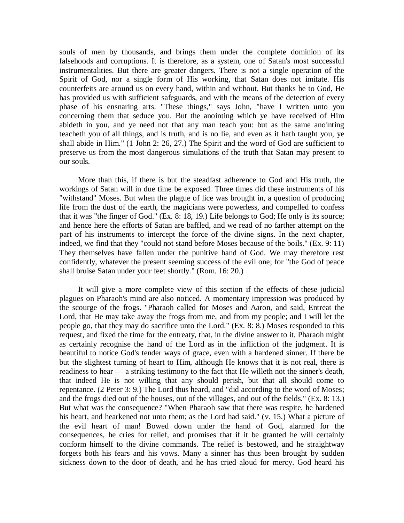souls of men by thousands, and brings them under the complete dominion of its falsehoods and corruptions. It is therefore, as a system, one of Satan's most successful instrumentalities. But there are greater dangers. There is not a single operation of the Spirit of God, nor a single form of His working, that Satan does not imitate. His counterfeits are around us on every hand, within and without. But thanks be to God, He has provided us with sufficient safeguards, and with the means of the detection of every phase of his ensnaring arts. "These things," says John, "have I written unto you concerning them that seduce you. But the anointing which ye have received of Him abideth in you, and ye need not that any man teach you: but as the same anointing teacheth you of all things, and is truth, and is no lie, and even as it hath taught you, ye shall abide in Him." (1 John 2: 26, 27.) The Spirit and the word of God are sufficient to preserve us from the most dangerous simulations of the truth that Satan may present to our souls.

More than this, if there is but the steadfast adherence to God and His truth, the workings of Satan will in due time be exposed. Three times did these instruments of his "withstand" Moses. But when the plague of lice was brought in, a question of producing life from the dust of the earth, the magicians were powerless, and compelled to confess that it was "the finger of God." (Ex. 8: 18, 19.) Life belongs to God; He only is its source; and hence here the efforts of Satan are baffled, and we read of no farther attempt on the part of his instruments to intercept the force of the divine signs. In the next chapter, indeed, we find that they "could not stand before Moses because of the boils." (Ex. 9: 11) They themselves have fallen under the punitive hand of God. We may therefore rest confidently, whatever the present seeming success of the evil one; for "the God of peace shall bruise Satan under your feet shortly." (Rom. 16: 20.)

It will give a more complete view of this section if the effects of these judicial plagues on Pharaoh's mind are also noticed. A momentary impression was produced by the scourge of the frogs. "Pharaoh called for Moses and Aaron, and said, Entreat the Lord, that He may take away the frogs from me, and from my people; and I will let the people go, that they may do sacrifice unto the Lord." (Ex. 8: 8.) Moses responded to this request, and fixed the time for the entreaty, that, in the divine answer to it, Pharaoh might as certainly recognise the hand of the Lord as in the infliction of the judgment. It is beautiful to notice God's tender ways of grace, even with a hardened sinner. If there be but the slightest turning of heart to Him, although He knows that it is not real, there is readiness to hear — a striking testimony to the fact that He willeth not the sinner's death, that indeed He is not willing that any should perish, but that all should come to repentance. (2 Peter 3: 9.) The Lord thus heard, and "did according to the word of Moses; and the frogs died out of the houses, out of the villages, and out of the fields." (Ex. 8: 13.) But what was the consequence? "When Pharaoh saw that there was respite, he hardened his heart, and hearkened not unto them; as the Lord had said." (v. 15.) What a picture of the evil heart of man! Bowed down under the hand of God, alarmed for the consequences, he cries for relief, and promises that if it be granted he will certainly conform himself to the divine commands. The relief is bestowed, and he straightway forgets both his fears and his vows. Many a sinner has thus been brought by sudden sickness down to the door of death, and he has cried aloud for mercy. God heard his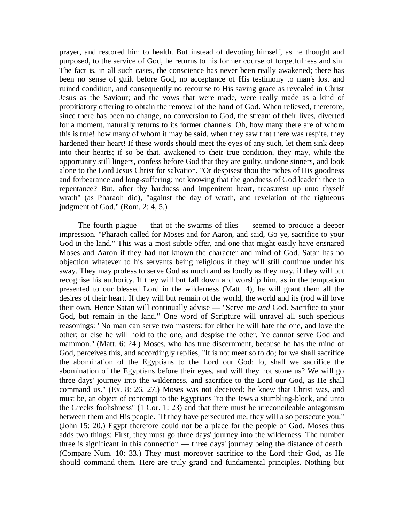prayer, and restored him to health. But instead of devoting himself, as he thought and purposed, to the service of God, he returns to his former course of forgetfulness and sin. The fact is, in all such cases, the conscience has never been really awakened; there has been no sense of guilt before God, no acceptance of His testimony to man's lost and ruined condition, and consequently no recourse to His saving grace as revealed in Christ Jesus as the Saviour; and the vows that were made, were really made as a kind of propitiatory offering to obtain the removal of the hand of God. When relieved, therefore, since there has been no change, no conversion to God, the stream of their lives, diverted for a moment, naturally returns to its former channels. Oh, how many there are of whom this is true! how many of whom it may be said, when they saw that there was respite, they hardened their heart! If these words should meet the eyes of any such, let them sink deep into their hearts; if so be that, awakened to their true condition, they may, while the opportunity still lingers, confess before God that they are guilty, undone sinners, and look alone to the Lord Jesus Christ for salvation. "Or despisest thou the riches of His goodness and forbearance and long-suffering; not knowing that the goodness of God leadeth thee to repentance? But, after thy hardness and impenitent heart, treasurest up unto thyself wrath" (as Pharaoh did), "against the day of wrath, and revelation of the righteous judgment of God." (Rom. 2: 4, 5.)

The fourth plague — that of the swarms of flies — seemed to produce a deeper impression. "Pharaoh called for Moses and for Aaron, and said, Go ye, sacrifice to your God in the land." This was a most subtle offer, and one that might easily have ensnared Moses and Aaron if they had not known the character and mind of God. Satan has no objection whatever to his servants being religious if they will still continue under his sway. They may profess to serve God as much and as loudly as they may, if they will but recognise his authority. If they will but fall down and worship him, as in the temptation presented to our blessed Lord in the wilderness (Matt. 4), he will grant them all the desires of their heart. If they will but remain of the world, the world and its (rod will love their own. Hence Satan will continually advise — "Serve me *and* God. Sacrifice to your God, but remain in the land." One word of Scripture will unravel all such specious reasonings: "No man can serve two masters: for either he will hate the one, and love the other; or else he will hold to the one, and despise the other. Ye cannot serve God and mammon." (Matt. 6: 24.) Moses, who has true discernment, because he has the mind of God, perceives this, and accordingly replies, "It is not meet so to do; for we shall sacrifice the abomination of the Egyptians to the Lord our God: lo, shall we sacrifice the abomination of the Egyptians before their eyes, and will they not stone us? We will go three days' journey into the wilderness, and sacrifice to the Lord our God, as He shall command us." (Ex. 8: 26, 27.) Moses was not deceived; he knew that Christ was, and must be, an object of contempt to the Egyptians "to the Jews a stumbling-block, and unto the Greeks foolishness" (1 Cor. 1: 23) and that there must be irreconcileable antagonism between them and His people. "If they have persecuted me, they will also persecute you." (John 15: 20.) Egypt therefore could not be a place for the people of God. Moses thus adds two things: First, they must go three days' journey into the wilderness. The number three is significant in this connection — three days' journey being the distance of death. (Compare Num. 10: 33.) They must moreover sacrifice to the Lord their God, as He should command them. Here are truly grand and fundamental principles. Nothing but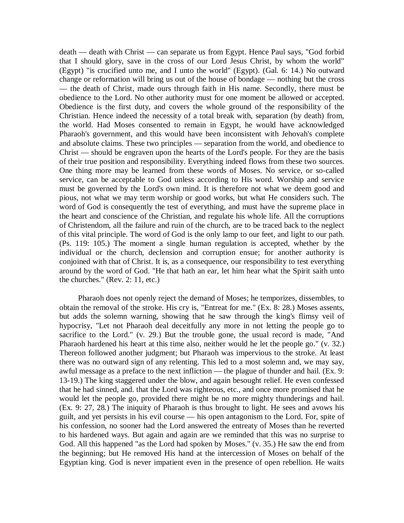death — death with Christ — can separate us from Egypt. Hence Paul says, "God forbid that I should glory, save in the cross of our Lord Jesus Christ, by whom the world" (Egypt) "is crucified unto me, and I unto the world" (Egypt). (Gal. 6: 14.) No outward change or reformation will bring us out of the house of bondage — nothing but the cross — the death of Christ, made ours through faith in His name. Secondly, there must be obedience to the Lord. No other authority must for one moment be allowed or accepted. Obedience is the first duty, and covers the whole ground of the responsibility of the Christian. Hence indeed the necessity of a total break with, separation (by death) from, the world. Had Moses consented to remain in Egypt, he would have acknowledged Pharaoh's government, and this would have been inconsistent with Jehovah's complete and absolute claims. These two principles — separation from the world, and obedience to Christ — should be engraven upon the hearts of the Lord's people. For they are the basis of their true position and responsibility. Everything indeed flows from these two sources. One thing more may be learned from these words of Moses. No service, or so-called service, can be acceptable to God unless according to His word. Worship and service must be governed by the Lord's own mind. It is therefore not what we deem good and pious, not what we may term worship or good works, but what He considers such. The word of God is consequently the test of everything, and must have the supreme place in the heart and conscience of the Christian, and regulate his whole life. All the corruptions of Christendom, all the failure and ruin of the church, are to be traced back to the neglect of this vital principle. The word of God is the only lamp to our feet, and light to our path. (Ps. 119: 105.) The moment a single human regulation is accepted, whether by the individual or the church, declension and corruption ensue; for another authority is conjoined with that of Christ. It is, as a consequence, our responsibility to test everything around by the word of God. "He that hath an ear, let him hear what the Spirit saith unto the churches." (Rev. 2: 11, etc.)

Pharaoh does not openly reject the demand of Moses; he temporizes, dissembles, to obtain the removal of the stroke. His cry is, "Entreat for me." (Ex. 8: 28.) Moses assents, but adds the solemn warning, showing that he saw through the king's flimsy veil of hypocrisy, "Let not Pharaoh deal deceitfully any more in not letting the people go to sacrifice to the Lord." (v. 29.) But the trouble gone, the usual record is made, "And Pharaoh hardened his heart at this time also, neither would he let the people go." (v. 32.) Thereon followed another judgment; but Pharaoh was impervious to the stroke. At least there was no outward sign of any relenting. This led to a most solemn and, we may say, awful message as a preface to the next infliction — the plague of thunder and hail. (Ex. 9: 13-19.) The king staggered under the blow, and again besought relief. He even confessed that he had sinned, and. that the Lord was righteous, etc., and once more promised that he would let the people go, provided there might be no more mighty thunderings and hail. (Ex. 9: 27, 28.) The iniquity of Pharaoh is thus brought to light. He sees and avows his guilt, and yet persists in his evil course — his open antagonism to the Lord. For, spite of his confession, no sooner had the Lord answered the entreaty of Moses than he reverted to his hardened ways. But again and again are we reminded that this was no surprise to God. All this happened "as the Lord had spoken by Moses." (v. 35.) He saw the end from the beginning; but He removed His hand at the intercession of Moses on behalf of the Egyptian king. God is never impatient even in the presence of open rebellion. He waits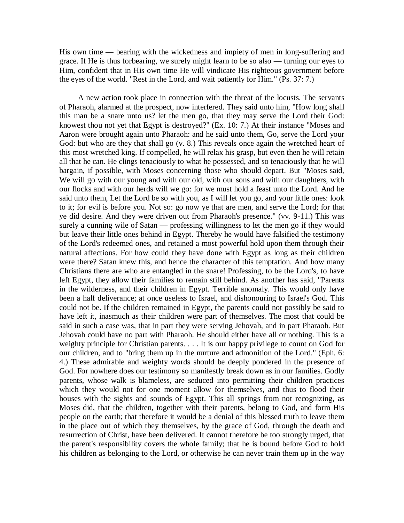His own time — bearing with the wickedness and impiety of men in long-suffering and grace. If He is thus forbearing, we surely might learn to be so also — turning our eyes to Him, confident that in His own time He will vindicate His righteous government before the eyes of the world. "Rest in the Lord, and wait patiently for Him." (Ps. 37: 7.)

A new action took place in connection with the threat of the locusts. The servants of Pharaoh, alarmed at the prospect, now interfered. They said unto him, "How long shall this man be a snare unto us? let the men go, that they may serve the Lord their God: knowest thou not yet that Egypt is destroyed?" (Ex. 10: 7.) At their instance "Moses and Aaron were brought again unto Pharaoh: and he said unto them, Go, serve the Lord your God: but who are they that shall go (v. 8.) This reveals once again the wretched heart of this most wretched king. If compelled, he will relax his grasp, but even then he will retain all that he can. He clings tenaciously to what he possessed, and so tenaciously that he will bargain, if possible, with Moses concerning those who should depart. But "Moses said, We will go with our young and with our old, with our sons and with our daughters, with our flocks and with our herds will we go: for we must hold a feast unto the Lord. And he said unto them, Let the Lord be so with you, as I will let you go, and your little ones: look to it; for evil is before you. Not so: go now ye that are men, and serve the Lord; for that ye did desire. And they were driven out from Pharaoh's presence." (vv. 9-11.) This was surely a cunning wile of Satan — professing willingness to let the men go if they would but leave their little ones behind in Egypt. Thereby he would have falsified the testimony of the Lord's redeemed ones, and retained a most powerful hold upon them through their natural affections. For how could they have done with Egypt as long as their children were there? Satan knew this, and hence the character of this temptation. And how many Christians there are who are entangled in the snare! Professing, to be the Lord's, to have left Egypt, they allow their families to remain still behind. As another has said, "Parents in the wilderness, and their children in Egypt. Terrible anomaly. This would only have been a half deliverance; at once useless to Israel, and dishonouring to Israel's God. This could not be. If the children remained in Egypt, the parents could not possibly be said to have left it, inasmuch as their children were part of themselves. The most that could be said in such a case was, that in part they were serving Jehovah, and in part Pharaoh. But Jehovah could have no part with Pharaoh. He should either have all or nothing. This is a weighty principle for Christian parents. . . . It is our happy privilege to count on God for our children, and to "bring them up in the nurture and admonition of the Lord." (Eph. 6: 4.) These admirable and weighty words should be deeply pondered in the presence of God. For nowhere does our testimony so manifestly break down as in our families. Godly parents, whose walk is blameless, are seduced into permitting their children practices which they would not for one moment allow for themselves, and thus to flood their houses with the sights and sounds of Egypt. This all springs from not recognizing, as Moses did, that the children, together with their parents, belong to God, and form His people on the earth; that therefore it would be a denial of this blessed truth to leave them in the place out of which they themselves, by the grace of God, through the death and resurrection of Christ, have been delivered. It cannot therefore be too strongly urged, that the parent's responsibility covers the whole family; that he is bound before God to hold his children as belonging to the Lord, or otherwise he can never train them up in the way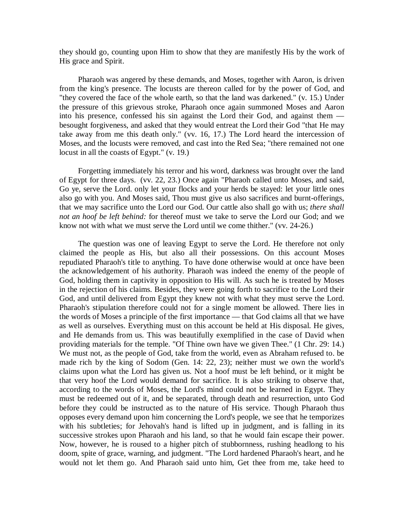they should go, counting upon Him to show that they are manifestly His by the work of His grace and Spirit.

Pharaoh was angered by these demands, and Moses, together with Aaron, is driven from the king's presence. The locusts are thereon called for by the power of God, and "they covered the face of the whole earth, so that the land was darkened." (v. 15.) Under the pressure of this grievous stroke, Pharaoh once again summoned Moses and Aaron into his presence, confessed his sin against the Lord their God, and against them besought forgiveness, and asked that they would entreat the Lord their God "that He may take away from me this death only." (vv. 16, 17.) The Lord heard the intercession of Moses, and the locusts were removed, and cast into the Red Sea; "there remained not one locust in all the coasts of Egypt." (v. 19.)

Forgetting immediately his terror and his word, darkness was brought over the land of Egypt for three days. (vv. 22, 23.) Once again "Pharaoh called unto Moses, and said, Go ye, serve the Lord. only let your flocks and your herds be stayed: let your little ones also go with you. And Moses said, Thou must give us also sacrifices and burnt-offerings, that we may sacrifice unto the Lord our God. Our cattle also shall go with us; *there shall not an hoof be left behind:* for thereof must we take to serve the Lord our God; and we know not with what we must serve the Lord until we come thither." (vv. 24-26.)

The question was one of leaving Egypt to serve the Lord. He therefore not only claimed the people as His, but also all their possessions. On this account Moses repudiated Pharaoh's title to anything. To have done otherwise would at once have been the acknowledgement of his authority. Pharaoh was indeed the enemy of the people of God, holding them in captivity in opposition to His will. As such he is treated by Moses in the rejection of his claims. Besides, they were going forth to sacrifice to the Lord their God, and until delivered from Egypt they knew not with what they must serve the Lord. Pharaoh's stipulation therefore could not for a single moment be allowed. There lies in the words of Moses a principle of the first importance — that God claims all that we have as well as ourselves. Everything must on this account be held at His disposal. He gives, and He demands from us. This was beautifully exemplified in the case of David when providing materials for the temple. "Of Thine own have we given Thee." (1 Chr. 29: 14.) We must not, as the people of God, take from the world, even as Abraham refused to. be made rich by the king of Sodom (Gen. 14: 22, 23); neither must we own the world's claims upon what the Lord has given us. Not a hoof must be left behind, or it might be that very hoof the Lord would demand for sacrifice. It is also striking to observe that, according to the words of Moses, the Lord's mind could not be learned in Egypt. They must be redeemed out of it, and be separated, through death and resurrection, unto God before they could be instructed as to the nature of His service. Though Pharaoh thus opposes every demand upon him concerning the Lord's people, we see that he temporizes with his subtleties; for Jehovah's hand is lifted up in judgment, and is falling in its successive strokes upon Pharaoh and his land, so that he would fain escape their power. Now, however, he is roused to a higher pitch of stubbornness, rushing headlong to his doom, spite of grace, warning, and judgment. "The Lord hardened Pharaoh's heart, and he would not let them go. And Pharaoh said unto him, Get thee from me, take heed to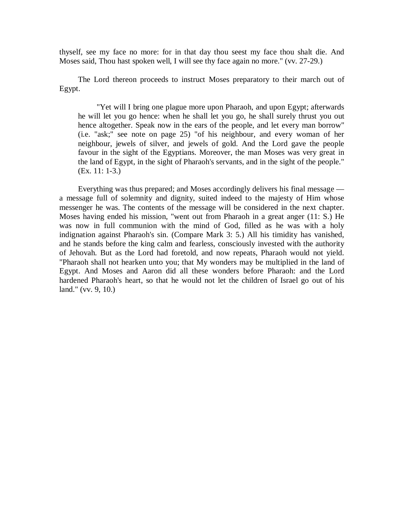thyself, see my face no more: for in that day thou seest my face thou shalt die. And Moses said, Thou hast spoken well, I will see thy face again no more." (vv. 27-29.)

The Lord thereon proceeds to instruct Moses preparatory to their march out of Egypt.

"Yet will I bring one plague more upon Pharaoh, and upon Egypt; afterwards he will let you go hence: when he shall let you go, he shall surely thrust you out hence altogether. Speak now in the ears of the people, and let every man borrow" (i.e. "ask;" see note on page 25) "of his neighbour, and every woman of her neighbour, jewels of silver, and jewels of gold. And the Lord gave the people favour in the sight of the Egyptians. Moreover, the man Moses was very great in the land of Egypt, in the sight of Pharaoh's servants, and in the sight of the people." (Ex. 11: 1-3.)

Everything was thus prepared; and Moses accordingly delivers his final message a message full of solemnity and dignity, suited indeed to the majesty of Him whose messenger he was. The contents of the message will be considered in the next chapter. Moses having ended his mission, "went out from Pharaoh in a great anger (11: S.) He was now in full communion with the mind of God, filled as he was with a holy indignation against Pharaoh's sin. (Compare Mark 3: 5.) All his timidity has vanished, and he stands before the king calm and fearless, consciously invested with the authority of Jehovah. But as the Lord had foretold, and now repeats, Pharaoh would not yield. "Pharaoh shall not hearken unto you; that My wonders may be multiplied in the land of Egypt. And Moses and Aaron did all these wonders before Pharaoh: and the Lord hardened Pharaoh's heart, so that he would not let the children of Israel go out of his land." (vv. 9, 10.)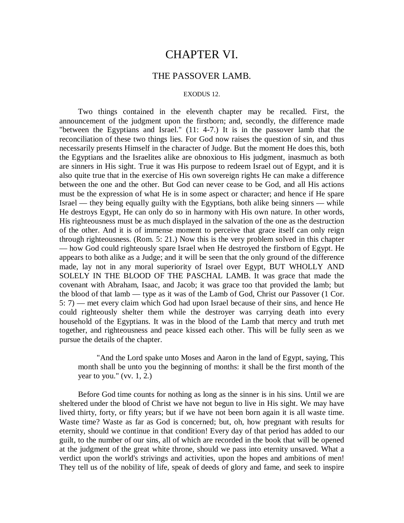## CHAPTER VI.

## THE PASSOVER LAMB.

#### EXODUS 12.

Two things contained in the eleventh chapter may be recalled. First, the announcement of the judgment upon the firstborn; and, secondly, the difference made "between the Egyptians and Israel." (11: 4-7.) It is in the passover lamb that the reconciliation of these two things lies. For God now raises the question of sin, and thus necessarily presents Himself in the character of Judge. But the moment He does this, both the Egyptians and the Israelites alike are obnoxious to His judgment, inasmuch as both are sinners in His sight. True it was His purpose to redeem Israel out of Egypt, and it is also quite true that in the exercise of His own sovereign rights He can make a difference between the one and the other. But God can never cease to be God, and all His actions must be the expression of what He is in some aspect or character; and hence if He spare Israel — they being equally guilty with the Egyptians, both alike being sinners — while He destroys Egypt, He can only do so in harmony with His own nature. In other words, His righteousness must be as much displayed in the salvation of the one as the destruction of the other. And it is of immense moment to perceive that grace itself can only reign through righteousness. (Rom. 5: 21.) Now this is the very problem solved in this chapter — how God could righteously spare Israel when He destroyed the firstborn of Egypt. He appears to both alike as a Judge; and it will be seen that the only ground of the difference made, lay not in any moral superiority of Israel over Egypt, BUT WHOLLY AND SOLELY IN THE BLOOD OF THE PASCHAL LAMB. It was grace that made the covenant with Abraham, Isaac, and Jacob; it was grace too that provided the lamb; but the blood of that lamb — type as it was of the Lamb of God, Christ our Passover (1 Cor. 5: 7) — met every claim which God had upon Israel because of their sins, and hence He could righteously shelter them while the destroyer was carrying death into every household of the Egyptians. It was in the blood of the Lamb that mercy and truth met together, and righteousness and peace kissed each other. This will be fully seen as we pursue the details of the chapter.

"And the Lord spake unto Moses and Aaron in the land of Egypt, saying, This month shall be unto you the beginning of months: it shall be the first month of the year to you." (vv.  $1, 2$ .)

Before God time counts for nothing as long as the sinner is in his sins. Until we are sheltered under the blood of Christ we have not begun to live in His sight. We may have lived thirty, forty, or fifty years; but if we have not been born again it is all waste time. Waste time? Waste as far as God is concerned; but, oh, how pregnant with results for eternity, should we continue in that condition! Every day of that period has added to our guilt, to the number of our sins, all of which are recorded in the book that will be opened at the judgment of the great white throne, should we pass into eternity unsaved. What a verdict upon the world's strivings and activities, upon the hopes and ambitions of men! They tell us of the nobility of life, speak of deeds of glory and fame, and seek to inspire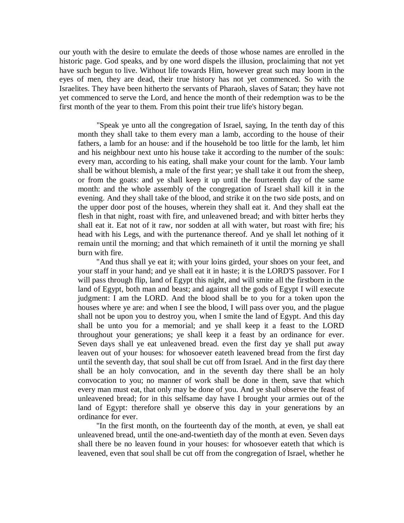our youth with the desire to emulate the deeds of those whose names are enrolled in the historic page. God speaks, and by one word dispels the illusion, proclaiming that not yet have such begun to live. Without life towards Him, however great such may loom in the eyes of men, they are dead, their true history has not yet commenced. So with the Israelites. They have been hitherto the servants of Pharaoh, slaves of Satan; they have not yet commenced to serve the Lord, and hence the month of their redemption was to be the first month of the year to them. From this point their true life's history began.

"Speak ye unto all the congregation of Israel, saying, In the tenth day of this month they shall take to them every man a lamb, according to the house of their fathers, a lamb for an house: and if the household be too little for the lamb, let him and his neighbour next unto his house take it according to the number of the souls: every man, according to his eating, shall make your count for the lamb. Your lamb shall be without blemish, a male of the first year; ye shall take it out from the sheep, or from the goats: and ye shall keep it up until the fourteenth day of the same month: and the whole assembly of the congregation of Israel shall kill it in the evening. And they shall take of the blood, and strike it on the two side posts, and on the upper door post of the houses, wherein they shall eat it. And they shall eat the flesh in that night, roast with fire, and unleavened bread; and with bitter herbs they shall eat it. Eat not of it raw, nor sodden at all with water, but roast with fire; his head with his Legs, and with the purtenance thereof. And ye shall let nothing of it remain until the morning; and that which remaineth of it until the morning ye shall burn with fire.

"And thus shall ye eat it; with your loins girded, your shoes on your feet, and your staff in your hand; and ye shall eat it in haste; it is the LORD'S passover. For I will pass through flip, land of Egypt this night, and will smite all the firstborn in the land of Egypt, both man and beast; and against all the gods of Egypt I will execute judgment: I am the LORD. And the blood shall be to you for a token upon the houses where ye are: and when I see the blood, I will pass over you, and the plague shall not be upon you to destroy you, when I smite the land of Egypt. And this day shall be unto you for a memorial; and ye shall keep it a feast to the LORD throughout your generations; ye shall keep it a feast by an ordinance for ever. Seven days shall ye eat unleavened bread. even the first day ye shall put away leaven out of your houses: for whosoever eateth leavened bread from the first day until the seventh day, that soul shall be cut off from Israel. And in the first day there shall be an holy convocation, and in the seventh day there shall be an holy convocation to you; no manner of work shall be done in them, save that which every man must eat, that only may be done of you. And ye shall observe the feast of unleavened bread; for in this selfsame day have I brought your armies out of the land of Egypt: therefore shall ye observe this day in your generations by an ordinance for ever.

"In the first month, on the fourteenth day of the month, at even, ye shall eat unleavened bread, until the one-and-twentieth day of the month at even. Seven days shall there be no leaven found in your houses: for whosoever eateth that which is leavened, even that soul shall be cut off from the congregation of Israel, whether he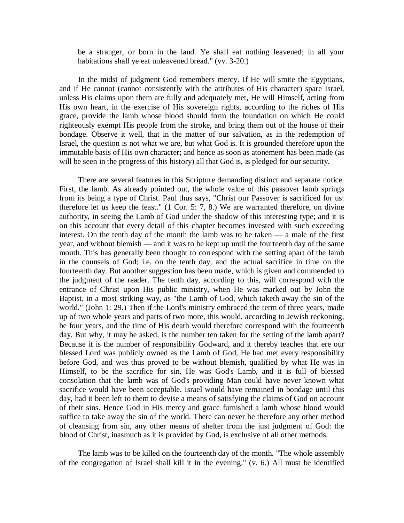be a stranger, or born in the land. Ye shall eat nothing leavened; in all your habitations shall ye eat unleavened bread." (vv. 3-20.)

In the midst of judgment God remembers mercy. If He will smite the Egyptians, and if He cannot (cannot consistently with the attributes of His character) spare Israel, unless His claims upon them are fully and adequately met, He will Himself, acting from His own heart, in the exercise of His sovereign rights, according to the riches of His grace, provide the lamb whose blood should form the foundation on which He could righteously exempt His people from the stroke, and bring them out of the house of their bondage. Observe it well, that in the matter of our salvation, as in the redemption of Israel, the question is not what we are, but what God is. It is grounded therefore upon the immutable basis of His own character; and hence as soon as atonement has been made (as will be seen in the progress of this history) all that God is, is pledged for our security.

There are several features in this Scripture demanding distinct and separate notice. First, the lamb. As already pointed out, the whole value of this passover lamb springs from its being a type of Christ. Paul thus says, "Christ our Passover is sacrificed for us: therefore let us keep the feast." (1 Cor. 5: 7, 8.) We are warranted therefore, on divine authority, in seeing the Lamb of God under the shadow of this interesting type; and it is on this account that every detail of this chapter becomes invested with such exceeding interest. On the tenth day of the month the lamb was to be taken — a male of the first year, and without blemish — and it was to be kept up until the fourteenth day of the same mouth. This has generally been thought to correspond with the setting apart of the lamb in the counsels of God; i.e. on the tenth day, and the actual sacrifice in time on the fourteenth day. But another suggestion has been made, which is given and commended to the judgment of the reader. The tenth day, according to this, will correspond with the entrance of Christ upon His public ministry, when He was marked out by John the Baptist, in a most striking way, as "the Lamb of God, which taketh away the sin of the world." (John 1: 29.) Then if the Lord's ministry embraced the term of three years, made up of two whole years and parts of two more, this would, according to Jewish reckoning, be four years, and the time of His death would therefore correspond with the fourteenth day. But why, it may be asked, is the number ten taken for the setting of the lamb apart? Because it is the number of responsibility Godward, and it thereby teaches that ere our blessed Lord was publicly owned as the Lamb of God, He had met every responsibility before God, and was thus proved to be without blemish, qualified by what He was in Himself, to be the sacrifice for sin. He was God's Lamb, and it is full of blessed consolation that the lamb was of God's providing Man could have never known what sacrifice would have been acceptable. Israel would have remained in bondage until this day, had it been left to them to devise a means of satisfying the claims of God on account of their sins. Hence God in His mercy and grace furnished a lamb whose blood would suffice to take away the sin of the world. There can never be therefore any other method of cleansing from sin, any other means of shelter from the just judgment of God: the blood of Christ, inasmuch as it is provided by God, is exclusive of all other methods.

The lamb was to be killed on the fourteenth day of the month. "The whole assembly of the congregation of Israel shall kill it in the evening." (v. 6.) All must be identified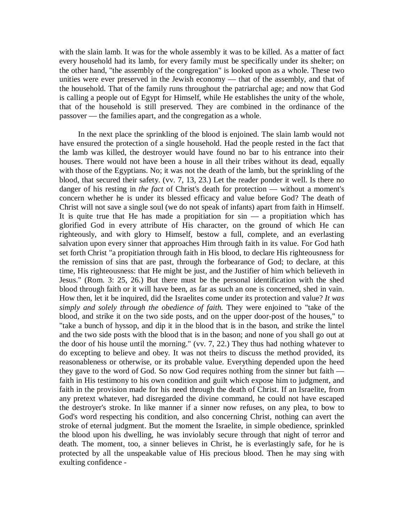with the slain lamb. It was for the whole assembly it was to be killed. As a matter of fact every household had its lamb, for every family must be specifically under its shelter; on the other hand, "the assembly of the congregation" is looked upon as a whole. These two unities were ever preserved in the Jewish economy — that of the assembly, and that of the household. That of the family runs throughout the patriarchal age; and now that God is calling a people out of Egypt for Himself, while He establishes the unity of the whole, that of the household is still preserved. They are combined in the ordinance of the passover — the families apart, and the congregation as a whole.

In the next place the sprinkling of the blood is enjoined. The slain lamb would not have ensured the protection of a single household. Had the people rested in the fact that the lamb was killed, the destroyer would have found no bar to his entrance into their houses. There would not have been a house in all their tribes without its dead, equally with those of the Egyptians. No; it was not the death of the lamb, but the sprinkling of the blood, that secured their safety. (vv. 7, 13, 23.) Let the reader ponder it well. Is there no danger of his resting in *the fact* of Christ's death for protection — without a moment's concern whether he is under its blessed efficacy and value before God? The death of Christ will not save a single soul (we do not speak of infants) apart from faith in Himself. It is quite true that He has made a propitiation for  $sin - a$  propitiation which has glorified God in every attribute of His character, on the ground of which He can righteously, and with glory to Himself, bestow a full, complete, and an everlasting salvation upon every sinner that approaches Him through faith in its value. For God hath set forth Christ "a propitiation through faith in His blood, to declare His righteousness for the remission of sins that are past, through the forbearance of God; to declare, at this time, His righteousness: that He might be just, and the Justifier of him which believeth in Jesus." (Rom. 3: 25, 26.) But there must be the personal identification with the shed blood through faith or it will have been, as far as such an one is concerned, shed in vain. How then, let it be inquired, did the Israelites come under its protection and value? *It was simply and solely through the obedience of faith.* They were enjoined to "take of the blood, and strike it on the two side posts, and on the upper door-post of the houses," to "take a bunch of hyssop, and dip it in the blood that is in the bason, and strike the lintel and the two side posts with the blood that is in the bason; and none of you shall go out at the door of his house until the morning." (vv. 7, 22.) They thus had nothing whatever to do excepting to believe and obey. It was not theirs to discuss the method provided, its reasonableness or otherwise, or its probable value. Everything depended upon the heed they gave to the word of God. So now God requires nothing from the sinner but faith faith in His testimony to his own condition and guilt which expose him to judgment, and faith in the provision made for his need through the death of Christ. If an Israelite, from any pretext whatever, had disregarded the divine command, he could not have escaped the destroyer's stroke. In like manner if a sinner now refuses, on any plea, to bow to God's word respecting his condition, and also concerning Christ, nothing can avert the stroke of eternal judgment. But the moment the Israelite, in simple obedience, sprinkled the blood upon his dwelling, he was inviolably secure through that night of terror and death. The moment, too, a sinner believes in Christ, he is everlastingly safe, for he is protected by all the unspeakable value of His precious blood. Then he may sing with exulting confidence -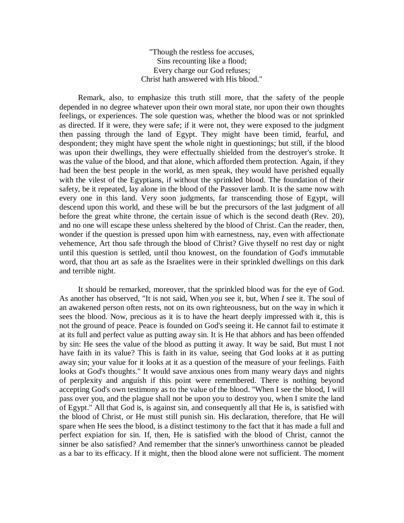"Though the restless foe accuses, Sins recounting like a flood; Every charge our God refuses; Christ hath answered with His blood."

Remark, also, to emphasize this truth still more, that the safety of the people depended in no degree whatever upon their own moral state, nor upon their own thoughts feelings, or experiences. The sole question was, whether the blood was or not sprinkled as directed. If it were, they were safe; if it were not, they were exposed to the judgment then passing through the land of Egypt. They might have been timid, fearful, and despondent; they might have spent the whole night in questionings; but still, if the blood was upon their dwellings, they were effectually shielded from the destroyer's stroke. It was the value of the blood, and that alone, which afforded them protection. Again, if they had been the best people in the world, as men speak, they would have perished equally with the vilest of the Egyptians, if without the sprinkled blood. The foundation of their safety, be it repeated, lay alone in the blood of the Passover lamb. It is the same now with every one in this land. Very soon judgments, far transcending those of Egypt, will descend upon this world, and these will be but the precursors of the last judgment of all before the great white throne, the certain issue of which is the second death (Rev. 20), and no one will escape these unless sheltered by the blood of Christ. Can the reader, then, wonder if the question is pressed upon him with earnestness, nay, even with affectionate vehemence, Art thou safe through the blood of Christ? Give thyself no rest day or night until this question is settled, until thou knowest, on the foundation of God's immutable word, that thou art as safe as the Israelites were in their sprinkled dwellings on this dark and terrible night.

It should be remarked, moreover, that the sprinkled blood was for the eye of God. As another has observed, "It is not said, When *you* see it, but, When *I* see it. The soul of an awakened person often rests, not on its own righteousness, but on the way in which it sees the blood. Now, precious as it is to have the heart deeply impressed with it, this is not the ground of peace. Peace is founded on God's seeing it. He cannot fail to estimate it at its full and perfect value as putting away sin. It is He that abhors and has been offended by sin: He sees the value of the blood as putting it away. It way be said, But must I not have faith in its value? This is faith in its value, seeing that God looks at it as putting away sin; your value for it looks at it as a question of the measure of your feelings. Faith looks at God's thoughts." It would save anxious ones from many weary days and nights of perplexity and anguish if this point were remembered. There is nothing beyond accepting God's own testimony as to the value of the blood. "When I see the blood, I will pass over you, and the plague shall not be upon you to destroy you, when I smite the land of Egypt." All that God is, is against sin, and consequently all that He is, is satisfied with the blood of Christ, or He must still punish sin. His declaration, therefore, that He will spare when He sees the blood, is a distinct testimony to the fact that it has made a full and perfect expiation for sin. If, then, He is satisfied with the blood of Christ, cannot the sinner be also satisfied? And remember that the sinner's unworthiness cannot be pleaded as a bar to its efficacy. If it might, then the blood alone were not sufficient. The moment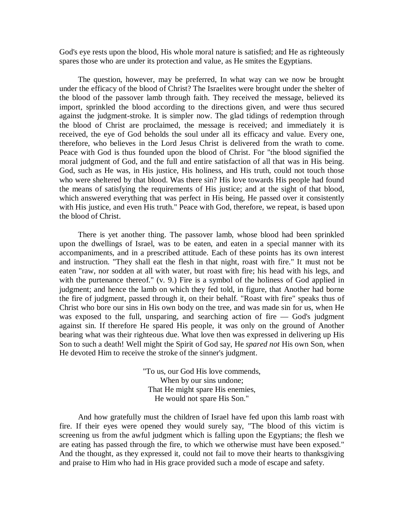God's eye rests upon the blood, His whole moral nature is satisfied; and He as righteously spares those who are under its protection and value, as He smites the Egyptians.

The question, however, may be preferred, In what way can we now be brought under the efficacy of the blood of Christ? The Israelites were brought under the shelter of the blood of the passover lamb through faith. They received the message, believed its import, sprinkled the blood according to the directions given, and were thus secured against the judgment-stroke. It is simpler now. The glad tidings of redemption through the blood of Christ are proclaimed, the message is received; and immediately it is received, the eye of God beholds the soul under all its efficacy and value. Every one, therefore, who believes in the Lord Jesus Christ is delivered from the wrath to come. Peace with God is thus founded upon the blood of Christ. For "the blood signified the moral judgment of God, and the full and entire satisfaction of all that was in His being. God, such as He was, in His justice, His holiness, and His truth, could not touch those who were sheltered by that blood. Was there sin? His love towards His people had found the means of satisfying the requirements of His justice; and at the sight of that blood, which answered everything that was perfect in His being, He passed over it consistently with His justice, and even His truth." Peace with God, therefore, we repeat, is based upon the blood of Christ.

There is yet another thing. The passover lamb, whose blood had been sprinkled upon the dwellings of Israel, was to be eaten, and eaten in a special manner with its accompaniments, and in a prescribed attitude. Each of these points has its own interest and instruction. "They shall eat the flesh in that night, roast with fire." It must not be eaten "raw, nor sodden at all with water, but roast with fire; his head with his legs, and with the purtenance thereof." (v. 9.) Fire is a symbol of the holiness of God applied in judgment; and hence the lamb on which they fed told, in figure, that Another had borne the fire of judgment, passed through it, on their behalf. "Roast with fire" speaks thus of Christ who bore our sins in His own body on the tree, and was made sin for us, when He was exposed to the full, unsparing, and searching action of fire — God's judgment against sin. If therefore He spared His people, it was only on the ground of Another bearing what was their righteous due. What love then was expressed in delivering up His Son to such a death! Well might the Spirit of God say, He *spared not* His own Son, when He devoted Him to receive the stroke of the sinner's judgment.

> "To us, our God His love commends, When by our sins undone; That He might spare His enemies, He would not spare His Son."

And how gratefully must the children of Israel have fed upon this lamb roast with fire. If their eyes were opened they would surely say, "The blood of this victim is screening us from the awful judgment which is falling upon the Egyptians; the flesh we are eating has passed through the fire, to which we otherwise must have been exposed." And the thought, as they expressed it, could not fail to move their hearts to thanksgiving and praise to Him who had in His grace provided such a mode of escape and safety.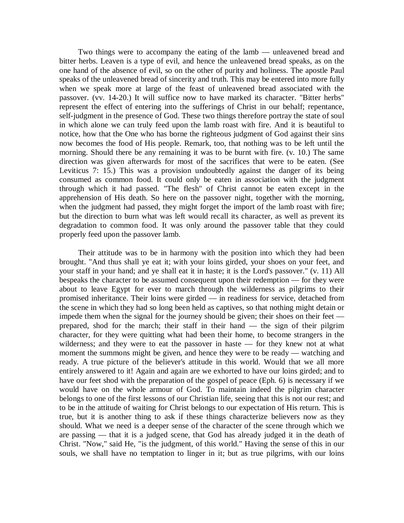Two things were to accompany the eating of the lamb — unleavened bread and bitter herbs. Leaven is a type of evil, and hence the unleavened bread speaks, as on the one hand of the absence of evil, so on the other of purity and holiness. The apostle Paul speaks of the unleavened bread of sincerity and truth. This may be entered into more fully when we speak more at large of the feast of unleavened bread associated with the passover. (vv. 14-20.) It will suffice now to have marked its character. "Bitter herbs" represent the effect of entering into the sufferings of Christ in our behalf; repentance, self-judgment in the presence of God. These two things therefore portray the state of soul in which alone we can truly feed upon the lamb roast with fire. And it is beautiful to notice, how that the One who has borne the righteous judgment of God against their sins now becomes the food of His people. Remark, too, that nothing was to be left until the morning. Should there be any remaining it was to be burnt with fire. (v. 10.) The same direction was given afterwards for most of the sacrifices that were to be eaten. (See Leviticus 7: 15.) This was a provision undoubtedly against the danger of its being consumed as common food. It could only be eaten in association with the judgment through which it had passed. "The flesh" of Christ cannot be eaten except in the apprehension of His death. So here on the passover night, together with the morning, when the judgment had passed, they might forget the import of the lamb roast with fire; but the direction to burn what was left would recall its character, as well as prevent its degradation to common food. It was only around the passover table that they could properly feed upon the passover lamb.

Their attitude was to be in harmony with the position into which they had been brought. "And thus shall ye eat it; with your loins girded, your shoes on your feet, and your staff in your hand; and ye shall eat it in haste; it is the Lord's passover." (v. 11) All bespeaks the character to be assumed consequent upon their redemption — for they were about to leave Egypt for ever to march through the wilderness as pilgrims to their promised inheritance. Their loins were girded — in readiness for service, detached from the scene in which they had so long been held as captives, so that nothing might detain or impede them when the signal for the journey should be given; their shoes on their feet prepared, shod for the march; their staff in their hand — the sign of their pilgrim character, for they were quitting what had been their home, to become strangers in the wilderness; and they were to eat the passover in haste — for they knew not at what moment the summons might be given, and hence they were to be ready — watching and ready. A true picture of the believer's attitude in this world. Would that we all more entirely answered to it! Again and again are we exhorted to have our loins girded; and to have our feet shod with the preparation of the gospel of peace (Eph. 6) is necessary if we would have on the whole armour of God. To maintain indeed the pilgrim character belongs to one of the first lessons of our Christian life, seeing that this is not our rest; and to be in the attitude of waiting for Christ belongs to our expectation of His return. This is true, but it is another thing to ask if these things characterize believers now as they should. What we need is a deeper sense of the character of the scene through which we are passing — that it is a judged scene, that God has already judged it in the death of Christ. "Now," said He, "is the judgment, of this world." Having the sense of this in our souls, we shall have no temptation to linger in it; but as true pilgrims, with our loins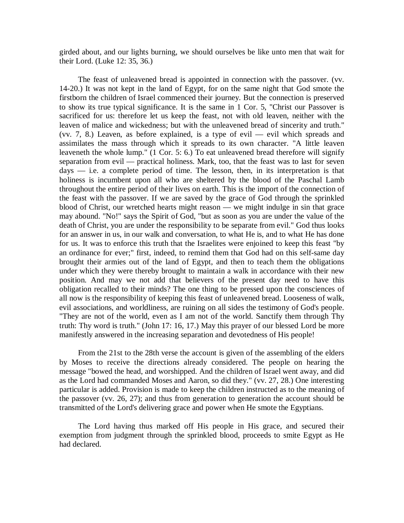girded about, and our lights burning, we should ourselves be like unto men that wait for their Lord. (Luke 12: 35, 36.)

The feast of unleavened bread is appointed in connection with the passover. (vv. 14-20.) It was not kept in the land of Egypt, for on the same night that God smote the firstborn the children of Israel commenced their journey. But the connection is preserved to show its true typical significance. It is the same in 1 Cor. 5, "Christ our Passover is sacrificed for us: therefore let us keep the feast, not with old leaven, neither with the leaven of malice and wickedness; but with the unleavened bread of sincerity and truth." (vv. 7, 8.) Leaven, as before explained, is a type of evil — evil which spreads and assimilates the mass through which it spreads to its own character. "A little leaven leaveneth the whole lump." (1 Cor. 5: 6.) To eat unleavened bread therefore will signify separation from evil — practical holiness. Mark, too, that the feast was to last for seven days — i.e. a complete period of time. The lesson, then, in its interpretation is that holiness is incumbent upon all who are sheltered by the blood of the Paschal Lamb throughout the entire period of their lives on earth. This is the import of the connection of the feast with the passover. If we are saved by the grace of God through the sprinkled blood of Christ, our wretched hearts might reason — we might indulge in sin that grace may abound. "No!" says the Spirit of God, "but as soon as you are under the value of the death of Christ, you are under the responsibility to be separate from evil." God thus looks for an answer in us, in our walk and conversation, to what He is, and to what He has done for us. It was to enforce this truth that the Israelites were enjoined to keep this feast "by an ordinance for ever;" first, indeed, to remind them that God had on this self-same day brought their armies out of the land of Egypt, and then to teach them the obligations under which they were thereby brought to maintain a walk in accordance with their new position. And may we not add that believers of the present day need to have this obligation recalled to their minds? The one thing to be pressed upon the consciences of all now is the responsibility of keeping this feast of unleavened bread. Looseness of walk, evil associations, and worldliness, are ruining on all sides the testimony of God's people. "They are not of the world, even as I am not of the world. Sanctify them through Thy truth: Thy word is truth." (John 17: 16, 17.) May this prayer of our blessed Lord be more manifestly answered in the increasing separation and devotedness of His people!

From the 21st to the 28th verse the account is given of the assembling of the elders by Moses to receive the directions already considered. The people on hearing the message "bowed the head, and worshipped. And the children of Israel went away, and did as the Lord had commanded Moses and Aaron, so did they." (vv. 27, 28.) One interesting particular is added. Provision is made to keep the children instructed as to the meaning of the passover (vv. 26, 27); and thus from generation to generation the account should be transmitted of the Lord's delivering grace and power when He smote the Egyptians.

The Lord having thus marked off His people in His grace, and secured their exemption from judgment through the sprinkled blood, proceeds to smite Egypt as He had declared.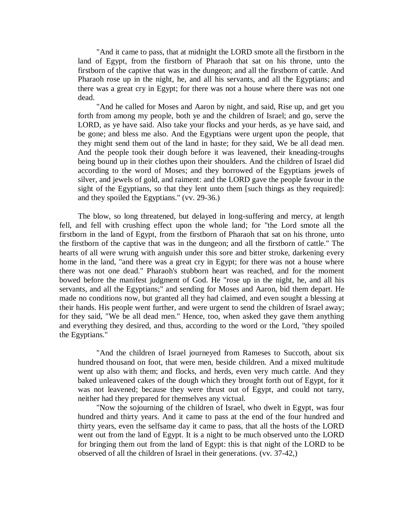"And it came to pass, that at midnight the LORD smote all the firstborn in the land of Egypt, from the firstborn of Pharaoh that sat on his throne, unto the firstborn of the captive that was in the dungeon; and all the firstborn of cattle. And Pharaoh rose up in the night, he, and all his servants, and all the Egyptians; and there was a great cry in Egypt; for there was not a house where there was not one dead.

"And he called for Moses and Aaron by night, and said, Rise up, and get you forth from among my people, both ye and the children of Israel; and go, serve the LORD, as ye have said. Also take your flocks and your herds, as ye have said, and be gone; and bless me also. And the Egyptians were urgent upon the people, that they might send them out of the land in haste; for they said, We be all dead men. And the people took their dough before it was leavened, their kneading-troughs being bound up in their clothes upon their shoulders. And the children of Israel did according to the word of Moses; and they borrowed of the Egyptians jewels of silver, and jewels of gold, and raiment: and the LORD gave the people favour in the sight of the Egyptians, so that they lent unto them [such things as they required]: and they spoiled the Egyptians." (vv. 29-36.)

The blow, so long threatened, but delayed in long-suffering and mercy, at length fell, and fell with crushing effect upon the whole land; for "the Lord smote all the firstborn in the land of Egypt, from the firstborn of Pharaoh that sat on his throne, unto the firstborn of the captive that was in the dungeon; and all the firstborn of cattle." The hearts of all were wrung with anguish under this sore and bitter stroke, darkening every home in the land, "and there was a great cry in Egypt; for there was not a house where there was not one dead." Pharaoh's stubborn heart was reached, and for the moment bowed before the manifest judgment of God. He "rose up in the night, he, and all his servants, and all the Egyptians;" and sending for Moses and Aaron, bid them depart. He made no conditions now, but granted all they had claimed, and even sought a blessing at their hands. His people went further, and were urgent to send the children of Israel away; for they said, "We be all dead men." Hence, too, when asked they gave them anything and everything they desired, and thus, according to the word or the Lord, "they spoiled the Egyptians."

"And the children of Israel journeyed from Rameses to Succoth, about six hundred thousand on foot, that were men, beside children. And a mixed multitude went up also with them; and flocks, and herds, even very much cattle. And they baked unleavened cakes of the dough which they brought forth out of Egypt, for it was not leavened; because they were thrust out of Egypt, and could not tarry, neither had they prepared for themselves any victual.

"Now the sojourning of the children of Israel, who dwelt in Egypt, was four hundred and thirty years. And it came to pass at the end of the four hundred and thirty years, even the selfsame day it came to pass, that all the hosts of the LORD went out from the land of Egypt. It is a night to be much observed unto the LORD for bringing them out from the land of Egypt: this is that night of the LORD to be observed of all the children of Israel in their generations. (vv. 37-42,)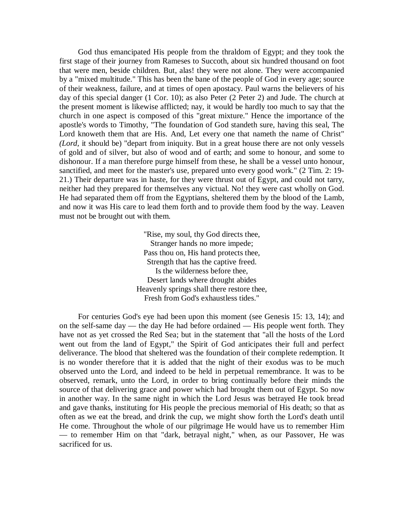God thus emancipated His people from the thraldom of Egypt; and they took the first stage of their journey from Rameses to Succoth, about six hundred thousand on foot that were men, beside children. But, alas! they were not alone. They were accompanied by a "mixed multitude." This has been the bane of the people of God in every age; source of their weakness, failure, and at times of open apostacy. Paul warns the believers of his day of this special danger (1 Cor. 10); as also Peter (2 Peter 2) and Jude. The church at the present moment is likewise afflicted; nay, it would be hardly too much to say that the church in one aspect is composed of this "great mixture." Hence the importance of the apostle's words to Timothy, "The foundation of God standeth sure, having this seal, The Lord knoweth them that are His. And, Let every one that nameth the name of Christ" *(Lord,* it should be) "depart from iniquity. But in a great house there are not only vessels of gold and of silver, but also of wood and of earth; and some to honour, and some to dishonour. If a man therefore purge himself from these, he shall be a vessel unto honour, sanctified, and meet for the master's use, prepared unto every good work." (2 Tim. 2: 19- 21.) Their departure was in haste, for they were thrust out of Egypt, and could not tarry, neither had they prepared for themselves any victual. No! they were cast wholly on God. He had separated them off from the Egyptians, sheltered them by the blood of the Lamb, and now it was His care to lead them forth and to provide them food by the way. Leaven must not be brought out with them.

> "Rise, my soul, thy God directs thee, Stranger hands no more impede; Pass thou on, His hand protects thee, Strength that has the captive freed. Is the wilderness before thee, Desert lands where drought abides Heavenly springs shall there restore thee, Fresh from God's exhaustless tides."

For centuries God's eye had been upon this moment (see Genesis 15: 13, 14); and on the self-same day — the day He had before ordained — His people went forth. They have not as yet crossed the Red Sea; but in the statement that "all the hosts of the Lord went out from the land of Egypt," the Spirit of God anticipates their full and perfect deliverance. The blood that sheltered was the foundation of their complete redemption. It is no wonder therefore that it is added that the night of their exodus was to be much observed unto the Lord, and indeed to be held in perpetual remembrance. It was to be observed, remark, unto the Lord, in order to bring continually before their minds the source of that delivering grace and power which had brought them out of Egypt. So now in another way. In the same night in which the Lord Jesus was betrayed He took bread and gave thanks, instituting for His people the precious memorial of His death; so that as often as we eat the bread, and drink the cup, we might show forth the Lord's death until He come. Throughout the whole of our pilgrimage He would have us to remember Him — to remember Him on that "dark, betrayal night," when, as our Passover, He was sacrificed for us.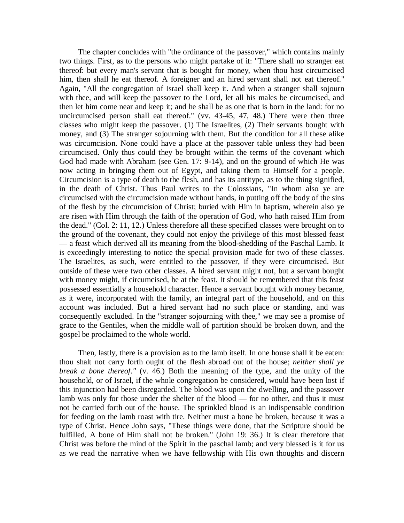The chapter concludes with "the ordinance of the passover," which contains mainly two things. First, as to the persons who might partake of it: "There shall no stranger eat thereof: but every man's servant that is bought for money, when thou hast circumcised him, then shall he eat thereof. A foreigner and an hired servant shall not eat thereof." Again, "All the congregation of Israel shall keep it. And when a stranger shall sojourn with thee, and will keep the passover to the Lord, let all his males be circumcised, and then let him come near and keep it; and he shall be as one that is born in the land: for no uncircumcised person shall eat thereof." (vv. 43-45, 47, 48.) There were then three classes who might keep the passover. (1) The Israelites, (2) Their servants bought with money, and (3) The stranger sojourning with them. But the condition for all these alike was circumcision. None could have a place at the passover table unless they had been circumcised. Only thus could they be brought within the terms of the covenant which God had made with Abraham (see Gen. 17: 9-14), and on the ground of which He was now acting in bringing them out of Egypt, and taking them to Himself for a people. Circumcision is a type of death to the flesh, and has its antitype, as to the thing signified, in the death of Christ. Thus Paul writes to the Colossians, "In whom also ye are circumcised with the circumcision made without hands, in putting off the body of the sins of the flesh by the circumcision of Christ; buried with Him in baptism, wherein also ye are risen with Him through the faith of the operation of God, who hath raised Him from the dead." (Col. 2: 11, 12.) Unless therefore all these specified classes were brought on to the ground of the covenant, they could not enjoy the privilege of this most blessed feast — a feast which derived all its meaning from the blood-shedding of the Paschal Lamb. It is exceedingly interesting to notice the special provision made for two of these classes. The Israelites, as such, were entitled to the passover, if they were circumcised. But outside of these were two other classes. A hired servant might not, but a servant bought with money might, if circumcised, be at the feast. It should be remembered that this feast possessed essentially a household character. Hence a servant bought with money became, as it were, incorporated with the family, an integral part of the household, and on this account was included. But a hired servant had no such place or standing, and was consequently excluded. In the "stranger sojourning with thee," we may see a promise of grace to the Gentiles, when the middle wall of partition should be broken down, and the gospel be proclaimed to the whole world.

Then, lastly, there is a provision as to the lamb itself. In one house shall it be eaten: thou shalt not carry forth ought of the flesh abroad out of the house; *neither shall ye break a bone thereof."* (v. 46.) Both the meaning of the type, and the unity of the household, or of Israel, if the whole congregation be considered, would have been lost if this injunction had been disregarded. The blood was upon the dwelling, and the passover lamb was only for those under the shelter of the blood — for no other, and thus it must not be carried forth out of the house. The sprinkled blood is an indispensable condition for feeding on the lamb roast with tire. Neither must a bone be broken, because it was a type of Christ. Hence John says, "These things were done, that the Scripture should be fulfilled, A bone of Him shall not be broken." (John 19: 36.) It is clear therefore that Christ was before the mind of the Spirit in the paschal lamb; and very blessed is it for us as we read the narrative when we have fellowship with His own thoughts and discern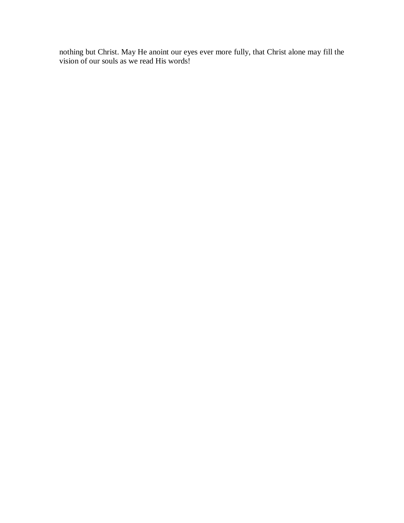nothing but Christ. May He anoint our eyes ever more fully, that Christ alone may fill the vision of our souls as we read His words!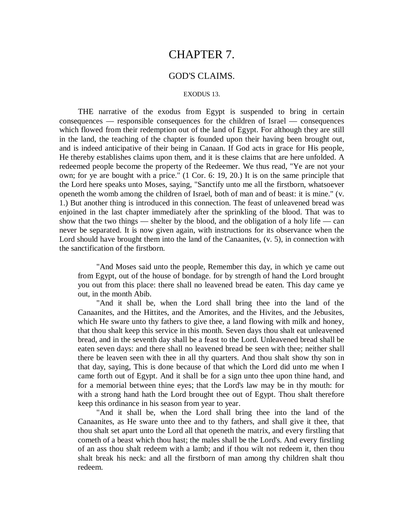## CHAPTER 7.

## GOD'S CLAIMS.

#### EXODUS 13.

THE narrative of the exodus from Egypt is suspended to bring in certain consequences — responsible consequences for the children of Israel — consequences which flowed from their redemption out of the land of Egypt. For although they are still in the land, the teaching of the chapter is founded upon their having been brought out, and is indeed anticipative of their being in Canaan. If God acts in grace for His people, He thereby establishes claims upon them, and it is these claims that are here unfolded. A redeemed people become the property of the Redeemer. We thus read, "Ye are not your own; for ye are bought with a price." (1 Cor. 6: 19, 20.) It is on the same principle that the Lord here speaks unto Moses, saying, "Sanctify unto me all the firstborn, whatsoever openeth the womb among the children of Israel, both of man and of beast: it is mine." (v. 1.) But another thing is introduced in this connection. The feast of unleavened bread was enjoined in the last chapter immediately after the sprinkling of the blood. That was to show that the two things — shelter by the blood, and the obligation of a holy life — can never be separated. It is now given again, with instructions for its observance when the Lord should have brought them into the land of the Canaanites, (v. 5), in connection with the sanctification of the firstborn.

"And Moses said unto the people, Remember this day, in which ye came out from Egypt, out of the house of bondage. for by strength of hand the Lord brought you out from this place: there shall no leavened bread be eaten. This day came ye out, in the month Abib.

"And it shall be, when the Lord shall bring thee into the land of the Canaanites, and the Hittites, and the Amorites, and the Hivites, and the Jebusites, which He sware unto thy fathers to give thee, a land flowing with milk and honey, that thou shalt keep this service in this month. Seven days thou shalt eat unleavened bread, and in the seventh day shall be a feast to the Lord. Unleavened bread shall be eaten seven days: and there shall no leavened bread be seen with thee; neither shall there be leaven seen with thee in all thy quarters. And thou shalt show thy son in that day, saying, This is done because of that which the Lord did unto me when I came forth out of Egypt. And it shall be for a sign unto thee upon thine hand, and for a memorial between thine eyes; that the Lord's law may be in thy mouth: for with a strong hand hath the Lord brought thee out of Egypt. Thou shalt therefore keep this ordinance in his season from year to year.

"And it shall be, when the Lord shall bring thee into the land of the Canaanites, as He sware unto thee and to thy fathers, and shall give it thee, that thou shalt set apart unto the Lord all that openeth the matrix, and every firstling that cometh of a beast which thou hast; the males shall be the Lord's. And every firstling of an ass thou shalt redeem with a lamb; and if thou wilt not redeem it, then thou shalt break his neck: and all the firstborn of man among thy children shalt thou redeem.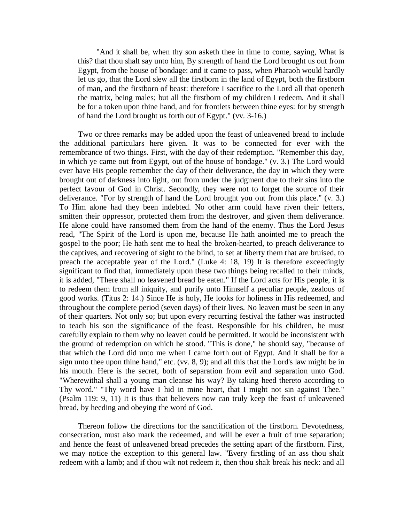"And it shall be, when thy son asketh thee in time to come, saying, What is this? that thou shalt say unto him, By strength of hand the Lord brought us out from Egypt, from the house of bondage: and it came to pass, when Pharaoh would hardly let us go, that the Lord slew all the firstborn in the land of Egypt, both the firstborn of man, and the firstborn of beast: therefore I sacrifice to the Lord all that openeth the matrix, being males; but all the firstborn of my children I redeem. And it shall be for a token upon thine hand, and for frontlets between thine eyes: for by strength of hand the Lord brought us forth out of Egypt." (vv. 3-16.)

Two or three remarks may be added upon the feast of unleavened bread to include the additional particulars here given. It was to be connected for ever with the remembrance of two things. First, with the day of their redemption. "Remember this day, in which ye came out from Egypt, out of the house of bondage." (v. 3.) The Lord would ever have His people remember the day of their deliverance, the day in which they were brought out of darkness into light, out from under the judgment due to their sins into the perfect favour of God in Christ. Secondly, they were not to forget the source of their deliverance. "For by strength of hand the Lord brought you out from this place." (v. 3.) To Him alone had they been indebted. No other arm could have riven their fetters, smitten their oppressor, protected them from the destroyer, and given them deliverance. He alone could have ransomed them from the hand of the enemy. Thus the Lord Jesus read, "The Spirit of the Lord is upon me, because He hath anointed me to preach the gospel to the poor; He hath sent me to heal the broken-hearted, to preach deliverance to the captives, and recovering of sight to the blind, to set at liberty them that are bruised, to preach the acceptable year of the Lord." (Luke 4: 18, 19) It is therefore exceedingly significant to find that, immediately upon these two things being recalled to their minds, it is added, "There shall no leavened bread be eaten." If the Lord acts for His people, it is to redeem them from all iniquity, and purify unto Himself a peculiar people, zealous of good works. (Titus 2: 14.) Since He is holy, He looks for holiness in His redeemed, and throughout the complete period (seven days) of their lives. No leaven must be seen in any of their quarters. Not only so; but upon every recurring festival the father was instructed to teach his son the significance of the feast. Responsible for his children, he must carefully explain to them why no leaven could be permitted. It would be inconsistent with the ground of redemption on which he stood. "This is done," he should say, "because of that which the Lord did unto me when I came forth out of Egypt. And it shall be for a sign unto thee upon thine hand," etc. (vv. 8, 9); and all this that the Lord's law might be in his mouth. Here is the secret, both of separation from evil and separation unto God. "Wherewithal shall a young man cleanse his way? By taking heed thereto according to Thy word." "Thy word have I hid in mine heart, that I might not sin against Thee." (Psalm 119: 9, 11) It is thus that believers now can truly keep the feast of unleavened bread, by heeding and obeying the word of God.

Thereon follow the directions for the sanctification of the firstborn. Devotedness, consecration, must also mark the redeemed, and will be ever a fruit of true separation; and hence the feast of unleavened bread precedes the setting apart of the firstborn. First, we may notice the exception to this general law. "Every firstling of an ass thou shalt redeem with a lamb; and if thou wilt not redeem it, then thou shalt break his neck: and all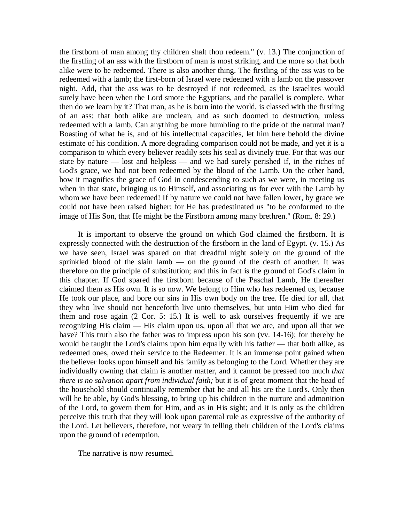the firstborn of man among thy children shalt thou redeem." (v. 13.) The conjunction of the firstling of an ass with the firstborn of man is most striking, and the more so that both alike were to be redeemed. There is also another thing. The firstling of the ass was to be redeemed with a lamb; the first-born of Israel were redeemed with a lamb on the passover night. Add, that the ass was to be destroyed if not redeemed, as the Israelites would surely have been when the Lord smote the Egyptians, and the parallel is complete. What then do we learn by it? That man, as he is born into the world, is classed with the firstling of an ass; that both alike are unclean, and as such doomed to destruction, unless redeemed with a lamb. Can anything be more humbling to the pride of the natural man? Boasting of what he is, and of his intellectual capacities, let him here behold the divine estimate of his condition. A more degrading comparison could not be made, and yet it is a comparison to which every believer readily sets his seal as divinely true. For that was our state by nature — lost and helpless — and we had surely perished if, in the riches of God's grace, we had not been redeemed by the blood of the Lamb. On the other hand, how it magnifies the grace of God in condescending to such as we were, in meeting us when in that state, bringing us to Himself, and associating us for ever with the Lamb by whom we have been redeemed! If by nature we could not have fallen lower, by grace we could not have been raised higher; for He has predestinated us "to be conformed to the image of His Son, that He might be the Firstborn among many brethren." (Rom. 8: 29.)

It is important to observe the ground on which God claimed the firstborn. It is expressly connected with the destruction of the firstborn in the land of Egypt. (v. 15.) As we have seen, Israel was spared on that dreadful night solely on the ground of the sprinkled blood of the slain lamb — on the ground of the death of another. It was therefore on the principle of substitution; and this in fact is the ground of God's claim in this chapter. If God spared the firstborn because of the Paschal Lamb, He thereafter claimed them as His own. It is so now. We belong to Him who has redeemed us, because He took our place, and bore our sins in His own body on the tree. He died for all, that they who live should not henceforth live unto themselves, but unto Him who died for them and rose again (2 Cor. 5: 15.) It is well to ask ourselves frequently if we are recognizing His claim — His claim upon us, upon all that we are, and upon all that we have? This truth also the father was to impress upon his son (vv. 14-16); for thereby he would be taught the Lord's claims upon him equally with his father — that both alike, as redeemed ones, owed their service to the Redeemer. It is an immense point gained when the believer looks upon himself and his family as belonging to the Lord. Whether they are individually owning that claim is another matter, and it cannot be pressed too much *that there is no salvation apart from individual faith;* but it is of great moment that the head of the household should continually remember that he and all his are the Lord's. Only then will he be able, by God's blessing, to bring up his children in the nurture and admonition of the Lord, to govern them for Him, and as in His sight; and it is only as the children perceive this truth that they will look upon parental rule as expressive of the authority of the Lord. Let believers, therefore, not weary in telling their children of the Lord's claims upon the ground of redemption.

The narrative is now resumed.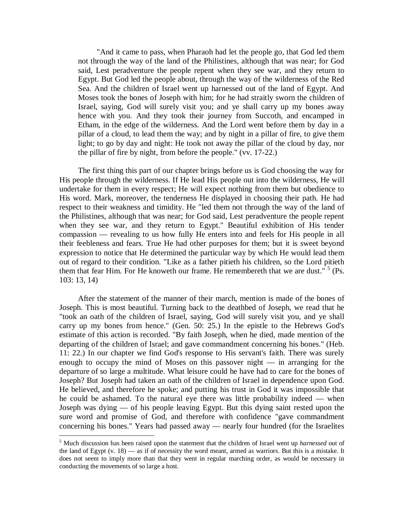"And it came to pass, when Pharaoh had let the people go, that God led them not through the way of the land of the Philistines, although that was near; for God said, Lest peradventure the people repent when they see war, and they return to Egypt. But God led the people about, through the way of the wilderness of the Red Sea. And the children of Israel went up harnessed out of the land of Egypt. And Moses took the bones of Joseph with him; for he had straitly sworn the children of Israel, saying, God will surely visit you; and ye shall carry up my bones away hence with you. And they took their journey from Succoth, and encamped in Etham, in the edge of the wilderness. And the Lord went before them by day in a pillar of a cloud, to lead them the way; and by night in a pillar of fire, to give them light; to go by day and night: He took not away the pillar of the cloud by day, nor the pillar of fire by night, from before the people." (vv. 17-22.)

The first thing this part of our chapter brings before us is God choosing the way for His people through the wilderness. If He lead His people out into the wilderness, He will undertake for them in every respect; He will expect nothing from them but obedience to His word. Mark, moreover, the tenderness He displayed in choosing their path. He had respect to their weakness and timidity. He "led them not through the way of the land of the Philistines, although that was near; for God said, Lest peradventure the people repent when they see war, and they return to Egypt." Beautiful exhibition of His tender compassion — revealing to us how fully He enters into and feels for His people in all their feebleness and fears. True He had other purposes for them; but it is sweet beyond expression to notice that He determined the particular way by which He would lead them out of regard to their condition. "Like as a father pitieth his children, so the Lord pitieth them that fear Him. For He knoweth our frame. He remembereth that we are dust."<sup>5</sup> (Ps. 103: 13, 14)

After the statement of the manner of their march, mention is made of the bones of Joseph. This is most beautiful. Turning back to the deathbed of Joseph, we read that he "took an oath of the children of Israel, saying, God will surely visit you, and ye shall carry up my bones from hence." (Gen. 50: 25.) In the epistle to the Hebrews God's estimate of this action is recorded. "By faith Joseph, when he died, made mention of the departing of the children of Israel; and gave commandment concerning his bones." (Heb. 11: 22.) In our chapter we find God's response to His servant's faith. There was surely enough to occupy the mind of Moses on this passover night — in arranging for the departure of so large a multitude. What leisure could he have had to care for the bones of Joseph? But Joseph had taken an oath of the children of Israel in dependence upon God. He believed, and therefore he spoke; and putting his trust in God it was impossible that he could be ashamed. To the natural eye there was little probability indeed — when Joseph was dying — of his people leaving Egypt. But this dying saint rested upon the sure word and promise of God, and therefore with confidence "gave commandment concerning his bones." Years had passed away — nearly four hundred (for the Israelites

 $\overline{a}$ 

<sup>5</sup> Much discussion has been raised upon the statement that the children of Israel went up *harnessed* out of the land of Egypt  $(v. 18)$  — as if of necessity the word meant, armed as warriors. But this is a mistake. It does not seem to imply more than that they went in regular marching order, as would be necessary in conducting the movements of so large a host.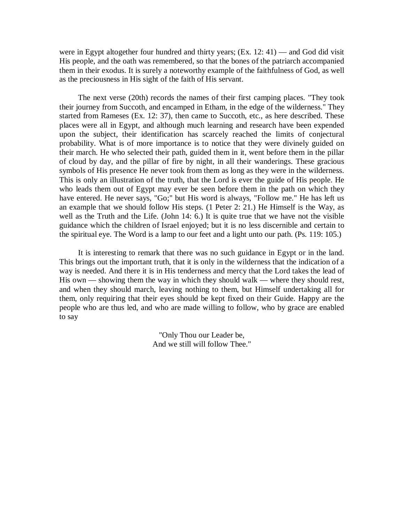were in Egypt altogether four hundred and thirty years; (Ex. 12: 41) — and God did visit His people, and the oath was remembered, so that the bones of the patriarch accompanied them in their exodus. It is surely a noteworthy example of the faithfulness of God, as well as the preciousness in His sight of the faith of His servant.

The next verse (20th) records the names of their first camping places. "They took their journey from Succoth, and encamped in Etham, in the edge of the wilderness." They started from Rameses (Ex. 12: 37), then came to Succoth, etc., as here described. These places were all in Egypt, and although much learning and research have been expended upon the subject, their identification has scarcely reached the limits of conjectural probability. What is of more importance is to notice that they were divinely guided on their march. He who selected their path, guided them in it, went before them in the pillar of cloud by day, and the pillar of fire by night, in all their wanderings. These gracious symbols of His presence He never took from them as long as they were in the wilderness. This is only an illustration of the truth, that the Lord is ever the guide of His people. He who leads them out of Egypt may ever be seen before them in the path on which they have entered. He never says, "Go;" but His word is always, "Follow me." He has left us an example that we should follow His steps. (1 Peter 2: 21.) He Himself is the Way, as well as the Truth and the Life. (John 14: 6.) It is quite true that we have not the visible guidance which the children of Israel enjoyed; but it is no less discernible and certain to the spiritual eye. The Word is a lamp to our feet and a light unto our path. (Ps. 119: 105.)

It is interesting to remark that there was no such guidance in Egypt or in the land. This brings out the important truth, that it is only in the wilderness that the indication of a way is needed. And there it is in His tenderness and mercy that the Lord takes the lead of His own — showing them the way in which they should walk — where they should rest, and when they should march, leaving nothing to them, but Himself undertaking all for them, only requiring that their eyes should be kept fixed on their Guide. Happy are the people who are thus led, and who are made willing to follow, who by grace are enabled to say

> "Only Thou our Leader be, And we still will follow Thee."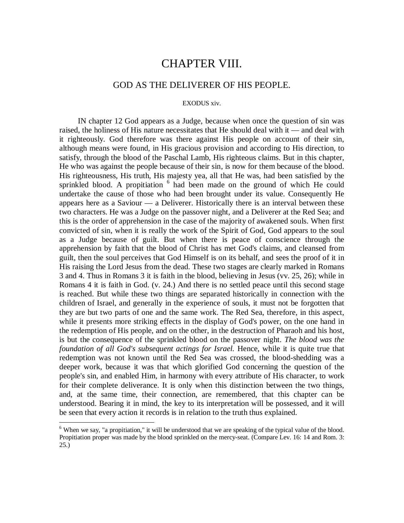## CHAPTER VIII.

## GOD AS THE DELIVERER OF HIS PEOPLE.

#### EXODUS xiv.

IN chapter 12 God appears as a Judge, because when once the question of sin was raised, the holiness of His nature necessitates that He should deal with it — and deal with it righteously. God therefore was there against His people on account of their sin, although means were found, in His gracious provision and according to His direction, to satisfy, through the blood of the Paschal Lamb, His righteous claims. But in this chapter, He who was against the people because of their sin, is now for them because of the blood. His righteousness, His truth, His majesty yea, all that He was, had been satisfied by the sprinkled blood. A propitiation <sup>6</sup> had been made on the ground of which He could undertake the cause of those who had been brought under its value. Consequently He appears here as a Saviour — a Deliverer. Historically there is an interval between these two characters. He was a Judge on the passover night, and a Deliverer at the Red Sea; and this is the order of apprehension in the case of the majority of awakened souls. When first convicted of sin, when it is really the work of the Spirit of God, God appears to the soul as a Judge because of guilt. But when there is peace of conscience through the apprehension by faith that the blood of Christ has met God's claims, and cleansed from guilt, then the soul perceives that God Himself is on its behalf, and sees the proof of it in His raising the Lord Jesus from the dead. These two stages are clearly marked in Romans 3 and 4. Thus in Romans 3 it is faith in the blood, believing in Jesus (vv. 25, 26); while in Romans 4 it is faith in God. (v. 24.) And there is no settled peace until this second stage is reached. But while these two things are separated historically in connection with the children of Israel, and generally in the experience of souls, it must not be forgotten that they are but two parts of one and the same work. The Red Sea, therefore, in this aspect, while it presents more striking effects in the display of God's power, on the one hand in the redemption of His people, and on the other, in the destruction of Pharaoh and his host, is but the consequence of the sprinkled blood on the passover night. *The blood was the foundation of all God's subsequent actings for Israel.* Hence, while it is quite true that redemption was not known until the Red Sea was crossed, the blood-shedding was a deeper work, because it was that which glorified God concerning the question of the people's sin, and enabled Him, in harmony with every attribute of His character, to work for their complete deliverance. It is only when this distinction between the two things, and, at the same time, their connection, are remembered, that this chapter can be understood. Bearing it in mind, the key to its interpretation will be possessed, and it will be seen that every action it records is in relation to the truth thus explained.

<sup>&</sup>lt;sup>6</sup> When we say, "a propitiation," it will be understood that we are speaking of the typical value of the blood. Propitiation proper was made by the blood sprinkled on the mercy-seat. (Compare Lev. 16: 14 and Rom. 3: 25.)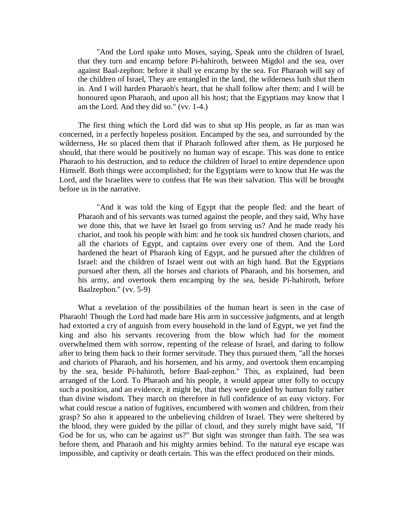"And the Lord spake unto Moses, saying, Speak unto the children of Israel, that they turn and encamp before Pi-hahiroth, between Migdol and the sea, over against Baal-zephon: before it shall ye encamp by the sea. For Pharaoh will say of the children of Israel, They are entangled in the land, the wilderness hath shut them in. And I will harden Pharaoh's heart, that he shall follow after them: and I will be honoured upon Pharaoh, and upon all his host; that the Egyptians may know that I am the Lord. And they did so." (vv. 1-4.)

The first thing which the Lord did was to shut up His people, as far as man was concerned, in a perfectly hopeless position. Encamped by the sea, and surrounded by the wilderness, He so placed them that if Pharaoh followed after them, as He purposed he should, that there would be positively no human way of escape. This was done to entice Pharaoh to his destruction, and to reduce the children of Israel to entire dependence upon Himself. Both things were accomplished; for the Egyptians were to know that He was the Lord, and the Israelites were to confess that He was their salvation. This will be brought before us in the narrative.

"And it was told the king of Egypt that the people fled: and the heart of Pharaoh and of his servants was turned against the people, and they said, Why have we done this, that we have let Israel go from serving us? And he made ready his chariot, and took his people with him: and he took six hundred chosen chariots, and all the chariots of Egypt, and captains over every one of them. And the Lord hardened the heart of Pharaoh king of Egypt, and he pursued after the children of Israel: and the children of Israel went out with an high hand. But the Egyptians pursued after them, all the horses and chariots of Pharaoh, and his horsemen, and his army, and overtook them encamping by the sea, beside Pi-hahiroth, before Baalzephon." (vv. 5-9)

What a revelation of the possibilities of the human heart is seen in the case of Pharaoh! Though the Lord had made bare His arm in successive judgments, and at length had extorted a cry of anguish from every household in the land of Egypt, we yet find the king and also his servants recovering from the blow which had for the moment overwhelmed them with sorrow, repenting of the release of Israel, and daring to follow after to bring them back to their former servitude. They thus pursued them, "all the horses and chariots of Pharaoh, and his horsemen, and his army, and overtook them encamping by the sea, beside Pi-hahiroth, before Baal-zephon." This, as explained, had been arranged of the Lord. To Pharaoh and his people, it would appear utter folly to occupy such a position, and an evidence, it might be, that they were guided by human folly rather than divine wisdom. They march on therefore in full confidence of an easy victory. For what could rescue a nation of fugitives, encumbered with women and children, from their grasp? So also it appeared to the unbelieving children of Israel. They were sheltered by the blood, they were guided by the pillar of cloud, and they surely might have said, "If God be for us, who can be against us?" But sight was stronger than faith. The sea was before them, and Pharaoh and his mighty armies behind. To the natural eye escape was impossible, and captivity or death certain. This was the effect produced on their minds.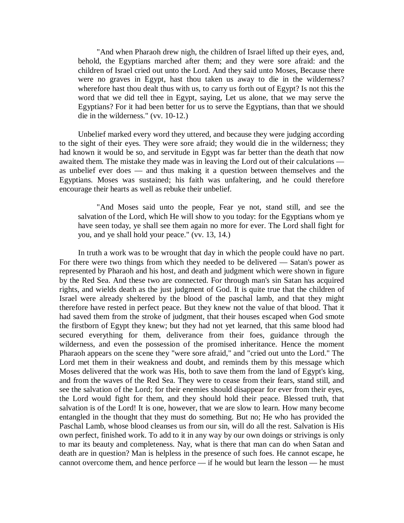"And when Pharaoh drew nigh, the children of Israel lifted up their eyes, and, behold, the Egyptians marched after them; and they were sore afraid: and the children of Israel cried out unto the Lord. And they said unto Moses, Because there were no graves in Egypt, hast thou taken us away to die in the wilderness? wherefore hast thou dealt thus with us, to carry us forth out of Egypt? Is not this the word that we did tell thee in Egypt, saying, Let us alone, that we may serve the Egyptians? For it had been better for us to serve the Egyptians, than that we should die in the wilderness." (vv. 10-12.)

Unbelief marked every word they uttered, and because they were judging according to the sight of their eyes. They were sore afraid; they would die in the wilderness; they had known it would be so, and servitude in Egypt was far better than the death that now awaited them. The mistake they made was in leaving the Lord out of their calculations as unbelief ever does — and thus making it a question between themselves and the Egyptians. Moses was sustained; his faith was unfaltering, and he could therefore encourage their hearts as well as rebuke their unbelief.

"And Moses said unto the people, Fear ye not, stand still, and see the salvation of the Lord, which He will show to you today: for the Egyptians whom ye have seen today, ye shall see them again no more for ever. The Lord shall fight for you, and ye shall hold your peace." (vv. 13, 14.)

In truth a work was to be wrought that day in which the people could have no part. For there were two things from which they needed to be delivered — Satan's power as represented by Pharaoh and his host, and death and judgment which were shown in figure by the Red Sea. And these two are connected. For through man's sin Satan has acquired rights, and wields death as the just judgment of God. It is quite true that the children of Israel were already sheltered by the blood of the paschal lamb, and that they might therefore have rested in perfect peace. But they knew not the value of that blood. That it had saved them from the stroke of judgment, that their houses escaped when God smote the firstborn of Egypt they knew; but they had not yet learned, that this same blood had secured everything for them, deliverance from their foes, guidance through the wilderness, and even the possession of the promised inheritance. Hence the moment Pharaoh appears on the scene they "were sore afraid," and "cried out unto the Lord." The Lord met them in their weakness and doubt, and reminds them by this message which Moses delivered that the work was His, both to save them from the land of Egypt's king, and from the waves of the Red Sea. They were to cease from their fears, stand still, and see the salvation of the Lord; for their enemies should disappear for ever from their eyes, the Lord would fight for them, and they should hold their peace. Blessed truth, that salvation is of the Lord! It is one, however, that we are slow to learn. How many become entangled in the thought that they must do something. But no; He who has provided the Paschal Lamb, whose blood cleanses us from our sin, will do all the rest. Salvation is His own perfect, finished work. To add to it in any way by our own doings or strivings is only to mar its beauty and completeness. Nay, what is there that man can do when Satan and death are in question? Man is helpless in the presence of such foes. He cannot escape, he cannot overcome them, and hence perforce — if he would but learn the lesson — he must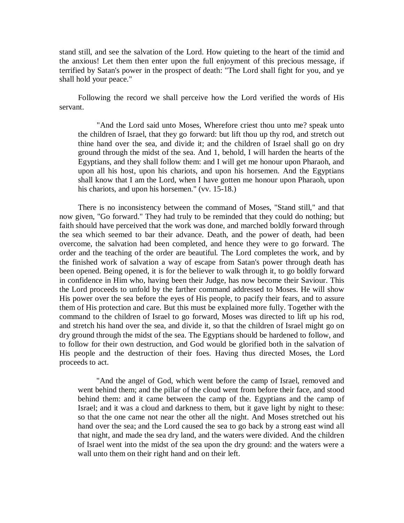stand still, and see the salvation of the Lord. How quieting to the heart of the timid and the anxious! Let them then enter upon the full enjoyment of this precious message, if terrified by Satan's power in the prospect of death: "The Lord shall fight for you, and ye shall hold your peace."

Following the record we shall perceive how the Lord verified the words of His servant.

"And the Lord said unto Moses, Wherefore criest thou unto me? speak unto the children of Israel, that they go forward: but lift thou up thy rod, and stretch out thine hand over the sea, and divide it; and the children of Israel shall go on dry ground through the midst of the sea. And 1, behold, I will harden the hearts of the Egyptians, and they shall follow them: and I will get me honour upon Pharaoh, and upon all his host, upon his chariots, and upon his horsemen. And the Egyptians shall know that I am the Lord, when I have gotten me honour upon Pharaoh, upon his chariots, and upon his horsemen." (vv. 15-18.)

There is no inconsistency between the command of Moses, "Stand still," and that now given, "Go forward." They had truly to be reminded that they could do nothing; but faith should have perceived that the work was done, and marched boldly forward through the sea which seemed to bar their advance. Death, and the power of death, had been overcome, the salvation had been completed, and hence they were to go forward. The order and the teaching of the order are beautiful. The Lord completes the work, and by the finished work of salvation a way of escape from Satan's power through death has been opened. Being opened, it is for the believer to walk through it, to go boldly forward in confidence in Him who, having been their Judge, has now become their Saviour. This the Lord proceeds to unfold by the farther command addressed to Moses. He will show His power over the sea before the eyes of His people, to pacify their fears, and to assure them of His protection and care. But this must be explained more fully. Together with the command to the children of Israel to go forward, Moses was directed to lift up his rod, and stretch his hand over the sea, and divide it, so that the children of Israel might go on dry ground through the midst of the sea. The Egyptians should be hardened to follow, and to follow for their own destruction, and God would be glorified both in the salvation of His people and the destruction of their foes. Having thus directed Moses, the Lord proceeds to act.

"And the angel of God, which went before the camp of Israel, removed and went behind them; and the pillar of the cloud went from before their face, and stood behind them: and it came between the camp of the. Egyptians and the camp of Israel; and it was a cloud and darkness to them, but it gave light by night to these: so that the one came not near the other all the night. And Moses stretched out his hand over the sea; and the Lord caused the sea to go back by a strong east wind all that night, and made the sea dry land, and the waters were divided. And the children of Israel went into the midst of the sea upon the dry ground: and the waters were a wall unto them on their right hand and on their left.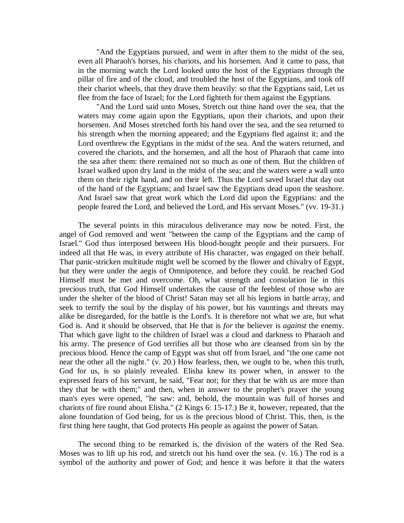"And the Egyptians pursued, and went in after them to the midst of the sea, even all Pharaoh's horses, his chariots, and his horsemen. And it came to pass, that in the morning watch the Lord looked unto the host of the Egyptians through the pillar of fire and of the cloud, and troubled the host of the Egyptians, and took off their chariot wheels, that they drave them heavily: so that the Egyptians said, Let us flee from the face of Israel; for the Lord fighteth for them against the Egyptians.

"And the Lord said unto Moses, Stretch out thine hand over the sea, that the waters may come again upon the Egyptians, upon their chariots, and upon their horsemen. And Moses stretched forth his hand over the sea, and the sea returned to his strength when the morning appeared; and the Egyptians fled against it; and the Lord overthrew the Egyptians in the midst of the sea. And the waters returned, and covered the chariots, and the horsemen, and all the host of Pharaoh that came into the sea after them: there remained not so much as one of them. But the children of Israel walked upon dry land in the midst of the sea; and the waters were a wall unto them on their right hand, and on their left. Thus the Lord saved Israel that day out of the hand of the Egyptians; and Israel saw the Egyptians dead upon the seashore. And Israel saw that great work which the Lord did upon the Egyptians: and the people feared the Lord, and believed the Lord, and His servant Moses." (vv. 19-31.)

The several points in this miraculous deliverance may now be noted. First, the angel of God removed and went "between the camp of the Egyptians and the camp of Israel." God thus interposed between His blood-bought people and their pursuers. For indeed all that He was, in every attribute of His character, was engaged on their behalf. That panic-stricken multitude might well be scorned by the flower and chivalry of Egypt, but they were under the aegis of Omnipotence, and before they could. be reached God Himself must be met and overcome. Oh, what strength and consolation lie in this precious truth, that God Himself undertakes the cause of the feeblest of those who are under the shelter of the blood of Christ! Satan may set all his legions in battle array, and seek to terrify the soul by the display of his power, but his vauntings and threats may alike be disregarded, for the battle is the Lord's. It is therefore not what we are, but what God is. And it should be observed, that He that is *for* the believer is *against* the enemy. That which gave light to the children of Israel was a cloud and darkness to Pharaoh and his army. The presence of God terrifies all but those who are cleansed from sin by the precious blood. Hence the camp of Egypt was shut off from Israel, and "the one came not near the other all the night." (v. 20.) How fearless, then, we ought to be, when this truth, God for us, is so plainly revealed. Elisha knew its power when, in answer to the expressed fears of his servant, he said, "Fear not; for they that be with us are more than they that be with them;" and then, when in answer to the prophet's prayer the young man's eyes were opened, "he saw: and, behold, the mountain was full of horses and chariots of fire round about Elisha." (2 Kings 6: 15-17.) Be it, however, repeated, that the alone foundation of God being, for us is the precious blood of Christ. This, then, is the first thing here taught, that God protects His people as against the power of Satan.

The second thing to be remarked is, the division of the waters of the Red Sea. Moses was to lift up his rod, and stretch out his hand over the sea. (v. 16.) The rod is a symbol of the authority and power of God; and hence it was before it that the waters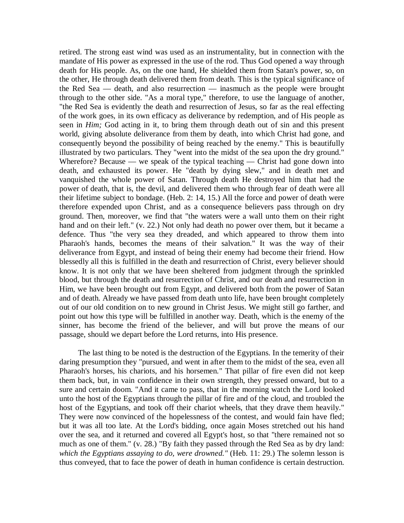retired. The strong east wind was used as an instrumentality, but in connection with the mandate of His power as expressed in the use of the rod. Thus God opened a way through death for His people. As, on the one hand, He shielded them from Satan's power, so, on the other, He through death delivered them from death. This is the typical significance of the Red Sea — death, and also resurrection — inasmuch as the people were brought through to the other side. "As a moral type," therefore, to use the language of another, "the Red Sea is evidently the death and resurrection of Jesus, so far as the real effecting of the work goes, in its own efficacy as deliverance by redemption, and of His people as seen in *Him;* God acting in it, to bring them through death out of sin and this present world, giving absolute deliverance from them by death, into which Christ had gone, and consequently beyond the possibility of being reached by the enemy." This is beautifully illustrated by two particulars. They "went into the midst of the sea upon the dry ground." Wherefore? Because — we speak of the typical teaching — Christ had gone down into death, and exhausted its power. He "death by dying slew," and in death met and vanquished the whole power of Satan. Through death He destroyed him that had the power of death, that is, the devil, and delivered them who through fear of death were all their lifetime subject to bondage. (Heb. 2: 14, 15.) All the force and power of death were therefore expended upon Christ, and as a consequence believers pass through on dry ground. Then, moreover, we find that "the waters were a wall unto them on their right hand and on their left." (v. 22.) Not only had death no power over them, but it became a defence. Thus "the very sea they dreaded, and which appeared to throw them into Pharaoh's hands, becomes the means of their salvation." It was the way of their deliverance from Egypt, and instead of being their enemy had become their friend. How blessedly all this is fulfilled in the death and resurrection of Christ, every believer should know. It is not only that we have been sheltered from judgment through the sprinkled blood, but through the death and resurrection of Christ, and our death and resurrection in Him, we have been brought out from Egypt, and delivered both from the power of Satan and of death. Already we have passed from death unto life, have been brought completely out of our old condition on to new ground in Christ Jesus. We might still go farther, and point out how this type will be fulfilled in another way. Death, which is the enemy of the sinner, has become the friend of the believer, and will but prove the means of our passage, should we depart before the Lord returns, into His presence.

The last thing to be noted is the destruction of the Egyptians. In the temerity of their daring presumption they "pursued, and went in after them to the midst of the sea, even all Pharaoh's horses, his chariots, and his horsemen." That pillar of fire even did not keep them back, but, in vain confidence in their own strength, they pressed onward, but to a sure and certain doom. "And it came to pass, that in the morning watch the Lord looked unto the host of the Egyptians through the pillar of fire and of the cloud, and troubled the host of the Egyptians, and took off their chariot wheels, that they drave them heavily." They were now convinced of the hopelessness of the contest, and would fain have fled; but it was all too late. At the Lord's bidding, once again Moses stretched out his hand over the sea, and it returned and covered all Egypt's host, so that "there remained not so much as one of them." (v. 28.) "By faith they passed through the Red Sea as by dry land: *which the Egyptians assaying to do, were drowned."* (Heb. 11: 29.) The solemn lesson is thus conveyed, that to face the power of death in human confidence is certain destruction.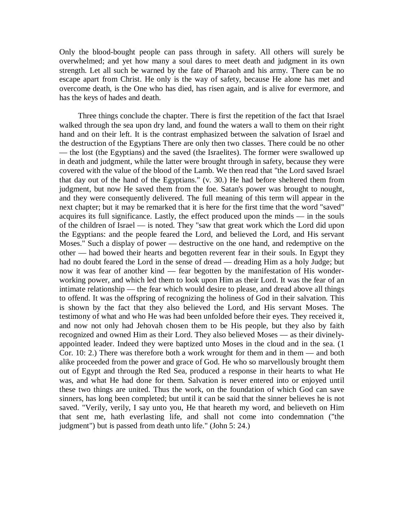Only the blood-bought people can pass through in safety. All others will surely be overwhelmed; and yet how many a soul dares to meet death and judgment in its own strength. Let all such be warned by the fate of Pharaoh and his army. There can be no escape apart from Christ. He only is the way of safety, because He alone has met and overcome death, is the One who has died, has risen again, and is alive for evermore, and has the keys of hades and death.

Three things conclude the chapter. There is first the repetition of the fact that Israel walked through the sea upon dry land, and found the waters a wall to them on their right hand and on their left. It is the contrast emphasized between the salvation of Israel and the destruction of the Egyptians There are only then two classes. There could be no other — the lost (the Egyptians) and the saved (the Israelites). The former were swallowed up in death and judgment, while the latter were brought through in safety, because they were covered with the value of the blood of the Lamb. We then read that "the Lord saved Israel that day out of the hand of the Egyptians." (v. 30.) He had before sheltered them from judgment, but now He saved them from the foe. Satan's power was brought to nought, and they were consequently delivered. The full meaning of this term will appear in the next chapter; but it may be remarked that it is here for the first time that the word "saved" acquires its full significance. Lastly, the effect produced upon the minds — in the souls of the children of Israel — is noted. They "saw that great work which the Lord did upon the Egyptians: and the people feared the Lord, and believed the Lord, and His servant Moses." Such a display of power — destructive on the one hand, and redemptive on the other — had bowed their hearts and begotten reverent fear in their souls. In Egypt they had no doubt feared the Lord in the sense of dread — dreading Him as a holy Judge; but now it was fear of another kind — fear begotten by the manifestation of His wonderworking power, and which led them to look upon Him as their Lord. It was the fear of an intimate relationship — the fear which would desire to please, and dread above all things to offend. It was the offspring of recognizing the holiness of God in their salvation. This is shown by the fact that they also believed the Lord, and His servant Moses. The testimony of what and who He was had been unfolded before their eyes. They received it, and now not only had Jehovah chosen them to be His people, but they also by faith recognized and owned Him as their Lord. They also believed Moses — as their divinelyappointed leader. Indeed they were baptized unto Moses in the cloud and in the sea. (1 Cor. 10: 2.) There was therefore both a work wrought for them and in them — and both alike proceeded from the power and grace of God. He who so marvellously brought them out of Egypt and through the Red Sea, produced a response in their hearts to what He was, and what He had done for them. Salvation is never entered into or enjoyed until these two things are united. Thus the work, on the foundation of which God can save sinners, has long been completed; but until it can be said that the sinner believes he is not saved. "Verily, verily, I say unto you, He that heareth my word, and believeth on Him that sent me, hath everlasting life, and shall not come into condemnation ("the judgment") but is passed from death unto life." (John 5: 24.)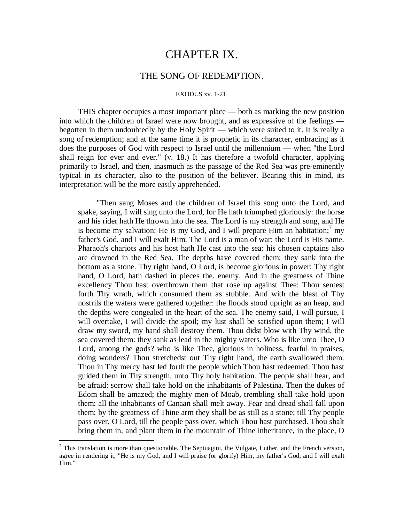## CHAPTER IX.

### THE SONG OF REDEMPTION.

#### EXODUS xv. 1-21.

THIS chapter occupies a most important place — both as marking the new position into which the children of Israel were now brought, and as expressive of the feelings begotten in them undoubtedly by the Holy Spirit — which were suited to it. It is really a song of redemption; and at the same time it is prophetic in its character, embracing as it does the purposes of God with respect to Israel until the millennium — when "the Lord shall reign for ever and ever." (v. 18.) It has therefore a twofold character, applying primarily to Israel, and then, inasmuch as the passage of the Red Sea was pre-eminently typical in its character, also to the position of the believer. Bearing this in mind, its interpretation will be the more easily apprehended.

"Then sang Moses and the children of Israel this song unto the Lord, and spake, saying, I will sing unto the Lord, for He hath triumphed gloriously: the horse and his rider hath He thrown into the sea. The Lord is my strength and song, and He is become my salvation: He is my God, and I will prepare Him an habitation;<sup>7</sup> my father's God, and I will exalt Him. The Lord is a man of war: the Lord is His name. Pharaoh's chariots and his host hath He cast into the sea: his chosen captains also are drowned in the Red Sea. The depths have covered them: they sank into the bottom as a stone. Thy right hand, O Lord, is become glorious in power: Thy right hand, O Lord, hath dashed in pieces the. enemy. And in the greatness of Thine excellency Thou hast overthrown them that rose up against Thee: Thou sentest forth Thy wrath, which consumed them as stubble. And with the blast of Thy nostrils the waters were gathered together: the floods stood upright as an heap, and the depths were congealed in the heart of the sea. The enemy said, I will pursue, I will overtake, I will divide the spoil; my lust shall be satisfied upon them; I will draw my sword, my hand shall destroy them. Thou didst blow with Thy wind, the sea covered them: they sank as lead in the mighty waters. Who is like unto Thee, O Lord, among the gods? who is like Thee, glorious in holiness, fearful in praises, doing wonders? Thou stretchedst out Thy right hand, the earth swallowed them. Thou in Thy mercy hast led forth the people which Thou hast redeemed: Thou hast guided them in Thy strength. unto Thy holy habitation. The people shall hear, and be afraid: sorrow shall take hold on the inhabitants of Palestina. Then the dukes of Edom shall be amazed; the mighty men of Moab, trembling shall take hold upon them: all the inhabitants of Canaan shall melt away. Fear and dread shall fall upon them: by the greatness of Thine arm they shall be as still as a stone; till Thy people pass over, O Lord, till the people pass over, which Thou hast purchased. Thou shalt bring them in, and plant them in the mountain of Thine inheritance, in the place, O

 $\overline{a}$ 

 $<sup>7</sup>$  This translation is more than questionable. The Septuagint, the Vulgate, Luther, and the French version,</sup> agree in rendering it, "He is my God, and I will praise (or glorify) Him, my father's God, and I will exalt Him."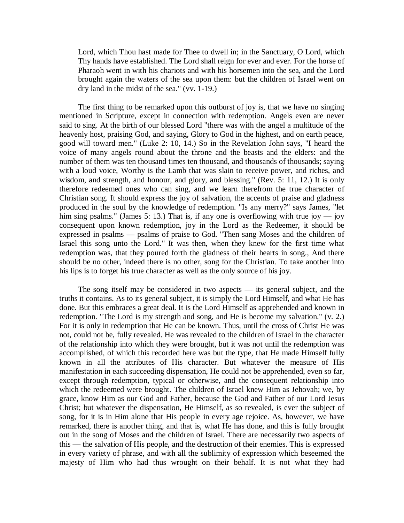Lord, which Thou hast made for Thee to dwell in; in the Sanctuary, O Lord, which Thy hands have established. The Lord shall reign for ever and ever. For the horse of Pharaoh went in with his chariots and with his horsemen into the sea, and the Lord brought again the waters of the sea upon them: but the children of Israel went on dry land in the midst of the sea." (vv. 1-19.)

The first thing to be remarked upon this outburst of joy is, that we have no singing mentioned in Scripture, except in connection with redemption. Angels even are never said to sing. At the birth of our blessed Lord "there was with the angel a multitude of the heavenly host, praising God, and saying, Glory to God in the highest, and on earth peace, good will toward men." (Luke 2: 10, 14.) So in the Revelation John says, "I heard the voice of many angels round about the throne and the beasts and the elders: and the number of them was ten thousand times ten thousand, and thousands of thousands; saying with a loud voice, Worthy is the Lamb that was slain to receive power, and riches, and wisdom, and strength, and honour, and glory, and blessing." (Rev. 5: 11, 12.) It is only therefore redeemed ones who can sing, and we learn therefrom the true character of Christian song. It should express the joy of salvation, the accents of praise and gladness produced in the soul by the knowledge of redemption. "Is any merry?" says James, "let him sing psalms." (James 5: 13.) That is, if any one is overflowing with true joy — joy consequent upon known redemption, joy in the Lord as the Redeemer, it should be expressed in psalms — psalms of praise to God. "Then sang Moses and the children of Israel this song unto the Lord." It was then, when they knew for the first time what redemption was, that they poured forth the gladness of their hearts in song., And there should be no other, indeed there is no other, song for the Christian. To take another into his lips is to forget his true character as well as the only source of his joy.

The song itself may be considered in two aspects — its general subject, and the truths it contains. As to its general subject, it is simply the Lord Himself, and what He has done. But this embraces a great deal. It is the Lord Himself as apprehended and known in redemption. "The Lord is my strength and song, and He is become my salvation." (v. 2.) For it is only in redemption that He can be known. Thus, until the cross of Christ He was not, could not be, fully revealed. He was revealed to the children of Israel in the character of the relationship into which they were brought, but it was not until the redemption was accomplished, of which this recorded here was but the type, that He made Himself fully known in all the attributes of His character. But whatever the measure of His manifestation in each succeeding dispensation, He could not be apprehended, even so far, except through redemption, typical or otherwise, and the consequent relationship into which the redeemed were brought. The children of Israel knew Him as Jehovah; we, by grace, know Him as our God and Father, because the God and Father of our Lord Jesus Christ; but whatever the dispensation, He Himself, as so revealed, is ever the subject of song, for it is in Him alone that His people in every age rejoice. As, however, we have remarked, there is another thing, and that is, what He has done, and this is fully brought out in the song of Moses and the children of Israel. There are necessarily two aspects of this — the salvation of His people, and the destruction of their enemies. This is expressed in every variety of phrase, and with all the sublimity of expression which beseemed the majesty of Him who had thus wrought on their behalf. It is not what they had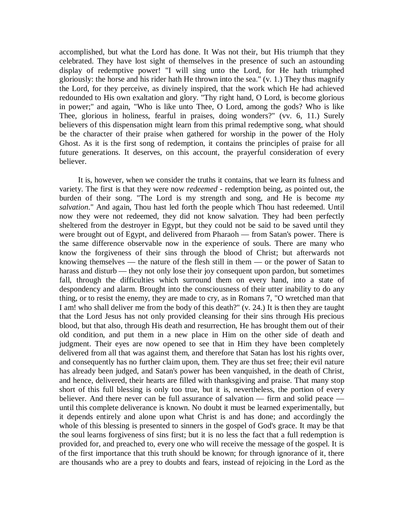accomplished, but what the Lord has done. It Was not their, but His triumph that they celebrated. They have lost sight of themselves in the presence of such an astounding display of redemptive power! "I will sing unto the Lord, for He hath triumphed gloriously: the horse and his rider hath He thrown into the sea." (v. 1.) They thus magnify the Lord, for they perceive, as divinely inspired, that the work which He had achieved redounded to His own exaltation and glory. "Thy right hand, O Lord, is become glorious in power;" and again, "Who is like unto Thee, O Lord, among the gods? Who is like Thee, glorious in holiness, fearful in praises, doing wonders?" (vv. 6, 11.) Surely believers of this dispensation might learn from this primal redemptive song, what should be the character of their praise when gathered for worship in the power of the Holy Ghost. As it is the first song of redemption, it contains the principles of praise for all future generations. It deserves, on this account, the prayerful consideration of every believer.

It is, however, when we consider the truths it contains, that we learn its fulness and variety. The first is that they were now *redeemed* - redemption being, as pointed out, the burden of their song. "The Lord is my strength and song, and He is become *my salvation*." And again, Thou hast led forth the people which Thou hast redeemed. Until now they were not redeemed, they did not know salvation. They had been perfectly sheltered from the destroyer in Egypt, but they could not be said to be saved until they were brought out of Egypt, and delivered from Pharaoh — from Satan's power. There is the same difference observable now in the experience of souls. There are many who know the forgiveness of their sins through the blood of Christ; but afterwards not knowing themselves — the nature of the flesh still in them — or the power of Satan to harass and disturb — they not only lose their joy consequent upon pardon, but sometimes fall, through the difficulties which surround them on every hand, into a state of despondency and alarm. Brought into the consciousness of their utter inability to do any thing, or to resist the enemy, they are made to cry, as in Romans 7, "O wretched man that I am! who shall deliver me from the body of this death?" (v. 24.) It is then they are taught that the Lord Jesus has not only provided cleansing for their sins through His precious blood, but that also, through His death and resurrection, He has brought them out of their old condition, and put them in a new place in Him on the other side of death and judgment. Their eyes are now opened to see that in Him they have been completely delivered from all that was against them, and therefore that Satan has lost his rights over, and consequently has no further claim upon, them. They are thus set free; their evil nature has already been judged, and Satan's power has been vanquished, in the death of Christ, and hence, delivered, their hearts are filled with thanksgiving and praise. That many stop short of this full blessing is only too true, but it is, nevertheless, the portion of every believer. And there never can be full assurance of salvation — firm and solid peace until this complete deliverance is known. No doubt it must be learned experimentally, but it depends entirely and alone upon what Christ is and has done; and accordingly the whole of this blessing is presented to sinners in the gospel of God's grace. It may be that the soul learns forgiveness of sins first; but it is no less the fact that a full redemption is provided for, and preached to, every one who will receive the message of the gospel. It is of the first importance that this truth should be known; for through ignorance of it, there are thousands who are a prey to doubts and fears, instead of rejoicing in the Lord as the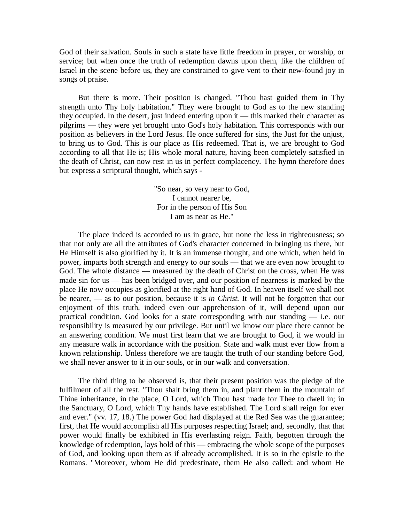God of their salvation. Souls in such a state have little freedom in prayer, or worship, or service; but when once the truth of redemption dawns upon them, like the children of Israel in the scene before us, they are constrained to give vent to their new-found joy in songs of praise.

But there is more. Their position is changed. "Thou hast guided them in Thy strength unto Thy holy habitation." They were brought to God as to the new standing they occupied. In the desert, just indeed entering upon it — this marked their character as pilgrims — they were yet brought unto God's holy habitation. This corresponds with our position as believers in the Lord Jesus. He once suffered for sins, the Just for the unjust, to bring us to God. This is our place as His redeemed. That is, we are brought to God according to all that He is; His whole moral nature, having been completely satisfied in the death of Christ, can now rest in us in perfect complacency. The hymn therefore does but express a scriptural thought, which says -

> "So near, so very near to God, I cannot nearer be, For in the person of His Son I am as near as He."

The place indeed is accorded to us in grace, but none the less in righteousness; so that not only are all the attributes of God's character concerned in bringing us there, but He Himself is also glorified by it. It is an immense thought, and one which, when held in power, imparts both strength and energy to our souls — that we are even now brought to God. The whole distance — measured by the death of Christ on the cross, when He was made sin for us — has been bridged over, and our position of nearness is marked by the place He now occupies as glorified at the right hand of God. In heaven itself we shall not be nearer, — as to our position, because it is *in Christ.* It will not be forgotten that our enjoyment of this truth, indeed even our apprehension of it, will depend upon our practical condition. God looks for a state corresponding with our standing — i.e. our responsibility is measured by our privilege. But until we know our place there cannot be an answering condition. We must first learn that we are brought to God, if we would in any measure walk in accordance with the position. State and walk must ever flow from a known relationship. Unless therefore we are taught the truth of our standing before God, we shall never answer to it in our souls, or in our walk and conversation.

The third thing to be observed is, that their present position was the pledge of the fulfilment of all the rest. "Thou shalt bring them in, and plant them in the mountain of Thine inheritance, in the place, O Lord, which Thou hast made for Thee to dwell in; in the Sanctuary, O Lord, which Thy hands have established. The Lord shall reign for ever and ever." (vv. 17, 18.) The power God had displayed at the Red Sea was the guarantee; first, that He would accomplish all His purposes respecting Israel; and, secondly, that that power would finally be exhibited in His everlasting reign. Faith, begotten through the knowledge of redemption, lays hold of this — embracing the whole scope of the purposes of God, and looking upon them as if already accomplished. It is so in the epistle to the Romans. "Moreover, whom He did predestinate, them He also called: and whom He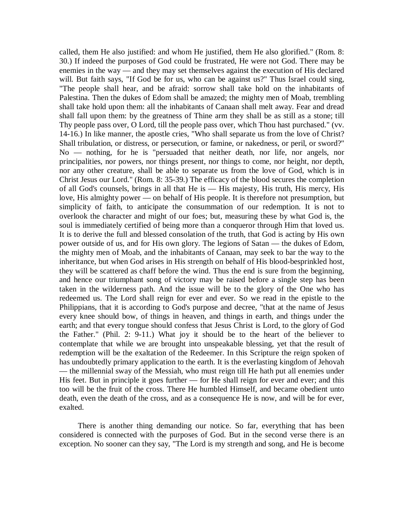called, them He also justified: and whom He justified, them He also glorified." (Rom. 8: 30.) If indeed the purposes of God could be frustrated, He were not God. There may be enemies in the way — and they may set themselves against the execution of His declared will. But faith says, "If God be for us, who can be against us?" Thus Israel could sing, "The people shall hear, and be afraid: sorrow shall take hold on the inhabitants of Palestina. Then the dukes of Edom shall be amazed; the mighty men of Moab, trembling shall take hold upon them: all the inhabitants of Canaan shall melt away. Fear and dread shall fall upon them: by the greatness of Thine arm they shall be as still as a stone; till Thy people pass over, O Lord, till the people pass over, which Thou hast purchased." (vv. 14-16.) In like manner, the apostle cries, "Who shall separate us from the love of Christ? Shall tribulation, or distress, or persecution, or famine, or nakedness, or peril, or sword?" No — nothing, for he is "persuaded that neither death, nor life, nor angels, nor principalities, nor powers, nor things present, nor things to come, nor height, nor depth, nor any other creature, shall be able to separate us from the love of God, which is in Christ Jesus our Lord." (Rom. 8: 35-39.) The efficacy of the blood secures the completion of all God's counsels, brings in all that He is — His majesty, His truth, His mercy, His love, His almighty power — on behalf of His people. It is therefore not presumption, but simplicity of faith, to anticipate the consummation of our redemption. It is not to overlook the character and might of our foes; but, measuring these by what God is, the soul is immediately certified of being more than a conqueror through Him that loved us. It is to derive the full and blessed consolation of the truth, that God is acting by His own power outside of us, and for His own glory. The legions of Satan — the dukes of Edom, the mighty men of Moab, and the inhabitants of Canaan, may seek to bar the way to the inheritance, but when God arises in His strength on behalf of His blood-besprinkled host, they will be scattered as chaff before the wind. Thus the end is sure from the beginning, and hence our triumphant song of victory may be raised before a single step has been taken in the wilderness path. And the issue will be to the glory of the One who has redeemed us. The Lord shall reign for ever and ever. So we read in the epistle to the Philippians, that it is according to God's purpose and decree, "that at the name of Jesus every knee should bow, of things in heaven, and things in earth, and things under the earth; and that every tongue should confess that Jesus Christ is Lord, to the glory of God the Father." (Phil. 2: 9-11.) What joy it should be to the heart of the believer to contemplate that while we are brought into unspeakable blessing, yet that the result of redemption will be the exaltation of the Redeemer. In this Scripture the reign spoken of has undoubtedly primary application to the earth. It is the everlasting kingdom of Jehovah — the millennial sway of the Messiah, who must reign till He hath put all enemies under His feet. But in principle it goes further — for He shall reign for ever and ever; and this too will be the fruit of the cross. There He humbled Himself, and became obedient unto death, even the death of the cross, and as a consequence He is now, and will be for ever, exalted.

There is another thing demanding our notice. So far, everything that has been considered is connected with the purposes of God. But in the second verse there is an exception. No sooner can they say, "The Lord is my strength and song, and He is become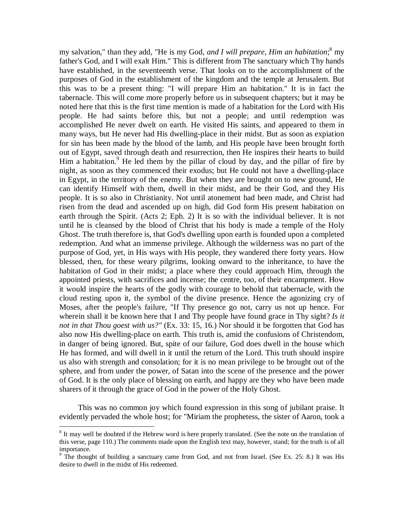my salvation," than they add, "He is my God, *and I will prepare, Him an habitation*; 8 my father's God, and I will exalt Him." This is different from The sanctuary which Thy hands have established, in the seventeenth verse. That looks on to the accomplishment of the purposes of God in the establishment of the kingdom and the temple at Jerusalem. But this was to be a present thing: "I will prepare Him an habitation." It is in fact the tabernacle. This will come more properly before us in subsequent chapters; but it may be noted here that this is the first time mention is made of a habitation for the Lord with His people. He had saints before this, but not a people; and until redemption was accomplished He never dwelt on earth. He visited His saints, and appeared to them in many ways, but He never had His dwelling-place in their midst. But as soon as expiation for sin has been made by the blood of the lamb, and His people have been brought forth out of Egypt, saved through death and resurrection, then He inspires their hearts to build Him a habitation.<sup>9</sup> He led them by the pillar of cloud by day, and the pillar of fire by night, as soon as they commenced their exodus; but He could not have a dwelling-place in Egypt, in the territory of the enemy. But when they are brought on to new ground, He can identify Himself with them, dwell in their midst, and be their God, and they His people. It is so also in Christianity. Not until atonement had been made, and Christ had risen from the dead and ascended up on high, did God form His present habitation on earth through the Spirit. (Acts 2; Eph. 2) It is so with the individual believer. It is not until he is cleansed by the blood of Christ that his body is made a temple of the Holy Ghost. The truth therefore is, that God's dwelling upon earth is founded upon a completed redemption. And what an immense privilege. Although the wilderness was no part of the purpose of God, yet, in His ways with His people, they wandered there forty years. How blessed, then, for these weary pilgrims, looking onward to the inheritance, to have the habitation of God in their midst; a place where they could approach Him, through the appointed priests, with sacrifices and incense; the centre, too, of their encampment. How it would inspire the hearts of the godly with courage to behold that tabernacle, with the cloud resting upon it, the symbol of the divine presence. Hence the agonizing cry of Moses, after the people's failure, "If Thy presence go not, carry us not up hence. For wherein shall it be known here that I and Thy people have found grace in Thy sight? *Is it not in that Thou goest with us?"* (Ex. 33: 15, 16.) Nor should it be forgotten that God has also now His dwelling-place on earth. This truth is, amid the confusions of Christendom, in danger of being ignored. But, spite of our failure, God does dwell in the house which He has formed, and will dwell in it until the return of the Lord. This truth should inspire us also with strength and consolation; for it is no mean privilege to be brought out of the sphere, and from under the power, of Satan into the scene of the presence and the power of God. It is the only place of blessing on earth, and happy are they who have been made sharers of it through the grace of God in the power of the Holy Ghost.

This was no common joy which found expression in this song of jubilant praise. It evidently pervaded the whole host; for "Miriam the prophetess, the sister of Aaron, took a

 $\overline{a}$ 

<sup>&</sup>lt;sup>8</sup> It may well be doubted if the Hebrew word is here properly translated. (See the note on the translation of this verse, page 110.) The comments made upon the English text may, however, stand; for the truth is of all importance.

<sup>&</sup>lt;sup>9</sup> The thought of building a sanctuary came from God, and not from Israel. (See Ex. 25: 8.) It was His desire to dwell in the midst of His redeemed.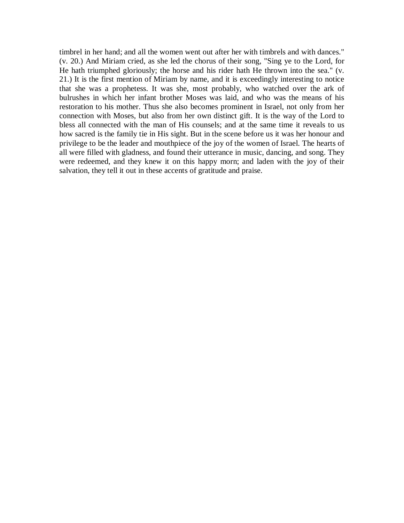timbrel in her hand; and all the women went out after her with timbrels and with dances." (v. 20.) And Miriam cried, as she led the chorus of their song, "Sing ye to the Lord, for He hath triumphed gloriously; the horse and his rider hath He thrown into the sea." (v. 21.) It is the first mention of Miriam by name, and it is exceedingly interesting to notice that she was a prophetess. It was she, most probably, who watched over the ark of bulrushes in which her infant brother Moses was laid, and who was the means of his restoration to his mother. Thus she also becomes prominent in Israel, not only from her connection with Moses, but also from her own distinct gift. It is the way of the Lord to bless all connected with the man of His counsels; and at the same time it reveals to us how sacred is the family tie in His sight. But in the scene before us it was her honour and privilege to be the leader and mouthpiece of the joy of the women of Israel. The hearts of all were filled with gladness, and found their utterance in music, dancing, and song. They were redeemed, and they knew it on this happy morn; and laden with the joy of their salvation, they tell it out in these accents of gratitude and praise.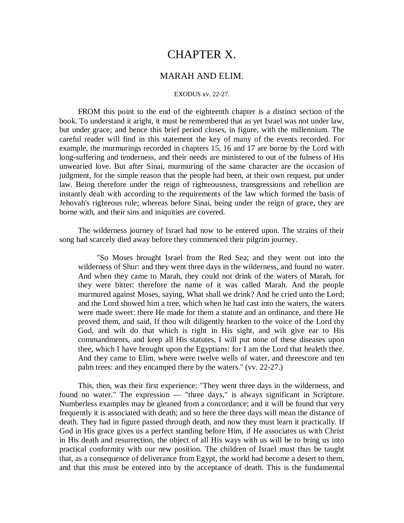# CHAPTER X.

## MARAH AND ELIM.

#### EXODUS xv. 22-27.

FROM this point to the end of the eighteenth chapter is a distinct section of the book. To understand it aright, it must be remembered that as yet Israel was not under law, but under grace; and hence this brief period closes, in figure, with the millennium. The careful reader will find in this statement the key of many of the events recorded. For example, the murmurings recorded in chapters 15, 16 and 17 are borne by the Lord with long-suffering and tenderness, and their needs are ministered to out of the fulness of His unwearied love. But after Sinai, murmuring of the same character are the occasion of judgment, for the simple reason that the people had been, at their own request, put under law. Being therefore under the reign of righteousness, transgressions and rebellion are instantly dealt with according to the requirements of the law which formed the basis of Jehovah's righteous rule; whereas before Sinai, being under the reign of grace, they are borne with, and their sins and iniquities are covered.

The wilderness journey of Israel had now to be entered upon. The strains of their song had scarcely died away before they commenced their pilgrim journey.

"So Moses brought Israel from the Red Sea; and they went out into the wilderness of Shur: and they went three days in the wilderness, and found no water. And when they came to Marah, they could not drink of the waters of Marah, for they were bitter: therefore the name of it was called Marah. And the people murmured against Moses, saying, What shall we drink? And he cried unto the Lord; and the Lord showed him a tree, which when he had cast into the waters, the waters were made sweet: there He made for them a statute and an ordinance, and there He proved them, and said, If thou wilt diligently hearken to the voice of the Lord thy God, and wilt do that which is right in His sight, and wilt give ear to His commandments, and keep all His statutes, I will put none of these diseases upon thee, which I have brought upon the Egyptians: for I am the Lord that healeth thee. And they came to Elim, where were twelve wells of water, and threescore and ten palm trees: and they encamped there by the waters." (vv. 22-27.)

This, then, was their first experience: "They went three days in the wilderness, and found no water." The expression — "three days," is always significant in Scripture. Numberless examples may be gleaned from a concordance; and it will be found that very frequently it is associated with death; and so here the three days will mean the distance of death. They had in figure passed through death, and now they must learn it practically. If God in His grace gives us a perfect standing before Him, if He associates us with Christ in His death and resurrection, the object of all His ways with us will be to bring us into practical conformity with our new position. The children of Israel must thus be taught that, as a consequence of deliverance from Egypt, the world had become a desert to them, and that this must be entered into by the acceptance of death. This is the fundamental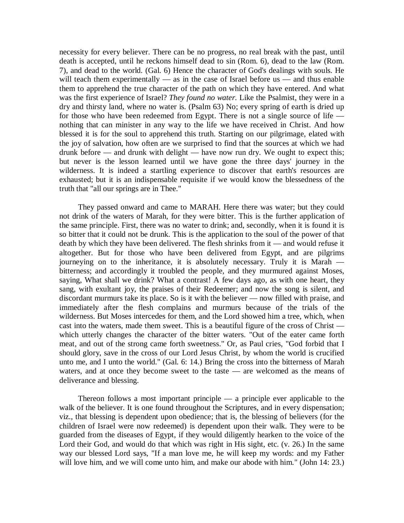necessity for every believer. There can be no progress, no real break with the past, until death is accepted, until he reckons himself dead to sin (Rom. 6), dead to the law (Rom. 7), and dead to the world. (Gal. 6) Hence the character of God's dealings with souls. He will teach them experimentally — as in the case of Israel before us — and thus enable them to apprehend the true character of the path on which they have entered. And what was the first experience of Israel? *They found no water.* Like the Psalmist, they were in a dry and thirsty land, where no water is. (Psalm 63) No; every spring of earth is dried up for those who have been redeemed from Egypt. There is not a single source of life nothing that can minister in any way to the life we have received in Christ. And how blessed it is for the soul to apprehend this truth. Starting on our pilgrimage, elated with the joy of salvation, how often are we surprised to find that the sources at which we had drunk before — and drunk with delight — have now run dry. We ought to expect this; but never is the lesson learned until we have gone the three days' journey in the wilderness. It is indeed a startling experience to discover that earth's resources are exhausted; but it is an indispensable requisite if we would know the blessedness of the truth that "all our springs are in Thee."

They passed onward and came to MARAH. Here there was water; but they could not drink of the waters of Marah, for they were bitter. This is the further application of the same principle. First, there was no water to drink; and, secondly, when it is found it is so bitter that it could not be drunk. This is the application to the soul of the power of that death by which they have been delivered. The flesh shrinks from it — and would refuse it altogether. But for those who have been delivered from Egypt, and are pilgrims journeying on to the inheritance, it is absolutely necessary. Truly it is Marah bitterness; and accordingly it troubled the people, and they murmured against Moses, saying, What shall we drink? What a contrast! A few days ago, as with one heart, they sang, with exultant joy, the praises of their Redeemer; and now the song is silent, and discordant murmurs take its place. So is it with the believer — now filled with praise, and immediately after the flesh complains and murmurs because of the trials of the wilderness. But Moses intercedes for them, and the Lord showed him a tree, which, when cast into the waters, made them sweet. This is a beautiful figure of the cross of Christ which utterly changes the character of the bitter waters. "Out of the eater came forth meat, and out of the strong came forth sweetness." Or, as Paul cries, "God forbid that I should glory, save in the cross of our Lord Jesus Christ, by whom the world is crucified unto me, and I unto the world." (Gal. 6: 14.) Bring the cross into the bitterness of Marah waters, and at once they become sweet to the taste — are welcomed as the means of deliverance and blessing.

Thereon follows a most important principle  $-$  a principle ever applicable to the walk of the believer. It is one found throughout the Scriptures, and in every dispensation; viz., that blessing is dependent upon obedience; that is, the blessing of believers (for the children of Israel were now redeemed) is dependent upon their walk. They were to be guarded from the diseases of Egypt, if they would diligently hearken to the voice of the Lord their God, and would do that which was right in His sight, etc. (v. 26.) In the same way our blessed Lord says, "If a man love me, he will keep my words: and my Father will love him, and we will come unto him, and make our abode with him." (John 14: 23.)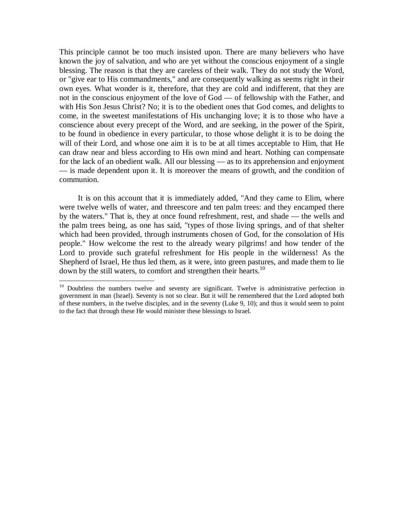This principle cannot be too much insisted upon. There are many believers who have known the joy of salvation, and who are yet without the conscious enjoyment of a single blessing. The reason is that they are careless of their walk. They do not study the Word, or "give ear to His commandments," and are consequently walking as seems right in their own eyes. What wonder is it, therefore, that they are cold and indifferent, that they are not in the conscious enjoyment of the love of God — of fellowship with the Father, and with His Son Jesus Christ? No; it is to the obedient ones that God comes, and delights to come, in the sweetest manifestations of His unchanging love; it is to those who have a conscience about every precept of the Word, and are seeking, in the power of the Spirit, to be found in obedience in every particular, to those whose delight it is to be doing the will of their Lord, and whose one aim it is to be at all times acceptable to Him, that He can draw near and bless according to His own mind and heart. Nothing can compensate for the lack of an obedient walk. All our blessing — as to its apprehension and enjoyment — is made dependent upon it. It is moreover the means of growth, and the condition of communion.

It is on this account that it is immediately added, "And they came to Elim, where were twelve wells of water, and threescore and ten palm trees: and they encamped there by the waters." That is, they at once found refreshment, rest, and shade — the wells and the palm trees being, as one has said, "types of those living springs, and of that shelter which had been provided, through instruments chosen of God, for the consolation of His people." How welcome the rest to the already weary pilgrims! and how tender of the Lord to provide such grateful refreshment for His people in the wilderness! As the Shepherd of Israel, He thus led them, as it were, into green pastures, and made them to lie down by the still waters, to comfort and strengthen their hearts.<sup>10</sup>

 $\overline{a}$ 

<sup>&</sup>lt;sup>10</sup> Doubtless the numbers twelve and seventy are significant. Twelve is administrative perfection in government in man (Israel). Seventy is not so clear. But it will be remembered that the Lord adopted both of these numbers, in the twelve disciples, and in the seventy (Luke 9, 10); and thus it would seem to point to the fact that through these He would minister these blessings to Israel.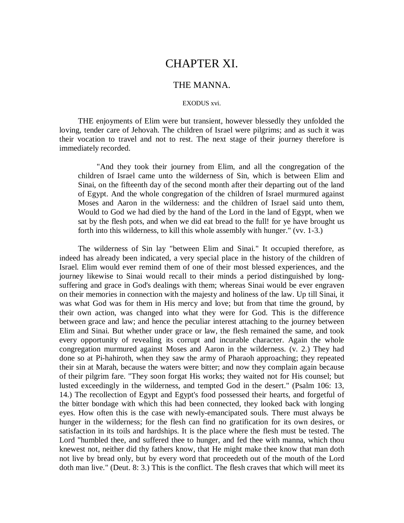# CHAPTER XI.

## THE MANNA.

### EXODUS xvi.

THE enjoyments of Elim were but transient, however blessedly they unfolded the loving, tender care of Jehovah. The children of Israel were pilgrims; and as such it was their vocation to travel and not to rest. The next stage of their journey therefore is immediately recorded.

"And they took their journey from Elim, and all the congregation of the children of Israel came unto the wilderness of Sin, which is between Elim and Sinai, on the fifteenth day of the second month after their departing out of the land of Egypt. And the whole congregation of the children of Israel murmured against Moses and Aaron in the wilderness: and the children of Israel said unto them, Would to God we had died by the hand of the Lord in the land of Egypt, when we sat by the flesh pots, and when we did eat bread to the full! for ye have brought us forth into this wilderness, to kill this whole assembly with hunger." (vv. 1-3.)

The wilderness of Sin lay "between Elim and Sinai." It occupied therefore, as indeed has already been indicated, a very special place in the history of the children of Israel. Elim would ever remind them of one of their most blessed experiences, and the journey likewise to Sinai would recall to their minds a period distinguished by longsuffering and grace in God's dealings with them; whereas Sinai would be ever engraven on their memories in connection with the majesty and holiness of the law. Up till Sinai, it was what God was for them in His mercy and love; but from that time the ground, by their own action, was changed into what they were for God. This is the difference between grace and law; and hence the peculiar interest attaching to the journey between Elim and Sinai. But whether under grace or law, the flesh remained the same, and took every opportunity of revealing its corrupt and incurable character. Again the whole congregation murmured against Moses and Aaron in the wilderness. (v. 2.) They had done so at Pi-hahiroth, when they saw the army of Pharaoh approaching; they repeated their sin at Marah, because the waters were bitter; and now they complain again because of their pilgrim fare. "They soon forgat His works; they waited not for His counsel; but lusted exceedingly in the wilderness, and tempted God in the desert." (Psalm 106: 13, 14.) The recollection of Egypt and Egypt's food possessed their hearts, and forgetful of the bitter bondage with which this had been connected, they looked back with longing eyes. How often this is the case with newly-emancipated souls. There must always be hunger in the wilderness; for the flesh can find no gratification for its own desires, or satisfaction in its toils and hardships. It is the place where the flesh must be tested. The Lord "humbled thee, and suffered thee to hunger, and fed thee with manna, which thou knewest not, neither did thy fathers know, that He might make thee know that man doth not live by bread only, but by every word that proceedeth out of the mouth of the Lord doth man live." (Deut. 8: 3.) This is the conflict. The flesh craves that which will meet its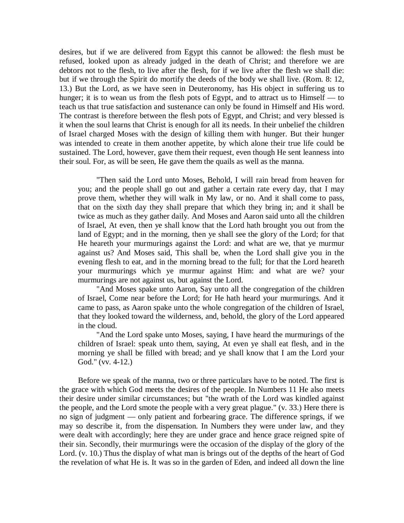desires, but if we are delivered from Egypt this cannot be allowed: the flesh must be refused, looked upon as already judged in the death of Christ; and therefore we are debtors not to the flesh, to live after the flesh, for if we live after the flesh we shall die: but if we through the Spirit do mortify the deeds of the body we shall live. (Rom. 8: 12, 13.) But the Lord, as we have seen in Deuteronomy, has His object in suffering us to hunger; it is to wean us from the flesh pots of Egypt, and to attract us to Himself — to teach us that true satisfaction and sustenance can only be found in Himself and His word. The contrast is therefore between the flesh pots of Egypt, and Christ; and very blessed is it when the soul learns that Christ is enough for all its needs. In their unbelief the children of Israel charged Moses with the design of killing them with hunger. But their hunger was intended to create in them another appetite, by which alone their true life could be sustained. The Lord, however, gave them their request, even though He sent leanness into their soul. For, as will be seen, He gave them the quails as well as the manna.

"Then said the Lord unto Moses, Behold, I will rain bread from heaven for you; and the people shall go out and gather a certain rate every day, that I may prove them, whether they will walk in My law, or no. And it shall come to pass, that on the sixth day they shall prepare that which they bring in; and it shall be twice as much as they gather daily. And Moses and Aaron said unto all the children of Israel, At even, then ye shall know that the Lord hath brought you out from the land of Egypt; and in the morning, then ye shall see the glory of the Lord; for that He heareth your murmurings against the Lord: and what are we, that ye murmur against us? And Moses said, This shall be, when the Lord shall give you in the evening flesh to eat, and in the morning bread to the full; for that the Lord heareth your murmurings which ye murmur against Him: and what are we? your murmurings are not against us, but against the Lord.

"And Moses spake unto Aaron, Say unto all the congregation of the children of Israel, Come near before the Lord; for He hath heard your murmurings. And it came to pass, as Aaron spake unto the whole congregation of the children of Israel, that they looked toward the wilderness, and, behold, the glory of the Lord appeared in the cloud.

"And the Lord spake unto Moses, saying, I have heard the murmurings of the children of Israel: speak unto them, saying, At even ye shall eat flesh, and in the morning ye shall be filled with bread; and ye shall know that I am the Lord your God." (vv. 4-12.)

Before we speak of the manna, two or three particulars have to be noted. The first is the grace with which God meets the desires of the people. In Numbers 11 He also meets their desire under similar circumstances; but "the wrath of the Lord was kindled against the people, and the Lord smote the people with a very great plague." (v. 33.) Here there is no sign of judgment — only patient and forbearing grace. The difference springs, if we may so describe it, from the dispensation. In Numbers they were under law, and they were dealt with accordingly; here they are under grace and hence grace reigned spite of their sin. Secondly, their murmurings were the occasion of the display of the glory of the Lord. (v. 10.) Thus the display of what man is brings out of the depths of the heart of God the revelation of what He is. It was so in the garden of Eden, and indeed all down the line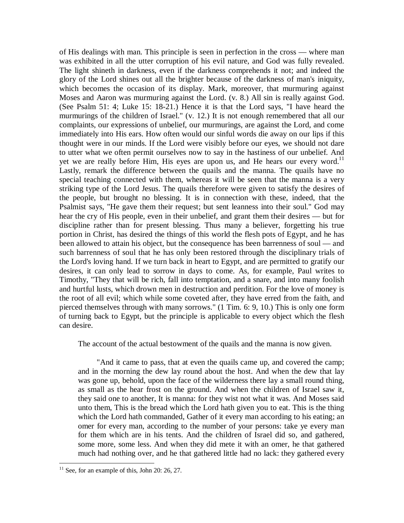of His dealings with man. This principle is seen in perfection in the cross — where man was exhibited in all the utter corruption of his evil nature, and God was fully revealed. The light shineth in darkness, even if the darkness comprehends it not; and indeed the glory of the Lord shines out all the brighter because of the darkness of man's iniquity, which becomes the occasion of its display. Mark, moreover, that murmuring against Moses and Aaron was murmuring against the Lord. (v. 8.) All sin is really against God. (See Psalm 51: 4; Luke 15: 18-21.) Hence it is that the Lord says, "I have heard the murmurings of the children of Israel." (v. 12.) It is not enough remembered that all our complaints, our expressions of unbelief, our murmurings, are against the Lord, and come immediately into His ears. How often would our sinful words die away on our lips if this thought were in our minds. If the Lord were visibly before our eyes, we should not dare to utter what we often permit ourselves now to say in the hastiness of our unbelief. And yet we are really before Him, His eyes are upon us, and He hears our every word.<sup>11</sup> Lastly, remark the difference between the quails and the manna. The quails have no special teaching connected with them, whereas it will be seen that the manna is a very striking type of the Lord Jesus. The quails therefore were given to satisfy the desires of the people, but brought no blessing. It is in connection with these, indeed, that the Psalmist says, "He gave them their request; but sent leanness into their soul." God may hear the cry of His people, even in their unbelief, and grant them their desires — but for discipline rather than for present blessing. Thus many a believer, forgetting his true portion in Christ, has desired the things of this world the flesh pots of Egypt, and he has been allowed to attain his object, but the consequence has been barrenness of soul — and such barrenness of soul that he has only been restored through the disciplinary trials of the Lord's loving hand. If we turn back in heart to Egypt, and are permitted to gratify our desires, it can only lead to sorrow in days to come. As, for example, Paul writes to Timothy, "They that will be rich, fall into temptation, and a snare, and into many foolish and hurtful lusts, which drown men in destruction and perdition. For the love of money is the root of all evil; which while some coveted after, they have erred from the faith, and pierced themselves through with many sorrows." (1 Tim. 6: 9, 10.) This is only one form of turning back to Egypt, but the principle is applicable to every object which the flesh can desire.

The account of the actual bestowment of the quails and the manna is now given.

"And it came to pass, that at even the quails came up, and covered the camp; and in the morning the dew lay round about the host. And when the dew that lay was gone up, behold, upon the face of the wilderness there lay a small round thing, as small as the hear frost on the ground. And when the children of Israel saw it, they said one to another, It is manna: for they wist not what it was. And Moses said unto them, This is the bread which the Lord hath given you to eat. This is the thing which the Lord hath commanded, Gather of it every man according to his eating; an omer for every man, according to the number of your persons: take ye every man for them which are in his tents. And the children of Israel did so, and gathered, some more, some less. And when they did mete it with an omer, he that gathered much had nothing over, and he that gathered little had no lack: they gathered every

 $\overline{a}$ 

 $11$  See, for an example of this, John 20: 26, 27.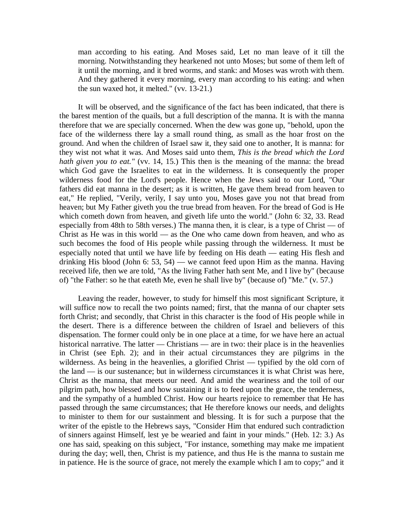man according to his eating. And Moses said, Let no man leave of it till the morning. Notwithstanding they hearkened not unto Moses; but some of them left of it until the morning, and it bred worms, and stank: and Moses was wroth with them. And they gathered it every morning, every man according to his eating: and when the sun waxed hot, it melted." (vv. 13-21.)

It will be observed, and the significance of the fact has been indicated, that there is the barest mention of the quails, but a full description of the manna. It is with the manna therefore that we are specially concerned. When the dew was gone up, "behold, upon the face of the wilderness there lay a small round thing, as small as the hoar frost on the ground. And when the children of Israel saw it, they said one to another, It is manna: for they wist not what it was. And Moses said unto them, *This is the bread which the Lord hath given you to eat.*" (vv. 14, 15.) This then is the meaning of the manna: the bread which God gave the Israelites to eat in the wilderness. It is consequently the proper wilderness food for the Lord's people. Hence when the Jews said to our Lord, "Our fathers did eat manna in the desert; as it is written, He gave them bread from heaven to eat," He replied, "Verily, verily, I say unto you, Moses gave you not that bread from heaven; but My Father giveth you the true bread from heaven. For the bread of God is He which cometh down from heaven, and giveth life unto the world." (John 6: 32, 33. Read especially from 48th to 58th verses.) The manna then, it is clear, is a type of Christ  $-$  of Christ as He was in this world — as the One who came down from heaven, and who as such becomes the food of His people while passing through the wilderness. It must be especially noted that until we have life by feeding on His death — eating His flesh and drinking His blood (John 6: 53, 54) — we cannot feed upon Him as the manna. Having received life, then we are told, "As the living Father hath sent Me, and I live by" (because of) "the Father: so he that eateth Me, even he shall live by" (because of) "Me." (v. 57.)

Leaving the reader, however, to study for himself this most significant Scripture, it will suffice now to recall the two points named; first, that the manna of our chapter sets forth Christ; and secondly, that Christ in this character is the food of His people while in the desert. There is a difference between the children of Israel and believers of this dispensation. The former could only be in one place at a time, for we have here an actual historical narrative. The latter — Christians — are in two: their place is in the heavenlies in Christ (see Eph. 2); and in their actual circumstances they are pilgrims in the wilderness. As being in the heavenlies, a glorified Christ — typified by the old corn of the land — is our sustenance; but in wilderness circumstances it is what Christ was here, Christ as the manna, that meets our need. And amid the weariness and the toil of our pilgrim path, how blessed and how sustaining it is to feed upon the grace, the tenderness, and the sympathy of a humbled Christ. How our hearts rejoice to remember that He has passed through the same circumstances; that He therefore knows our needs, and delights to minister to them for our sustainment and blessing. It is for such a purpose that the writer of the epistle to the Hebrews says, "Consider Him that endured such contradiction of sinners against Himself, lest ye be wearied and faint in your minds." (Heb. 12: 3.) As one has said, speaking on this subject, "For instance, something may make me impatient during the day; well, then, Christ is my patience, and thus He is the manna to sustain me in patience. He is the source of grace, not merely the example which I am to copy;" and it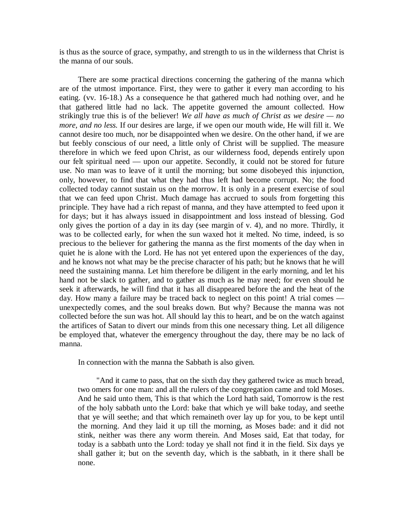is thus as the source of grace, sympathy, and strength to us in the wilderness that Christ is the manna of our souls.

There are some practical directions concerning the gathering of the manna which are of the utmost importance. First, they were to gather it every man according to his eating. (vv. 16-18.) As a consequence he that gathered much had nothing over, and he that gathered little had no lack. The appetite governed the amount collected. How strikingly true this is of the believer! *We all have as much of Christ as we desire — no more, and no less.* If our desires are large, if we open our mouth wide, He will fill it. We cannot desire too much, nor be disappointed when we desire. On the other hand, if we are but feebly conscious of our need, a little only of Christ will be supplied. The measure therefore in which we feed upon Christ, as our wilderness food, depends entirely upon our felt spiritual need — upon our appetite. Secondly, it could not be stored for future use. No man was to leave of it until the morning; but some disobeyed this injunction, only, however, to find that what they had thus left had become corrupt. No; the food collected today cannot sustain us on the morrow. It is only in a present exercise of soul that we can feed upon Christ. Much damage has accrued to souls from forgetting this principle. They have had a rich repast of manna, and they have attempted to feed upon it for days; but it has always issued in disappointment and loss instead of blessing. God only gives the portion of a day in its day (see margin of v. 4), and no more. Thirdly, it was to be collected early, for when the sun waxed hot it melted. No time, indeed, is so precious to the believer for gathering the manna as the first moments of the day when in quiet he is alone with the Lord. He has not yet entered upon the experiences of the day, and he knows not what may be the precise character of his path; but he knows that he will need the sustaining manna. Let him therefore be diligent in the early morning, and let his hand not be slack to gather, and to gather as much as he may need; for even should he seek it afterwards, he will find that it has all disappeared before the and the heat of the day. How many a failure may be traced back to neglect on this point! A trial comes unexpectedly comes, and the soul breaks down. But why? Because the manna was not collected before the sun was hot. All should lay this to heart, and be on the watch against the artifices of Satan to divert our minds from this one necessary thing. Let all diligence be employed that, whatever the emergency throughout the day, there may be no lack of manna.

In connection with the manna the Sabbath is also given.

"And it came to pass, that on the sixth day they gathered twice as much bread, two omers for one man: and all the rulers of the congregation came and told Moses. And he said unto them, This is that which the Lord hath said, Tomorrow is the rest of the holy sabbath unto the Lord: bake that which ye will bake today, and seethe that ye will seethe; and that which remaineth over lay up for you, to be kept until the morning. And they laid it up till the morning, as Moses bade: and it did not stink, neither was there any worm therein. And Moses said, Eat that today, for today is a sabbath unto the Lord: today ye shall not find it in the field. Six days ye shall gather it; but on the seventh day, which is the sabbath, in it there shall be none.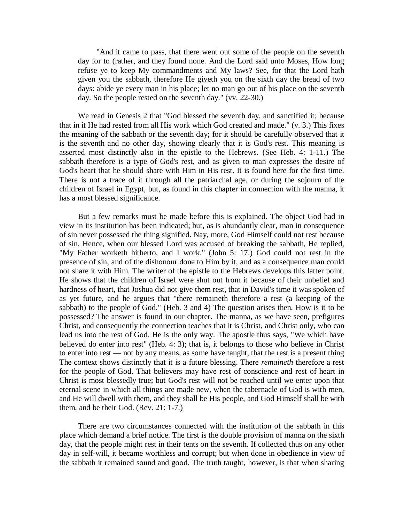"And it came to pass, that there went out some of the people on the seventh day for to (rather, and they found none. And the Lord said unto Moses, How long refuse ye to keep My commandments and My laws? See, for that the Lord hath given you the sabbath, therefore He giveth you on the sixth day the bread of two days: abide ye every man in his place; let no man go out of his place on the seventh day. So the people rested on the seventh day." (vv. 22-30.)

We read in Genesis 2 that "God blessed the seventh day, and sanctified it; because that in it He had rested from all His work which God created and made." (v. 3.) This fixes the meaning of the sabbath or the seventh day; for it should be carefully observed that it is the seventh and no other day, showing clearly that it is God's rest. This meaning is asserted most distinctly also in the epistle to the Hebrews. (See Heb. 4: 1-11.) The sabbath therefore is a type of God's rest, and as given to man expresses the desire of God's heart that he should share with Him in His rest. It is found here for the first time. There is not a trace of it through all the patriarchal age, or during the sojourn of the children of Israel in Egypt, but, as found in this chapter in connection with the manna, it has a most blessed significance.

But a few remarks must be made before this is explained. The object God had in view in its institution has been indicated; but, as is abundantly clear, man in consequence of sin never possessed the thing signified. Nay, more, God Himself could not rest because of sin. Hence, when our blessed Lord was accused of breaking the sabbath, He replied, "My Father worketh hitherto, and I work." (John 5: 17.) God could not rest in the presence of sin, and of the dishonour done to Him by it, and as a consequence man could not share it with Him. The writer of the epistle to the Hebrews develops this latter point. He shows that the children of Israel were shut out from it because of their unbelief and hardness of heart, that Joshua did not give them rest, that in David's time it was spoken of as yet future, and he argues that "there remaineth therefore a rest (a keeping of the sabbath) to the people of God." (Heb. 3 and 4) The question arises then, How is it to be possessed? The answer is found in our chapter. The manna, as we have seen, prefigures Christ, and consequently the connection teaches that it is Christ, and Christ only, who can lead us into the rest of God. He is the only way. The apostle thus says, "We which have believed do enter into rest" (Heb. 4: 3); that is, it belongs to those who believe in Christ to enter into rest — not by any means, as some have taught, that the rest is a present thing The context shows distinctly that it is a future blessing. There *remaineth* therefore a rest for the people of God. That believers may have rest of conscience and rest of heart in Christ is most blessedly true; but God's rest will not be reached until we enter upon that eternal scene in which all things are made new, when the tabernacle of God is with men, and He will dwell with them, and they shall be His people, and God Himself shall be with them, and be their God. (Rev. 21: 1-7.)

There are two circumstances connected with the institution of the sabbath in this place which demand a brief notice. The first is the double provision of manna on the sixth day, that the people might rest in their tents on the seventh. If collected thus on any other day in self-will, it became worthless and corrupt; but when done in obedience in view of the sabbath it remained sound and good. The truth taught, however, is that when sharing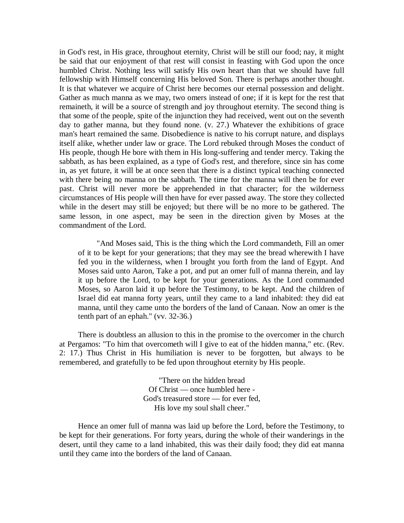in God's rest, in His grace, throughout eternity, Christ will be still our food; nay, it might be said that our enjoyment of that rest will consist in feasting with God upon the once humbled Christ. Nothing less will satisfy His own heart than that we should have full fellowship with Himself concerning His beloved Son. There is perhaps another thought. It is that whatever we acquire of Christ here becomes our eternal possession and delight. Gather as much manna as we may, two omers instead of one; if it is kept for the rest that remaineth, it will be a source of strength and joy throughout eternity. The second thing is that some of the people, spite of the injunction they had received, went out on the seventh day to gather manna, but they found none. (v. 27.) Whatever the exhibitions of grace man's heart remained the same. Disobedience is native to his corrupt nature, and displays itself alike, whether under law or grace. The Lord rebuked through Moses the conduct of His people, though He bore with them in His long-suffering and tender mercy. Taking the sabbath, as has been explained, as a type of God's rest, and therefore, since sin has come in, as yet future, it will be at once seen that there is a distinct typical teaching connected with there being no manna on the sabbath. The time for the manna will then be for ever past. Christ will never more be apprehended in that character; for the wilderness circumstances of His people will then have for ever passed away. The store they collected while in the desert may still be enjoyed; but there will be no more to be gathered. The same lesson, in one aspect, may be seen in the direction given by Moses at the commandment of the Lord.

"And Moses said, This is the thing which the Lord commandeth, Fill an omer of it to be kept for your generations; that they may see the bread wherewith I have fed you in the wilderness, when I brought you forth from the land of Egypt. And Moses said unto Aaron, Take a pot, and put an omer full of manna therein, and lay it up before the Lord, to be kept for your generations. As the Lord commanded Moses, so Aaron laid it up before the Testimony, to be kept. And the children of Israel did eat manna forty years, until they came to a land inhabited: they did eat manna, until they came unto the borders of the land of Canaan. Now an omer is the tenth part of an ephah." (vv. 32-36.)

There is doubtless an allusion to this in the promise to the overcomer in the church at Pergamos: "To him that overcometh will I give to eat of the hidden manna," etc. (Rev. 2: 17.) Thus Christ in His humiliation is never to be forgotten, but always to be remembered, and gratefully to be fed upon throughout eternity by His people.

> "There on the hidden bread Of Christ — once humbled here - God's treasured store — for ever fed, His love my soul shall cheer."

Hence an omer full of manna was laid up before the Lord, before the Testimony, to be kept for their generations. For forty years, during the whole of their wanderings in the desert, until they came to a land inhabited, this was their daily food; they did eat manna until they came into the borders of the land of Canaan.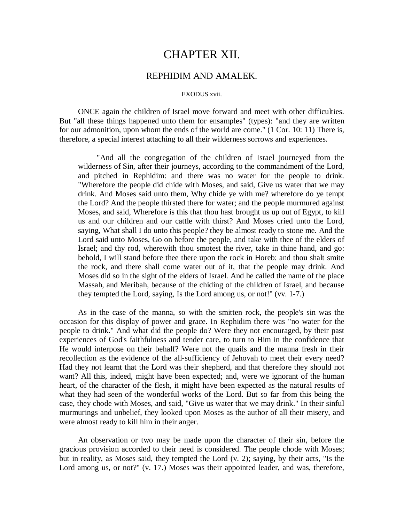# CHAPTER XII.

## REPHIDIM AND AMALEK.

#### EXODUS xvii.

ONCE again the children of Israel move forward and meet with other difficulties. But "all these things happened unto them for ensamples" (types): "and they are written for our admonition, upon whom the ends of the world are come." (1 Cor. 10: 11) There is, therefore, a special interest attaching to all their wilderness sorrows and experiences.

"And all the congregation of the children of Israel journeyed from the wilderness of Sin, after their journeys, according to the commandment of the Lord, and pitched in Rephidim: and there was no water for the people to drink. "Wherefore the people did chide with Moses, and said, Give us water that we may drink. And Moses said unto them, Why chide ye with me? wherefore do ye tempt the Lord? And the people thirsted there for water; and the people murmured against Moses, and said, Wherefore is this that thou hast brought us up out of Egypt, to kill us and our children and our cattle with thirst? And Moses cried unto the Lord, saying, What shall I do unto this people? they be almost ready to stone me. And the Lord said unto Moses, Go on before the people, and take with thee of the elders of Israel; and thy rod, wherewith thou smotest the river, take in thine hand, and go: behold, I will stand before thee there upon the rock in Horeb: and thou shalt smite the rock, and there shall come water out of it, that the people may drink. And Moses did so in the sight of the elders of Israel. And he called the name of the place Massah, and Meribah, because of the chiding of the children of Israel, and because they tempted the Lord, saying, Is the Lord among us, or not!" (vv. 1-7.)

As in the case of the manna, so with the smitten rock, the people's sin was the occasion for this display of power and grace. In Rephidim there was "no water for the people to drink." And what did the people do? Were they not encouraged, by their past experiences of God's faithfulness and tender care, to turn to Him in the confidence that He would interpose on their behalf? Were not the quails and the manna fresh in their recollection as the evidence of the all-sufficiency of Jehovah to meet their every need? Had they not learnt that the Lord was their shepherd, and that therefore they should not want? All this, indeed, might have been expected; and, were we ignorant of the human heart, of the character of the flesh, it might have been expected as the natural results of what they had seen of the wonderful works of the Lord. But so far from this being the case, they chode with Moses, and said, "Give us water that we may drink." In their sinful murmurings and unbelief, they looked upon Moses as the author of all their misery, and were almost ready to kill him in their anger.

An observation or two may be made upon the character of their sin, before the gracious provision accorded to their need is considered. The people chode with Moses; but in reality, as Moses said, they tempted the Lord (v. 2); saying, by their acts, "Is the Lord among us, or not?" (v. 17.) Moses was their appointed leader, and was, therefore,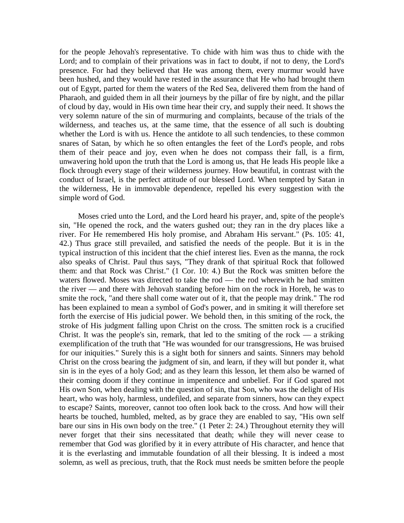for the people Jehovah's representative. To chide with him was thus to chide with the Lord; and to complain of their privations was in fact to doubt, if not to deny, the Lord's presence. For had they believed that He was among them, every murmur would have been hushed, and they would have rested in the assurance that He who had brought them out of Egypt, parted for them the waters of the Red Sea, delivered them from the hand of Pharaoh, and guided them in all their journeys by the pillar of fire by night, and the pillar of cloud by day, would in His own time hear their cry, and supply their need. It shows the very solemn nature of the sin of murmuring and complaints, because of the trials of the wilderness, and teaches us, at the same time, that the essence of all such is doubting whether the Lord is with us. Hence the antidote to all such tendencies, to these common snares of Satan, by which he so often entangles the feet of the Lord's people, and robs them of their peace and joy, even when he does not compass their fall, is a firm, unwavering hold upon the truth that the Lord is among us, that He leads His people like a flock through every stage of their wilderness journey. How beautiful, in contrast with the conduct of Israel, is the perfect attitude of our blessed Lord. When tempted by Satan in the wilderness, He in immovable dependence, repelled his every suggestion with the simple word of God.

Moses cried unto the Lord, and the Lord heard his prayer, and, spite of the people's sin, "He opened the rock, and the waters gushed out; they ran in the dry places like a river. For He remembered His holy promise, and Abraham His servant." (Ps. 105: 41, 42.) Thus grace still prevailed, and satisfied the needs of the people. But it is in the typical instruction of this incident that the chief interest lies. Even as the manna, the rock also speaks of Christ. Paul thus says, "They drank of that spiritual Rock that followed them: and that Rock was Christ." (1 Cor. 10: 4.) But the Rock was smitten before the waters flowed. Moses was directed to take the rod — the rod wherewith he had smitten the river — and there with Jehovah standing before him on the rock in Horeb, he was to smite the rock, "and there shall come water out of it, that the people may drink." The rod has been explained to mean a symbol of God's power, and in smiting it will therefore set forth the exercise of His judicial power. We behold then, in this smiting of the rock, the stroke of His judgment falling upon Christ on the cross. The smitten rock is a crucified Christ. It was the people's sin, remark, that led to the smiting of the rock  $\frac{1}{x}$  a striking exemplification of the truth that "He was wounded for our transgressions, He was bruised for our iniquities." Surely this is a sight both for sinners and saints. Sinners may behold Christ on the cross bearing the judgment of sin, and learn, if they will but ponder it, what sin is in the eyes of a holy God; and as they learn this lesson, let them also be warned of their coming doom if they continue in impenitence and unbelief. For if God spared not His own Son, when dealing with the question of sin, that Son, who was the delight of His heart, who was holy, harmless, undefiled, and separate from sinners, how can they expect to escape? Saints, moreover, cannot too often look back to the cross. And how will their hearts be touched, humbled, melted, as by grace they are enabled to say, "His own self bare our sins in His own body on the tree." (1 Peter 2: 24.) Throughout eternity they will never forget that their sins necessitated that death; while they will never cease to remember that God was glorified by it in every attribute of His character, and hence that it is the everlasting and immutable foundation of all their blessing. It is indeed a most solemn, as well as precious, truth, that the Rock must needs be smitten before the people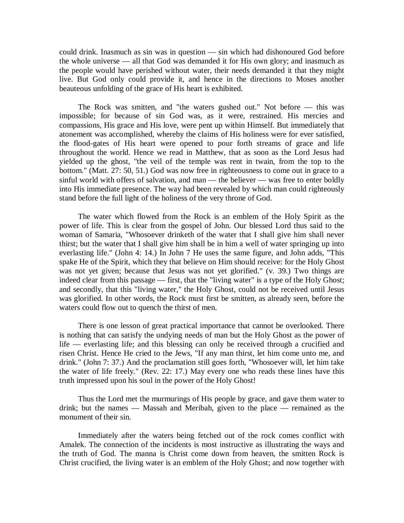could drink. Inasmuch as sin was in question — sin which had dishonoured God before the whole universe — all that God was demanded it for His own glory; and inasmuch as the people would have perished without water, their needs demanded it that they might live. But God only could provide it, and hence in the directions to Moses another beauteous unfolding of the grace of His heart is exhibited.

The Rock was smitten, and "the waters gushed out." Not before — this was impossible; for because of sin God was, as it were, restrained. His mercies and compassions, His grace and His love, were pent up within Himself. But immediately that atonement was accomplished, whereby the claims of His holiness were for ever satisfied, the flood-gates of His heart were opened to pour forth streams of grace and life throughout the world. Hence we read in Matthew, that as soon as the Lord Jesus had yielded up the ghost, "the veil of the temple was rent in twain, from the top to the bottom." (Matt. 27: 50, 51.) God was now free in righteousness to come out in grace to a sinful world with offers of salvation, and man — the believer — was free to enter boldly into His immediate presence. The way had been revealed by which man could righteously stand before the full light of the holiness of the very throne of God.

The water which flowed from the Rock is an emblem of the Holy Spirit as the power of life. This is clear from the gospel of John. Our blessed Lord thus said to the woman of Samaria, "Whosoever drinketh of the water that I shall give him shall never thirst; but the water that I shall give him shall be in him a well of water springing up into everlasting life." (John 4: 14.) In John 7 He uses the same figure, and John adds, "This spake He of the Spirit, which they that believe on Him should receive: for the Holy Ghost was not yet given; because that Jesus was not yet glorified." (v. 39.) Two things are indeed clear from this passage — first, that the "living water" is a type of the Holy Ghost; and secondly, that this "living water," the Holy Ghost, could not be received until Jesus was glorified. In other words, the Rock must first be smitten, as already seen, before the waters could flow out to quench the thirst of men.

There is one lesson of great practical importance that cannot be overlooked. There is nothing that can satisfy the undying needs of man but the Holy Ghost as the power of life — everlasting life; and this blessing can only be received through a crucified and risen Christ. Hence He cried to the Jews, "If any man thirst, let him come unto me, and drink." (John 7: 37.) And the proclamation still goes forth, "Whosoever will, let him take the water of life freely." (Rev. 22: 17.) May every one who reads these lines have this truth impressed upon his soul in the power of the Holy Ghost!

Thus the Lord met the murmurings of His people by grace, and gave them water to drink; but the names — Massah and Meribah, given to the place — remained as the monument of their sin.

Immediately after the waters being fetched out of the rock comes conflict with Amalek. The connection of the incidents is most instructive as illustrating the ways and the truth of God. The manna is Christ come down from heaven, the smitten Rock is Christ crucified, the living water is an emblem of the Holy Ghost; and now together with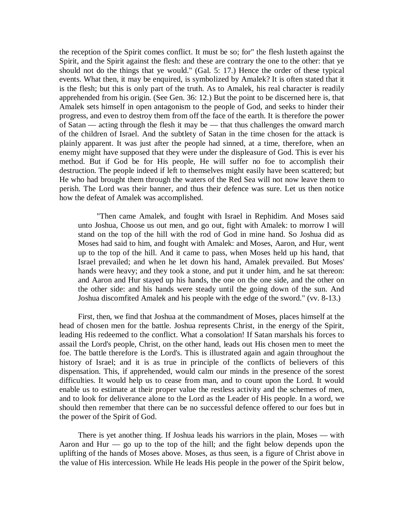the reception of the Spirit comes conflict. It must be so; for" the flesh lusteth against the Spirit, and the Spirit against the flesh: and these are contrary the one to the other: that ye should not do the things that ye would." (Gal. 5: 17.) Hence the order of these typical events. What then, it may be enquired, is symbolized by Amalek? It is often stated that it is the flesh; but this is only part of the truth. As to Amalek, his real character is readily apprehended from his origin. (See Gen. 36: 12.) But the point to be discerned here is, that Amalek sets himself in open antagonism to the people of God, and seeks to hinder their progress, and even to destroy them from off the face of the earth. It is therefore the power of Satan — acting through the flesh it may be — that thus challenges the onward march of the children of Israel. And the subtlety of Satan in the time chosen for the attack is plainly apparent. It was just after the people had sinned, at a time, therefore, when an enemy might have supposed that they were under the displeasure of God. This is ever his method. But if God be for His people, He will suffer no foe to accomplish their destruction. The people indeed if left to themselves might easily have been scattered; but He who had brought them through the waters of the Red Sea will not now leave them to perish. The Lord was their banner, and thus their defence was sure. Let us then notice how the defeat of Amalek was accomplished.

"Then came Amalek, and fought with Israel in Rephidim. And Moses said unto Joshua, Choose us out men, and go out, fight with Amalek: to morrow I will stand on the top of the hill with the rod of God in mine hand. So Joshua did as Moses had said to him, and fought with Amalek: and Moses, Aaron, and Hur, went up to the top of the hill. And it came to pass, when Moses held up his hand, that Israel prevailed; and when he let down his hand, Amalek prevailed. But Moses' hands were heavy; and they took a stone, and put it under him, and he sat thereon: and Aaron and Hur stayed up his hands, the one on the one side, and the other on the other side: and his hands were steady until the going down of the sun. And Joshua discomfited Amalek and his people with the edge of the sword." (vv. 8-13.)

First, then, we find that Joshua at the commandment of Moses, places himself at the head of chosen men for the battle. Joshua represents Christ, in the energy of the Spirit, leading His redeemed to the conflict. What a consolation! If Satan marshals his forces to assail the Lord's people, Christ, on the other hand, leads out His chosen men to meet the foe. The battle therefore is the Lord's. This is illustrated again and again throughout the history of Israel; and it is as true in principle of the conflicts of believers of this dispensation. This, if apprehended, would calm our minds in the presence of the sorest difficulties. It would help us to cease from man, and to count upon the Lord. It would enable us to estimate at their proper value the restless activity and the schemes of men, and to look for deliverance alone to the Lord as the Leader of His people. In a word, we should then remember that there can be no successful defence offered to our foes but in the power of the Spirit of God.

There is yet another thing. If Joshua leads his warriors in the plain, Moses — with Aaron and Hur — go up to the top of the hill; and the fight below depends upon the uplifting of the hands of Moses above. Moses, as thus seen, is a figure of Christ above in the value of His intercession. While He leads His people in the power of the Spirit below,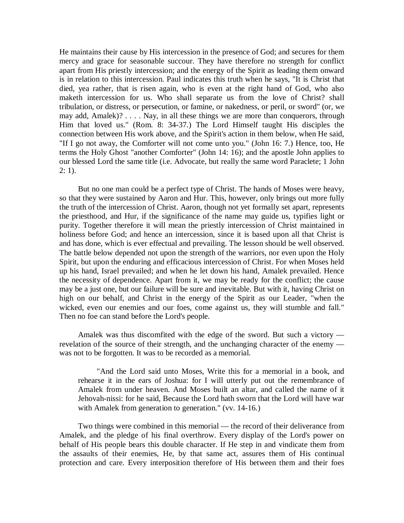He maintains their cause by His intercession in the presence of God; and secures for them mercy and grace for seasonable succour. They have therefore no strength for conflict apart from His priestly intercession; and the energy of the Spirit as leading them onward is in relation to this intercession. Paul indicates this truth when he says, "It is Christ that died, yea rather, that is risen again, who is even at the right hand of God, who also maketh intercession for us. Who shall separate us from the love of Christ? shall tribulation, or distress, or persecution, or famine, or nakedness, or peril, or sword" (or, we may add, Amalek)? . . . . Nay, in all these things we are more than conquerors, through Him that loved us." (Rom. 8: 34-37.) The Lord Himself taught His disciples the connection between His work above, and the Spirit's action in them below, when He said, "If I go not away, the Comforter will not come unto you." (John 16: 7.) Hence, too, He terms the Holy Ghost "another Comforter" (John 14: 16); and the apostle John applies to our blessed Lord the same title (i.e. Advocate, but really the same word Paraclete; 1 John  $2: 1$ ).

But no one man could be a perfect type of Christ. The hands of Moses were heavy, so that they were sustained by Aaron and Hur. This, however, only brings out more fully the truth of the intercession of Christ. Aaron, though not yet formally set apart, represents the priesthood, and Hur, if the significance of the name may guide us, typifies light or purity. Together therefore it will mean the priestly intercession of Christ maintained in holiness before God; and hence an intercession, since it is based upon all that Christ is and has done, which is ever effectual and prevailing. The lesson should be well observed. The battle below depended not upon the strength of the warriors, nor even upon the Holy Spirit, but upon the enduring and efficacious intercession of Christ. For when Moses held up his hand, Israel prevailed; and when he let down his hand, Amalek prevailed. Hence the necessity of dependence. Apart from it, we may be ready for the conflict; the cause may be a just one, but our failure will be sure and inevitable. But with it, having Christ on high on our behalf, and Christ in the energy of the Spirit as our Leader, "when the wicked, even our enemies and our foes, come against us, they will stumble and fall." Then no foe can stand before the Lord's people.

Amalek was thus discomfited with the edge of the sword. But such a victory revelation of the source of their strength, and the unchanging character of the enemy was not to be forgotten. It was to be recorded as a memorial.

"And the Lord said unto Moses, Write this for a memorial in a book, and rehearse it in the ears of Joshua: for I will utterly put out the remembrance of Amalek from under heaven. And Moses built an altar, and called the name of it Jehovah-nissi: for he said, Because the Lord hath sworn that the Lord will have war with Amalek from generation to generation." (vv. 14-16.)

Two things were combined in this memorial — the record of their deliverance from Amalek, and the pledge of his final overthrow. Every display of the Lord's power on behalf of His people bears this double character. If He step in and vindicate them from the assaults of their enemies, He, by that same act, assures them of His continual protection and care. Every interposition therefore of His between them and their foes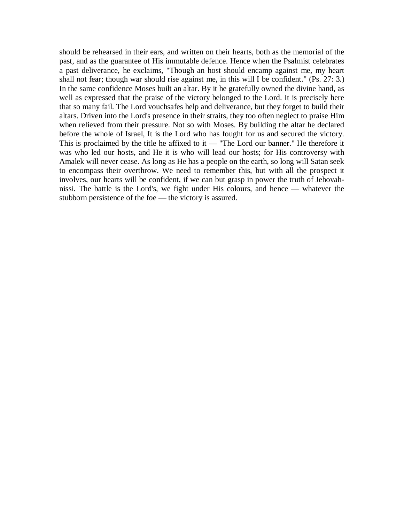should be rehearsed in their ears, and written on their hearts, both as the memorial of the past, and as the guarantee of His immutable defence. Hence when the Psalmist celebrates a past deliverance, he exclaims, "Though an host should encamp against me, my heart shall not fear; though war should rise against me, in this will I be confident." (Ps. 27: 3.) In the same confidence Moses built an altar. By it he gratefully owned the divine hand, as well as expressed that the praise of the victory belonged to the Lord. It is precisely here that so many fail. The Lord vouchsafes help and deliverance, but they forget to build their altars. Driven into the Lord's presence in their straits, they too often neglect to praise Him when relieved from their pressure. Not so with Moses. By building the altar he declared before the whole of Israel, It is the Lord who has fought for us and secured the victory. This is proclaimed by the title he affixed to it — "The Lord our banner." He therefore it was who led our hosts, and He it is who will lead our hosts; for His controversy with Amalek will never cease. As long as He has a people on the earth, so long will Satan seek to encompass their overthrow. We need to remember this, but with all the prospect it involves, our hearts will be confident, if we can but grasp in power the truth of Jehovahnissi. The battle is the Lord's, we fight under His colours, and hence — whatever the stubborn persistence of the foe — the victory is assured.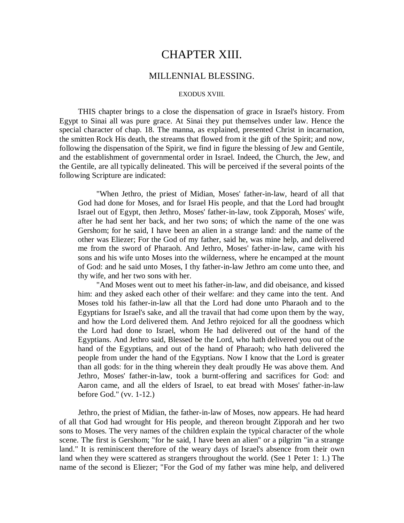# CHAPTER XIII.

## MILLENNIAL BLESSING.

#### EXODUS XVIII.

THIS chapter brings to a close the dispensation of grace in Israel's history. From Egypt to Sinai all was pure grace. At Sinai they put themselves under law. Hence the special character of chap. 18. The manna, as explained, presented Christ in incarnation, the smitten Rock His death, the streams that flowed from it the gift of the Spirit; and now, following the dispensation of the Spirit, we find in figure the blessing of Jew and Gentile, and the establishment of governmental order in Israel. Indeed, the Church, the Jew, and the Gentile, are all typically delineated. This will be perceived if the several points of the following Scripture are indicated:

"When Jethro, the priest of Midian, Moses' father-in-law, heard of all that God had done for Moses, and for Israel His people, and that the Lord had brought Israel out of Egypt, then Jethro, Moses' father-in-law, took Zipporah, Moses' wife, after he had sent her back, and her two sons; of which the name of the one was Gershom; for he said, I have been an alien in a strange land: and the name of the other was Eliezer; For the God of my father, said he, was mine help, and delivered me from the sword of Pharaoh. And Jethro, Moses' father-in-law, came with his sons and his wife unto Moses into the wilderness, where he encamped at the mount of God: and he said unto Moses, I thy father-in-law Jethro am come unto thee, and thy wife, and her two sons with her.

"And Moses went out to meet his father-in-law, and did obeisance, and kissed him: and they asked each other of their welfare: and they came into the tent. And Moses told his father-in-law all that the Lord had done unto Pharaoh and to the Egyptians for Israel's sake, and all the travail that had come upon them by the way, and how the Lord delivered them. And Jethro rejoiced for all the goodness which the Lord had done to Israel, whom He had delivered out of the hand of the Egyptians. And Jethro said, Blessed be the Lord, who hath delivered you out of the hand of the Egyptians, and out of the hand of Pharaoh; who hath delivered the people from under the hand of the Egyptians. Now I know that the Lord is greater than all gods: for in the thing wherein they dealt proudly He was above them. And Jethro, Moses' father-in-law, took a burnt-offering and sacrifices for God: and Aaron came, and all the elders of Israel, to eat bread with Moses' father-in-law before God." (vv. 1-12.)

Jethro, the priest of Midian, the father-in-law of Moses, now appears. He had heard of all that God had wrought for His people, and thereon brought Zipporah and her two sons to Moses. The very names of the children explain the typical character of the whole scene. The first is Gershom; "for he said, I have been an alien" or a pilgrim "in a strange land." It is reminiscent therefore of the weary days of Israel's absence from their own land when they were scattered as strangers throughout the world. (See 1 Peter 1: 1.) The name of the second is Eliezer; "For the God of my father was mine help, and delivered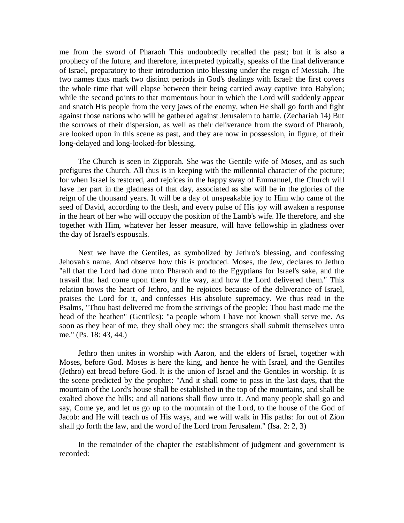me from the sword of Pharaoh This undoubtedly recalled the past; but it is also a prophecy of the future, and therefore, interpreted typically, speaks of the final deliverance of Israel, preparatory to their introduction into blessing under the reign of Messiah. The two names thus mark two distinct periods in God's dealings with Israel: the first covers the whole time that will elapse between their being carried away captive into Babylon; while the second points to that momentous hour in which the Lord will suddenly appear and snatch His people from the very jaws of the enemy, when He shall go forth and fight against those nations who will be gathered against Jerusalem to battle. (Zechariah 14) But the sorrows of their dispersion, as well as their deliverance from the sword of Pharaoh, are looked upon in this scene as past, and they are now in possession, in figure, of their long-delayed and long-looked-for blessing.

The Church is seen in Zipporah. She was the Gentile wife of Moses, and as such prefigures the Church. All thus is in keeping with the millennial character of the picture; for when Israel is restored, and rejoices in the happy sway of Emmanuel, the Church will have her part in the gladness of that day, associated as she will be in the glories of the reign of the thousand years. It will be a day of unspeakable joy to Him who came of the seed of David, according to the flesh, and every pulse of His joy will awaken a response in the heart of her who will occupy the position of the Lamb's wife. He therefore, and she together with Him, whatever her lesser measure, will have fellowship in gladness over the day of Israel's espousals.

Next we have the Gentiles, as symbolized by Jethro's blessing, and confessing Jehovah's name. And observe how this is produced. Moses, the Jew, declares to Jethro "all that the Lord had done unto Pharaoh and to the Egyptians for Israel's sake, and the travail that had come upon them by the way, and how the Lord delivered them." This relation bows the heart of Jethro, and he rejoices because of the deliverance of Israel, praises the Lord for it, and confesses His absolute supremacy. We thus read in the Psalms, "Thou hast delivered me from the strivings of the people; Thou hast made me the head of the heathen" (Gentiles): "a people whom I have not known shall serve me. As soon as they hear of me, they shall obey me: the strangers shall submit themselves unto me." (Ps. 18: 43, 44.)

Jethro then unites in worship with Aaron, and the elders of Israel, together with Moses, before God. Moses is here the king, and hence he with Israel, and the Gentiles (Jethro) eat bread before God. It is the union of Israel and the Gentiles in worship. It is the scene predicted by the prophet: "And it shall come to pass in the last days, that the mountain of the Lord's house shall be established in the top of the mountains, and shall be exalted above the hills; and all nations shall flow unto it. And many people shall go and say, Come ye, and let us go up to the mountain of the Lord, to the house of the God of Jacob: and He will teach us of His ways, and we will walk in His paths: for out of Zion shall go forth the law, and the word of the Lord from Jerusalem." (Isa. 2: 2, 3)

In the remainder of the chapter the establishment of judgment and government is recorded: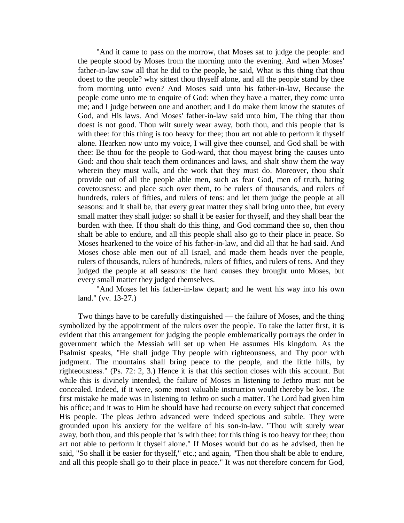"And it came to pass on the morrow, that Moses sat to judge the people: and the people stood by Moses from the morning unto the evening. And when Moses' father-in-law saw all that he did to the people, he said, What is this thing that thou doest to the people? why sittest thou thyself alone, and all the people stand by thee from morning unto even? And Moses said unto his father-in-law, Because the people come unto me to enquire of God: when they have a matter, they come unto me; and I judge between one and another; and I do make them know the statutes of God, and His laws. And Moses' father-in-law said unto him, The thing that thou doest is not good. Thou wilt surely wear away, both thou, and this people that is with thee: for this thing is too heavy for thee; thou art not able to perform it thyself alone. Hearken now unto my voice, I will give thee counsel, and God shall be with thee: Be thou for the people to God-ward, that thou mayest bring the causes unto God: and thou shalt teach them ordinances and laws, and shalt show them the way wherein they must walk, and the work that they must do. Moreover, thou shalt provide out of all the people able men, such as fear God, men of truth, hating covetousness: and place such over them, to be rulers of thousands, and rulers of hundreds, rulers of fifties, and rulers of tens: and let them judge the people at all seasons: and it shall be, that every great matter they shall bring unto thee, but every small matter they shall judge: so shall it be easier for thyself, and they shall bear the burden with thee. If thou shalt do this thing, and God command thee so, then thou shalt be able to endure, and all this people shall also go to their place in peace. So Moses hearkened to the voice of his father-in-law, and did all that he had said. And Moses chose able men out of all Israel, and made them heads over the people, rulers of thousands, rulers of hundreds, rulers of fifties, and rulers of tens. And they judged the people at all seasons: the hard causes they brought unto Moses, but every small matter they judged themselves.

"And Moses let his father-in-law depart; and he went his way into his own land." (vv. 13-27.)

Two things have to be carefully distinguished — the failure of Moses, and the thing symbolized by the appointment of the rulers over the people. To take the latter first, it is evident that this arrangement for judging the people emblematically portrays the order in government which the Messiah will set up when He assumes His kingdom. As the Psalmist speaks, "He shall judge Thy people with righteousness, and Thy poor with judgment. The mountains shall bring peace to the people, and the little hills, by righteousness." (Ps. 72: 2, 3.) Hence it is that this section closes with this account. But while this is divinely intended, the failure of Moses in listening to Jethro must not be concealed. Indeed, if it were, some most valuable instruction would thereby be lost. The first mistake he made was in listening to Jethro on such a matter. The Lord had given him his office; and it was to Him he should have had recourse on every subject that concerned His people. The pleas Jethro advanced were indeed specious and subtle. They were grounded upon his anxiety for the welfare of his son-in-law. "Thou wilt surely wear away, both thou, and this people that is with thee: for this thing is too heavy for thee; thou art not able to perform it thyself alone." If Moses would but do as he advised, then he said, "So shall it be easier for thyself," etc.; and again, "Then thou shalt be able to endure, and all this people shall go to their place in peace." It was not therefore concern for God,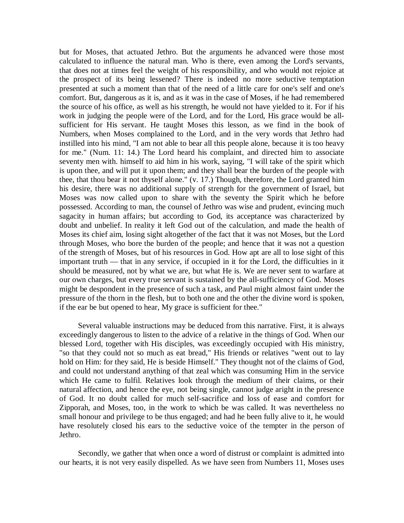but for Moses, that actuated Jethro. But the arguments he advanced were those most calculated to influence the natural man. Who is there, even among the Lord's servants, that does not at times feel the weight of his responsibility, and who would not rejoice at the prospect of its being lessened? There is indeed no more seductive temptation presented at such a moment than that of the need of a little care for one's self and one's comfort. But, dangerous as it is, and as it was in the case of Moses, if he had remembered the source of his office, as well as his strength, he would not have yielded to it. For if his work in judging the people were of the Lord, and for the Lord, His grace would be allsufficient for His servant. He taught Moses this lesson, as we find in the book of Numbers, when Moses complained to the Lord, and in the very words that Jethro had instilled into his mind, "I am not able to bear all this people alone, because it is too heavy for me." (Num. 11: 14.) The Lord heard his complaint, and directed him to associate seventy men with. himself to aid him in his work, saying, "I will take of the spirit which is upon thee, and will put it upon them; and they shall bear the burden of the people with thee, that thou bear it not thyself alone." (v. 17.) Though, therefore, the Lord granted him his desire, there was no additional supply of strength for the government of Israel, but Moses was now called upon to share with the seventy the Spirit which he before possessed. According to man, the counsel of Jethro was wise and prudent, evincing much sagacity in human affairs; but according to God, its acceptance was characterized by doubt and unbelief. In reality it left God out of the calculation, and made the health of Moses its chief aim, losing sight altogether of the fact that it was not Moses, but the Lord through Moses, who bore the burden of the people; and hence that it was not a question of the strength of Moses, but of his resources in God. How apt are all to lose sight of this important truth — that in any service, if occupied in it for the Lord, the difficulties in it should be measured, not by what we are, but what He is. We are never sent to warfare at our own charges, but every true servant is sustained by the all-sufficiency of God. Moses might be despondent in the presence of such a task, and Paul might almost faint under the pressure of the thorn in the flesh, but to both one and the other the divine word is spoken, if the ear be but opened to hear, My grace is sufficient for thee."

Several valuable instructions may be deduced from this narrative. First, it is always exceedingly dangerous to listen to the advice of a relative in the things of God. When our blessed Lord, together with His disciples, was exceedingly occupied with His ministry, "so that they could not so much as eat bread," His friends or relatives "went out to lay hold on Him: for they said, He is beside Himself." They thought not of the claims of God, and could not understand anything of that zeal which was consuming Him in the service which He came to fulfil. Relatives look through the medium of their claims, or their natural affection, and hence the eye, not being single, cannot judge aright in the presence of God. It no doubt called for much self-sacrifice and loss of ease and comfort for Zipporah, and Moses, too, in the work to which be was called. It was nevertheless no small honour and privilege to be thus engaged; and had he been fully alive to it, he would have resolutely closed his ears to the seductive voice of the tempter in the person of Jethro.

Secondly, we gather that when once a word of distrust or complaint is admitted into our hearts, it is not very easily dispelled. As we have seen from Numbers 11, Moses uses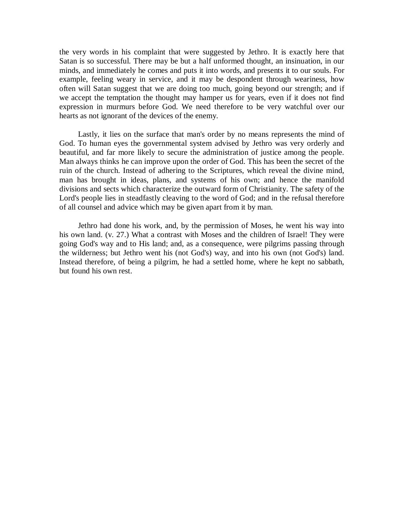the very words in his complaint that were suggested by Jethro. It is exactly here that Satan is so successful. There may be but a half unformed thought, an insinuation, in our minds, and immediately he comes and puts it into words, and presents it to our souls. For example, feeling weary in service, and it may be despondent through weariness, how often will Satan suggest that we are doing too much, going beyond our strength; and if we accept the temptation the thought may hamper us for years, even if it does not find expression in murmurs before God. We need therefore to be very watchful over our hearts as not ignorant of the devices of the enemy.

Lastly, it lies on the surface that man's order by no means represents the mind of God. To human eyes the governmental system advised by Jethro was very orderly and beautiful, and far more likely to secure the administration of justice among the people. Man always thinks he can improve upon the order of God. This has been the secret of the ruin of the church. Instead of adhering to the Scriptures, which reveal the divine mind, man has brought in ideas, plans, and systems of his own; and hence the manifold divisions and sects which characterize the outward form of Christianity. The safety of the Lord's people lies in steadfastly cleaving to the word of God; and in the refusal therefore of all counsel and advice which may be given apart from it by man.

Jethro had done his work, and, by the permission of Moses, he went his way into his own land. (v. 27.) What a contrast with Moses and the children of Israel! They were going God's way and to His land; and, as a consequence, were pilgrims passing through the wilderness; but Jethro went his (not God's) way, and into his own (not God's) land. Instead therefore, of being a pilgrim, he had a settled home, where he kept no sabbath, but found his own rest.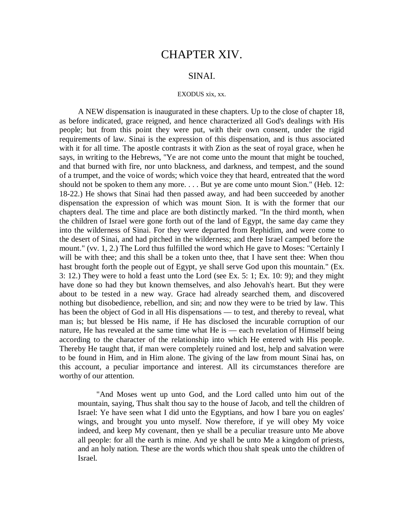## CHAPTER XIV.

## SINAI.

### EXODUS xix, xx.

A NEW dispensation is inaugurated in these chapters. Up to the close of chapter 18, as before indicated, grace reigned, and hence characterized all God's dealings with His people; but from this point they were put, with their own consent, under the rigid requirements of law. Sinai is the expression of this dispensation, and is thus associated with it for all time. The apostle contrasts it with Zion as the seat of royal grace, when he says, in writing to the Hebrews, "Ye are not come unto the mount that might be touched, and that burned with fire, nor unto blackness, and darkness, and tempest, and the sound of a trumpet, and the voice of words; which voice they that heard, entreated that the word should not be spoken to them any more. . . . But ye are come unto mount Sion." (Heb. 12: 18-22.) He shows that Sinai had then passed away, and had been succeeded by another dispensation the expression of which was mount Sion. It is with the former that our chapters deal. The time and place are both distinctly marked. "In the third month, when the children of Israel were gone forth out of the land of Egypt, the same day came they into the wilderness of Sinai. For they were departed from Rephidim, and were come to the desert of Sinai, and had pitched in the wilderness; and there Israel camped before the mount." (vv. 1, 2.) The Lord thus fulfilled the word which He gave to Moses: "Certainly I will be with thee; and this shall be a token unto thee, that I have sent thee: When thou hast brought forth the people out of Egypt, ye shall serve God upon this mountain." (Ex. 3: 12.) They were to hold a feast unto the Lord (see Ex. 5: 1; Ex. 10: 9); and they might have done so had they but known themselves, and also Jehovah's heart. But they were about to be tested in a new way. Grace had already searched them, and discovered nothing but disobedience, rebellion, and sin; and now they were to be tried by law. This has been the object of God in all His dispensations — to test, and thereby to reveal, what man is; but blessed be His name, if He has disclosed the incurable corruption of our nature, He has revealed at the same time what He is — each revelation of Himself being according to the character of the relationship into which He entered with His people. Thereby He taught that, if man were completely ruined and lost, help and salvation were to be found in Him, and in Him alone. The giving of the law from mount Sinai has, on this account, a peculiar importance and interest. All its circumstances therefore are worthy of our attention.

"And Moses went up unto God, and the Lord called unto him out of the mountain, saying, Thus shalt thou say to the house of Jacob, and tell the children of Israel: Ye have seen what I did unto the Egyptians, and how I bare you on eagles' wings, and brought you unto myself. Now therefore, if ye will obey My voice indeed, and keep My covenant, then ye shall be a peculiar treasure unto Me above all people: for all the earth is mine. And ye shall be unto Me a kingdom of priests, and an holy nation. These are the words which thou shalt speak unto the children of Israel.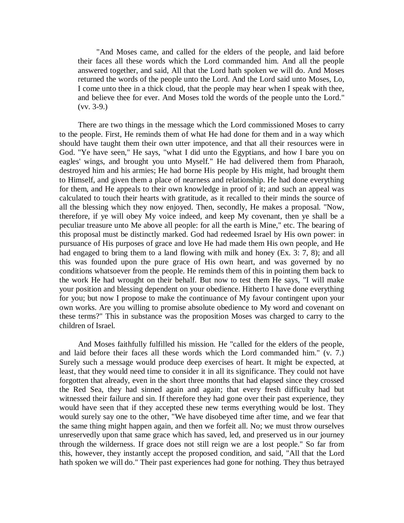"And Moses came, and called for the elders of the people, and laid before their faces all these words which the Lord commanded him. And all the people answered together, and said, All that the Lord hath spoken we will do. And Moses returned the words of the people unto the Lord. And the Lord said unto Moses, Lo, I come unto thee in a thick cloud, that the people may hear when I speak with thee, and believe thee for ever. And Moses told the words of the people unto the Lord."  $(vv. 3-9.)$ 

There are two things in the message which the Lord commissioned Moses to carry to the people. First, He reminds them of what He had done for them and in a way which should have taught them their own utter impotence, and that all their resources were in God. "Ye have seen," He says, "what I did unto the Egyptians, and how I bare you on eagles' wings, and brought you unto Myself." He had delivered them from Pharaoh, destroyed him and his armies; He had borne His people by His might, had brought them to Himself, and given them a place of nearness and relationship. He had done everything for them, and He appeals to their own knowledge in proof of it; and such an appeal was calculated to touch their hearts with gratitude, as it recalled to their minds the source of all the blessing which they now enjoyed. Then, secondly, He makes a proposal. "Now, therefore, if ye will obey My voice indeed, and keep My covenant, then ye shall be a peculiar treasure unto Me above all people: for all the earth is Mine," etc. The bearing of this proposal must be distinctly marked. God had redeemed Israel by His own power: in pursuance of His purposes of grace and love He had made them His own people, and He had engaged to bring them to a land flowing with milk and honey (Ex. 3: 7, 8); and all this was founded upon the pure grace of His own heart, and was governed by no conditions whatsoever from the people. He reminds them of this in pointing them back to the work He had wrought on their behalf. But now to test them He says, "I will make your position and blessing dependent on your obedience. Hitherto I have done everything for you; but now I propose to make the continuance of My favour contingent upon your own works. Are you willing to promise absolute obedience to My word and covenant on these terms?" This in substance was the proposition Moses was charged to carry to the children of Israel.

And Moses faithfully fulfilled his mission. He "called for the elders of the people, and laid before their faces all these words which the Lord commanded him." (v. 7.) Surely such a message would produce deep exercises of heart. It might be expected, at least, that they would need time to consider it in all its significance. They could not have forgotten that already, even in the short three months that had elapsed since they crossed the Red Sea, they had sinned again and again; that every fresh difficulty had but witnessed their failure and sin. If therefore they had gone over their past experience, they would have seen that if they accepted these new terms everything would be lost. They would surely say one to the other, "We have disobeyed time after time, and we fear that the same thing might happen again, and then we forfeit all. No; we must throw ourselves unreservedly upon that same grace which has saved, led, and preserved us in our journey through the wilderness. If grace does not still reign we are a lost people." So far from this, however, they instantly accept the proposed condition, and said, "All that the Lord hath spoken we will do." Their past experiences had gone for nothing. They thus betrayed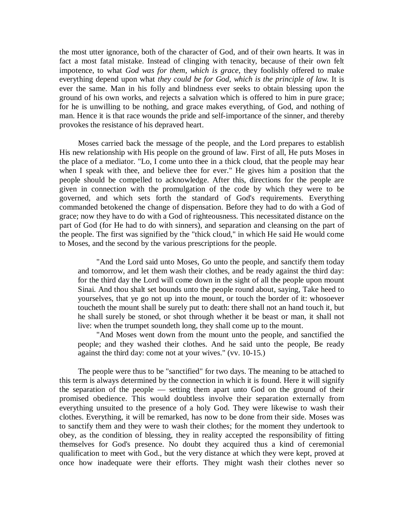the most utter ignorance, both of the character of God, and of their own hearts. It was in fact a most fatal mistake. Instead of clinging with tenacity, because of their own felt impotence, to what *God was for them, which is grace,* they foolishly offered to make everything depend upon what *they could be for God, which is the principle of law.* It is ever the same. Man in his folly and blindness ever seeks to obtain blessing upon the ground of his own works, and rejects a salvation which is offered to him in pure grace; for he is unwilling to be nothing, and grace makes everything, of God, and nothing of man. Hence it is that race wounds the pride and self-importance of the sinner, and thereby provokes the resistance of his depraved heart.

Moses carried back the message of the people, and the Lord prepares to establish His new relationship with His people on the ground of law. First of all, He puts Moses in the place of a mediator. "Lo, I come unto thee in a thick cloud, that the people may hear when I speak with thee, and believe thee for ever." He gives him a position that the people should be compelled to acknowledge. After this, directions for the people are given in connection with the promulgation of the code by which they were to be governed, and which sets forth the standard of God's requirements. Everything commanded betokened the change of dispensation. Before they had to do with a God of grace; now they have to do with a God of righteousness. This necessitated distance on the part of God (for He had to do with sinners), and separation and cleansing on the part of the people. The first was signified by the "thick cloud," in which He said He would come to Moses, and the second by the various prescriptions for the people.

"And the Lord said unto Moses, Go unto the people, and sanctify them today and tomorrow, and let them wash their clothes, and be ready against the third day: for the third day the Lord will come down in the sight of all the people upon mount Sinai. And thou shalt set bounds unto the people round about, saying, Take heed to yourselves, that ye go not up into the mount, or touch the border of it: whosoever toucheth the mount shall be surely put to death: there shall not an hand touch it, but he shall surely be stoned, or shot through whether it be beast or man, it shall not live: when the trumpet soundeth long, they shall come up to the mount.

"And Moses went down from the mount unto the people, and sanctified the people; and they washed their clothes. And he said unto the people, Be ready against the third day: come not at your wives." (vv. 10-15.)

The people were thus to be "sanctified" for two days. The meaning to be attached to this term is always determined by the connection in which it is found. Here it will signify the separation of the people — setting them apart unto God on the ground of their promised obedience. This would doubtless involve their separation externally from everything unsuited to the presence of a holy God. They were likewise to wash their clothes. Everything, it will be remarked, has now to be done from their side. Moses was to sanctify them and they were to wash their clothes; for the moment they undertook to obey, as the condition of blessing, they in reality accepted the responsibility of fitting themselves for God's presence. No doubt they acquired thus a kind of ceremonial qualification to meet with God., but the very distance at which they were kept, proved at once how inadequate were their efforts. They might wash their clothes never so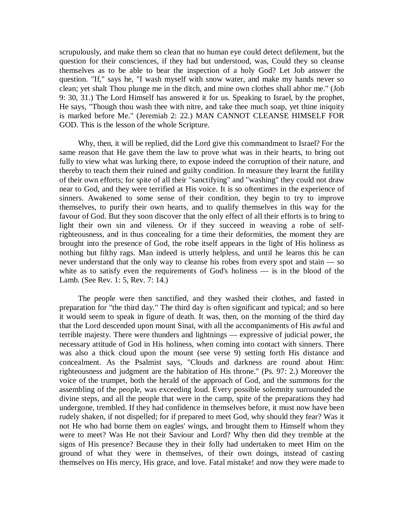scrupulously, and make them so clean that no human eye could detect defilement, but the question for their consciences, if they had but understood, was, Could they so cleanse themselves as to be able to bear the inspection of a holy God? Let Job answer the question. "If," says he, "I wash myself with snow water, and make my hands never so clean; yet shalt Thou plunge me in the ditch, and mine own clothes shall abhor me." (Job 9: 30, 31.) The Lord Himself has answered it for us. Speaking to Israel, by the prophet, He says, "Though thou wash thee with nitre, and take thee much soap, yet thine iniquity is marked before Me." (Jeremiah 2: 22.) MAN CANNOT CLEANSE HIMSELF FOR GOD. This is the lesson of the whole Scripture.

Why, then, it will be replied, did the Lord give this commandment to Israel? For the same reason that He gave them the law to prove what was in their hearts, to bring out fully to view what was lurking there, to expose indeed the corruption of their nature, and thereby to teach them their ruined and guilty condition. In measure they learnt the futility of their own efforts; for spite of all their "sanctifying" and "washing" they could not draw near to God, and they were terrified at His voice. It is so oftentimes in the experience of sinners. Awakened to some sense of their condition, they begin to try to improve themselves, to purify their own hearts, and to qualify themselves in this way for the favour of God. But they soon discover that the only effect of all their efforts is to bring to light their own sin and vileness. Or if they succeed in weaving a robe of selfrighteousness, and in thus concealing for a time their deformities, the moment they are brought into the presence of God, the robe itself appears in the light of His holiness as nothing but filthy rags. Man indeed is utterly helpless, and until he learns this he can never understand that the only way to cleanse his robes from every spot and stain — so white as to satisfy even the requirements of God's holiness — is in the blood of the Lamb. (See Rev. 1: 5, Rev. 7: 14.)

The people were then sanctified, and they washed their clothes, and fasted in preparation for "the third day." The third day is often significant and typical; and so here it would seem to speak in figure of death. It was, then, on the morning of the third day that the Lord descended upon mount Sinai, with all the accompaniments of His awful and terrible majesty. There were thunders and lightnings — expressive of judicial power, the necessary attitude of God in His holiness, when coming into contact with sinners. There was also a thick cloud upon the mount (see verse 9) setting forth His distance and concealment. As the Psalmist says, "Clouds and darkness are round about Him: righteousness and judgment are the habitation of His throne." (Ps. 97: 2.) Moreover the voice of the trumpet, both the herald of the approach of God, and the summons for the assembling of the people, was exceeding loud. Every possible solemnity surrounded the divine steps, and all the people that were in the camp, spite of the preparations they had undergone, trembled. If they had confidence in themselves before, it must now have been rudely shaken, if not dispelled; for if prepared to meet God, why should they fear? Was it not He who had borne them on eagles' wings, and brought them to Himself whom they were to meet? Was He not their Saviour and Lord? Why then did they tremble at the signs of His presence? Because they in their folly had undertaken to meet Him on the ground of what they were in themselves, of their own doings, instead of casting themselves on His mercy, His grace, and love. Fatal mistake! and now they were made to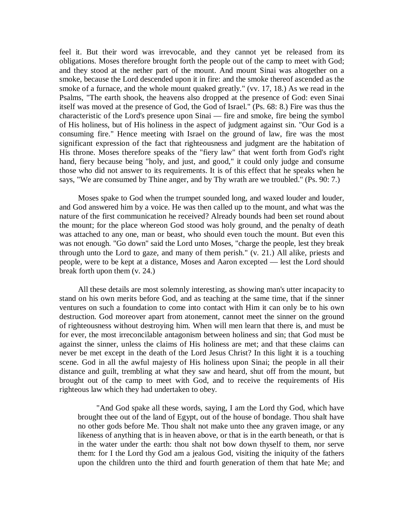feel it. But their word was irrevocable, and they cannot yet be released from its obligations. Moses therefore brought forth the people out of the camp to meet with God; and they stood at the nether part of the mount. And mount Sinai was altogether on a smoke, because the Lord descended upon it in fire: and the smoke thereof ascended as the smoke of a furnace, and the whole mount quaked greatly." (vv. 17, 18.) As we read in the Psalms, "The earth shook, the heavens also dropped at the presence of God: even Sinai itself was moved at the presence of God, the God of Israel." (Ps. 68: 8.) Fire was thus the characteristic of the Lord's presence upon Sinai — fire and smoke, fire being the symbol of His holiness, but of His holiness in the aspect of judgment against sin. "Our God is a consuming fire." Hence meeting with Israel on the ground of law, fire was the most significant expression of the fact that righteousness and judgment are the habitation of His throne. Moses therefore speaks of the "fiery law" that went forth from God's right hand, fiery because being "holy, and just, and good," it could only judge and consume those who did not answer to its requirements. It is of this effect that he speaks when he says, "We are consumed by Thine anger, and by Thy wrath are we troubled." (Ps. 90: 7.)

Moses spake to God when the trumpet sounded long, and waxed louder and louder, and God answered him by a voice. He was then called up to the mount, and what was the nature of the first communication he received? Already bounds had been set round about the mount; for the place whereon God stood was holy ground, and the penalty of death was attached to any one, man or beast, who should even touch the mount. But even this was not enough. "Go down" said the Lord unto Moses, "charge the people, lest they break through unto the Lord to gaze, and many of them perish." (v. 21.) All alike, priests and people, were to be kept at a distance, Moses and Aaron excepted — lest the Lord should break forth upon them (v. 24.)

All these details are most solemnly interesting, as showing man's utter incapacity to stand on his own merits before God, and as teaching at the same time, that if the sinner ventures on such a foundation to come into contact with Him it can only be to his own destruction. God moreover apart from atonement, cannot meet the sinner on the ground of righteousness without destroying him. When will men learn that there is, and must be for ever, the most irreconcilable antagonism between holiness and sin; that God must be against the sinner, unless the claims of His holiness are met; and that these claims can never be met except in the death of the Lord Jesus Christ? In this light it is a touching scene. God in all the awful majesty of His holiness upon Sinai; the people in all their distance and guilt, trembling at what they saw and heard, shut off from the mount, but brought out of the camp to meet with God, and to receive the requirements of His righteous law which they had undertaken to obey.

"And God spake all these words, saying, I am the Lord thy God, which have brought thee out of the land of Egypt, out of the house of bondage. Thou shalt have no other gods before Me. Thou shalt not make unto thee any graven image, or any likeness of anything that is in heaven above, or that is in the earth beneath, or that is in the water under the earth: thou shalt not bow down thyself to them, nor serve them: for I the Lord thy God am a jealous God, visiting the iniquity of the fathers upon the children unto the third and fourth generation of them that hate Me; and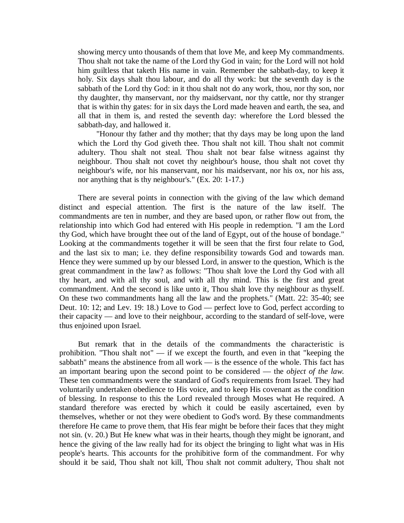showing mercy unto thousands of them that love Me, and keep My commandments. Thou shalt not take the name of the Lord thy God in vain; for the Lord will not hold him guiltless that taketh His name in vain. Remember the sabbath-day, to keep it holy. Six days shalt thou labour, and do all thy work: but the seventh day is the sabbath of the Lord thy God: in it thou shalt not do any work, thou, nor thy son, nor thy daughter, thy manservant, nor thy maidservant, nor thy cattle, nor thy stranger that is within thy gates: for in six days the Lord made heaven and earth, the sea, and all that in them is, and rested the seventh day: wherefore the Lord blessed the sabbath-day, and hallowed it.

"Honour thy father and thy mother; that thy days may be long upon the land which the Lord thy God giveth thee. Thou shalt not kill. Thou shalt not commit adultery. Thou shalt not steal. Thou shalt not bear false witness against thy neighbour. Thou shalt not covet thy neighbour's house, thou shalt not covet thy neighbour's wife, nor his manservant, nor his maidservant, nor his ox, nor his ass, nor anything that is thy neighbour's." (Ex. 20: 1-17.)

There are several points in connection with the giving of the law which demand distinct and especial attention. The first is the nature of the law itself. The commandments are ten in number, and they are based upon, or rather flow out from, the relationship into which God had entered with His people in redemption. "I am the Lord thy God, which have brought thee out of the land of Egypt, out of the house of bondage." Looking at the commandments together it will be seen that the first four relate to God, and the last six to man; i.e. they define responsibility towards God and towards man. Hence they were summed up by our blessed Lord, in answer to the question, Which is the great commandment in the law? as follows: "Thou shalt love the Lord thy God with all thy heart, and with all thy soul, and with all thy mind. This is the first and great commandment. And the second is like unto it, Thou shalt love thy neighbour as thyself. On these two commandments hang all the law and the prophets." (Matt. 22: 35-40; see Deut. 10: 12; and Lev. 19: 18.) Love to God — perfect love to God, perfect according to their capacity — and love to their neighbour, according to the standard of self-love, were thus enjoined upon Israel.

But remark that in the details of the commandments the characteristic is prohibition. "Thou shalt not" — if we except the fourth, and even in that "keeping the sabbath" means the abstinence from all work — is the essence of the whole. This fact has an important bearing upon the second point to be considered — the *object of the law.*  These ten commandments were the standard of God's requirements from Israel. They had voluntarily undertaken obedience to His voice, and to keep His covenant as the condition of blessing. In response to this the Lord revealed through Moses what He required. A standard therefore was erected by which it could be easily ascertained, even by themselves, whether or not they were obedient to God's word. By these commandments therefore He came to prove them, that His fear might be before their faces that they might not sin. (v. 20.) But He knew what was in their hearts, though they might be ignorant, and hence the giving of the law really had for its object the bringing to light what was in His people's hearts. This accounts for the prohibitive form of the commandment. For why should it be said, Thou shalt not kill, Thou shalt not commit adultery, Thou shalt not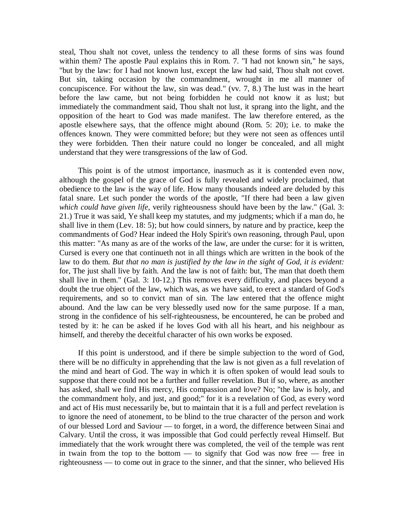steal, Thou shalt not covet, unless the tendency to all these forms of sins was found within them? The apostle Paul explains this in Rom. 7. "I had not known sin," he says, "but by the law: for I had not known lust, except the law had said, Thou shalt not covet. But sin, taking occasion by the commandment, wrought in me all manner of concupiscence. For without the law, sin was dead." (vv. 7, 8.) The lust was in the heart before the law came, but not being forbidden he could not know it as lust; but immediately the commandment said, Thou shalt not lust, it sprang into the light, and the opposition of the heart to God was made manifest. The law therefore entered, as the apostle elsewhere says, that the offence might abound (Rom. 5: 20); i.e. to make the offences known. They were committed before; but they were not seen as offences until they were forbidden. Then their nature could no longer be concealed, and all might understand that they were transgressions of the law of God.

This point is of the utmost importance, inasmuch as it is contended even now, although the gospel of the grace of God is fully revealed and widely proclaimed, that obedience to the law is the way of life. How many thousands indeed are deluded by this fatal snare. Let such ponder the words of the apostle, "If there had been a law given *which could have given life,* verily righteousness should have been by the law." (Gal. 3: 21.) True it was said, Ye shall keep my statutes, and my judgments; which if a man do, he shall live in them (Lev. 18: 5); but how could sinners, by nature and by practice, keep the commandments of God? Hear indeed the Holy Spirit's own reasoning, through Paul, upon this matter: "As many as are of the works of the law, are under the curse: for it is written, Cursed is every one that continueth not in all things which are written in the book of the law to do them. *But that no man is justified by the law in the sight of God, it is evident:*  for, The just shall live by faith. And the law is not of faith: but, The man that doeth them shall live in them." (Gal. 3: 10-12.) This removes every difficulty, and places beyond a doubt the true object of the law, which was, as we have said, to erect a standard of God's requirements, and so to convict man of sin. The law entered that the offence might abound. And the law can be very blessedly used now for the same purpose. If a man, strong in the confidence of his self-righteousness, be encountered, he can be probed and tested by it: he can be asked if he loves God with all his heart, and his neighbour as himself, and thereby the deceitful character of his own works be exposed.

If this point is understood, and if there be simple subjection to the word of God, there will be no difficulty in apprehending that the law is not given as a full revelation of the mind and heart of God. The way in which it is often spoken of would lead souls to suppose that there could not be a further and fuller revelation. But if so, where, as another has asked, shall we find His mercy, His compassion and love? No; "the law is holy, and the commandment holy, and just, and good;" for it is a revelation of God, as every word and act of His must necessarily be, but to maintain that it is a full and perfect revelation is to ignore the need of atonement, to be blind to the true character of the person and work of our blessed Lord and Saviour — to forget, in a word, the difference between Sinai and Calvary. Until the cross, it was impossible that God could perfectly reveal Himself. But immediately that the work wrought there was completed, the veil of the temple was rent in twain from the top to the bottom  $-$  to signify that God was now free  $-$  free in righteousness — to come out in grace to the sinner, and that the sinner, who believed His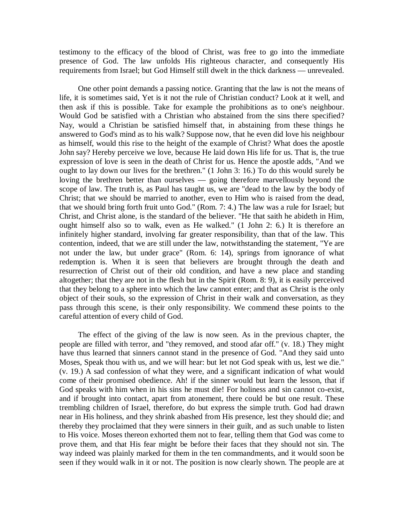testimony to the efficacy of the blood of Christ, was free to go into the immediate presence of God. The law unfolds His righteous character, and consequently His requirements from Israel; but God Himself still dwelt in the thick darkness — unrevealed.

One other point demands a passing notice. Granting that the law is not the means of life, it is sometimes said, Yet is it not the rule of Christian conduct? Look at it well, and then ask if this is possible. Take for example the prohibitions as to one's neighbour. Would God be satisfied with a Christian who abstained from the sins there specified? Nay, would a Christian be satisfied himself that, in abstaining from these things he answered to God's mind as to his walk? Suppose now, that he even did love his neighbour as himself, would this rise to the height of the example of Christ? What does the apostle John say? Hereby perceive we love, because He laid down His life for us. That is, the true expression of love is seen in the death of Christ for us. Hence the apostle adds, "And we ought to lay down our lives for the brethren." (1 John 3: 16.) To do this would surely be loving the brethren better than ourselves — going therefore marvellously beyond the scope of law. The truth is, as Paul has taught us, we are "dead to the law by the body of Christ; that we should be married to another, even to Him who is raised from the dead, that we should bring forth fruit unto God." (Rom. 7: 4.) The law was a rule for Israel; but Christ, and Christ alone, is the standard of the believer. "He that saith he abideth in Him, ought himself also so to walk, even as He walked." (1 John 2: 6.) It is therefore an infinitely higher standard, involving far greater responsibility, than that of the law. This contention, indeed, that we are still under the law, notwithstanding the statement, "Ye are not under the law, but under grace" (Rom. 6: 14), springs from ignorance of what redemption is. When it is seen that believers are brought through the death and resurrection of Christ out of their old condition, and have a new place and standing altogether; that they are not in the flesh but in the Spirit (Rom. 8: 9), it is easily perceived that they belong to a sphere into which the law cannot enter; and that as Christ is the only object of their souls, so the expression of Christ in their walk and conversation, as they pass through this scene, is their only responsibility. We commend these points to the careful attention of every child of God.

The effect of the giving of the law is now seen. As in the previous chapter, the people are filled with terror, and "they removed, and stood afar off." (v. 18.) They might have thus learned that sinners cannot stand in the presence of God. "And they said unto Moses, Speak thou with us, and we will hear: but let not God speak with us, lest we die." (v. 19.) A sad confession of what they were, and a significant indication of what would come of their promised obedience. Ah! if the sinner would but learn the lesson, that if God speaks with him when in his sins he must die! For holiness and sin cannot co-exist, and if brought into contact, apart from atonement, there could be but one result. These trembling children of Israel, therefore, do but express the simple truth. God had drawn near in His holiness, and they shrink abashed from His presence, lest they should die; and thereby they proclaimed that they were sinners in their guilt, and as such unable to listen to His voice. Moses thereon exhorted them not to fear, telling them that God was come to prove them, and that His fear might be before their faces that they should not sin. The way indeed was plainly marked for them in the ten commandments, and it would soon be seen if they would walk in it or not. The position is now clearly shown. The people are at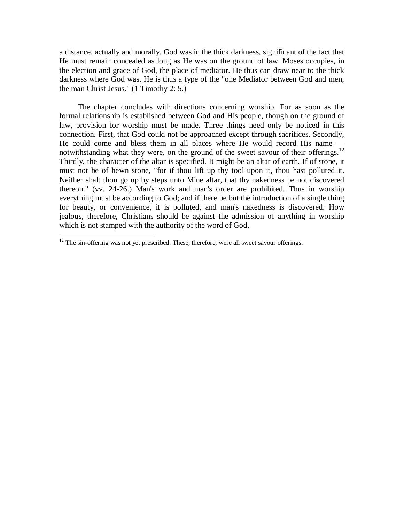a distance, actually and morally. God was in the thick darkness, significant of the fact that He must remain concealed as long as He was on the ground of law. Moses occupies, in the election and grace of God, the place of mediator. He thus can draw near to the thick darkness where God was. He is thus a type of the "one Mediator between God and men, the man Christ Jesus." (1 Timothy 2: 5.)

The chapter concludes with directions concerning worship. For as soon as the formal relationship is established between God and His people, though on the ground of law, provision for worship must be made. Three things need only be noticed in this connection. First, that God could not be approached except through sacrifices. Secondly, He could come and bless them in all places where He would record His name notwithstanding what they were, on the ground of the sweet savour of their offerings.<sup>12</sup> Thirdly, the character of the altar is specified. It might be an altar of earth. If of stone, it must not be of hewn stone, "for if thou lift up thy tool upon it, thou hast polluted it. Neither shalt thou go up by steps unto Mine altar, that thy nakedness be not discovered thereon." (vv. 24-26.) Man's work and man's order are prohibited. Thus in worship everything must be according to God; and if there be but the introduction of a single thing for beauty, or convenience, it is polluted, and man's nakedness is discovered. How jealous, therefore, Christians should be against the admission of anything in worship which is not stamped with the authority of the word of God.

 $\overline{a}$ 

 $12$  The sin-offering was not yet prescribed. These, therefore, were all sweet savour offerings.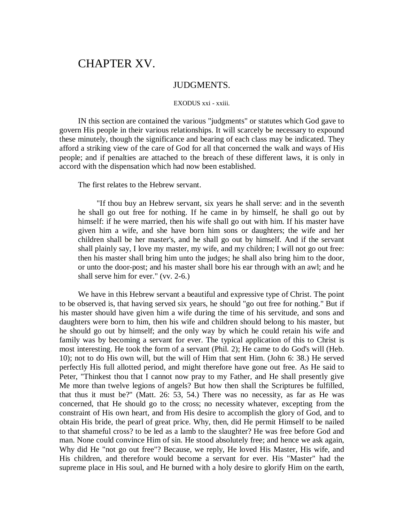# CHAPTER XV.

## JUDGMENTS.

### EXODUS xxi - xxiii.

IN this section are contained the various "judgments" or statutes which God gave to govern His people in their various relationships. It will scarcely be necessary to expound these minutely, though the significance and bearing of each class may be indicated. They afford a striking view of the care of God for all that concerned the walk and ways of His people; and if penalties are attached to the breach of these different laws, it is only in accord with the dispensation which had now been established.

The first relates to the Hebrew servant.

"If thou buy an Hebrew servant, six years he shall serve: and in the seventh he shall go out free for nothing. If he came in by himself, he shall go out by himself: if he were married, then his wife shall go out with him. If his master have given him a wife, and she have born him sons or daughters; the wife and her children shall be her master's, and he shall go out by himself. And if the servant shall plainly say, I love my master, my wife, and my children; I will not go out free: then his master shall bring him unto the judges; he shall also bring him to the door, or unto the door-post; and his master shall bore his ear through with an awl; and he shall serve him for ever." (vv. 2-6.)

We have in this Hebrew servant a beautiful and expressive type of Christ. The point to be observed is, that having served six years, he should "go out free for nothing." But if his master should have given him a wife during the time of his servitude, and sons and daughters were born to him, then his wife and children should belong to his master, but he should go out by himself; and the only way by which he could retain his wife and family was by becoming a servant for ever. The typical application of this to Christ is most interesting. He took the form of a servant (Phil. 2); He came to do God's will (Heb. 10); not to do His own will, but the will of Him that sent Him. (John 6: 38.) He served perfectly His full allotted period, and might therefore have gone out free. As He said to Peter, "Thinkest thou that I cannot now pray to my Father, and He shall presently give Me more than twelve legions of angels? But how then shall the Scriptures be fulfilled, that thus it must be?" (Matt. 26: 53, 54.) There was no necessity, as far as He was concerned, that He should go to the cross; no necessity whatever, excepting from the constraint of His own heart, and from His desire to accomplish the glory of God, and to obtain His bride, the pearl of great price. Why, then, did He permit Himself to be nailed to that shameful cross? to be led as a lamb to the slaughter? He was free before God and man. None could convince Him of sin. He stood absolutely free; and hence we ask again, Why did He "not go out free"? Because, we reply, He loved His Master, His wife, and His children, and therefore would become a servant for ever. His "Master" had the supreme place in His soul, and He burned with a holy desire to glorify Him on the earth,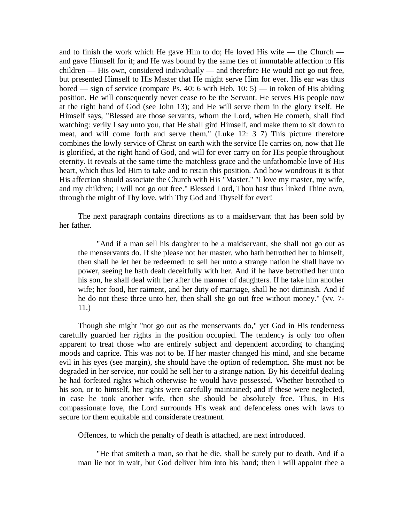and to finish the work which He gave Him to do; He loved His wife — the Church and gave Himself for it; and He was bound by the same ties of immutable affection to His children — His own, considered individually — and therefore He would not go out free, but presented Himself to His Master that He might serve Him for ever. His ear was thus bored — sign of service (compare Ps. 40: 6 with Heb. 10: 5) — in token of His abiding position. He will consequently never cease to be the Servant. He serves His people now at the right hand of God (see John 13); and He will serve them in the glory itself. He Himself says, "Blessed are those servants, whom the Lord, when He cometh, shall find watching: verily I say unto you, that He shall gird Himself, and make them to sit down to meat, and will come forth and serve them." (Luke 12: 3 7) This picture therefore combines the lowly service of Christ on earth with the service He carries on, now that He is glorified, at the right hand of God, and will for ever carry on for His people throughout eternity. It reveals at the same time the matchless grace and the unfathomable love of His heart, which thus led Him to take and to retain this position. And how wondrous it is that His affection should associate the Church with His "Master." "I love my master, my wife, and my children; I will not go out free." Blessed Lord, Thou hast thus linked Thine own, through the might of Thy love, with Thy God and Thyself for ever!

The next paragraph contains directions as to a maidservant that has been sold by her father.

"And if a man sell his daughter to be a maidservant, she shall not go out as the menservants do. If she please not her master, who hath betrothed her to himself, then shall he let her be redeemed: to sell her unto a strange nation he shall have no power, seeing he hath dealt deceitfully with her. And if he have betrothed her unto his son, he shall deal with her after the manner of daughters. If he take him another wife; her food, her raiment, and her duty of marriage, shall he not diminish. And if he do not these three unto her, then shall she go out free without money." (vv. 7- 11.)

Though she might "not go out as the menservants do," yet God in His tenderness carefully guarded her rights in the position occupied. The tendency is only too often apparent to treat those who are entirely subject and dependent according to changing moods and caprice. This was not to be. If her master changed his mind, and she became evil in his eyes (see margin), she should have the option of redemption. She must not be degraded in her service, nor could he sell her to a strange nation. By his deceitful dealing he had forfeited rights which otherwise he would have possessed. Whether betrothed to his son, or to himself, her rights were carefully maintained; and if these were neglected, in case he took another wife, then she should be absolutely free. Thus, in His compassionate love, the Lord surrounds His weak and defenceless ones with laws to secure for them equitable and considerate treatment.

Offences, to which the penalty of death is attached, are next introduced.

"He that smiteth a man, so that he die, shall be surely put to death. And if a man lie not in wait, but God deliver him into his hand; then I will appoint thee a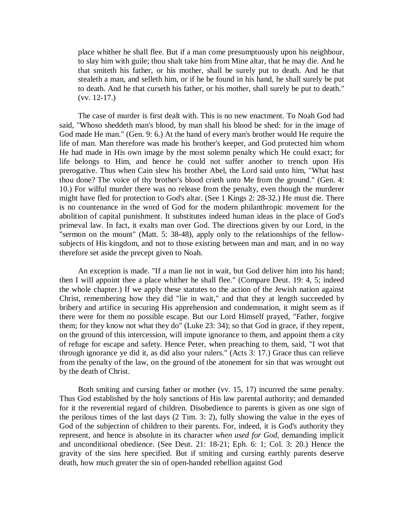place whither he shall flee. But if a man come presumptuously upon his neighbour, to slay him with guile; thou shalt take him from Mine altar, that he may die. And he that smiteth his father, or his mother, shall be surely put to death. And he that stealeth a man, and selleth him, or if he be found in his hand, he shall surely be put to death. And he that curseth his father, or his mother, shall surely be put to death." (vv. 12-17.)

The case of murder is first dealt with. This is no new enactment. To Noah God had said, "Whoso sheddeth man's blood, by man shall his blood be shed: for in the image of God made He man." (Gen. 9: 6.) At the hand of every man's brother would He require the life of man. Man therefore was made his brother's keeper, and God protected him whom He had made in His own image by the most solemn penalty which He could exact; for life belongs to Him, and hence he could not suffer another to trench upon His prerogative. Thus when Cain slew his brother Abel, the Lord said unto him, "What hast thou done? The voice of thy brother's blood crieth unto Me from the ground." (Gen. 4: 10.) For wilful murder there was no release from the penalty, even though the murderer might have fled for protection to God's altar. (See 1 Kings 2: 28-32.) He must die. There is no countenance in the word of God for the modern philanthropic movement for the abolition of capital punishment. It substitutes indeed human ideas in the place of God's primeval law. In fact, it exalts man over God. The directions given by our Lord, in the "sermon on the mount" (Matt. 5: 38-48), apply only to the relationships of the fellowsubjects of His kingdom, and not to those existing between man and man, and in no way therefore set aside the precept given to Noah.

An exception is made. "If a man lie not in wait, but God deliver him into his hand; then I will appoint thee a place whither he shall flee." (Compare Deut. 19: 4, 5; indeed the whole chapter.) If we apply these statutes to the action of the Jewish nation against Christ, remembering how they did "lie in wait," and that they at length succeeded by bribery and artifice in securing His apprehension and condemnation, it might seem as if there were for them no possible escape. But our Lord Himself prayed, "Father, forgive them; for they know not what they do" (Luke 23: 34); so that God in grace, if they repent, on the ground of this intercession, will impute ignorance to them, and appoint them a city of refuge for escape and safety. Hence Peter, when preaching to them, said, "I wot that through ignorance ye did it, as did also your rulers." (Acts 3: 17.) Grace thus can relieve from the penalty of the law, on the ground of the atonement for sin that was wrought out by the death of Christ.

Both smiting and cursing father or mother (vv. 15, 17) incurred the same penalty. Thus God established by the holy sanctions of His law parental authority; and demanded for it the reverential regard of children. Disobedience to parents is given as one sign of the perilous times of the last days (2 Tim. 3: 2), fully showing the value in the eyes of God of the subjection of children to their parents. For, indeed, it is God's authority they represent, and hence is absolute in its character *when used for God,* demanding implicit and unconditional obedience. (See Deut. 21: 18-21; Eph. 6: 1; Col. 3: 20.) Hence the gravity of the sins here specified. But if smiting and cursing earthly parents deserve death, how much greater the sin of open-handed rebellion against God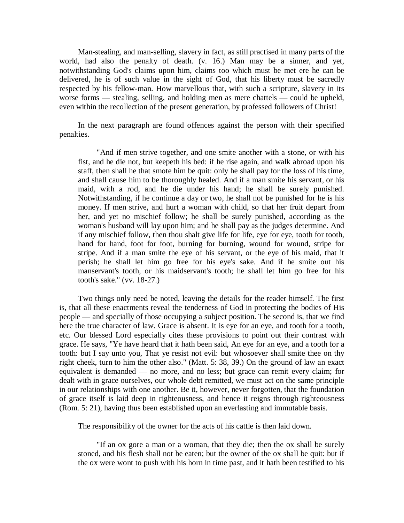Man-stealing, and man-selling, slavery in fact, as still practised in many parts of the world, had also the penalty of death. (v. 16.) Man may be a sinner, and yet, notwithstanding God's claims upon him, claims too which must be met ere he can be delivered, he is of such value in the sight of God, that his liberty must be sacredly respected by his fellow-man. How marvellous that, with such a scripture, slavery in its worse forms — stealing, selling, and holding men as mere chattels — could be upheld, even within the recollection of the present generation, by professed followers of Christ!

In the next paragraph are found offences against the person with their specified penalties.

"And if men strive together, and one smite another with a stone, or with his fist, and he die not, but keepeth his bed: if he rise again, and walk abroad upon his staff, then shall he that smote him be quit: only he shall pay for the loss of his time, and shall cause him to be thoroughly healed. And if a man smite his servant, or his maid, with a rod, and he die under his hand; he shall be surely punished. Notwithstanding, if he continue a day or two, he shall not be punished for he is his money. If men strive, and hurt a woman with child, so that her fruit depart from her, and yet no mischief follow; he shall be surely punished, according as the woman's husband will lay upon him; and he shall pay as the judges determine. And if any mischief follow, then thou shalt give life for life, eye for eye, tooth for tooth, hand for hand, foot for foot, burning for burning, wound for wound, stripe for stripe. And if a man smite the eye of his servant, or the eye of his maid, that it perish; he shall let him go free for his eye's sake. And if he smite out his manservant's tooth, or his maidservant's tooth; he shall let him go free for his tooth's sake." (vv. 18-27.)

Two things only need be noted, leaving the details for the reader himself. The first is, that all these enactments reveal the tenderness of God in protecting the bodies of His people — and specially of those occupying a subject position. The second is, that we find here the true character of law. Grace is absent. It is eye for an eye, and tooth for a tooth, etc. Our blessed Lord especially cites these provisions to point out their contrast with grace. He says, "Ye have heard that it hath been said, An eye for an eye, and a tooth for a tooth: but I say unto you, That ye resist not evil: but whosoever shall smite thee on thy right cheek, turn to him the other also." (Matt. 5: 38, 39.) On the ground of law an exact equivalent is demanded — no more, and no less; but grace can remit every claim; for dealt with in grace ourselves, our whole debt remitted, we must act on the same principle in our relationships with one another. Be it, however, never forgotten, that the foundation of grace itself is laid deep in righteousness, and hence it reigns through righteousness (Rom. 5: 21), having thus been established upon an everlasting and immutable basis.

The responsibility of the owner for the acts of his cattle is then laid down.

"If an ox gore a man or a woman, that they die; then the ox shall be surely stoned, and his flesh shall not be eaten; but the owner of the ox shall be quit: but if the ox were wont to push with his horn in time past, and it hath been testified to his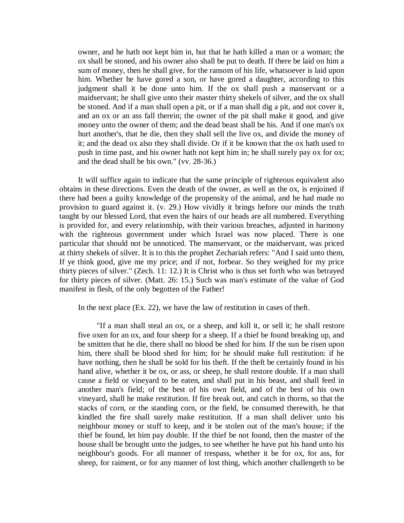owner, and he hath not kept him in, but that he hath killed a man or a woman; the ox shall be stoned, and his owner also shall be put to death. If there be laid on him a sum of money, then he shall give, for the ransom of his life, whatsoever is laid upon him. Whether he have gored a son, or have gored a daughter, according to this judgment shall it be done unto him. If the ox shall push a manservant or a maidservant; he shall give unto their master thirty shekels of silver, and the ox shall be stoned. And if a man shall open a pit, or if a man shall dig a pit, and not cover it, and an ox or an ass fall therein; the owner of the pit shall make it good, and give money unto the owner of them; and the dead beast shall be his. And if one man's ox hurt another's, that he die, then they shall sell the live ox, and divide the money of it; and the dead ox also they shall divide. Or if it be known that the ox hath used to push in time past, and his owner hath not kept him in; he shall surely pay ox for ox; and the dead shall be his own." (vv. 28-36.)

It will suffice again to indicate that the same principle of righteous equivalent also obtains in these directions. Even the death of the owner, as well as the ox, is enjoined if there had been a guilty knowledge of the propensity of the animal, and he had made no provision to guard against it. (v. 29.) How vividly it brings before our minds the truth taught by our blessed Lord, that even the hairs of our heads are all numbered. Everything is provided for, and every relationship, with their various breaches, adjusted in harmony with the righteous government under which Israel was now placed. There is one particular that should not be unnoticed. The manservant, or the maidservant, was priced at thirty shekels of silver. It is to this the prophet Zechariah refers: "And I said unto them, If ye think good, give me my price; and if not, forbear. So they weighed for my price thirty pieces of silver." (Zech. 11: 12.) It is Christ who is thus set forth who was betrayed for thirty pieces of silver. (Matt. 26: 15.) Such was man's estimate of the value of God manifest in flesh, of the only begotten of the Father!

In the next place (Ex. 22), we have the law of restitution in cases of theft.

"If a man shall steal an ox, or a sheep, and kill it, or sell it; he shall restore five oxen for an ox, and four sheep for a sheep. If a thief be found breaking up, and be smitten that he die, there shall no blood be shed for him. If the sun be risen upon him, there shall be blood shed for him; for he should make full restitution: if he have nothing, then he shall be sold for his theft. If the theft be certainly found in his hand alive, whether it be ox, or ass, or sheep, he shall restore double. If a man shall cause a field or vineyard to be eaten, and shall put in his beast, and shall feed in another man's field; of the best of his own field, and of the best of his own vineyard, shall he make restitution. If fire break out, and catch in thorns, so that the stacks of corn, or the standing corn, or the field, be consumed therewith, he that kindled the fire shall surely make restitution. If a man shall deliver unto his neighbour money or stuff to keep, and it be stolen out of the man's house; if the thief be found, let him pay double. If the thief be not found, then the master of the house shall be brought unto the judges, to see whether he have put his hand unto his neighbour's goods. For all manner of trespass, whether it be for ox, for ass, for sheep, for raiment, or for any manner of lost thing, which another challengeth to be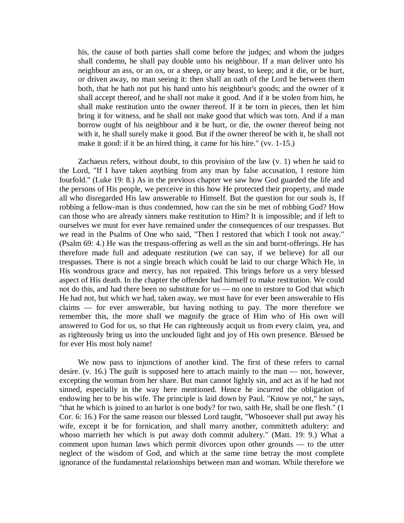his, the cause of both parties shall come before the judges; and whom the judges shall condemn, he shall pay double unto his neighbour. If a man deliver unto his neighbour an ass, or an ox, or a sheep, or any beast, to keep; and it die, or be hurt, or driven away, no man seeing it: then shall an oath of the Lord be between them both, that he hath not put his hand unto his neighbour's goods; and the owner of it shall accept thereof, and he shall not make it good. And if it be stolen from him, he shall make restitution unto the owner thereof. If it be torn in pieces, then let him bring it for witness, and he shall not make good that which was torn. And if a man borrow ought of his neighbour and it be hurt, or die, the owner thereof being not with it, he shall surely make it good. But if the owner thereof be with it, he shall not make it good: if it be an hired thing, it came for his hire." (vv. 1-15.)

Zachaeus refers, without doubt, to this provision of the law (v. 1) when he said to the Lord, "If I have taken anything from any man by false accusation, I restore him fourfold." (Luke 19: 8.) As in the previous chapter we saw how God guarded the life and the persons of His people, we perceive in this how He protected their property, and made all who disregarded His law answerable to Himself. But the question for our souls is, If robbing a fellow-man is thus condemned, how can the sin be met of robbing God? How can those who are already sinners make restitution to Him? It is impossible; and if left to ourselves we must for ever have remained under the consequences of our trespasses. But we read in the Psalms of One who said, "Then I restored that which I took not away." (Psalm 69: 4.) He was the trespass-offering as well as the sin and burnt-offerings. He has therefore made full and adequate restitution (we can say, if we believe) for all our trespasses. There is not a single breach which could be laid to our charge Which He, in His wondrous grace and mercy, has not repaired. This brings before us a very blessed aspect of His death. In the chapter the offender had himself to make restitution. We could not do this, and had there been no substitute for us — no one to restore to God that which He had not, but which we had, taken away, we must have for ever been answerable to His claims — for ever answerable, but having nothing to pay. The more therefore we remember this, the more shall we magnify the grace of Him who of His own will answered to God for us, so that He can righteously acquit us from every claim, yea, and as righteously bring us into the unclouded light and joy of His own presence. Blessed be for ever His most holy name!

We now pass to injunctions of another kind. The first of these refers to carnal desire. (v. 16.) The guilt is supposed here to attach mainly to the man — not, however, excepting the woman from her share. But man cannot lightly sin, and act as if he had not sinned, especially in the way here mentioned. Hence he incurred the obligation of endowing her to be his wife. The principle is laid down by Paul. "Know ye not," he says, "that he which is joined to an harlot is one body? for two, saith He, shall be one flesh." (1 Cor. 6: 16.) For the same reason our blessed Lord taught, "Whosoever shall put away his wife, except it be for fornication, and shall marry another, committeth adultery: and whoso marrieth her which is put away doth commit adultery." (Matt. 19: 9.) What a comment upon human laws which permit divorces upon other grounds — to the utter neglect of the wisdom of God, and which at the same time betray the most complete ignorance of the fundamental relationships between man and woman. While therefore we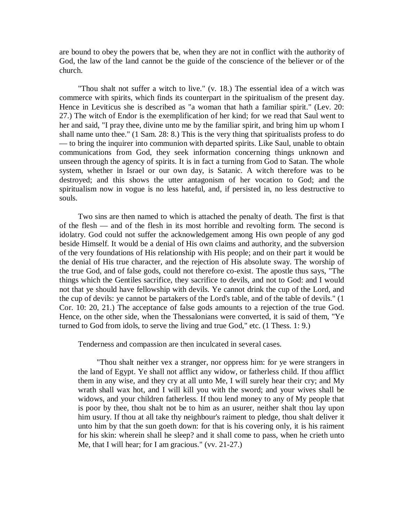are bound to obey the powers that be, when they are not in conflict with the authority of God, the law of the land cannot be the guide of the conscience of the believer or of the church.

"Thou shalt not suffer a witch to live." (v. 18.) The essential idea of a witch was commerce with spirits, which finds its counterpart in the spiritualism of the present day. Hence in Leviticus she is described as "a woman that hath a familiar spirit." (Lev. 20: 27.) The witch of Endor is the exemplification of her kind; for we read that Saul went to her and said, "I pray thee, divine unto me by the familiar spirit, and bring him up whom I shall name unto thee." (1 Sam. 28: 8.) This is the very thing that spiritualists profess to do — to bring the inquirer into communion with departed spirits. Like Saul, unable to obtain communications from God, they seek information concerning things unknown and unseen through the agency of spirits. It is in fact a turning from God to Satan. The whole system, whether in Israel or our own day, is Satanic. A witch therefore was to be destroyed; and this shows the utter antagonism of her vocation to God; and the spiritualism now in vogue is no less hateful, and, if persisted in, no less destructive to souls.

Two sins are then named to which is attached the penalty of death. The first is that of the flesh — and of the flesh in its most horrible and revolting form. The second is idolatry. God could not suffer the acknowledgement among His own people of any god beside Himself. It would be a denial of His own claims and authority, and the subversion of the very foundations of His relationship with His people; and on their part it would be the denial of His true character, and the rejection of His absolute sway. The worship of the true God, and of false gods, could not therefore co-exist. The apostle thus says, "The things which the Gentiles sacrifice, they sacrifice to devils, and not to God: and I would not that ye should have fellowship with devils. Ye cannot drink the cup of the Lord, and the cup of devils: ye cannot be partakers of the Lord's table, and of the table of devils." (1 Cor. 10: 20, 21.) The acceptance of false gods amounts to a rejection of the true God. Hence, on the other side, when the Thessalonians were converted, it is said of them, "Ye turned to God from idols, to serve the living and true God," etc. (1 Thess. 1: 9.)

Tenderness and compassion are then inculcated in several cases.

"Thou shalt neither vex a stranger, nor oppress him: for ye were strangers in the land of Egypt. Ye shall not afflict any widow, or fatherless child. If thou afflict them in any wise, and they cry at all unto Me, I will surely hear their cry; and My wrath shall wax hot, and I will kill you with the sword; and your wives shall be widows, and your children fatherless. If thou lend money to any of My people that is poor by thee, thou shalt not be to him as an usurer, neither shalt thou lay upon him usury. If thou at all take thy neighbour's raiment to pledge, thou shalt deliver it unto him by that the sun goeth down: for that is his covering only, it is his raiment for his skin: wherein shall he sleep? and it shall come to pass, when he crieth unto Me, that I will hear; for I am gracious." (vv. 21-27.)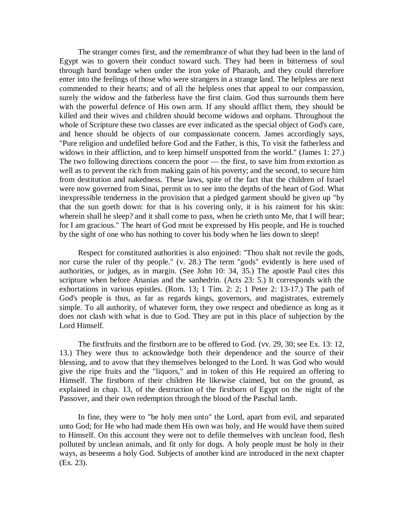The stranger comes first, and the remembrance of what they had been in the land of Egypt was to govern their conduct toward such. They had been in bitterness of soul through hard bondage when under the iron yoke of Pharaoh, and they could therefore enter into the feelings of those who were strangers in a strange land. The helpless are next commended to their hearts; and of all the helpless ones that appeal to our compassion, surely the widow and the fatherless have the first claim. God thus surrounds them here with the powerful defence of His own arm. If any should afflict them, they should be killed and their wives and children should become widows and orphans. Throughout the whole of Scripture these two classes are ever indicated as the special object of God's care, and hence should be objects of our compassionate concern. James accordingly says, "Pure religion and undefiled before God and the Father, is this, To visit the fatherless and widows in their affliction, and to keep himself unspotted from the world." (James 1: 27.) The two following directions concern the poor — the first, to save him from extortion as well as to prevent the rich from making gain of his poverty; and the second, to secure him from destitution and nakedness. These laws, spite of the fact that the children of Israel were now governed from Sinai, permit us to see into the depths of the heart of God. What inexpressible tenderness in the provision that a pledged garment should be given up "by that the sun goeth down: for that is his covering only, it is his raiment for his skin: wherein shall he sleep? and it shall come to pass, when he crieth unto Me, that I will hear; for I am gracious." The heart of God must be expressed by His people, and He is touched by the sight of one who has nothing to cover his body when he lies down to sleep!

Respect for constituted authorities is also enjoined: "Thou shalt not revile the gods, nor curse the ruler of thy people." (v. 28.) The term "gods" evidently is here used of authorities, or judges, as in margin. (See John 10: 34, 35.) The apostle Paul cites this scripture when before Ananias and the sanhedrin. (Acts 23: 5.) It corresponds with the exhortations in various epistles. (Rom. 13; 1 Tim. 2: 2; 1 Peter 2: 13-17.) The path of God's people is thus, as far as regards kings, governors, and magistrates, extremely simple. To all authority, of whatever form, they owe respect and obedience as long as it does not clash with what is due to God. They are put in this place of subjection by the Lord Himself.

The firstfruits and the firstborn are to be offered to God. (vv. 29, 30; see Ex. 13: 12, 13.) They were thus to acknowledge both their dependence and the source of their blessing, and to avow that they themselves belonged to the Lord. It was God who would give the ripe fruits and the "liquors," and in token of this He required an offering to Himself. The firstborn of their children He likewise claimed, but on the ground, as explained in chap. 13, of the destruction of the firstborn of Egypt on the night of the Passover, and their own redemption through the blood of the Paschal lamb.

In fine, they were to "be holy men unto" the Lord, apart from evil, and separated unto God; for He who had made them His own was holy, and He would have them suited to Himself. On this account they were not to defile themselves with unclean food, flesh polluted by unclean animals, and fit only for dogs. A holy people must be holy in their ways, as beseems a holy God. Subjects of another kind are introduced in the next chapter (Ex. 23).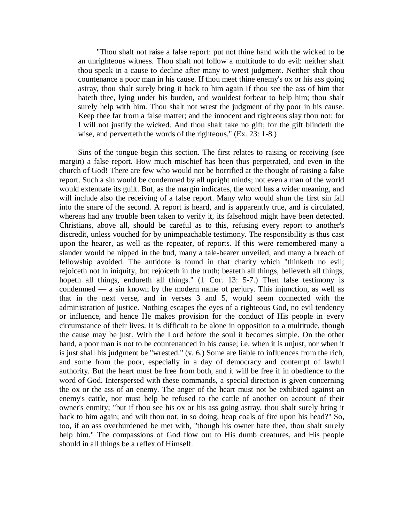"Thou shalt not raise a false report: put not thine hand with the wicked to be an unrighteous witness. Thou shalt not follow a multitude to do evil: neither shalt thou speak in a cause to decline after many to wrest judgment. Neither shalt thou countenance a poor man in his cause. If thou meet thine enemy's ox or his ass going astray, thou shalt surely bring it back to him again If thou see the ass of him that hateth thee, lying under his burden, and wouldest forbear to help him; thou shalt surely help with him. Thou shalt not wrest the judgment of thy poor in his cause. Keep thee far from a false matter; and the innocent and righteous slay thou not: for I will not justify the wicked. And thou shalt take no gift; for the gift blindeth the wise, and perverteth the words of the righteous." (Ex. 23: 1-8.)

Sins of the tongue begin this section. The first relates to raising or receiving (see margin) a false report. How much mischief has been thus perpetrated, and even in the church of God! There are few who would not be horrified at the thought of raising a false report. Such a sin would be condemned by all upright minds; not even a man of the world would extenuate its guilt. But, as the margin indicates, the word has a wider meaning, and will include also the receiving of a false report. Many who would shun the first sin fall into the snare of the second. A report is heard, and is apparently true, and is circulated, whereas had any trouble been taken to verify it, its falsehood might have been detected. Christians, above all, should be careful as to this, refusing every report to another's discredit, unless vouched for by unimpeachable testimony. The responsibility is thus cast upon the hearer, as well as the repeater, of reports. If this were remembered many a slander would be nipped in the bud, many a tale-bearer unveiled, and many a breach of fellowship avoided. The antidote is found in that charity which "thinketh no evil; rejoiceth not in iniquity, but rejoiceth in the truth; beateth all things, believeth all things, hopeth all things, endureth all things." (1 Cor. 13: 5-7.) Then false testimony is condemned — a sin known by the modern name of perjury. This injunction, as well as that in the next verse, and in verses 3 and 5, would seem connected with the administration of justice. Nothing escapes the eyes of a righteous God, no evil tendency or influence, and hence He makes provision for the conduct of His people in every circumstance of their lives. It is difficult to be alone in opposition to a multitude, though the cause may be just. With the Lord before the soul it becomes simple. On the other hand, a poor man is not to be countenanced in his cause; i.e. when it is unjust, nor when it is just shall his judgment be "wrested." (v. 6.) Some are liable to influences from the rich, and some from the poor, especially in a day of democracy and contempt of lawful authority. But the heart must be free from both, and it will be free if in obedience to the word of God. Interspersed with these commands, a special direction is given concerning the ox or the ass of an enemy. The anger of the heart must not be exhibited against an enemy's cattle, nor must help be refused to the cattle of another on account of their owner's enmity; "but if thou see his ox or his ass going astray, thou shalt surely bring it back to him again; and wilt thou not, in so doing, heap coals of fire upon his head?" So, too, if an ass overburdened be met with, "though his owner hate thee, thou shalt surely help him." The compassions of God flow out to His dumb creatures, and His people should in all things be a reflex of Himself.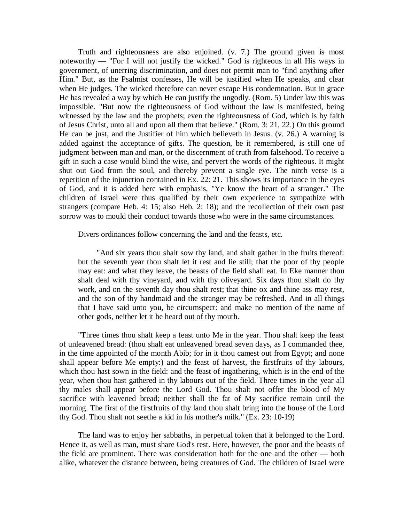Truth and righteousness are also enjoined. (v. 7.) The ground given is most noteworthy — "For I will not justify the wicked." God is righteous in all His ways in government, of unerring discrimination, and does not permit man to "find anything after Him." But, as the Psalmist confesses, He will be justified when He speaks, and clear when He judges. The wicked therefore can never escape His condemnation. But in grace He has revealed a way by which He can justify the ungodly. (Rom. 5) Under law this was impossible. "But now the righteousness of God without the law is manifested, being witnessed by the law and the prophets; even the righteousness of God, which is by faith of Jesus Christ, unto all and upon all them that believe." (Rom. 3: 21, 22.) On this ground He can be just, and the Justifier of him which believeth in Jesus. (v. 26.) A warning is added against the acceptance of gifts. The question, be it remembered, is still one of judgment between man and man, or the discernment of truth from falsehood. To receive a gift in such a case would blind the wise, and pervert the words of the righteous. It might shut out God from the soul, and thereby prevent a single eye. The ninth verse is a repetition of the injunction contained in Ex. 22: 21. This shows its importance in the eyes of God, and it is added here with emphasis, "Ye know the heart of a stranger." The children of Israel were thus qualified by their own experience to sympathize with strangers (compare Heb. 4: 15; also Heb. 2: 18); and the recollection of their own past sorrow was to mould their conduct towards those who were in the same circumstances.

Divers ordinances follow concerning the land and the feasts, etc.

"And six years thou shalt sow thy land, and shalt gather in the fruits thereof: but the seventh year thou shalt let it rest and lie still; that the poor of thy people may eat: and what they leave, the beasts of the field shall eat. In Eke manner thou shalt deal with thy vineyard, and with thy oliveyard. Six days thou shalt do thy work, and on the seventh day thou shalt rest; that thine ox and thine ass may rest, and the son of thy handmaid and the stranger may be refreshed. And in all things that I have said unto you, be circumspect: and make no mention of the name of other gods, neither let it be heard out of thy mouth.

"Three times thou shalt keep a feast unto Me in the year. Thou shalt keep the feast of unleavened bread: (thou shalt eat unleavened bread seven days, as I commanded thee, in the time appointed of the month Abib; for in it thou camest out from Egypt; and none shall appear before Me empty:) and the feast of harvest, the firstfruits of thy labours, which thou hast sown in the field: and the feast of ingathering, which is in the end of the year, when thou hast gathered in thy labours out of the field. Three times in the year all thy males shall appear before the Lord God. Thou shalt not offer the blood of My sacrifice with leavened bread; neither shall the fat of My sacrifice remain until the morning. The first of the firstfruits of thy land thou shalt bring into the house of the Lord thy God. Thou shalt not seethe a kid in his mother's milk." (Ex. 23: 10-19)

The land was to enjoy her sabbaths, in perpetual token that it belonged to the Lord. Hence it, as well as man, must share God's rest. Here, however, the poor and the beasts of the field are prominent. There was consideration both for the one and the other — both alike, whatever the distance between, being creatures of God. The children of Israel were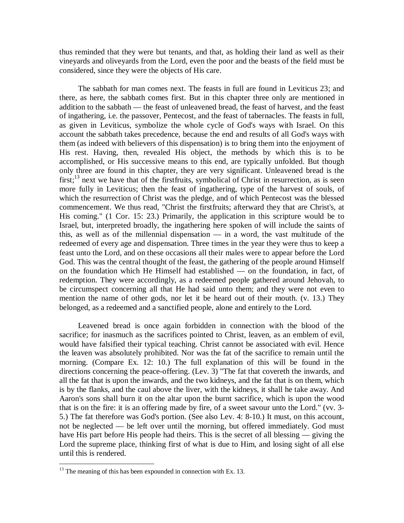thus reminded that they were but tenants, and that, as holding their land as well as their vineyards and oliveyards from the Lord, even the poor and the beasts of the field must be considered, since they were the objects of His care.

The sabbath for man comes next. The feasts in full are found in Leviticus 23; and there, as here, the sabbath comes first. But in this chapter three only are mentioned in addition to the sabbath — the feast of unleavened bread, the feast of harvest, and the feast of ingathering, i.e. the passover, Pentecost, and the feast of tabernacles. The feasts in full, as given in Leviticus, symbolize the whole cycle of God's ways with Israel. On this account the sabbath takes precedence, because the end and results of all God's ways with them (as indeed with believers of this dispensation) is to bring them into the enjoyment of His rest. Having, then, revealed His object, the methods by which this is to be accomplished, or His successive means to this end, are typically unfolded. But though only three are found in this chapter, they are very significant. Unleavened bread is the first;<sup>13</sup> next we have that of the first fruits, symbolical of Christ in resurrection, as is seen more fully in Leviticus; then the feast of ingathering, type of the harvest of souls, of which the resurrection of Christ was the pledge, and of which Pentecost was the blessed commencement. We thus read, "Christ the firstfruits; afterward they that are Christ's, at His coming." (1 Cor. 15: 23.) Primarily, the application in this scripture would be to Israel, but, interpreted broadly, the ingathering here spoken of will include the saints of this, as well as of the millennial dispensation — in a word, the vast multitude of the redeemed of every age and dispensation. Three times in the year they were thus to keep a feast unto the Lord, and on these occasions all their males were to appear before the Lord God. This was the central thought of the feast, the gathering of the people around Himself on the foundation which He Himself had established — on the foundation, in fact, of redemption. They were accordingly, as a redeemed people gathered around Jehovah, to be circumspect concerning all that He had said unto them; and they were not even to mention the name of other gods, nor let it be heard out of their mouth. (v. 13.) They belonged, as a redeemed and a sanctified people, alone and entirely to the Lord.

Leavened bread is once again forbidden in connection with the blood of the sacrifice; for inasmuch as the sacrifices pointed to Christ, leaven, as an emblem of evil, would have falsified their typical teaching. Christ cannot be associated with evil. Hence the leaven was absolutely prohibited. Nor was the fat of the sacrifice to remain until the morning. (Compare Ex. 12: 10.) The full explanation of this will be found in the directions concerning the peace-offering. (Lev. 3) "The fat that covereth the inwards, and all the fat that is upon the inwards, and the two kidneys, and the fat that is on them, which is by the flanks, and the caul above the liver, with the kidneys, it shall he take away. And Aaron's sons shall burn it on the altar upon the burnt sacrifice, which is upon the wood that is on the fire: it is an offering made by fire, of a sweet savour unto the Lord." (vv. 3- 5.) The fat therefore was God's portion. (See also Lev. 4: 8-10.) It must, on this account, not be neglected — be left over until the morning, but offered immediately. God must have His part before His people had theirs. This is the secret of all blessing — giving the Lord the supreme place, thinking first of what is due to Him, and losing sight of all else until this is rendered.

 $\overline{a}$ 

 $13$  The meaning of this has been expounded in connection with Ex. 13.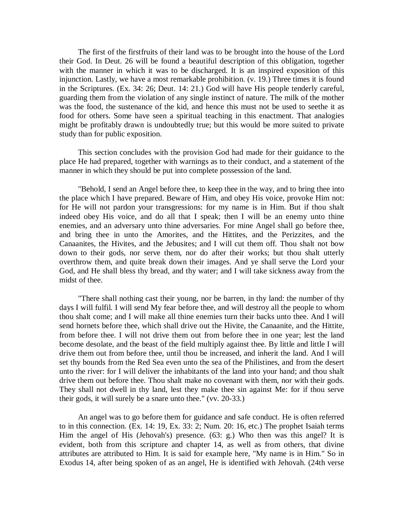The first of the firstfruits of their land was to be brought into the house of the Lord their God. In Deut. 26 will be found a beautiful description of this obligation, together with the manner in which it was to be discharged. It is an inspired exposition of this injunction. Lastly, we have a most remarkable prohibition. (v. 19.) Three times it is found in the Scriptures. (Ex. 34: 26; Deut. 14: 21.) God will have His people tenderly careful, guarding them from the violation of any single instinct of nature. The milk of the mother was the food, the sustenance of the kid, and hence this must not be used to seethe it as food for others. Some have seen a spiritual teaching in this enactment. That analogies might be profitably drawn is undoubtedly true; but this would be more suited to private study than for public exposition.

This section concludes with the provision God had made for their guidance to the place He had prepared, together with warnings as to their conduct, and a statement of the manner in which they should be put into complete possession of the land.

"Behold, I send an Angel before thee, to keep thee in the way, and to bring thee into the place which I have prepared. Beware of Him, and obey His voice, provoke Him not: for He will not pardon your transgressions: for my name is in Him. But if thou shalt indeed obey His voice, and do all that I speak; then I will be an enemy unto thine enemies, and an adversary unto thine adversaries. For mine Angel shall go before thee, and bring thee in unto the Amorites, and the Hittites, and the Perizzites, and the Canaanites, the Hivites, and the Jebusites; and I will cut them off. Thou shalt not bow down to their gods, nor serve them, nor do after their works; but thou shalt utterly overthrow them, and quite break down their images. And ye shall serve the Lord your God, and He shall bless thy bread, and thy water; and I will take sickness away from the midst of thee.

"There shall nothing cast their young, nor be barren, in thy land: the number of thy days I will fulfil. I will send My fear before thee, and will destroy all the people to whom thou shalt come; and I will make all thine enemies turn their backs unto thee. And I will send hornets before thee, which shall drive out the Hivite, the Canaanite, and the Hittite, from before thee. I will not drive them out from before thee in one year; lest the land become desolate, and the beast of the field multiply against thee. By little and little I will drive them out from before thee, until thou be increased, and inherit the land. And I will set thy bounds from the Red Sea even unto the sea of the Philistines, and from the desert unto the river: for I will deliver the inhabitants of the land into your hand; and thou shalt drive them out before thee. Thou shalt make no covenant with them, nor with their gods. They shall not dwell in thy land, lest they make thee sin against Me: for if thou serve their gods, it will surely be a snare unto thee." (vv. 20-33.)

An angel was to go before them for guidance and safe conduct. He is often referred to in this connection. (Ex. 14: 19, Ex. 33: 2; Num. 20: 16, etc.) The prophet Isaiah terms Him the angel of His (Jehovah's) presence. (63: g.) Who then was this angel? It is evident, both from this scripture and chapter 14, as well as from others, that divine attributes are attributed to Him. It is said for example here, "My name is in Him." So in Exodus 14, after being spoken of as an angel, He is identified with Jehovah. (24th verse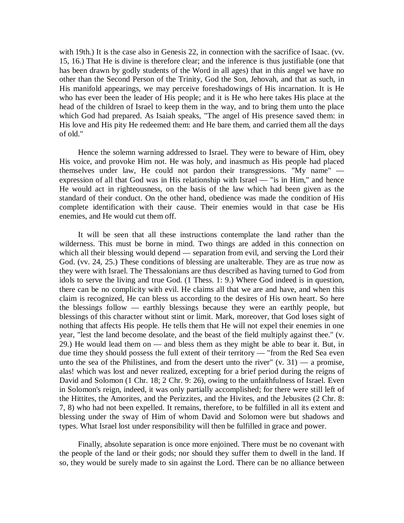with 19th.) It is the case also in Genesis 22, in connection with the sacrifice of Isaac. (vv. 15, 16.) That He is divine is therefore clear; and the inference is thus justifiable (one that has been drawn by godly students of the Word in all ages) that in this angel we have no other than the Second Person of the Trinity, God the Son, Jehovah, and that as such, in His manifold appearings, we may perceive foreshadowings of His incarnation. It is He who has ever been the leader of His people; and it is He who here takes His place at the head of the children of Israel to keep them in the way, and to bring them unto the place which God had prepared. As Isaiah speaks, "The angel of His presence saved them: in His love and His pity He redeemed them: and He bare them, and carried them all the days of old."

Hence the solemn warning addressed to Israel. They were to beware of Him, obey His voice, and provoke Him not. He was holy, and inasmuch as His people had placed themselves under law, He could not pardon their transgressions. "My name" expression of all that God was in His relationship with Israel — "is in Him," and hence He would act in righteousness, on the basis of the law which had been given as the standard of their conduct. On the other hand, obedience was made the condition of His complete identification with their cause. Their enemies would in that case be His enemies, and He would cut them off.

It will be seen that all these instructions contemplate the land rather than the wilderness. This must be borne in mind. Two things are added in this connection on which all their blessing would depend — separation from evil, and serving the Lord their God. (vv. 24, 25.) These conditions of blessing are unalterable. They are as true now as they were with Israel. The Thessalonians are thus described as having turned to God from idols to serve the living and true God. (1 Thess. 1: 9.) Where God indeed is in question, there can be no complicity with evil. He claims all that we are and have, and when this claim is recognized, He can bless us according to the desires of His own heart. So here the blessings follow — earthly blessings because they were an earthly people, but blessings of this character without stint or limit. Mark, moreover, that God loses sight of nothing that affects His people. He tells them that He will not expel their enemies in one year, "lest the land become desolate, and the beast of the field multiply against thee." (v. 29.) He would lead them on — and bless them as they might be able to bear it. But, in due time they should possess the full extent of their territory — "from the Red Sea even unto the sea of the Philistines, and from the desert unto the river"  $(v, 31)$  — a promise, alas! which was lost and never realized, excepting for a brief period during the reigns of David and Solomon (1 Chr. 18; 2 Chr. 9: 26), owing to the unfaithfulness of Israel. Even in Solomon's reign, indeed, it was only partially accomplished; for there were still left of the Hittites, the Amorites, and the Perizzites, and the Hivites, and the Jebusites (2 Chr. 8: 7, 8) who had not been expelled. It remains, therefore, to be fulfilled in all its extent and blessing under the sway of Him of whom David and Solomon were but shadows and types. What Israel lost under responsibility will then be fulfilled in grace and power.

Finally, absolute separation is once more enjoined. There must be no covenant with the people of the land or their gods; nor should they suffer them to dwell in the land. If so, they would be surely made to sin against the Lord. There can be no alliance between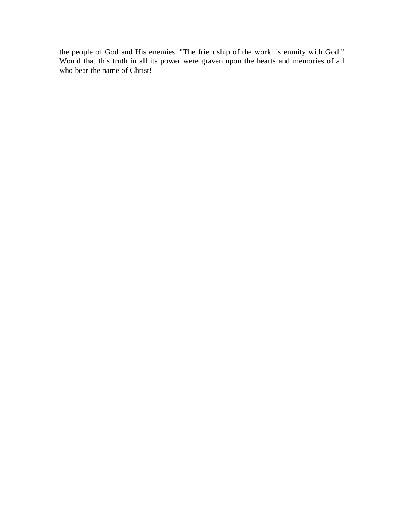the people of God and His enemies. "The friendship of the world is enmity with God." Would that this truth in all its power were graven upon the hearts and memories of all who bear the name of Christ!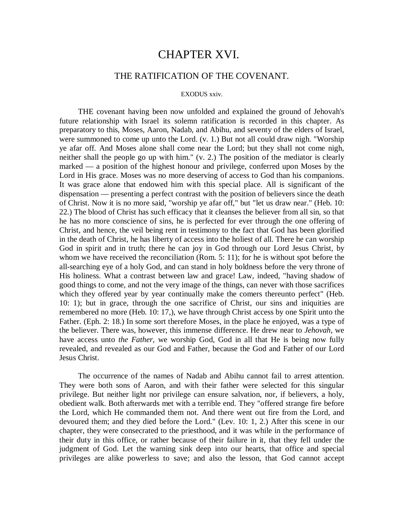# CHAPTER XVI.

## THE RATIFICATION OF THE COVENANT.

#### EXODUS xxiv.

THE covenant having been now unfolded and explained the ground of Jehovah's future relationship with Israel its solemn ratification is recorded in this chapter. As preparatory to this, Moses, Aaron, Nadab, and Abihu, and seventy of the elders of Israel, were summoned to come up unto the Lord. (v. 1.) But not all could draw nigh. "Worship ye afar off. And Moses alone shall come near the Lord; but they shall not come nigh, neither shall the people go up with him." (v. 2.) The position of the mediator is clearly marked — a position of the highest honour and privilege, conferred upon Moses by the Lord in His grace. Moses was no more deserving of access to God than his companions. It was grace alone that endowed him with this special place. All is significant of the dispensation — presenting a perfect contrast with the position of believers since the death of Christ. Now it is no more said, "worship ye afar off," but "let us draw near." (Heb. 10: 22.) The blood of Christ has such efficacy that it cleanses the believer from all sin, so that he has no more conscience of sins, he is perfected for ever through the one offering of Christ, and hence, the veil being rent in testimony to the fact that God has been glorified in the death of Christ, he has liberty of access into the holiest of all. There he can worship God in spirit and in truth; there he can joy in God through our Lord Jesus Christ, by whom we have received the reconciliation (Rom. 5: 11); for he is without spot before the all-searching eye of a holy God, and can stand in holy boldness before the very throne of His holiness. What a contrast between law and grace! Law, indeed, "having shadow of good things to come, and not the very image of the things, can never with those sacrifices which they offered year by year continually make the comers thereunto perfect" (Heb. 10: 1); but in grace, through the one sacrifice of Christ, our sins and iniquities are remembered no more (Heb. 10: 17,), we have through Christ access by one Spirit unto the Father. (Eph. 2: 18.) In some sort therefore Moses, in the place he enjoyed, was a type of the believer. There was, however, this immense difference. He drew near to *Jehovah,* we have access unto *the Father,* we worship God, God in all that He is being now fully revealed, and revealed as our God and Father, because the God and Father of our Lord Jesus Christ.

The occurrence of the names of Nadab and Abihu cannot fail to arrest attention. They were both sons of Aaron, and with their father were selected for this singular privilege. But neither light nor privilege can ensure salvation, nor, if believers, a holy, obedient walk. Both afterwards met with a terrible end. They "offered strange fire before the Lord, which He commanded them not. And there went out fire from the Lord, and devoured them; and they died before the Lord." (Lev. 10: 1, 2.) After this scene in our chapter, they were consecrated to the priesthood, and it was while in the performance of their duty in this office, or rather because of their failure in it, that they fell under the judgment of God. Let the warning sink deep into our hearts, that office and special privileges are alike powerless to save; and also the lesson, that God cannot accept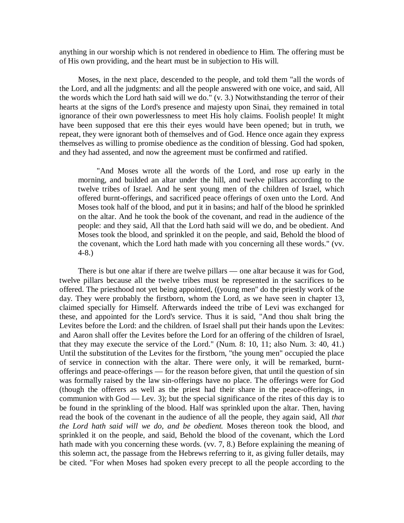anything in our worship which is not rendered in obedience to Him. The offering must be of His own providing, and the heart must be in subjection to His will.

Moses, in the next place, descended to the people, and told them "all the words of the Lord, and all the judgments: and all the people answered with one voice, and said, All the words which the Lord hath said will we do." (v. 3.) Notwithstanding the terror of their hearts at the signs of the Lord's presence and majesty upon Sinai, they remained in total ignorance of their own powerlessness to meet His holy claims. Foolish people! It might have been supposed that ere this their eyes would have been opened; but in truth, we repeat, they were ignorant both of themselves and of God. Hence once again they express themselves as willing to promise obedience as the condition of blessing. God had spoken, and they had assented, and now the agreement must be confirmed and ratified.

"And Moses wrote all the words of the Lord, and rose up early in the morning, and builded an altar under the hill, and twelve pillars according to the twelve tribes of Israel. And he sent young men of the children of Israel, which offered burnt-offerings, and sacrificed peace offerings of oxen unto the Lord. And Moses took half of the blood, and put it in basins; and half of the blood he sprinkled on the altar. And he took the book of the covenant, and read in the audience of the people: and they said, All that the Lord hath said will we do, and be obedient. And Moses took the blood, and sprinkled it on the people, and said, Behold the blood of the covenant, which the Lord hath made with you concerning all these words." (vv. 4-8.)

There is but one altar if there are twelve pillars — one altar because it was for God, twelve pillars because all the twelve tribes must be represented in the sacrifices to be offered. The priesthood not yet being appointed, ((young men" do the priestly work of the day. They were probably the firstborn, whom the Lord, as we have seen in chapter 13, claimed specially for Himself. Afterwards indeed the tribe of Levi was exchanged for these, and appointed for the Lord's service. Thus it is said, "And thou shalt bring the Levites before the Lord: and the children. of Israel shall put their hands upon the Levites: and Aaron shall offer the Levites before the Lord for an offering of the children of Israel, that they may execute the service of the Lord." (Num. 8: 10, 11; also Num. 3: 40, 41.) Until the substitution of the Levites for the firstborn, "the young men" occupied the place of service in connection with the altar. There were only, it will be remarked, burntofferings and peace-offerings — for the reason before given, that until the question of sin was formally raised by the law sin-offerings have no place. The offerings were for God (though the offerers as well as the priest had their share in the peace-offerings, in communion with God — Lev. 3); but the special significance of the rites of this day is to be found in the sprinkling of the blood. Half was sprinkled upon the altar. Then, having read the book of the covenant in the audience of all the people, they again said, All *that the Lord hath said will we do, and be obedient.* Moses thereon took the blood, and sprinkled it on the people, and said, Behold the blood of the covenant, which the Lord hath made with you concerning these words. (vv. 7, 8.) Before explaining the meaning of this solemn act, the passage from the Hebrews referring to it, as giving fuller details, may be cited. "For when Moses had spoken every precept to all the people according to the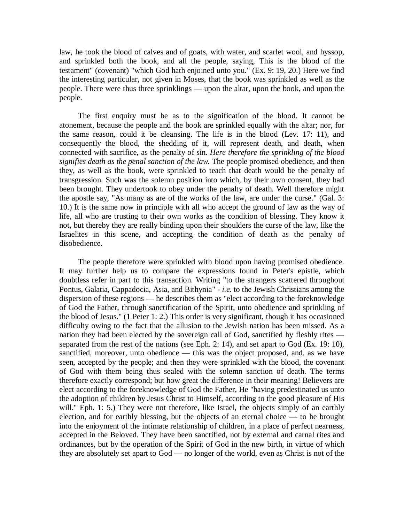law, he took the blood of calves and of goats, with water, and scarlet wool, and hyssop, and sprinkled both the book, and all the people, saying, This is the blood of the testament" (covenant) "which God hath enjoined unto you." (Ex. 9: 19, 20.) Here we find the interesting particular, not given in Moses, that the book was sprinkled as well as the people. There were thus three sprinklings — upon the altar, upon the book, and upon the people.

The first enquiry must be as to the signification of the blood. It cannot be atonement, because the people and the book are sprinkled equally with the altar; nor, for the same reason, could it be cleansing. The life is in the blood (Lev. 17: 11), and consequently the blood, the shedding of it, will represent death, and death, when connected with sacrifice, as the penalty of sin. *Here therefore the sprinkling of the blood signifies death as the penal sanction of the law.* The people promised obedience, and then they, as well as the book, were sprinkled to teach that death would be the penalty of transgression. Such was the solemn position into which, by their own consent, they had been brought. They undertook to obey under the penalty of death. Well therefore might the apostle say, "As many as are of the works of the law, are under the curse." (Gal. 3: 10.) It is the same now in principle with all who accept the ground of law as the way of life, all who are trusting to their own works as the condition of blessing. They know it not, but thereby they are really binding upon their shoulders the curse of the law, like the Israelites in this scene, and accepting the condition of death as the penalty of disobedience.

The people therefore were sprinkled with blood upon having promised obedience. It may further help us to compare the expressions found in Peter's epistle, which doubtless refer in part to this transaction. Writing "to the strangers scattered throughout Pontus, Galatia, Cappadocia, Asia, and Bithynia" *- i.e.* to the Jewish Christians among the dispersion of these regions — he describes them as "elect according to the foreknowledge of God the Father, through sanctification of the Spirit, unto obedience and sprinkling of the blood of Jesus." (1 Peter 1: 2.) This order is very significant, though it has occasioned difficulty owing to the fact that the allusion to the Jewish nation has been missed. As a nation they had been elected by the sovereign call of God, sanctified by fleshly rites separated from the rest of the nations (see Eph. 2: 14), and set apart to God (Ex. 19: 10), sanctified, moreover, unto obedience — this was the object proposed, and, as we have seen, accepted by the people; and then they were sprinkled with the blood, the covenant of God with them being thus sealed with the solemn sanction of death. The terms therefore exactly correspond; but how great the difference in their meaning! Believers are elect according to the foreknowledge of God the Father, He "having predestinated us unto the adoption of children by Jesus Christ to Himself, according to the good pleasure of His will." Eph. 1: 5.) They were not therefore, like Israel, the objects simply of an earthly election, and for earthly blessing, but the objects of an eternal choice — to be brought into the enjoyment of the intimate relationship of children, in a place of perfect nearness, accepted in the Beloved. They have been sanctified, not by external and carnal rites and ordinances, but by the operation of the Spirit of God in the new birth, in virtue of which they are absolutely set apart to God — no longer of the world, even as Christ is not of the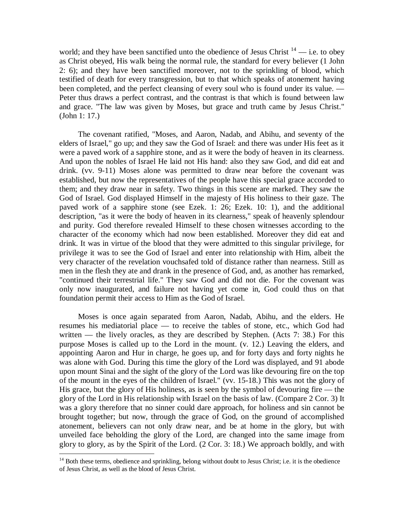world; and they have been sanctified unto the obedience of Jesus Christ  $14$  — i.e. to obey as Christ obeyed, His walk being the normal rule, the standard for every believer (1 John 2: 6); and they have been sanctified moreover, not to the sprinkling of blood, which testified of death for every transgression, but to that which speaks of atonement having been completed, and the perfect cleansing of every soul who is found under its value. — Peter thus draws a perfect contrast, and the contrast is that which is found between law and grace. "The law was given by Moses, but grace and truth came by Jesus Christ." (John 1: 17.)

The covenant ratified, "Moses, and Aaron, Nadab, and Abihu, and seventy of the elders of Israel," go up; and they saw the God of Israel: and there was under His feet as it were a paved work of a sapphire stone, and as it were the body of heaven in its clearness. And upon the nobles of Israel He laid not His hand: also they saw God, and did eat and drink. (vv. 9-11) Moses alone was permitted to draw near before the covenant was established, but now the representatives of the people have this special grace accorded to them; and they draw near in safety. Two things in this scene are marked. They saw the God of Israel. God displayed Himself in the majesty of His holiness to their gaze. The paved work of a sapphire stone (see Ezek. 1: 26; Ezek. 10: 1), and the additional description, "as it were the body of heaven in its clearness," speak of heavenly splendour and purity. God therefore revealed Himself to these chosen witnesses according to the character of the economy which had now been established. Moreover they did eat and drink. It was in virtue of the blood that they were admitted to this singular privilege, for privilege it was to see the God of Israel and enter into relationship with Him, albeit the very character of the revelation vouchsafed told of distance rather than nearness. Still as men in the flesh they ate and drank in the presence of God, and, as another has remarked, "continued their terrestrial life." They saw God and did not die. For the covenant was only now inaugurated, and failure not having yet come in, God could thus on that foundation permit their access to Him as the God of Israel.

Moses is once again separated from Aaron, Nadab, Abihu, and the elders. He resumes his mediatorial place — to receive the tables of stone, etc., which God had written — the lively oracles, as they are described by Stephen. (Acts 7: 38.) For this purpose Moses is called up to the Lord in the mount. (v. 12.) Leaving the elders, and appointing Aaron and Hur in charge, he goes up, and for forty days and forty nights he was alone with God. During this time the glory of the Lord was displayed, and 91 abode upon mount Sinai and the sight of the glory of the Lord was like devouring fire on the top of the mount in the eyes of the children of Israel." (vv. 15-18.) This was not the glory of His grace, but the glory of His holiness, as is seen by the symbol of devouring fire — the glory of the Lord in His relationship with Israel on the basis of law. (Compare 2 Cor. 3) It was a glory therefore that no sinner could dare approach, for holiness and sin cannot be brought together; but now, through the grace of God, on the ground of accomplished atonement, believers can not only draw near, and be at home in the glory, but with unveiled face beholding the glory of the Lord, are changed into the same image from glory to glory, as by the Spirit of the Lord. (2 Cor. 3: 18.) We approach boldly, and with

 $\overline{a}$ 

<sup>&</sup>lt;sup>14</sup> Both these terms, obedience and sprinkling, belong without doubt to Jesus Christ; i.e. it is the obedience of Jesus Christ, as well as the blood of Jesus Christ.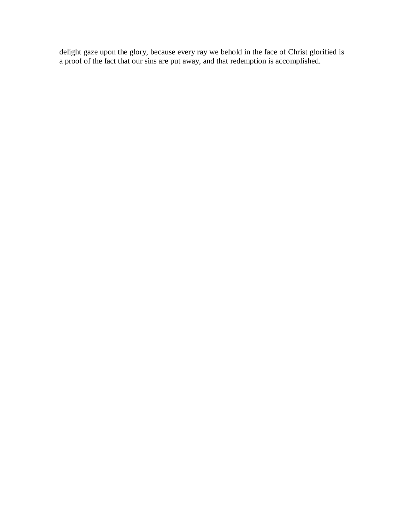delight gaze upon the glory, because every ray we behold in the face of Christ glorified is a proof of the fact that our sins are put away, and that redemption is accomplished.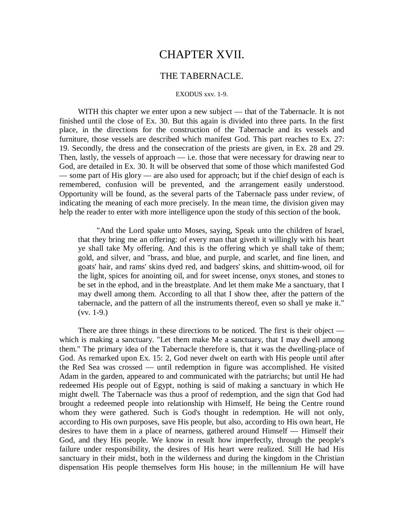# CHAPTER XVII.

## THE TABERNACLE.

#### EXODUS xxv. 1-9.

WITH this chapter we enter upon a new subject — that of the Tabernacle. It is not finished until the close of Ex. 30. But this again is divided into three parts. In the first place, in the directions for the construction of the Tabernacle and its vessels and furniture, those vessels are described which manifest God. This part reaches to Ex. 27: 19. Secondly, the dress and the consecration of the priests are given, in Ex. 28 and 29. Then, lastly, the vessels of approach — i.e. those that were necessary for drawing near to God, are detailed in Ex. 30. It will be observed that some of those which manifested God — some part of His glory — are also used for approach; but if the chief design of each is remembered, confusion will be prevented, and the arrangement easily understood. Opportunity will be found, as the several parts of the Tabernacle pass under review, of indicating the meaning of each more precisely. In the mean time, the division given may help the reader to enter with more intelligence upon the study of this section of the book.

"And the Lord spake unto Moses, saying, Speak unto the children of Israel, that they bring me an offering: of every man that giveth it willingly with his heart ye shall take My offering. And this is the offering which ye shall take of them; gold, and silver, and "brass, and blue, and purple, and scarlet, and fine linen, and goats' hair, and rams' skins dyed red, and badgers' skins, and shittim-wood, oil for the light, spices for anointing oil, and for sweet incense, onyx stones, and stones to be set in the ephod, and in the breastplate. And let them make Me a sanctuary, that I may dwell among them. According to all that I show thee, after the pattern of the tabernacle, and the pattern of all the instruments thereof, even so shall ye make it."  $(vv. 1-9.)$ 

There are three things in these directions to be noticed. The first is their object which is making a sanctuary. "Let them make Me a sanctuary, that I may dwell among them." The primary idea of the Tabernacle therefore is, that it was the dwelling-place of God. As remarked upon Ex. 15: 2, God never dwelt on earth with His people until after the Red Sea was crossed — until redemption in figure was accomplished. He visited Adam in the garden, appeared to and communicated with the patriarchs; but until He had redeemed His people out of Egypt, nothing is said of making a sanctuary in which He might dwell. The Tabernacle was thus a proof of redemption, and the sign that God had brought a redeemed people into relationship with Himself, He being the Centre round whom they were gathered. Such is God's thought in redemption. He will not only, according to His own purposes, save His people, but also, according to His own heart, He desires to have them in a place of nearness, gathered around Himself — Himself their God, and they His people. We know in result how imperfectly, through the people's failure under responsibility, the desires of His heart were realized. Still He had His sanctuary in their midst, both in the wilderness and during the kingdom in the Christian dispensation His people themselves form His house; in the millennium He will have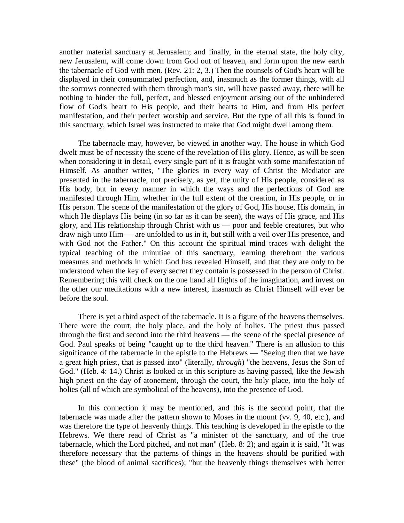another material sanctuary at Jerusalem; and finally, in the eternal state, the holy city, new Jerusalem, will come down from God out of heaven, and form upon the new earth the tabernacle of God with men. (Rev. 21: 2, 3.) Then the counsels of God's heart will be displayed in their consummated perfection, and, inasmuch as the former things, with all the sorrows connected with them through man's sin, will have passed away, there will be nothing to hinder the full, perfect, and blessed enjoyment arising out of the unhindered flow of God's heart to His people, and their hearts to Him, and from His perfect manifestation, and their perfect worship and service. But the type of all this is found in this sanctuary, which Israel was instructed to make that God might dwell among them.

The tabernacle may, however, be viewed in another way. The house in which God dwelt must be of necessity the scene of the revelation of His glory. Hence, as will be seen when considering it in detail, every single part of it is fraught with some manifestation of Himself. As another writes, "The glories in every way of Christ the Mediator are presented in the tabernacle, not precisely, as yet, the unity of His people, considered as His body, but in every manner in which the ways and the perfections of God are manifested through Him, whether in the full extent of the creation, in His people, or in His person. The scene of the manifestation of the glory of God, His house, His domain, in which He displays His being (in so far as it can be seen), the ways of His grace, and His glory, and His relationship through Christ with us — poor and feeble creatures, but who draw nigh unto Him — are unfolded to us in it, but still with a veil over His presence, and with God not the Father." On this account the spiritual mind traces with delight the typical teaching of the minutiae of this sanctuary, learning therefrom the various measures and methods in which God has revealed Himself, and that they are only to be understood when the key of every secret they contain is possessed in the person of Christ. Remembering this will check on the one hand all flights of the imagination, and invest on the other our meditations with a new interest, inasmuch as Christ Himself will ever be before the soul.

There is yet a third aspect of the tabernacle. It is a figure of the heavens themselves. There were the court, the holy place, and the holy of holies. The priest thus passed through the first and second into the third heavens — the scene of the special presence of God. Paul speaks of being "caught up to the third heaven." There is an allusion to this significance of the tabernacle in the epistle to the Hebrews — "Seeing then that we have a great high priest, that is passed into" (literally, *through*) "the heavens, Jesus the Son of God." (Heb. 4: 14.) Christ is looked at in this scripture as having passed, like the Jewish high priest on the day of atonement, through the court, the holy place, into the holy of holies (all of which are symbolical of the heavens), into the presence of God.

In this connection it may be mentioned, and this is the second point, that the tabernacle was made after the pattern shown to Moses in the mount (vv. 9, 40, etc.), and was therefore the type of heavenly things. This teaching is developed in the epistle to the Hebrews. We there read of Christ as "a minister of the sanctuary, and of the true tabernacle, which the Lord pitched, and not man" (Heb. 8: 2); and again it is said, "It was therefore necessary that the patterns of things in the heavens should be purified with these" (the blood of animal sacrifices); "but the heavenly things themselves with better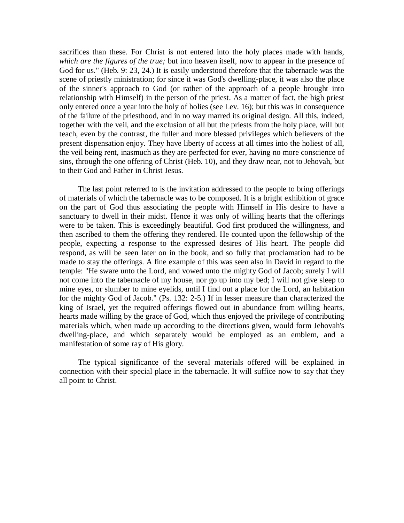sacrifices than these. For Christ is not entered into the holy places made with hands, *which are the figures of the true;* but into heaven itself, now to appear in the presence of God for us." (Heb. 9: 23, 24.) It is easily understood therefore that the tabernacle was the scene of priestly ministration; for since it was God's dwelling-place, it was also the place of the sinner's approach to God (or rather of the approach of a people brought into relationship with Himself) in the person of the priest. As a matter of fact, the high priest only entered once a year into the holy of holies (see Lev. 16); but this was in consequence of the failure of the priesthood, and in no way marred its original design. All this, indeed, together with the veil, and the exclusion of all but the priests from the holy place, will but teach, even by the contrast, the fuller and more blessed privileges which believers of the present dispensation enjoy. They have liberty of access at all times into the holiest of all, the veil being rent, inasmuch as they are perfected for ever, having no more conscience of sins, through the one offering of Christ (Heb. 10), and they draw near, not to Jehovah, but to their God and Father in Christ Jesus.

The last point referred to is the invitation addressed to the people to bring offerings of materials of which the tabernacle was to be composed. It is a bright exhibition of grace on the part of God thus associating the people with Himself in His desire to have a sanctuary to dwell in their midst. Hence it was only of willing hearts that the offerings were to be taken. This is exceedingly beautiful. God first produced the willingness, and then ascribed to them the offering they rendered. He counted upon the fellowship of the people, expecting a response to the expressed desires of His heart. The people did respond, as will be seen later on in the book, and so fully that proclamation had to be made to stay the offerings. A fine example of this was seen also in David in regard to the temple: "He sware unto the Lord, and vowed unto the mighty God of Jacob; surely I will not come into the tabernacle of my house, nor go up into my bed; I will not give sleep to mine eyes, or slumber to mine eyelids, until I find out a place for the Lord, an habitation for the mighty God of Jacob." (Ps. 132: 2-5.) If in lesser measure than characterized the king of Israel, yet the required offerings flowed out in abundance from willing hearts, hearts made willing by the grace of God, which thus enjoyed the privilege of contributing materials which, when made up according to the directions given, would form Jehovah's dwelling-place, and which separately would be employed as an emblem, and a manifestation of some ray of His glory.

The typical significance of the several materials offered will be explained in connection with their special place in the tabernacle. It will suffice now to say that they all point to Christ.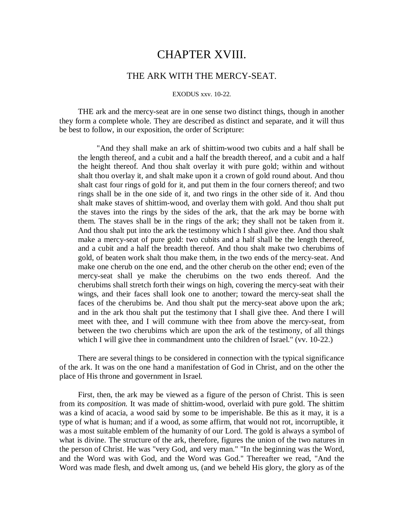# CHAPTER XVIII.

## THE ARK WITH THE MERCY-SEAT.

### EXODUS xxv. 10-22.

THE ark and the mercy-seat are in one sense two distinct things, though in another they form a complete whole. They are described as distinct and separate, and it will thus be best to follow, in our exposition, the order of Scripture:

"And they shall make an ark of shittim-wood two cubits and a half shall be the length thereof, and a cubit and a half the breadth thereof, and a cubit and a half the height thereof. And thou shalt overlay it with pure gold; within and without shalt thou overlay it, and shalt make upon it a crown of gold round about. And thou shalt cast four rings of gold for it, and put them in the four corners thereof; and two rings shall be in the one side of it, and two rings in the other side of it. And thou shalt make staves of shittim-wood, and overlay them with gold. And thou shalt put the staves into the rings by the sides of the ark, that the ark may be borne with them. The staves shall be in the rings of the ark; they shall not be taken from it. And thou shalt put into the ark the testimony which I shall give thee. And thou shalt make a mercy-seat of pure gold: two cubits and a half shall be the length thereof, and a cubit and a half the breadth thereof. And thou shalt make two cherubims of gold, of beaten work shalt thou make them, in the two ends of the mercy-seat. And make one cherub on the one end, and the other cherub on the other end; even of the mercy-seat shall ye make the cherubims on the two ends thereof. And the cherubims shall stretch forth their wings on high, covering the mercy-seat with their wings, and their faces shall look one to another; toward the mercy-seat shall the faces of the cherubims be. And thou shalt put the mercy-seat above upon the ark; and in the ark thou shalt put the testimony that I shall give thee. And there I will meet with thee, and I will commune with thee from above the mercy-seat, from between the two cherubims which are upon the ark of the testimony, of all things which I will give thee in commandment unto the children of Israel." (vv. 10-22.)

There are several things to be considered in connection with the typical significance of the ark. It was on the one hand a manifestation of God in Christ, and on the other the place of His throne and government in Israel.

First, then, the ark may be viewed as a figure of the person of Christ. This is seen from its *composition.* It was made of shittim-wood, overlaid with pure gold. The shittim was a kind of acacia, a wood said by some to be imperishable. Be this as it may, it is a type of what is human; and if a wood, as some affirm, that would not rot, incorruptible, it was a most suitable emblem of the humanity of our Lord. The gold is always a symbol of what is divine. The structure of the ark, therefore, figures the union of the two natures in the person of Christ. He was "very God, and very man." "In the beginning was the Word, and the Word was with God, and the Word was God." Thereafter we read, "And the Word was made flesh, and dwelt among us, (and we beheld His glory, the glory as of the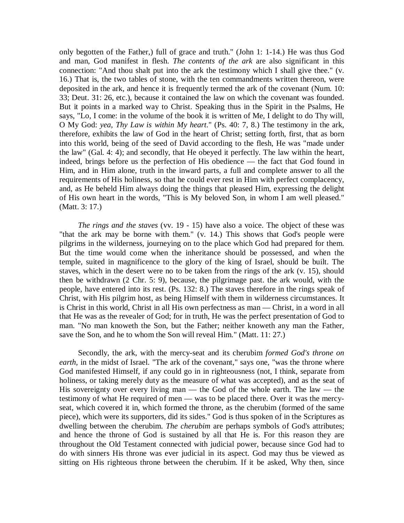only begotten of the Father,) full of grace and truth." (John 1: 1-14.) He was thus God and man, God manifest in flesh. *The contents of the ark* are also significant in this connection: "And thou shalt put into the ark the testimony which I shall give thee." (v. 16.) That is, the two tables of stone, with the ten commandments written thereon, were deposited in the ark, and hence it is frequently termed the ark of the covenant (Num. 10: 33; Deut. 31: 26, etc.), because it contained the law on which the covenant was founded. But it points in a marked way to Christ. Speaking thus in the Spirit in the Psalms, He says, "Lo, I come: in the volume of the book it is written of Me, I delight to do Thy will, O My God: *yea, Thy Law is within My heart*." (Ps. 40: 7, 8.) The testimony in the ark, therefore, exhibits the law of God in the heart of Christ; setting forth, first, that as born into this world, being of the seed of David according to the flesh, He was "made under the law" (Gal. 4: 4); and secondly, that He obeyed it perfectly. The law within the heart, indeed, brings before us the perfection of His obedience — the fact that God found in Him, and in Him alone, truth in the inward parts, a full and complete answer to all the requirements of His holiness, so that he could ever rest in Him with perfect complacency, and, as He beheld Him always doing the things that pleased Him, expressing the delight of His own heart in the words, "This is My beloved Son, in whom I am well pleased." (Matt. 3: 17.)

*The rings and the staves* (vv. 19 - 15) have also a voice. The object of these was "that the ark may be borne with them." (v. 14.) This shows that God's people were pilgrims in the wilderness, journeying on to the place which God had prepared for them. But the time would come when the inheritance should be possessed, and when the temple, suited in magnificence to the glory of the king of Israel, should be built. The staves, which in the desert were no to be taken from the rings of the ark (v. 15), should then be withdrawn (2 Chr. 5: 9), because, the pilgrimage past. the ark would, with the people, have entered into its rest. (Ps. 132: 8.) The staves therefore in the rings speak of Christ, with His pilgrim host, as being Himself with them in wilderness circumstances. It is Christ in this world, Christ in all His own perfectness as man — Christ, in a word in all that He was as the revealer of God; for in truth, He was the perfect presentation of God to man. "No man knoweth the Son, but the Father; neither knoweth any man the Father, save the Son, and he to whom the Son will reveal Him." (Matt. 11: 27.)

Secondly, the ark, with the mercy-seat and its cherubim *formed God's throne on*  earth, in the midst of Israel. "The ark of the covenant," says one, "was the throne where God manifested Himself, if any could go in in righteousness (not, I think, separate from holiness, or taking merely duty as the measure of what was accepted), and as the seat of His sovereignty over every living man — the God of the whole earth. The law — the testimony of what He required of men — was to be placed there. Over it was the mercyseat, which covered it in, which formed the throne, as the cherubim (formed of the same piece), which were its supporters, did its sides." God is thus spoken of in the Scriptures as dwelling between the cherubim. *The cherubim* are perhaps symbols of God's attributes; and hence the throne of God is sustained by all that He is. For this reason they are throughout the Old Testament connected with judicial power, because since God had to do with sinners His throne was ever judicial in its aspect. God may thus be viewed as sitting on His righteous throne between the cherubim. If it be asked, Why then, since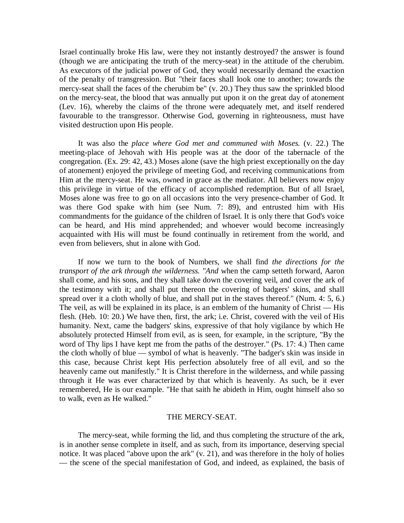Israel continually broke His law, were they not instantly destroyed? the answer is found (though we are anticipating the truth of the mercy-seat) in the attitude of the cherubim. As executors of the judicial power of God, they would necessarily demand the exaction of the penalty of transgression. But "their faces shall look one to another; towards the mercy-seat shall the faces of the cherubim be" (v. 20.) They thus saw the sprinkled blood on the mercy-seat, the blood that was annually put upon it on the great day of atonement (Lev. 16), whereby the claims of the throne were adequately met, and itself rendered favourable to the transgressor. Otherwise God, governing in righteousness, must have visited destruction upon His people.

It was also the *place where God met and communed with Moses.* (v. 22.) The meeting-place of Jehovah with His people was at the door of the tabernacle of the congregation. (Ex. 29: 42, 43.) Moses alone (save the high priest exceptionally on the day of atonement) enjoyed the privilege of meeting God, and receiving communications from Him at the mercy-seat. He was, owned in grace as the mediator. All believers now enjoy this privilege in virtue of the efficacy of accomplished redemption. But of all Israel, Moses alone was free to go on all occasions into the very presence-chamber of God. It was there God spake with him (see Num. 7: 89), and entrusted him with His commandments for the guidance of the children of Israel. It is only there that God's voice can be heard, and His mind apprehended; and whoever would become increasingly acquainted with His will must be found continually in retirement from the world, and even from believers, shut in alone with God.

If now we turn to the book of Numbers, we shall find *the directions for the transport of the ark through the wilderness. "And* when the camp setteth forward, Aaron shall come, and his sons, and they shall take down the covering veil, and cover the ark of the testimony with it; and shall put thereon the covering of badgers' skins, and shall spread over it a cloth wholly of blue, and shall put in the staves thereof." (Num. 4: 5, 6.) The veil, as will be explained in its place, is an emblem of the humanity of Christ — His flesh. (Heb. 10: 20.) We have then, first, the ark; i.e. Christ, covered with the veil of His humanity. Next, came the badgers' skins, expressive of that holy vigilance by which He absolutely protected Himself from evil, as is seen, for example, in the scripture, "By the word of Thy lips I have kept me from the paths of the destroyer." (Ps. 17: 4.) Then came the cloth wholly of blue — symbol of what is heavenly. "The badger's skin was inside in this case, because Christ kept His perfection absolutely free of all evil, and so the heavenly came out manifestly." It is Christ therefore in the wilderness, and while passing through it He was ever characterized by that which is heavenly. As such, be it ever remembered, He is our example. "He that saith he abideth in Him, ought himself also so to walk, even as He walked."

#### THE MERCY-SEAT.

The mercy-seat, while forming the lid, and thus completing the structure of the ark, is in another sense complete in itself, and as such, from its importance, deserving special notice. It was placed "above upon the ark" (v. 21), and was therefore in the holy of holies — the scene of the special manifestation of God, and indeed, as explained, the basis of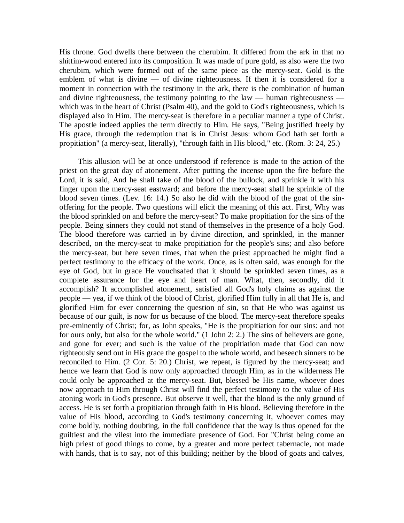His throne. God dwells there between the cherubim. It differed from the ark in that no shittim-wood entered into its composition. It was made of pure gold, as also were the two cherubim, which were formed out of the same piece as the mercy-seat. Gold is the emblem of what is divine — of divine righteousness. If then it is considered for a moment in connection with the testimony in the ark, there is the combination of human and divine righteousness, the testimony pointing to the law — human righteousness which was in the heart of Christ (Psalm 40), and the gold to God's righteousness, which is displayed also in Him. The mercy-seat is therefore in a peculiar manner a type of Christ. The apostle indeed applies the term directly to Him. He says, "Being justified freely by His grace, through the redemption that is in Christ Jesus: whom God hath set forth a propitiation" (a mercy-seat, literally), "through faith in His blood," etc. (Rom. 3: 24, 25.)

This allusion will be at once understood if reference is made to the action of the priest on the great day of atonement. After putting the incense upon the fire before the Lord, it is said, And he shall take of the blood of the bullock, and sprinkle it with his finger upon the mercy-seat eastward; and before the mercy-seat shall he sprinkle of the blood seven times. (Lev. 16: 14.) So also he did with the blood of the goat of the sinoffering for the people. Two questions will elicit the meaning of this act. First, Why was the blood sprinkled on and before the mercy-seat? To make propitiation for the sins of the people. Being sinners they could not stand of themselves in the presence of a holy God. The blood therefore was carried in by divine direction, and sprinkled, in the manner described, on the mercy-seat to make propitiation for the people's sins; and also before the mercy-seat, but here seven times, that when the priest approached he might find a perfect testimony to the efficacy of the work. Once, as is often said, was enough for the eye of God, but in grace He vouchsafed that it should be sprinkled seven times, as a complete assurance for the eye and heart of man. What, then, secondly, did it accomplish? It accomplished atonement, satisfied all God's holy claims as against the people — yea, if we think of the blood of Christ, glorified Him fully in all that He is, and glorified Him for ever concerning the question of sin, so that He who was against us because of our guilt, is now for us because of the blood. The mercy-seat therefore speaks pre-eminently of Christ; for, as John speaks, "He is the propitiation for our sins: and not for ours only, but also for the whole world." (1 John 2: 2.) The sins of believers are gone, and gone for ever; and such is the value of the propitiation made that God can now righteously send out in His grace the gospel to the whole world, and beseech sinners to be reconciled to Him. (2 Cor. 5: 20.) Christ, we repeat, is figured by the mercy-seat; and hence we learn that God is now only approached through Him, as in the wilderness He could only be approached at the mercy-seat. But, blessed be His name, whoever does now approach to Him through Christ will find the perfect testimony to the value of His atoning work in God's presence. But observe it well, that the blood is the only ground of access. He is set forth a propitiation through faith in His blood. Believing therefore in the value of His blood, according to God's testimony concerning it, whoever comes may come boldly, nothing doubting, in the full confidence that the way is thus opened for the guiltiest and the vilest into the immediate presence of God. For "Christ being come an high priest of good things to come, by a greater and more perfect tabernacle, not made with hands, that is to say, not of this building; neither by the blood of goats and calves,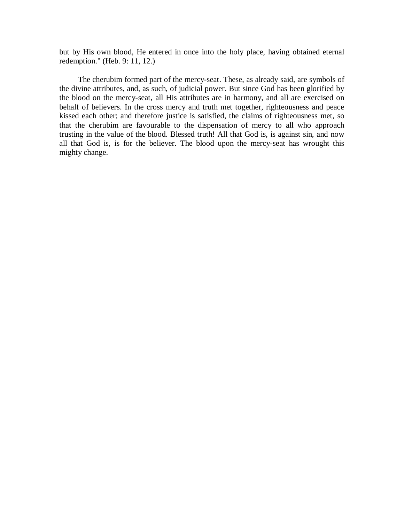but by His own blood, He entered in once into the holy place, having obtained eternal redemption." (Heb. 9: 11, 12.)

The cherubim formed part of the mercy-seat. These, as already said, are symbols of the divine attributes, and, as such, of judicial power. But since God has been glorified by the blood on the mercy-seat, all His attributes are in harmony, and all are exercised on behalf of believers. In the cross mercy and truth met together, righteousness and peace kissed each other; and therefore justice is satisfied, the claims of righteousness met, so that the cherubim are favourable to the dispensation of mercy to all who approach trusting in the value of the blood. Blessed truth! All that God is, is against sin, and now all that God is, is for the believer. The blood upon the mercy-seat has wrought this mighty change.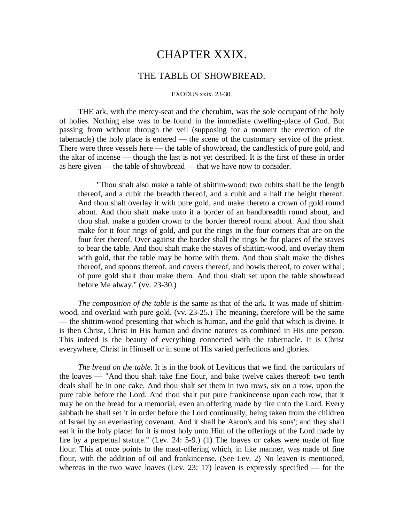# CHAPTER XXIX.

## THE TABLE OF SHOWBREAD.

#### EXODUS xxix. 23-30.

THE ark, with the mercy-seat and the cherubim, was the sole occupant of the holy of holies. Nothing else was to be found in the immediate dwelling-place of God. But passing from without through the veil (supposing for a moment the erection of the tabernacle) the holy place is entered — the scene of the customary service of the priest. There were three vessels here — the table of showbread, the candlestick of pure gold, and the altar of incense — though the last is not yet described. It is the first of these in order as here given — the table of showbread — that we have now to consider.

"Thou shalt also make a table of shittim-wood: two cubits shall be the length thereof, and a cubit the breadth thereof, and a cubit and a half the height thereof. And thou shalt overlay it with pure gold, and make thereto a crown of gold round about. And thou shalt make unto it a border of an handbreadth round about, and thou shalt make a golden crown to the border thereof round about. And thou shalt make for it four rings of gold, and put the rings in the four corners that are on the four feet thereof. Over against the border shall the rings be for places of the staves to bear the table. And thou shalt make the staves of shittim-wood, and overlay them with gold, that the table may be borne with them. And thou shalt make the dishes thereof, and spoons thereof, and covers thereof, and bowls thereof, to cover withal; of pure gold shalt thou make them. And thou shalt set upon the table showbread before Me alway." (vv. 23-30.)

*The composition of the table* is the same as that of the ark. It was made of shittimwood, and overlaid with pure gold. (vv. 23-25.) The meaning, therefore will be the same — the shittim-wood presenting that which is human, and the gold that which is divine. It is then Christ, Christ in His human and divine natures as combined in His one person. This indeed is the beauty of everything connected with the tabernacle. It is Christ everywhere, Christ in Himself or in some of His varied perfections and glories.

*The bread on the table.* It is in the book of Leviticus that we find. the particulars of the loaves — "And thou shalt take fine flour, and bake twelve cakes thereof: two tenth deals shall be in one cake. And thou shalt set them in two rows, six on a row, upon the pure table before the Lord. And thou shalt put pure frankincense upon each row, that it may be on the bread for a memorial, even an offering made by fire unto the Lord. Every sabbath he shall set it in order before the Lord continually, being taken from the children of Israel by an everlasting covenant. And it shall be Aaron's and his sons'; and they shall eat it in the holy place: for it is most holy unto Him of the offerings of the Lord made by fire by a perpetual statute." (Lev. 24: 5-9.) (1) The loaves or cakes were made of fine flour. This at once points to the meat-offering which, in like manner, was made of fine flour, with the addition of oil and frankincense. (See Lev. 2) No leaven is mentioned, whereas in the two wave loaves (Lev.  $23: 17$ ) leaven is expressly specified — for the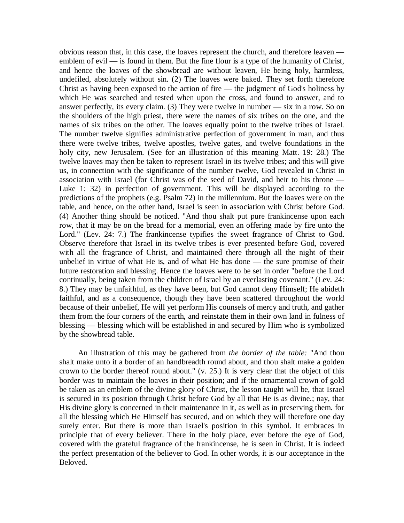obvious reason that, in this case, the loaves represent the church, and therefore leaven emblem of evil  $\frac{1}{1}$  is found in them. But the fine flour is a type of the humanity of Christ, and hence the loaves of the showbread are without leaven, He being holy, harmless, undefiled, absolutely without sin. (2) The loaves were baked. They set forth therefore Christ as having been exposed to the action of fire — the judgment of God's holiness by which He was searched and tested when upon the cross, and found to answer, and to answer perfectly, its every claim. (3) They were twelve in number — six in a row. So on the shoulders of the high priest, there were the names of six tribes on the one, and the names of six tribes on the other. The loaves equally point to the twelve tribes of Israel. The number twelve signifies administrative perfection of government in man, and thus there were twelve tribes, twelve apostles, twelve gates, and twelve foundations in the holy city, new Jerusalem. (See for an illustration of this meaning Matt. 19: 28.) The twelve loaves may then be taken to represent Israel in its twelve tribes; and this will give us, in connection with the significance of the number twelve, God revealed in Christ in association with Israel (for Christ was of the seed of David, and heir to his throne — Luke 1: 32) in perfection of government. This will be displayed according to the predictions of the prophets (e.g. Psalm 72) in the millennium. But the loaves were on the table, and hence, on the other hand, Israel is seen in association with Christ before God. (4) Another thing should be noticed. "And thou shalt put pure frankincense upon each row, that it may be on the bread for a memorial, even an offering made by fire unto the Lord." (Lev. 24: 7.) The frankincense typifies the sweet fragrance of Christ to God. Observe therefore that Israel in its twelve tribes is ever presented before God, covered with all the fragrance of Christ, and maintained there through all the night of their unbelief in virtue of what He is, and of what He has done — the sure promise of their future restoration and blessing. Hence the loaves were to be set in order "before the Lord continually, being taken from the children of Israel by an everlasting covenant." (Lev. 24: 8.) They may be unfaithful, as they have been, but God cannot deny Himself; He abideth faithful, and as a consequence, though they have been scattered throughout the world because of their unbelief, He will yet perform His counsels of mercy and truth, and gather them from the four corners of the earth, and reinstate them in their own land in fulness of blessing — blessing which will be established in and secured by Him who is symbolized by the showbread table.

An illustration of this may be gathered from *the border of the table:* "And thou shalt make unto it a border of an handbreadth round about, and thou shalt make a golden crown to the border thereof round about." (v. 25.) It is very clear that the object of this border was to maintain the loaves in their position; and if the ornamental crown of gold be taken as an emblem of the divine glory of Christ, the lesson taught will be, that Israel is secured in its position through Christ before God by all that He is as divine.; nay, that His divine glory is concerned in their maintenance in it, as well as in preserving them. for all the blessing which He Himself has secured, and on which they will therefore one day surely enter. But there is more than Israel's position in this symbol. It embraces in principle that of every believer. There in the holy place, ever before the eye of God, covered with the grateful fragrance of the frankincense, he is seen in Christ. It is indeed the perfect presentation of the believer to God. In other words, it is our acceptance in the Beloved.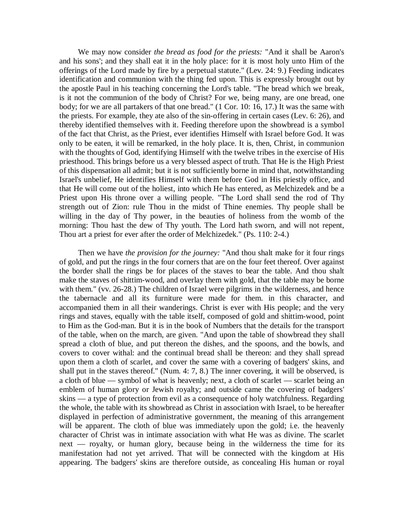We may now consider *the bread as food for the priests:* "And it shall be Aaron's and his sons'; and they shall eat it in the holy place: for it is most holy unto Him of the offerings of the Lord made by fire by a perpetual statute." (Lev. 24: 9.) Feeding indicates identification and communion with the thing fed upon. This is expressly brought out by the apostle Paul in his teaching concerning the Lord's table. "The bread which we break, is it not the communion of the body of Christ? For we, being many, are one bread, one body; for we are all partakers of that one bread." (1 Cor. 10: 16, 17.) It was the same with the priests. For example, they ate also of the sin-offering in certain cases (Lev. 6: 26), and thereby identified themselves with it. Feeding therefore upon the showbread is a symbol of the fact that Christ, as the Priest, ever identifies Himself with Israel before God. It was only to be eaten, it will be remarked, in the holy place. It is, then, Christ, in communion with the thoughts of God, identifying Himself with the twelve tribes in the exercise of His priesthood. This brings before us a very blessed aspect of truth. That He is the High Priest of this dispensation all admit; but it is not sufficiently borne in mind that, notwithstanding Israel's unbelief, He identifies Himself with them before God in His priestly office, and that He will come out of the holiest, into which He has entered, as Melchizedek and be a Priest upon His throne over a willing people. "The Lord shall send the rod of Thy strength out of Zion: rule Thou in the midst of Thine enemies. Thy people shall be willing in the day of Thy power, in the beauties of holiness from the womb of the morning: Thou hast the dew of Thy youth. The Lord hath sworn, and will not repent, Thou art a priest for ever after the order of Melchizedek." (Ps. 110: 2-4.)

Then we have *the provision for the journey:* "And thou shalt make for it four rings of gold, and put the rings in the four corners that are on the four feet thereof. Over against the border shall the rings be for places of the staves to bear the table. And thou shalt make the staves of shittim-wood, and overlay them with gold, that the table may be borne with them." (vv. 26-28.) The children of Israel were pilgrims in the wilderness, and hence the tabernacle and all its furniture were made for them. in this character, and accompanied them in all their wanderings. Christ is ever with His people; and the very rings and staves, equally with the table itself, composed of gold and shittim-wood, point to Him as the God-man. But it is in the book of Numbers that the details for the transport of the table, when on the march, are given. "And upon the table of showbread they shall spread a cloth of blue, and put thereon the dishes, and the spoons, and the bowls, and covers to cover withal: and the continual bread shall be thereon: and they shall spread upon them a cloth of scarlet, and cover the same with a covering of badgers' skins, and shall put in the staves thereof." (Num. 4: 7, 8.) The inner covering, it will be observed, is a cloth of blue — symbol of what is heavenly; next, a cloth of scarlet — scarlet being an emblem of human glory or Jewish royalty; and outside came the covering of badgers' skins — a type of protection from evil as a consequence of holy watchfulness. Regarding the whole, the table with its showbread as Christ in association with Israel, to be hereafter displayed in perfection of administrative government, the meaning of this arrangement will be apparent. The cloth of blue was immediately upon the gold; i.e. the heavenly character of Christ was in intimate association with what He was as divine. The scarlet next — royalty, or human glory, because being in the wilderness the time for its manifestation had not yet arrived. That will be connected with the kingdom at His appearing. The badgers' skins are therefore outside, as concealing His human or royal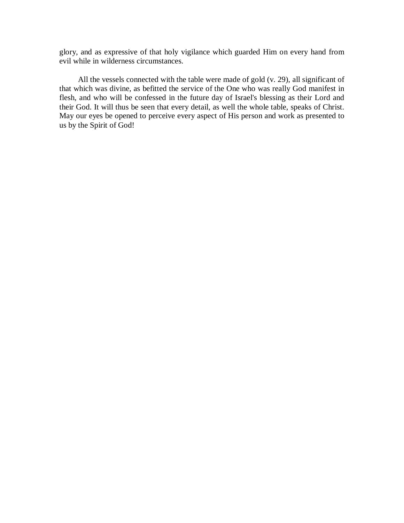glory, and as expressive of that holy vigilance which guarded Him on every hand from evil while in wilderness circumstances.

All the vessels connected with the table were made of gold (v. 29), all significant of that which was divine, as befitted the service of the One who was really God manifest in flesh, and who will be confessed in the future day of Israel's blessing as their Lord and their God. It will thus be seen that every detail, as well the whole table, speaks of Christ. May our eyes be opened to perceive every aspect of His person and work as presented to us by the Spirit of God!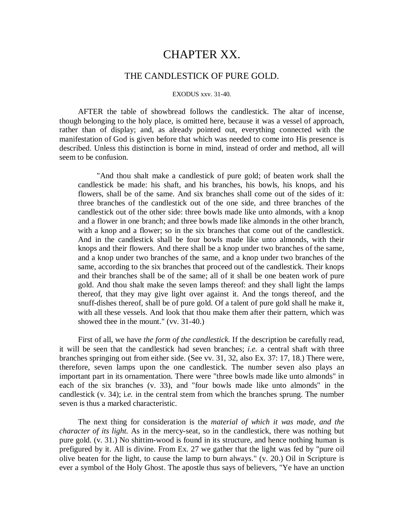# CHAPTER XX.

## THE CANDLESTICK OF PURE GOLD.

#### EXODUS xxv. 31-40.

AFTER the table of showbread follows the candlestick. The altar of incense, though belonging to the holy place, is omitted here, because it was a vessel of approach, rather than of display; and, as already pointed out, everything connected with the manifestation of God is given before that which was needed to come into His presence is described. Unless this distinction is borne in mind, instead of order and method, all will seem to be confusion.

"And thou shalt make a candlestick of pure gold; of beaten work shall the candlestick be made: his shaft, and his branches, his bowls, his knops, and his flowers, shall be of the same. And six branches shall come out of the sides of it: three branches of the candlestick out of the one side, and three branches of the candlestick out of the other side: three bowls made like unto almonds, with a knop and a flower in one branch; and three bowls made like almonds in the other branch, with a knop and a flower; so in the six branches that come out of the candlestick. And in the candlestick shall be four bowls made like unto almonds, with their knops and their flowers. And there shall be a knop under two branches of the same, and a knop under two branches of the same, and a knop under two branches of the same, according to the six branches that proceed out of the candlestick. Their knops and their branches shall be of the same; all of it shall be one beaten work of pure gold. And thou shalt make the seven lamps thereof: and they shall light the lamps thereof, that they may give light over against it. And the tongs thereof, and the snuff-dishes thereof, shall be of pure gold. Of a talent of pure gold shall he make it, with all these vessels. And look that thou make them after their pattern, which was showed thee in the mount." (vv. 31-40.)

First of all, we have *the form of the candlestick.* If the description be carefully read, it will be seen that the candlestick had seven branches; *i.e.* a central shaft with three branches springing out from either side. (See vv. 31, 32, also Ex. 37: 17, 18.) There were, therefore, seven lamps upon the one candlestick. The number seven also plays an important part in its ornamentation. There were "three bowls made like unto almonds" in each of the six branches (v. 33), and "four bowls made like unto almonds" in the candlestick (v. 34); i*.e.* in the central stem from which the branches sprung. The number seven is thus a marked characteristic.

The next thing for consideration is the *material of which it was made, and the character of its light.* As in the mercy-seat, so in the candlestick, there was nothing but pure gold. (v. 31.) No shittim-wood is found in its structure, and hence nothing human is prefigured by it. All is divine. From Ex. 27 we gather that the light was fed by "pure oil olive beaten for the light, to cause the lamp to burn always." (v. 20.) Oil in Scripture is ever a symbol of the Holy Ghost. The apostle thus says of believers, "Ye have an unction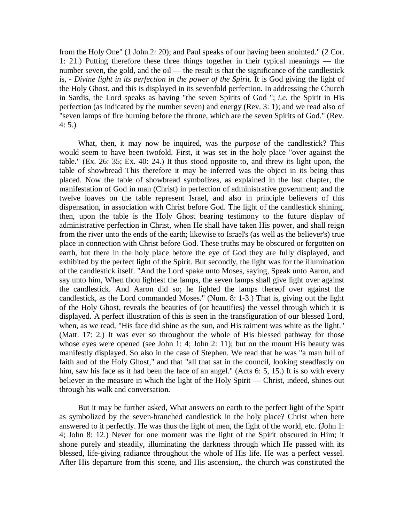from the Holy One" (1 John 2: 20); and Paul speaks of our having been anointed." (2 Cor. 1: 21.) Putting therefore these three things together in their typical meanings — the number seven, the gold, and the oil — the result is that the significance of the candlestick is, *- Divine light in its perfection in the power of the Spirit.* It is God giving the light of the Holy Ghost, and this is displayed in its sevenfold perfection. In addressing the Church in Sardis, the Lord speaks as having "the seven Spirits of God "; *i.e.* the Spirit in His perfection (as indicated by the number seven) and energy (Rev. 3: 1); and we read also of "seven lamps of fire burning before the throne, which are the seven Spirits of God." (Rev. 4: 5.)

What, then, it may now be inquired, was the *purpose* of the candlestick? This would seem to have been twofold. First, it was set in the holy place "over against the table." (Ex. 26: 35; Ex. 40: 24.) It thus stood opposite to, and threw its light upon, the table of showbread This therefore it may be inferred was the object in its being thus placed. Now the table of showbread symbolizes, as explained in the last chapter, the manifestation of God in man (Christ) in perfection of administrative government; and the twelve loaves on the table represent Israel, and also in principle believers of this dispensation, in association with Christ before God. The light of the candlestick shining, then, upon the table is the Holy Ghost bearing testimony to the future display of administrative perfection in Christ, when He shall have taken His power, and shall reign from the river unto the ends of the earth; likewise to Israel's (as well as the believer's) true place in connection with Christ before God. These truths may be obscured or forgotten on earth, but there in the holy place before the eye of God they are fully displayed, and exhibited by the perfect light of the Spirit. But secondly, the light was for the illumination of the candlestick itself. "And the Lord spake unto Moses, saying, Speak unto Aaron, and say unto him, When thou lightest the lamps, the seven lamps shall give light over against the candlestick. And Aaron did so; he lighted the lamps thereof over against the candlestick, as the Lord commanded Moses." (Num. 8: 1-3.) That is, giving out the light of the Holy Ghost, reveals the beauties of (or beautifies) the vessel through which it is displayed. A perfect illustration of this is seen in the transfiguration of our blessed Lord, when, as we read, "His face did shine as the sun, and His raiment was white as the light." (Matt. 17: 2.) It was ever so throughout the whole of His blessed pathway for those whose eyes were opened (see John 1: 4; John 2: 11); but on the mount His beauty was manifestly displayed. So also in the case of Stephen. We read that he was "a man full of faith and of the Holy Ghost," and that "all that sat in the council, looking steadfastly on him, saw his face as it had been the face of an angel." (Acts 6: 5, 15.) It is so with every believer in the measure in which the light of the Holy Spirit — Christ, indeed, shines out through his walk and conversation.

But it may be further asked, What answers on earth to the perfect light of the Spirit as symbolized by the seven-branched candlestick in the holy place? Christ when here answered to it perfectly. He was thus the light of men, the light of the world, etc. (John 1: 4; John 8: 12.) Never for one moment was the light of the Spirit obscured in Him; it shone purely and steadily, illuminating the darkness through which He passed with its blessed, life-giving radiance throughout the whole of His life. He was a perfect vessel. After His departure from this scene, and His ascension,. the church was constituted the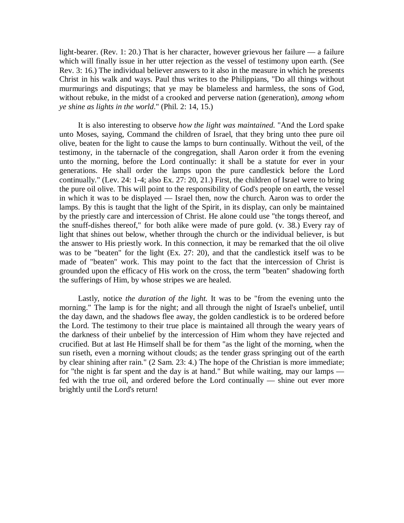light-bearer. (Rev. 1: 20.) That is her character, however grievous her failure — a failure which will finally issue in her utter rejection as the vessel of testimony upon earth. (See Rev. 3: 16.) The individual believer answers to it also in the measure in which he presents Christ in his walk and ways. Paul thus writes to the Philippians, "Do all things without murmurings and disputings; that ye may be blameless and harmless, the sons of God, without rebuke, in the midst of a crooked and perverse nation (generation), *among whom ye shine as lights in the world*." (Phil. 2: 14, 15.)

It is also interesting to observe *how the light was maintained.* "And the Lord spake unto Moses, saying, Command the children of Israel, that they bring unto thee pure oil olive, beaten for the light to cause the lamps to burn continually. Without the veil, of the testimony, in the tabernacle of the congregation, shall Aaron order it from the evening unto the morning, before the Lord continually: it shall be a statute for ever in your generations. He shall order the lamps upon the pure candlestick before the Lord continually." (Lev. 24: 1-4; also Ex. 27: 20, 21.) First, the children of Israel were to bring the pure oil olive. This will point to the responsibility of God's people on earth, the vessel in which it was to be displayed — Israel then, now the church. Aaron was to order the lamps. By this is taught that the light of the Spirit, in its display, can only be maintained by the priestly care and intercession of Christ. He alone could use "the tongs thereof, and the snuff-dishes thereof," for both alike were made of pure gold. (v. 38.) Every ray of light that shines out below, whether through the church or the individual believer, is but the answer to His priestly work. In this connection, it may be remarked that the oil olive was to be "beaten" for the light (Ex. 27: 20), and that the candlestick itself was to be made of "beaten" work. This may point to the fact that the intercession of Christ is grounded upon the efficacy of His work on the cross, the term "beaten" shadowing forth the sufferings of Him, by whose stripes we are healed.

Lastly, notice *the duration of the light.* It was to be "from the evening unto the morning." The lamp is for the night; and all through the night of Israel's unbelief, until the day dawn, and the shadows flee away, the golden candlestick is to be ordered before the Lord. The testimony to their true place is maintained all through the weary years of the darkness of their unbelief by the intercession of Him whom they have rejected and crucified. But at last He Himself shall be for them "as the light of the morning, when the sun riseth, even a morning without clouds; as the tender grass springing out of the earth by clear shining after rain." (2 Sam. 23: 4.) The hope of the Christian is more immediate; for "the night is far spent and the day is at hand." But while waiting, may our lamps fed with the true oil, and ordered before the Lord continually — shine out ever more brightly until the Lord's return!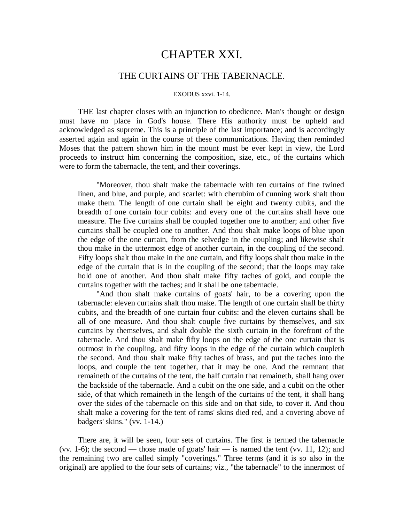# CHAPTER XXI.

## THE CURTAINS OF THE TABERNACLE.

#### EXODUS xxvi. 1-14.

THE last chapter closes with an injunction to obedience. Man's thought or design must have no place in God's house. There His authority must be upheld and acknowledged as supreme. This is a principle of the last importance; and is accordingly asserted again and again in the course of these communications. Having then reminded Moses that the pattern shown him in the mount must be ever kept in view, the Lord proceeds to instruct him concerning the composition, size, etc., of the curtains which were to form the tabernacle, the tent, and their coverings.

"Moreover, thou shalt make the tabernacle with ten curtains of fine twined linen, and blue, and purple, and scarlet: with cherubim of cunning work shalt thou make them. The length of one curtain shall be eight and twenty cubits, and the breadth of one curtain four cubits: and every one of the curtains shall have one measure. The five curtains shall be coupled together one to another; and other five curtains shall be coupled one to another. And thou shalt make loops of blue upon the edge of the one curtain, from the selvedge in the coupling; and likewise shalt thou make in the uttermost edge of another curtain, in the coupling of the second. Fifty loops shalt thou make in the one curtain, and fifty loops shalt thou make in the edge of the curtain that is in the coupling of the second; that the loops may take hold one of another. And thou shalt make fifty taches of gold, and couple the curtains together with the taches; and it shall be one tabernacle.

"And thou shalt make curtains of goats' hair, to be a covering upon the tabernacle: eleven curtains shalt thou make. The length of one curtain shall be thirty cubits, and the breadth of one curtain four cubits: and the eleven curtains shall be all of one measure. And thou shalt couple five curtains by themselves, and six curtains by themselves, and shalt double the sixth curtain in the forefront of the tabernacle. And thou shalt make fifty loops on the edge of the one curtain that is outmost in the coupling, and fifty loops in the edge of the curtain which coupleth the second. And thou shalt make fifty taches of brass, and put the taches into the loops, and couple the tent together, that it may be one. And the remnant that remaineth of the curtains of the tent, the half curtain that remaineth, shall hang over the backside of the tabernacle. And a cubit on the one side, and a cubit on the other side, of that which remaineth in the length of the curtains of the tent, it shall hang over the sides of the tabernacle on this side and on that side, to cover it. And thou shalt make a covering for the tent of rams' skins died red, and a covering above of badgers' skins." (vv. 1-14.)

There are, it will be seen, four sets of curtains. The first is termed the tabernacle (vv. 1-6); the second — those made of goats' hair — is named the tent (vv. 11, 12); and the remaining two are called simply "coverings." Three terms (and it is so also in the original) are applied to the four sets of curtains; viz., "the tabernacle" to the innermost of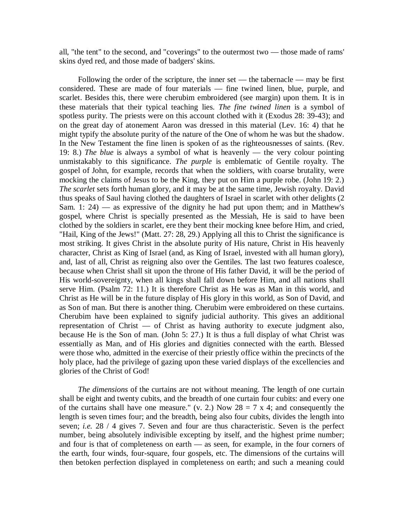all, "the tent" to the second, and "coverings" to the outermost two — those made of rams' skins dyed red, and those made of badgers' skins.

Following the order of the scripture, the inner set — the tabernacle — may be first considered. These are made of four materials — fine twined linen, blue, purple, and scarlet. Besides this, there were cherubim embroidered (see margin) upon them. It is in these materials that their typical teaching lies. *The fine twined linen* is a symbol of spotless purity. The priests were on this account clothed with it (Exodus 28: 39-43); and on the great day of atonement Aaron was dressed in this material (Lev. 16: 4) that he might typify the absolute purity of the nature of the One of whom he was but the shadow. In the New Testament the fine linen is spoken of as the righteousnesses of saints. (Rev. 19: 8.) *The blue* is always a symbol of what is heavenly — the very colour pointing unmistakably to this significance. *The purple* is emblematic of Gentile royalty. The gospel of John, for example, records that when the soldiers, with coarse brutality, were mocking the claims of Jesus to be the King, they put on Him a purple robe. (John 19: 2.) *The scarlet* sets forth human glory, and it may be at the same time, Jewish royalty. David thus speaks of Saul having clothed the daughters of Israel in scarlet with other delights (2 Sam. 1: 24) — as expressive of the dignity he had put upon them; and in Matthew's gospel, where Christ is specially presented as the Messiah, He is said to have been clothed by the soldiers in scarlet, ere they bent their mocking knee before Him, and cried, "Hail, King of the Jews!" (Matt. 27: 28, 29.) Applying all this to Christ the significance is most striking. It gives Christ in the absolute purity of His nature, Christ in His heavenly character, Christ as King of Israel (and, as King of Israel, invested with all human glory), and, last of all, Christ as reigning also over the Gentiles. The last two features coalesce, because when Christ shall sit upon the throne of His father David, it will be the period of His world-sovereignty, when all kings shall fall down before Him, and all nations shall serve Him. (Psalm 72: 11.) It is therefore Christ as He was as Man in this world, and Christ as He will be in the future display of His glory in this world, as Son of David, and as Son of man. But there is another thing. Cherubim were embroidered on these curtains. Cherubim have been explained to signify judicial authority. This gives an additional representation of Christ  $-$  of Christ as having authority to execute judgment also, because He is the Son of man. (John 5: 27.) It is thus a full display of what Christ was essentially as Man, and of His glories and dignities connected with the earth. Blessed were those who, admitted in the exercise of their priestly office within the precincts of the holy place, had the privilege of gazing upon these varied displays of the excellencies and glories of the Christ of God!

*The dimensions* of the curtains are not without meaning. The length of one curtain shall be eight and twenty cubits, and the breadth of one curtain four cubits: and every one of the curtains shall have one measure." (v. 2.) Now  $28 = 7 \times 4$ ; and consequently the length is seven times four; and the breadth, being also four cubits, divides the length into seven; *i.e.* 28 / 4 gives 7. Seven and four are thus characteristic. Seven is the perfect number, being absolutely indivisible excepting by itself, and the highest prime number; and four is that of completeness on earth — as seen, for example, in the four corners of the earth, four winds, four-square, four gospels, etc. The dimensions of the curtains will then betoken perfection displayed in completeness on earth; and such a meaning could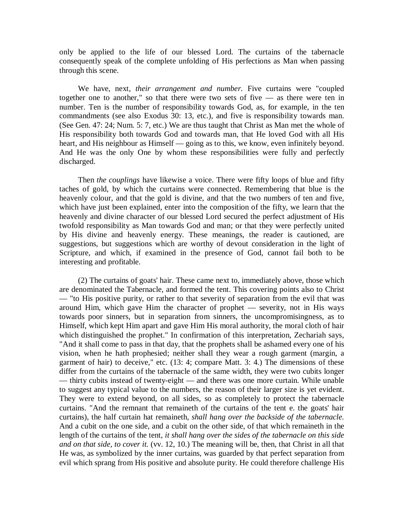only be applied to the life of our blessed Lord. The curtains of the tabernacle consequently speak of the complete unfolding of His perfections as Man when passing through this scene.

We have, next, *their arrangement and number.* Five curtains were "coupled together one to another," so that there were two sets of five — as there were ten in number. Ten is the number of responsibility towards God, as, for example, in the ten commandments (see also Exodus 30: 13, etc.), and five is responsibility towards man. (See Gen. 47: 24; Num. 5: 7, etc.) We are thus taught that Christ as Man met the whole of His responsibility both towards God and towards man, that He loved God with all His heart, and His neighbour as Himself — going as to this, we know, even infinitely beyond. And He was the only One by whom these responsibilities were fully and perfectly discharged.

Then *the couplings* have likewise a voice. There were fifty loops of blue and fifty taches of gold, by which the curtains were connected. Remembering that blue is the heavenly colour, and that the gold is divine, and that the two numbers of ten and five, which have just been explained, enter into the composition of the fifty, we learn that the heavenly and divine character of our blessed Lord secured the perfect adjustment of His twofold responsibility as Man towards God and man; or that they were perfectly united by His divine and heavenly energy. These meanings, the reader is cautioned, are suggestions, but suggestions which are worthy of devout consideration in the light of Scripture, and which, if examined in the presence of God, cannot fail both to be interesting and profitable.

(2) The curtains of goats' hair. These came next to, immediately above, those which are denominated the Tabernacle, and formed the tent. This covering points also to Christ — "to His positive purity, or rather to that severity of separation from the evil that was around Him, which gave Him the character of prophet — severity, not in His ways towards poor sinners, but in separation from sinners, the uncompromisingness, as to Himself, which kept Him apart and gave Him His moral authority, the moral cloth of hair which distinguished the prophet." In confirmation of this interpretation, Zechariah says, "And it shall come to pass in that day, that the prophets shall be ashamed every one of his vision, when he hath prophesied; neither shall they wear a rough garment (margin, a garment of hair) to deceive," etc. (13: 4; compare Matt. 3: 4.) The dimensions of these differ from the curtains of the tabernacle of the same width, they were two cubits longer — thirty cubits instead of twenty-eight — and there was one more curtain. While unable to suggest any typical value to the numbers, the reason of their larger size is yet evident. They were to extend beyond, on all sides, so as completely to protect the tabernacle curtains. "And the remnant that remaineth of the curtains of the tent e. the goats' hair curtains), the half curtain hat remaineth, *shall hang over the backside of the tabernacle.*  And a cubit on the one side, and a cubit on the other side, of that which remaineth in the length of the curtains of the tent, *it shall hang over the sides of the tabernacle on this side and on that side, to cover it.* (vv. 12, 10.) The meaning will be, then, that Christ in all that He was, as symbolized by the inner curtains, was guarded by that perfect separation from evil which sprang from His positive and absolute purity. He could therefore challenge His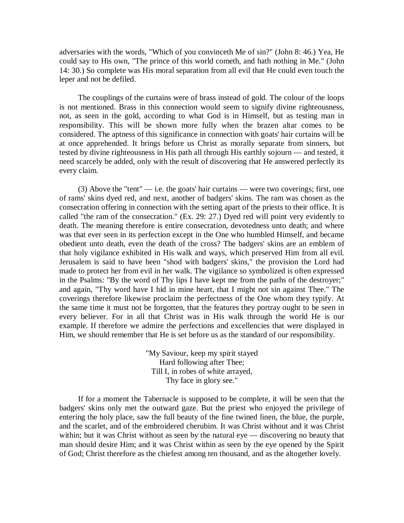adversaries with the words, "Which of you convinceth Me of sin?" (John 8: 46.) Yea, He could say to His own, "The prince of this world cometh, and hath nothing in Me." (John 14: 30.) So complete was His moral separation from all evil that He could even touch the leper and not be defiled.

The couplings of the curtains were of brass instead of gold. The colour of the loops is not mentioned. Brass in this connection would seem to signify divine righteousness, not, as seen in the gold, according to what God is in Himself, but as testing man in responsibility. This will be shown more fully when the brazen altar comes to be considered. The aptness of this significance in connection with goats' hair curtains will be at once apprehended. It brings before us Christ as morally separate from sinners, but tested by divine righteousness in His path all through His earthly sojourn — and tested, it need scarcely be added, only with the result of discovering that He answered perfectly its every claim.

(3) Above the "tent" — i.e. the goats' hair curtains — were two coverings; first, one of rams' skins dyed red, and next, another of badgers' skins. The ram was chosen as the consecration offering in connection with the setting apart of the priests to their office. It is called "the ram of the consecration." (Ex. 29: 27.) Dyed red will point very evidently to death. The meaning therefore is entire consecration, devotedness unto death; and where was that ever seen in its perfection except in the One who humbled Himself, and became obedient unto death, even the death of the cross? The badgers' skins are an emblem of that holy vigilance exhibited in His walk and ways, which preserved Him from all evil. Jerusalem is said to have been "shod with badgers' skins," the provision the Lord had made to protect her from evil in her walk. The vigilance so symbolized is often expressed in the Psalms: "By the word of Thy lips I have kept me from the paths of the destroyer;" and again, "Thy word have I hid in mine heart, that I might not sin against Thee." The coverings therefore likewise proclaim the perfectness of the One whom they typify. At the same time it must not be forgotten, that the features they portray ought to be seen in every believer. For in all that Christ was in His walk through the world He is our example. If therefore we admire the perfections and excellencies that were displayed in Him, we should remember that He is set before us as the standard of our responsibility.

> "My Saviour, keep my spirit stayed Hard following after Thee; Till I, in robes of white arrayed, Thy face in glory see."

If for a moment the Tabernacle is supposed to be complete, it will be seen that the badgers' skins only met the outward gaze. But the priest who enjoyed the privilege of entering the holy place, saw the full beauty of the fine twined linen, the blue, the purple, and the scarlet, and of the embroidered cherubim. It was Christ without and it was Christ within; but it was Christ without as seen by the natural eye — discovering no beauty that man should desire Him; and it was Christ within as seen by the eye opened by the Spirit of God; Christ therefore as the chiefest among ten thousand, and as the altogether lovely.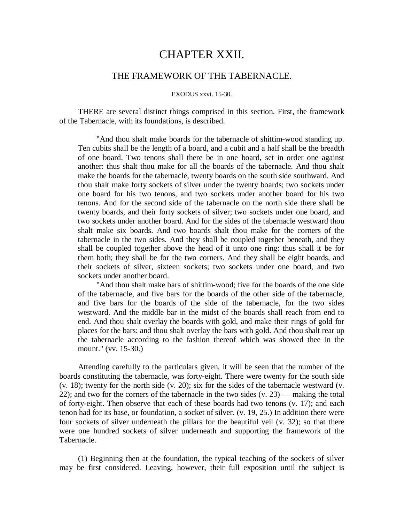# CHAPTER XXII.

## THE FRAMEWORK OF THE TABERNACLE.

#### EXODUS xxvi. 15-30.

THERE are several distinct things comprised in this section. First, the framework of the Tabernacle, with its foundations, is described.

"And thou shalt make boards for the tabernacle of shittim-wood standing up. Ten cubits shall be the length of a board, and a cubit and a half shall be the breadth of one board. Two tenons shall there be in one board, set in order one against another: thus shalt thou make for all the boards of the tabernacle. And thou shalt make the boards for the tabernacle, twenty boards on the south side southward. And thou shalt make forty sockets of silver under the twenty boards; two sockets under one board for his two tenons, and two sockets under another board for his two tenons. And for the second side of the tabernacle on the north side there shall be twenty boards, and their forty sockets of silver; two sockets under one board, and two sockets under another board. And for the sides of the tabernacle westward thou shalt make six boards. And two boards shalt thou make for the corners of the tabernacle in the two sides. And they shall be coupled together beneath, and they shall be coupled together above the head of it unto one ring: thus shall it be for them both; they shall be for the two corners. And they shall be eight boards, and their sockets of silver, sixteen sockets; two sockets under one board, and two sockets under another board.

"And thou shalt make bars of shittim-wood; five for the boards of the one side of the tabernacle, and five bars for the boards of the other side of the tabernacle, and five bars for the boards of the side of the tabernacle, for the two sides westward. And the middle bar in the midst of the boards shall reach from end to end. And thou shalt overlay the boards with gold, and make their rings of gold for places for the bars: and thou shalt overlay the bars with gold. And thou shalt rear up the tabernacle according to the fashion thereof which was showed thee in the mount." (vv. 15-30.)

Attending carefully to the particulars given, it will be seen that the number of the boards constituting the tabernacle, was forty-eight. There were twenty for the south side (v. 18); twenty for the north side (v. 20); six for the sides of the tabernacle westward (v. 22); and two for the corners of the tabernacle in the two sides (v. 23) — making the total of forty-eight. Then observe that each of these boards had two tenons (v. 17); and each tenon had for its base, or foundation, a socket of silver. (v. 19, 25.) In addition there were four sockets of silver underneath the pillars for the beautiful veil (v. 32); so that there were one hundred sockets of silver underneath and supporting the framework of the Tabernacle.

(1) Beginning then at the foundation, the typical teaching of the sockets of silver may be first considered. Leaving, however, their full exposition until the subject is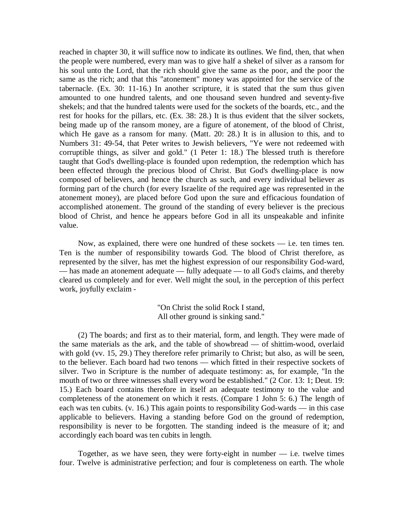reached in chapter 30, it will suffice now to indicate its outlines. We find, then, that when the people were numbered, every man was to give half a shekel of silver as a ransom for his soul unto the Lord, that the rich should give the same as the poor, and the poor the same as the rich; and that this "atonement" money was appointed for the service of the tabernacle. (Ex. 30: 11-16.) In another scripture, it is stated that the sum thus given amounted to one hundred talents, and one thousand seven hundred and seventy-five shekels; and that the hundred talents were used for the sockets of the boards, etc., and the rest for hooks for the pillars, etc. (Ex. 38: 28.) It is thus evident that the silver sockets, being made up of the ransom money, are a figure of atonement, of the blood of Christ, which He gave as a ransom for many. (Matt. 20: 28.) It is in allusion to this, and to Numbers 31: 49-54, that Peter writes to Jewish believers, "Ye were not redeemed with corruptible things, as silver and gold." (1 Peter 1: 18.) The blessed truth is therefore taught that God's dwelling-place is founded upon redemption, the redemption which has been effected through the precious blood of Christ. But God's dwelling-place is now composed of believers, and hence the church as such, and every individual believer as forming part of the church (for every Israelite of the required age was represented in the atonement money), are placed before God upon the sure and efficacious foundation of accomplished atonement. The ground of the standing of every believer is the precious blood of Christ, and hence he appears before God in all its unspeakable and infinite value.

Now, as explained, there were one hundred of these sockets  $-$  i.e. ten times ten. Ten is the number of responsibility towards God. The blood of Christ therefore, as represented by the silver, has met the highest expression of our responsibility God-ward, — has made an atonement adequate — fully adequate — to all God's claims, and thereby cleared us completely and for ever. Well might the soul, in the perception of this perfect work, joyfully exclaim -

> "On Christ the solid Rock I stand, All other ground is sinking sand."

(2) The boards; and first as to their material, form, and length. They were made of the same materials as the ark, and the table of showbread — of shittim-wood, overlaid with gold (vv. 15, 29.) They therefore refer primarily to Christ; but also, as will be seen, to the believer. Each board had two tenons — which fitted in their respective sockets of silver. Two in Scripture is the number of adequate testimony: as, for example, "In the mouth of two or three witnesses shall every word be established." (2 Cor. 13: 1; Deut. 19: 15.) Each board contains therefore in itself an adequate testimony to the value and completeness of the atonement on which it rests. (Compare 1 John 5: 6.) The length of each was ten cubits. (v. 16.) This again points to responsibility God-wards — in this case applicable to believers. Having a standing before God on the ground of redemption, responsibility is never to be forgotten. The standing indeed is the measure of it; and accordingly each board was ten cubits in length.

Together, as we have seen, they were forty-eight in number  $-$  i.e. twelve times four. Twelve is administrative perfection; and four is completeness on earth. The whole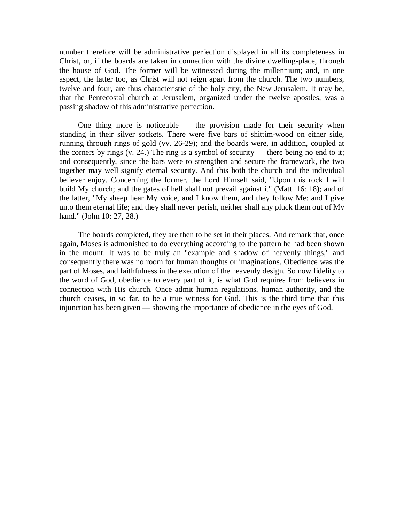number therefore will be administrative perfection displayed in all its completeness in Christ, or, if the boards are taken in connection with the divine dwelling-place, through the house of God. The former will be witnessed during the millennium; and, in one aspect, the latter too, as Christ will not reign apart from the church. The two numbers, twelve and four, are thus characteristic of the holy city, the New Jerusalem. It may be, that the Pentecostal church at Jerusalem, organized under the twelve apostles, was a passing shadow of this administrative perfection.

One thing more is noticeable  $-$  the provision made for their security when standing in their silver sockets. There were five bars of shittim-wood on either side, running through rings of gold (vv. 26-29); and the boards were, in addition, coupled at the corners by rings  $(v. 24)$ . The ring is a symbol of security — there being no end to it; and consequently, since the bars were to strengthen and secure the framework, the two together may well signify eternal security. And this both the church and the individual believer enjoy. Concerning the former, the Lord Himself said, "Upon this rock I will build My church; and the gates of hell shall not prevail against it" (Matt. 16: 18); and of the latter, "My sheep hear My voice, and I know them, and they follow Me: and I give unto them eternal life; and they shall never perish, neither shall any pluck them out of My hand." (John 10: 27, 28.)

The boards completed, they are then to be set in their places. And remark that, once again, Moses is admonished to do everything according to the pattern he had been shown in the mount. It was to be truly an "example and shadow of heavenly things," and consequently there was no room for human thoughts or imaginations. Obedience was the part of Moses, and faithfulness in the execution of the heavenly design. So now fidelity to the word of God, obedience to every part of it, is what God requires from believers in connection with His church. Once admit human regulations, human authority, and the church ceases, in so far, to be a true witness for God. This is the third time that this injunction has been given — showing the importance of obedience in the eyes of God.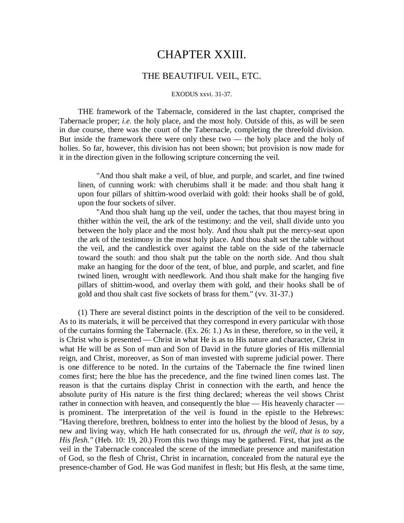# CHAPTER XXIII.

## THE BEAUTIFUL VEIL, ETC.

#### EXODUS xxvi. 31-37.

THE framework of the Tabernacle, considered in the last chapter, comprised the Tabernacle proper; *i.e.* the holy place, and the most holy. Outside of this, as will be seen in due course, there was the court of the Tabernacle, completing the threefold division. But inside the framework there were only these two — the holy place and the holy of holies. So far, however, this division has not been shown; but provision is now made for it in the direction given in the following scripture concerning the veil.

"And thou shalt make a veil, of blue, and purple, and scarlet, and fine twined linen, of cunning work: with cherubims shall it be made: and thou shalt hang it upon four pillars of shittim-wood overlaid with gold: their hooks shall be of gold, upon the four sockets of silver.

"And thou shalt hang up the veil, under the taches, that thou mayest bring in thither within the veil, the ark of the testimony: and the veil, shall divide unto you between the holy place and the most holy. And thou shalt put the mercy-seat upon the ark of the testimony in the most holy place. And thou shalt set the table without the veil, and the candlestick over against the table on the side of the tabernacle toward the south: and thou shalt put the table on the north side. And thou shalt make an hanging for the door of the tent, of blue, and purple, and scarlet, and fine twined linen, wrought with needlework. And thou shalt make for the hanging five pillars of shittim-wood, and overlay them with gold, and their hooks shall be of gold and thou shalt cast five sockets of brass for them." (vv. 31-37.)

(1) There are several distinct points in the description of the veil to be considered. As to its materials, it will be perceived that they correspond in every particular with those of the curtains forming the Tabernacle. (Ex. 26: 1.) As in these, therefore, so in the veil, it is Christ who is presented — Christ in what He is as to His nature and character, Christ in what He will be as Son of man and Son of David in the future glories of His millennial reign, and Christ, moreover, as Son of man invested with supreme judicial power. There is one difference to be noted. In the curtains of the Tabernacle the fine twined linen comes first; here the blue has the precedence, and the fine twined linen comes last. The reason is that the curtains display Christ in connection with the earth, and hence the absolute purity of His nature is the first thing declared; whereas the veil shows Christ rather in connection with heaven, and consequently the blue — His heavenly character is prominent. The interpretation of the veil is found in the epistle to the Hebrews: "Having therefore, brethren, boldness to enter into the holiest by the blood of Jesus, by a new and living way, which He hath consecrated for us, *through the veil, that is to say, His flesh."* (Heb. 10: 19, 20.) From this two things may be gathered. First, that just as the veil in the Tabernacle concealed the scene of the immediate presence and manifestation of God, so the flesh of Christ, Christ in incarnation, concealed from the natural eye the presence-chamber of God. He was God manifest in flesh; but His flesh, at the same time,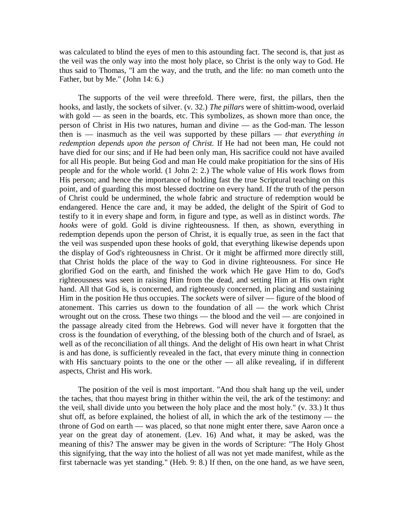was calculated to blind the eyes of men to this astounding fact. The second is, that just as the veil was the only way into the most holy place, so Christ is the only way to God. He thus said to Thomas, "I am the way, and the truth, and the life: no man cometh unto the Father, but by Me." (John 14: 6.)

The supports of the veil were threefold. There were, first, the pillars, then the hooks, and lastly, the sockets of silver. (v. 32.) *The pillars* were of shittim-wood, overlaid with gold — as seen in the boards, etc. This symbolizes, as shown more than once, the person of Christ in His two natures, human and divine — as the God-man. The lesson then is — inasmuch as the veil was supported by these pillars — *that everything in redemption depends upon the person of Christ.* If He had not been man, He could not have died for our sins; and if He had been only man, His sacrifice could not have availed for all His people. But being God and man He could make propitiation for the sins of His people and for the whole world. (1 John 2: 2.) The whole value of His work flows from His person; and hence the importance of holding fast the true Scriptural teaching on this point, and of guarding this most blessed doctrine on every hand. If the truth of the person of Christ could be undermined, the whole fabric and structure of redemption would be endangered. Hence the care and, it may be added, the delight of the Spirit of God to testify to it in every shape and form, in figure and type, as well as in distinct words. *The hooks* were of gold. Gold is divine righteousness. If then, as shown, everything in redemption depends upon the person of Christ, it is equally true, as seen in the fact that the veil was suspended upon these hooks of gold, that everything likewise depends upon the display of God's righteousness in Christ. Or it might be affirmed more directly still, that Christ holds the place of the way to God in divine righteousness. For since He glorified God on the earth, and finished the work which He gave Him to do, God's righteousness was seen in raising Him from the dead, and setting Him at His own right hand. All that God is, is concerned, and righteously concerned, in placing and sustaining Him in the position He thus occupies. The *sockets* were of silver — figure of the blood of atonement. This carries us down to the foundation of all — the work which Christ wrought out on the cross. These two things — the blood and the veil — are conjoined in the passage already cited from the Hebrews. God will never have it forgotten that the cross is the foundation of everything, of the blessing both of the church and of Israel, as well as of the reconciliation of all things. And the delight of His own heart in what Christ is and has done, is sufficiently revealed in the fact, that every minute thing in connection with His sanctuary points to the one or the other — all alike revealing, if in different aspects, Christ and His work.

The position of the veil is most important. "And thou shalt hang up the veil, under the taches, that thou mayest bring in thither within the veil, the ark of the testimony: and the veil, shall divide unto you between the holy place and the most holy." (v. 33.) It thus shut off, as before explained, the holiest of all, in which the ark of the testimony — the throne of God on earth — was placed, so that none might enter there, save Aaron once a year on the great day of atonement. (Lev. 16) And what, it may be asked, was the meaning of this? The answer may be given in the words of Scripture: "The Holy Ghost this signifying, that the way into the holiest of all was not yet made manifest, while as the first tabernacle was yet standing." (Heb. 9: 8.) If then, on the one hand, as we have seen,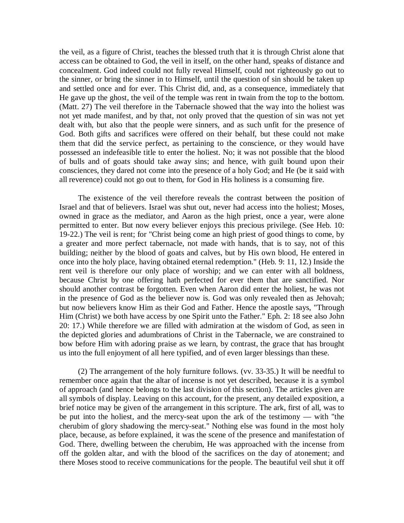the veil, as a figure of Christ, teaches the blessed truth that it is through Christ alone that access can be obtained to God, the veil in itself, on the other hand, speaks of distance and concealment. God indeed could not fully reveal Himself, could not righteously go out to the sinner, or bring the sinner in to Himself, until the question of sin should be taken up and settled once and for ever. This Christ did, and, as a consequence, immediately that He gave up the ghost, the veil of the temple was rent in twain from the top to the bottom. (Matt. 27) The veil therefore in the Tabernacle showed that the way into the holiest was not yet made manifest, and by that, not only proved that the question of sin was not yet dealt with, but also that the people were sinners, and as such unfit for the presence of God. Both gifts and sacrifices were offered on their behalf, but these could not make them that did the service perfect, as pertaining to the conscience, or they would have possessed an indefeasible title to enter the holiest. No; it was not possible that the blood of bulls and of goats should take away sins; and hence, with guilt bound upon their consciences, they dared not come into the presence of a holy God; and He (be it said with all reverence) could not go out to them, for God in His holiness is a consuming fire.

The existence of the veil therefore reveals the contrast between the position of Israel and that of believers. Israel was shut out, never had access into the holiest; Moses, owned in grace as the mediator, and Aaron as the high priest, once a year, were alone permitted to enter. But now every believer enjoys this precious privilege. (See Heb. 10: 19-22.) The veil is rent; for "Christ being come an high priest of good things to come, by a greater and more perfect tabernacle, not made with hands, that is to say, not of this building; neither by the blood of goats and calves, but by His own blood, He entered in once into the holy place, having obtained eternal redemption." (Heb. 9: 11, 12.) Inside the rent veil is therefore our only place of worship; and we can enter with all boldness, because Christ by one offering hath perfected for ever them that are sanctified. Nor should another contrast be forgotten. Even when Aaron did enter the holiest, he was not in the presence of God as the believer now is. God was only revealed then as Jehovah; but now believers know Him as their God and Father. Hence the apostle says, "Through Him (Christ) we both have access by one Spirit unto the Father." Eph. 2: 18 see also John 20: 17.) While therefore we are filled with admiration at the wisdom of God, as seen in the depicted glories and adumbrations of Christ in the Tabernacle, we are constrained to bow before Him with adoring praise as we learn, by contrast, the grace that has brought us into the full enjoyment of all here typified, and of even larger blessings than these.

(2) The arrangement of the holy furniture follows. (vv. 33-35.) It will be needful to remember once again that the altar of incense is not yet described, because it is a symbol of approach (and hence belongs to the last division of this section). The articles given are all symbols of display. Leaving on this account, for the present, any detailed exposition, a brief notice may be given of the arrangement in this scripture. The ark, first of all, was to be put into the holiest, and the mercy-seat upon the ark of the testimony — with "the cherubim of glory shadowing the mercy-seat." Nothing else was found in the most holy place, because, as before explained, it was the scene of the presence and manifestation of God. There, dwelling between the cherubim, He was approached with the incense from off the golden altar, and with the blood of the sacrifices on the day of atonement; and there Moses stood to receive communications for the people. The beautiful veil shut it off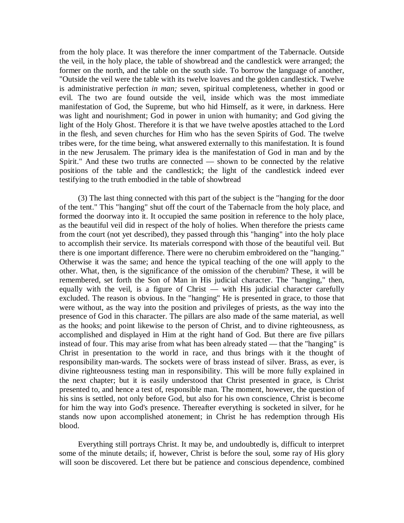from the holy place. It was therefore the inner compartment of the Tabernacle. Outside the veil, in the holy place, the table of showbread and the candlestick were arranged; the former on the north, and the table on the south side. To borrow the language of another, "Outside the veil were the table with its twelve loaves and the golden candlestick. Twelve is administrative perfection *in man;* seven, spiritual completeness, whether in good or evil. The two are found outside the veil, inside which was the most immediate manifestation of God, the Supreme, but who hid Himself, as it were, in darkness. Here was light and nourishment; God in power in union with humanity; and God giving the light of the Holy Ghost. Therefore it is that we have twelve apostles attached to the Lord in the flesh, and seven churches for Him who has the seven Spirits of God. The twelve tribes were, for the time being, what answered externally to this manifestation. It is found in the new Jerusalem. The primary idea is the manifestation of God in man and by the Spirit." And these two truths are connected — shown to be connected by the relative positions of the table and the candlestick; the light of the candlestick indeed ever testifying to the truth embodied in the table of showbread

(3) The last thing connected with this part of the subject is the "hanging for the door of the tent." This "hanging" shut off the court of the Tabernacle from the holy place, and formed the doorway into it. It occupied the same position in reference to the holy place, as the beautiful veil did in respect of the holy of holies. When therefore the priests came from the court (not yet described), they passed through this "hanging" into the holy place to accomplish their service. Its materials correspond with those of the beautiful veil. But there is one important difference. There were no cherubim embroidered on the "hanging." Otherwise it was the same; and hence the typical teaching of the one will apply to the other. What, then, is the significance of the omission of the cherubim? These, it will be remembered, set forth the Son of Man in His judicial character. The "hanging," then, equally with the veil, is a figure of Christ — with His judicial character carefully excluded. The reason is obvious. In the "hanging" He is presented in grace, to those that were without, as the way into the position and privileges of priests, as the way into the presence of God in this character. The pillars are also made of the same material, as well as the hooks; and point likewise to the person of Christ, and to divine righteousness, as accomplished and displayed in Him at the right hand of God. But there are five pillars instead of four. This may arise from what has been already stated — that the "hanging" is Christ in presentation to the world in race, and thus brings with it the thought of responsibility man-wards. The sockets were of brass instead of silver. Brass, as ever, is divine righteousness testing man in responsibility. This will be more fully explained in the next chapter; but it is easily understood that Christ presented in grace, is Christ presented to, and hence a test of, responsible man. The moment, however, the question of his sins is settled, not only before God, but also for his own conscience, Christ is become for him the way into God's presence. Thereafter everything is socketed in silver, for he stands now upon accomplished atonement; in Christ he has redemption through His blood.

Everything still portrays Christ. It may be, and undoubtedly is, difficult to interpret some of the minute details; if, however, Christ is before the soul, some ray of His glory will soon be discovered. Let there but be patience and conscious dependence, combined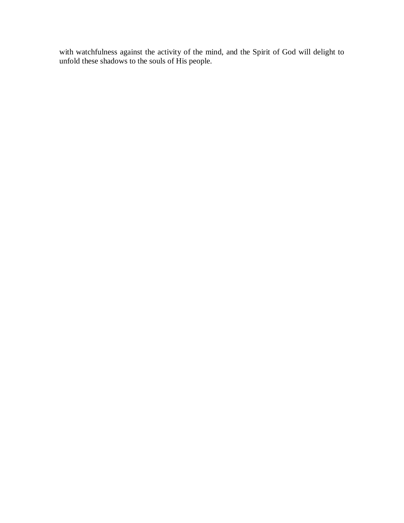with watchfulness against the activity of the mind, and the Spirit of God will delight to unfold these shadows to the souls of His people.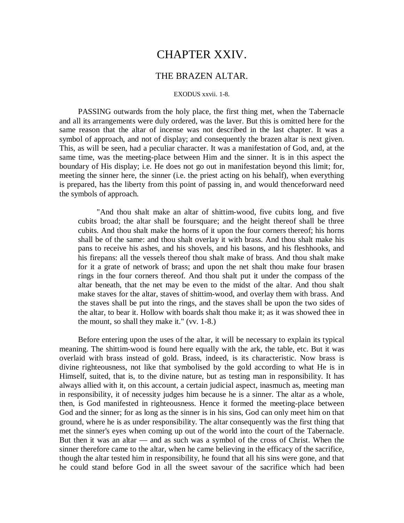# CHAPTER XXIV.

## THE BRAZEN ALTAR.

#### EXODUS xxvii. 1-8.

PASSING outwards from the holy place, the first thing met, when the Tabernacle and all its arrangements were duly ordered, was the laver. But this is omitted here for the same reason that the altar of incense was not described in the last chapter. It was a symbol of approach, and not of display; and consequently the brazen altar is next given. This, as will be seen, had a peculiar character. It was a manifestation of God, and, at the same time, was the meeting-place between Him and the sinner. It is in this aspect the boundary of His display; i.e. He does not go out in manifestation beyond this limit; for, meeting the sinner here, the sinner (i.e. the priest acting on his behalf), when everything is prepared, has the liberty from this point of passing in, and would thenceforward need the symbols of approach.

"And thou shalt make an altar of shittim-wood, five cubits long, and five cubits broad; the altar shall be foursquare; and the height thereof shall be three cubits. And thou shalt make the horns of it upon the four corners thereof; his horns shall be of the same: and thou shalt overlay it with brass. And thou shalt make his pans to receive his ashes, and his shovels, and his basons, and his fleshhooks, and his firepans: all the vessels thereof thou shalt make of brass. And thou shalt make for it a grate of network of brass; and upon the net shalt thou make four brasen rings in the four corners thereof. And thou shalt put it under the compass of the altar beneath, that the net may be even to the midst of the altar. And thou shalt make staves for the altar, staves of shittim-wood, and overlay them with brass. And the staves shall be put into the rings, and the staves shall be upon the two sides of the altar, to bear it. Hollow with boards shalt thou make it; as it was showed thee in the mount, so shall they make it." (vv. 1-8.)

Before entering upon the uses of the altar, it will be necessary to explain its typical meaning. The shittim-wood is found here equally with the ark, the table, etc. But it was overlaid with brass instead of gold. Brass, indeed, is its characteristic. Now brass is divine righteousness, not like that symbolised by the gold according to what He is in Himself, suited, that is, to the divine nature, but as testing man in responsibility. It has always allied with it, on this account, a certain judicial aspect, inasmuch as, meeting man in responsibility, it of necessity judges him because he is a sinner. The altar as a whole, then, is God manifested in righteousness. Hence it formed the meeting-place between God and the sinner; for as long as the sinner is in his sins, God can only meet him on that ground, where he is as under responsibility. The altar consequently was the first thing that met the sinner's eyes when coming up out of the world into the court of the Tabernacle. But then it was an altar — and as such was a symbol of the cross of Christ. When the sinner therefore came to the altar, when he came believing in the efficacy of the sacrifice, though the altar tested him in responsibility, he found that all his sins were gone, and that he could stand before God in all the sweet savour of the sacrifice which had been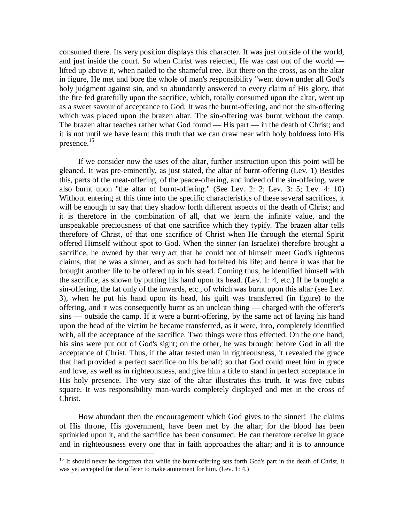consumed there. Its very position displays this character. It was just outside of the world, and just inside the court. So when Christ was rejected, He was cast out of the world lifted up above it, when nailed to the shameful tree. But there on the cross, as on the altar in figure, He met and bore the whole of man's responsibility "went down under all God's holy judgment against sin, and so abundantly answered to every claim of His glory, that the fire fed gratefully upon the sacrifice, which, totally consumed upon the altar, went up as a sweet savour of acceptance to God. It was the burnt-offering, and not the sin-offering which was placed upon the brazen altar. The sin-offering was burnt without the camp. The brazen altar teaches rather what God found — His part — in the death of Christ; and it is not until we have learnt this truth that we can draw near with holy boldness into His presence.<sup>15</sup>

If we consider now the uses of the altar, further instruction upon this point will be gleaned. It was pre-eminently, as just stated, the altar of burnt-offering (Lev. 1) Besides this, parts of the meat-offering, of the peace-offering, and indeed of the sin-offering, were also burnt upon "the altar of burnt-offering." (See Lev. 2: 2; Lev. 3: 5; Lev. 4: 10) Without entering at this time into the specific characteristics of these several sacrifices, it will be enough to say that they shadow forth different aspects of the death of Christ; and it is therefore in the combination of all, that we learn the infinite value, and the unspeakable preciousness of that one sacrifice which they typify. The brazen altar tells therefore of Christ, of that one sacrifice of Christ when He through the eternal Spirit offered Himself without spot to God. When the sinner (an Israelite) therefore brought a sacrifice, he owned by that very act that he could not of himself meet God's righteous claims, that he was a sinner, and as such had forfeited his life; and hence it was that he brought another life to be offered up in his stead. Coming thus, he identified himself with the sacrifice, as shown by putting his hand upon its head. (Lev. 1: 4, etc.) If he brought a sin-offering, the fat only of the inwards, etc., of which was burnt upon this altar (see Lev. 3), when he put his hand upon its head, his guilt was transferred (in figure) to the offering, and it was consequently burnt as an unclean thing — charged with the offerer's sins — outside the camp. If it were a burnt-offering, by the same act of laying his hand upon the head of the victim he became transferred, as it were, into, completely identified with, all the acceptance of the sacrifice. Two things were thus effected. On the one hand, his sins were put out of God's sight; on the other, he was brought before God in all the acceptance of Christ. Thus, if the altar tested man in righteousness, it revealed the grace that had provided a perfect sacrifice on his behalf; so that God could meet him in grace and love, as well as in righteousness, and give him a title to stand in perfect acceptance in His holy presence. The very size of the altar illustrates this truth. It was five cubits square. It was responsibility man-wards completely displayed and met in the cross of Christ.

How abundant then the encouragement which God gives to the sinner! The claims of His throne, His government, have been met by the altar; for the blood has been sprinkled upon it, and the sacrifice has been consumed. He can therefore receive in grace and in righteousness every one that in faith approaches the altar; and it is to announce

 $\overline{a}$ 

<sup>&</sup>lt;sup>15</sup> It should never be forgotten that while the burnt-offering sets forth God's part in the death of Christ, it was yet accepted for the offerer to make atonement for him. (Lev. 1: 4.)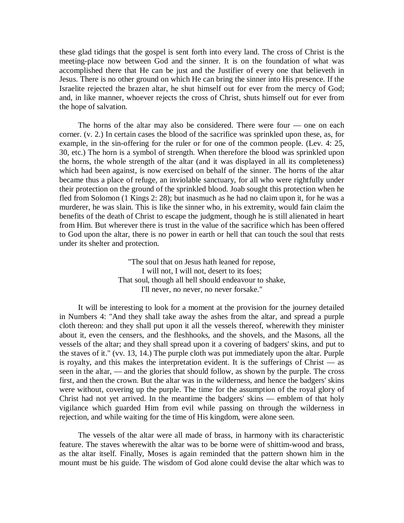these glad tidings that the gospel is sent forth into every land. The cross of Christ is the meeting-place now between God and the sinner. It is on the foundation of what was accomplished there that He can be just and the Justifier of every one that believeth in Jesus. There is no other ground on which He can bring the sinner into His presence. If the Israelite rejected the brazen altar, he shut himself out for ever from the mercy of God; and, in like manner, whoever rejects the cross of Christ, shuts himself out for ever from the hope of salvation.

The horns of the altar may also be considered. There were four — one on each corner. (v. 2.) In certain cases the blood of the sacrifice was sprinkled upon these, as, for example, in the sin-offering for the ruler or for one of the common people. (Lev. 4: 25, 30, etc.) The horn is a symbol of strength. When therefore the blood was sprinkled upon the horns, the whole strength of the altar (and it was displayed in all its completeness) which had been against, is now exercised on behalf of the sinner. The horns of the altar became thus a place of refuge, an inviolable sanctuary, for all who were rightfully under their protection on the ground of the sprinkled blood. Joab sought this protection when he fled from Solomon (1 Kings 2: 28); but inasmuch as he had no claim upon it, for he was a murderer, he was slain. This is like the sinner who, in his extremity, would fain claim the benefits of the death of Christ to escape the judgment, though he is still alienated in heart from Him. But wherever there is trust in the value of the sacrifice which has been offered to God upon the altar, there is no power in earth or hell that can touch the soul that rests under its shelter and protection.

> "The soul that on Jesus hath leaned for repose, I will not, I will not, desert to its foes; That soul, though all hell should endeavour to shake, I'll never, no never, no never forsake."

It will be interesting to look for a moment at the provision for the journey detailed in Numbers 4: "And they shall take away the ashes from the altar, and spread a purple cloth thereon: and they shall put upon it all the vessels thereof, wherewith they minister about it, even the censers, and the fleshhooks, and the shovels, and the Masons, all the vessels of the altar; and they shall spread upon it a covering of badgers' skins, and put to the staves of it." (vv. 13, 14.) The purple cloth was put immediately upon the altar. Purple is royalty, and this makes the interpretation evident. It is the sufferings of Christ  $\frac{1}{1}$  as seen in the altar, — and the glories that should follow, as shown by the purple. The cross first, and then the crown. But the altar was in the wilderness, and hence the badgers' skins were without, covering up the purple. The time for the assumption of the royal glory of Christ had not yet arrived. In the meantime the badgers' skins — emblem of that holy vigilance which guarded Him from evil while passing on through the wilderness in rejection, and while waiting for the time of His kingdom, were alone seen.

The vessels of the altar were all made of brass, in harmony with its characteristic feature. The staves wherewith the altar was to be borne were of shittim-wood and brass, as the altar itself. Finally, Moses is again reminded that the pattern shown him in the mount must be his guide. The wisdom of God alone could devise the altar which was to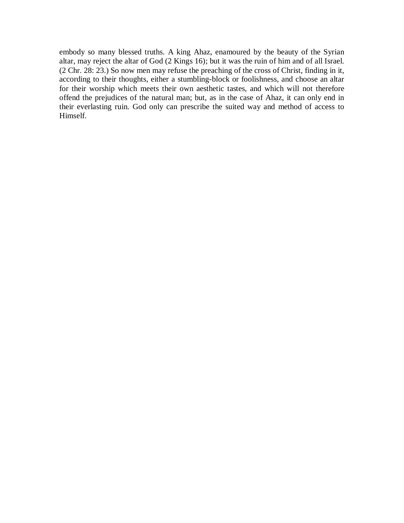embody so many blessed truths. A king Ahaz, enamoured by the beauty of the Syrian altar, may reject the altar of God (2 Kings 16); but it was the ruin of him and of all Israel. (2 Chr. 28: 23.) So now men may refuse the preaching of the cross of Christ, finding in it, according to their thoughts, either a stumbling-block or foolishness, and choose an altar for their worship which meets their own aesthetic tastes, and which will not therefore offend the prejudices of the natural man; but, as in the case of Ahaz, it can only end in their everlasting ruin. God only can prescribe the suited way and method of access to Himself.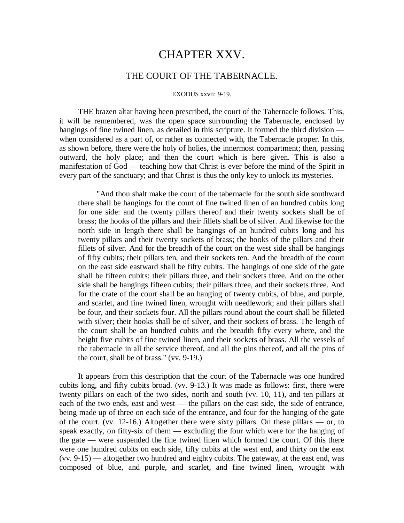## CHAPTER XXV.

## THE COURT OF THE TABERNACLE.

#### EXODUS xxvii: 9-19.

THE brazen altar having been prescribed, the court of the Tabernacle follows. This, it will be remembered, was the open space surrounding the Tabernacle, enclosed by hangings of fine twined linen, as detailed in this scripture. It formed the third division when considered as a part of, or rather as connected with, the Tabernacle proper. In this, as shown before, there were the holy of holies, the innermost compartment; then, passing outward, the holy place; and then the court which is here given. This is also a manifestation of God — teaching how that Christ is ever before the mind of the Spirit in every part of the sanctuary; and that Christ is thus the only key to unlock its mysteries.

"And thou shalt make the court of the tabernacle for the south side southward there shall be hangings for the court of fine twined linen of an hundred cubits long for one side: and the twenty pillars thereof and their twenty sockets shall be of brass; the hooks of the pillars and their fillets shall be of silver. And likewise for the north side in length there shall be hangings of an hundred cubits long and his twenty pillars and their twenty sockets of brass; the hooks of the pillars and their fillets of silver. And for the breadth of the court on the west side shall be hangings of fifty cubits; their pillars ten, and their sockets ten. And the breadth of the court on the east side eastward shall be fifty cubits. The hangings of one side of the gate shall be fifteen cubits: their pillars three, and their sockets three. And on the other side shall be hangings fifteen cubits; their pillars three, and their sockets three. And for the crate of the court shall be an hanging of twenty cubits, of blue, and purple, and scarlet, and fine twined linen, wrought with needlework; and their pillars shall be four, and their sockets four. All the pillars round about the court shall be filleted with silver; their hooks shall be of silver, and their sockets of brass. The length of the court shall be an hundred cubits and the breadth fifty every where, and the height five cubits of fine twined linen, and their sockets of brass. All the vessels of the tabernacle in all the service thereof, and all the pins thereof, and all the pins of the court, shall be of brass." (vv. 9-19.)

It appears from this description that the court of the Tabernacle was one hundred cubits long, and fifty cubits broad. (vv. 9-13.) It was made as follows: first, there were twenty pillars on each of the two sides, north and south (vv. 10, 11), and ten pillars at each of the two ends, east and west — the pillars on the east side, the side of entrance, being made up of three on each side of the entrance, and four for the hanging of the gate of the court. (vv. 12-16.) Altogether there were sixty pillars. On these pillars — or, to speak exactly, on fifty-six of them — excluding the four which were for the hanging of the gate — were suspended the fine twined linen which formed the court. Of this there were one hundred cubits on each side, fifty cubits at the west end, and thirty on the east (vv. 9-15) — altogether two hundred and eighty cubits. The gateway, at the east end, was composed of blue, and purple, and scarlet, and fine twined linen, wrought with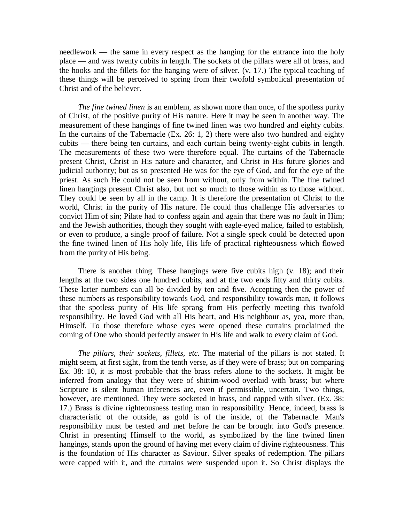needlework — the same in every respect as the hanging for the entrance into the holy place — and was twenty cubits in length. The sockets of the pillars were all of brass, and the hooks and the fillets for the hanging were of silver. (v. 17.) The typical teaching of these things will be perceived to spring from their twofold symbolical presentation of Christ and of the believer.

*The fine twined linen* is an emblem, as shown more than once, of the spotless purity of Christ, of the positive purity of His nature. Here it may be seen in another way. The measurement of these hangings of fine twined linen was two hundred and eighty cubits. In the curtains of the Tabernacle (Ex. 26: 1, 2) there were also two hundred and eighty cubits — there being ten curtains, and each curtain being twenty-eight cubits in length. The measurements of these two were therefore equal. The curtains of the Tabernacle present Christ, Christ in His nature and character, and Christ in His future glories and judicial authority; but as so presented He was for the eye of God, and for the eye of the priest. As such He could not be seen from without, only from within. The fine twined linen hangings present Christ also, but not so much to those within as to those without. They could be seen by all in the camp. It is therefore the presentation of Christ to the world, Christ in the purity of His nature. He could thus challenge His adversaries to convict Him of sin; Pilate had to confess again and again that there was no fault in Him; and the Jewish authorities, though they sought with eagle-eyed malice, failed to establish, or even to produce, a single proof of failure. Not a single speck could be detected upon the fine twined linen of His holy life, His life of practical righteousness which flowed from the purity of His being.

There is another thing. These hangings were five cubits high (v. 18); and their lengths at the two sides one hundred cubits, and at the two ends fifty and thirty cubits. These latter numbers can all be divided by ten and five. Accepting then the power of these numbers as responsibility towards God, and responsibility towards man, it follows that the spotless purity of His life sprang from His perfectly meeting this twofold responsibility. He loved God with all His heart, and His neighbour as, yea, more than, Himself. To those therefore whose eyes were opened these curtains proclaimed the coming of One who should perfectly answer in His life and walk to every claim of God.

*The pillars, their sockets, fillets, etc.* The material of the pillars is not stated. It might seem, at first sight, from the tenth verse, as if they were of brass; but on comparing Ex. 38: 10, it is most probable that the brass refers alone to the sockets. It might be inferred from analogy that they were of shittim-wood overlaid with brass; but where Scripture is silent human inferences are, even if permissible, uncertain. Two things, however, are mentioned. They were socketed in brass, and capped with silver. (Ex. 38: 17.) Brass is divine righteousness testing man in responsibility. Hence, indeed, brass is characteristic of the outside, as gold is of the inside, of the Tabernacle. Man's responsibility must be tested and met before he can be brought into God's presence. Christ in presenting Himself to the world, as symbolized by the line twined linen hangings, stands upon the ground of having met every claim of divine righteousness. This is the foundation of His character as Saviour. Silver speaks of redemption. The pillars were capped with it, and the curtains were suspended upon it. So Christ displays the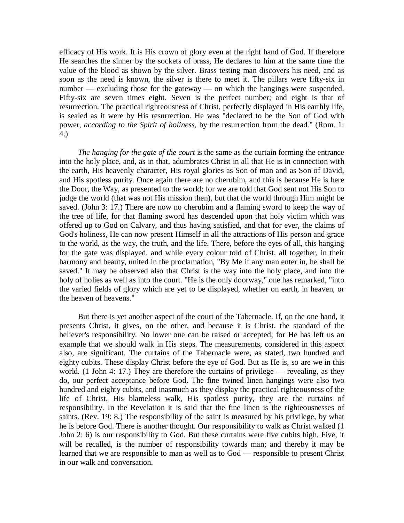efficacy of His work. It is His crown of glory even at the right hand of God. If therefore He searches the sinner by the sockets of brass, He declares to him at the same time the value of the blood as shown by the silver. Brass testing man discovers his need, and as soon as the need is known, the silver is there to meet it. The pillars were fifty-six in number — excluding those for the gateway — on which the hangings were suspended. Fifty-six are seven times eight. Seven is the perfect number; and eight is that of resurrection. The practical righteousness of Christ, perfectly displayed in His earthly life, is sealed as it were by His resurrection. He was "declared to be the Son of God with power, *according to the Spirit of holiness,* by the resurrection from the dead." (Rom. 1: 4.)

*The hanging for the gate of the court* is the same as the curtain forming the entrance into the holy place, and, as in that, adumbrates Christ in all that He is in connection with the earth, His heavenly character, His royal glories as Son of man and as Son of David, and His spotless purity. Once again there are no cherubim, and this is because He is here the Door, the Way, as presented to the world; for we are told that God sent not His Son to judge the world (that was not His mission then), but that the world through Him might be saved. (John 3: 17.) There are now no cherubim and a flaming sword to keep the way of the tree of life, for that flaming sword has descended upon that holy victim which was offered up to God on Calvary, and thus having satisfied, and that for ever, the claims of God's holiness, He can now present Himself in all the attractions of His person and grace to the world, as the way, the truth, and the life. There, before the eyes of all, this hanging for the gate was displayed, and while every colour told of Christ, all together, in their harmony and beauty, united in the proclamation, "By Me if any man enter in, he shall be saved." It may be observed also that Christ is the way into the holy place, and into the holy of holies as well as into the court. "He is the only doorway," one has remarked, "into the varied fields of glory which are yet to be displayed, whether on earth, in heaven, or the heaven of heavens."

But there is yet another aspect of the court of the Tabernacle. If, on the one hand, it presents Christ, it gives, on the other, and because it is Christ, the standard of the believer's responsibility. No lower one can be raised or accepted; for He has left us an example that we should walk in His steps. The measurements, considered in this aspect also, are significant. The curtains of the Tabernacle were, as stated, two hundred and eighty cubits. These display Christ before the eye of God. But as He is, so are we in this world. (1 John 4: 17.) They are therefore the curtains of privilege — revealing, as they do, our perfect acceptance before God. The fine twined linen hangings were also two hundred and eighty cubits, and inasmuch as they display the practical righteousness of the life of Christ, His blameless walk, His spotless purity, they are the curtains of responsibility. In the Revelation it is said that the fine linen is the righteousnesses of saints. (Rev. 19: 8.) The responsibility of the saint is measured by his privilege, by what he is before God. There is another thought. Our responsibility to walk as Christ walked (1 John 2: 6) is our responsibility to God. But these curtains were five cubits high. Five, it will be recalled, is the number of responsibility towards man; and thereby it may be learned that we are responsible to man as well as to God — responsible to present Christ in our walk and conversation.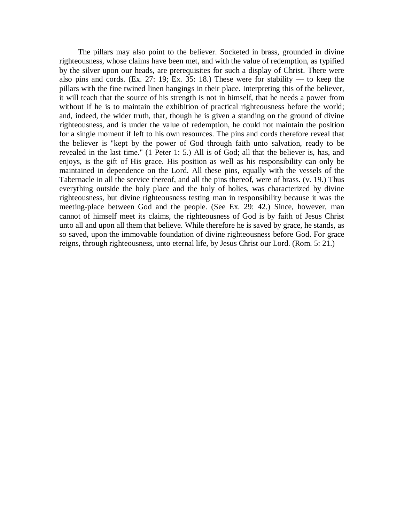The pillars may also point to the believer. Socketed in brass, grounded in divine righteousness, whose claims have been met, and with the value of redemption, as typified by the silver upon our heads, are prerequisites for such a display of Christ. There were also pins and cords. (Ex. 27: 19; Ex. 35: 18.) These were for stability — to keep the pillars with the fine twined linen hangings in their place. Interpreting this of the believer, it will teach that the source of his strength is not in himself, that he needs a power from without if he is to maintain the exhibition of practical righteousness before the world; and, indeed, the wider truth, that, though he is given a standing on the ground of divine righteousness, and is under the value of redemption, he could not maintain the position for a single moment if left to his own resources. The pins and cords therefore reveal that the believer is "kept by the power of God through faith unto salvation, ready to be revealed in the last time." (1 Peter 1: 5.) All is of God; all that the believer is, has, and enjoys, is the gift of His grace. His position as well as his responsibility can only be maintained in dependence on the Lord. All these pins, equally with the vessels of the Tabernacle in all the service thereof, and all the pins thereof, were of brass. (v. 19.) Thus everything outside the holy place and the holy of holies, was characterized by divine righteousness, but divine righteousness testing man in responsibility because it was the meeting-place between God and the people. (See Ex. 29: 42.) Since, however, man cannot of himself meet its claims, the righteousness of God is by faith of Jesus Christ unto all and upon all them that believe. While therefore he is saved by grace, he stands, as so saved, upon the immovable foundation of divine righteousness before God. For grace reigns, through righteousness, unto eternal life, by Jesus Christ our Lord. (Rom. 5: 21.)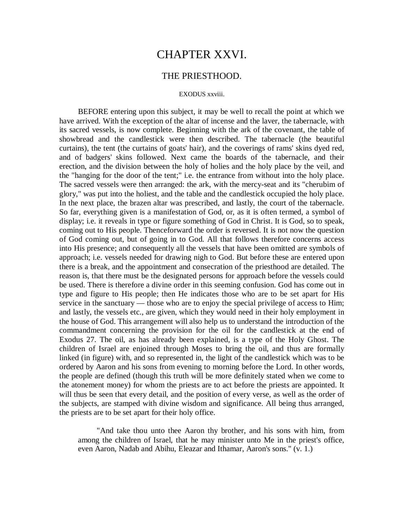## CHAPTER XXVI.

### THE PRIESTHOOD.

#### EXODUS xxviii.

BEFORE entering upon this subject, it may be well to recall the point at which we have arrived. With the exception of the altar of incense and the laver, the tabernacle, with its sacred vessels, is now complete. Beginning with the ark of the covenant, the table of showbread and the candlestick were then described. The tabernacle (the beautiful curtains), the tent (the curtains of goats' hair), and the coverings of rams' skins dyed red, and of badgers' skins followed. Next came the boards of the tabernacle, and their erection, and the division between the holy of holies and the holy place by the veil, and the "hanging for the door of the tent;" i.e. the entrance from without into the holy place. The sacred vessels were then arranged: the ark, with the mercy-seat and its "cherubim of glory," was put into the holiest, and the table and the candlestick occupied the holy place. In the next place, the brazen altar was prescribed, and lastly, the court of the tabernacle. So far, everything given is a manifestation of God, or, as it is often termed, a symbol of display; i.e. it reveals in type or figure something of God in Christ. It is God, so to speak, coming out to His people. Thenceforward the order is reversed. It is not now the question of God coming out, but of going in to God. All that follows therefore concerns access into His presence; and consequently all the vessels that have been omitted are symbols of approach; i.e. vessels needed for drawing nigh to God. But before these are entered upon there is a break, and the appointment and consecration of the priesthood are detailed. The reason is, that there must be the designated persons for approach before the vessels could be used. There is therefore a divine order in this seeming confusion. God has come out in type and figure to His people; then He indicates those who are to be set apart for His service in the sanctuary — those who are to enjoy the special privilege of access to Him; and lastly, the vessels etc., are given, which they would need in their holy employment in the house of God. This arrangement will also help us to understand the introduction of the commandment concerning the provision for the oil for the candlestick at the end of Exodus 27. The oil, as has already been explained, is a type of the Holy Ghost. The children of Israel are enjoined through Moses to bring the oil, and thus are formally linked (in figure) with, and so represented in, the light of the candlestick which was to be ordered by Aaron and his sons from evening to morning before the Lord. In other words, the people are defined (though this truth will be more definitely stated when we come to the atonement money) for whom the priests are to act before the priests are appointed. It will thus be seen that every detail, and the position of every verse, as well as the order of the subjects, are stamped with divine wisdom and significance. All being thus arranged, the priests are to be set apart for their holy office.

"And take thou unto thee Aaron thy brother, and his sons with him, from among the children of Israel, that he may minister unto Me in the priest's office, even Aaron, Nadab and Abihu, Eleazar and Ithamar, Aaron's sons." (v. 1.)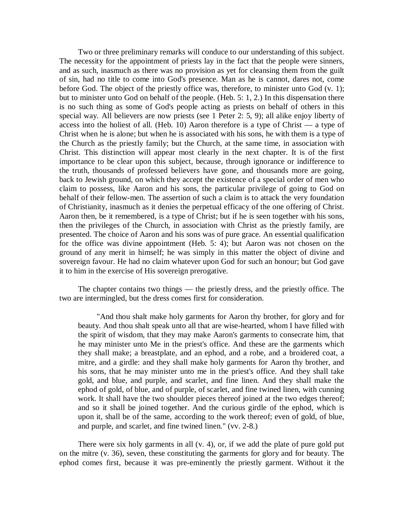Two or three preliminary remarks will conduce to our understanding of this subject. The necessity for the appointment of priests lay in the fact that the people were sinners, and as such, inasmuch as there was no provision as yet for cleansing them from the guilt of sin, had no title to come into God's presence. Man as he is cannot, dares not, come before God. The object of the priestly office was, therefore, to minister unto God (v. 1); but to minister unto God on behalf of the people. (Heb. 5: 1, 2.) In this dispensation there is no such thing as some of God's people acting as priests on behalf of others in this special way. All believers are now priests (see 1 Peter 2: 5, 9); all alike enjoy liberty of access into the holiest of all. (Heb. 10) Aaron therefore is a type of Christ — a type of Christ when he is alone; but when he is associated with his sons, he with them is a type of the Church as the priestly family; but the Church, at the same time, in association with Christ. This distinction will appear most clearly in the next chapter. It is of the first importance to be clear upon this subject, because, through ignorance or indifference to the truth, thousands of professed believers have gone, and thousands more are going, back to Jewish ground, on which they accept the existence of a special order of men who claim to possess, like Aaron and his sons, the particular privilege of going to God on behalf of their fellow-men. The assertion of such a claim is to attack the very foundation of Christianity, inasmuch as it denies the perpetual efficacy of the one offering of Christ. Aaron then, be it remembered, is a type of Christ; but if he is seen together with his sons, then the privileges of the Church, in association with Christ as the priestly family, are presented. The choice of Aaron and his sons was of pure grace. An essential qualification for the office was divine appointment (Heb. 5: 4); but Aaron was not chosen on the ground of any merit in himself; he was simply in this matter the object of divine and sovereign favour. He had no claim whatever upon God for such an honour; but God gave it to him in the exercise of His sovereign prerogative.

The chapter contains two things — the priestly dress, and the priestly office. The two are intermingled, but the dress comes first for consideration.

"And thou shalt make holy garments for Aaron thy brother, for glory and for beauty. And thou shalt speak unto all that are wise-hearted, whom I have filled with the spirit of wisdom, that they may make Aaron's garments to consecrate him, that he may minister unto Me in the priest's office. And these are the garments which they shall make; a breastplate, and an ephod, and a robe, and a broidered coat, a mitre, and a girdle: and they shall make holy garments for Aaron thy brother, and his sons, that he may minister unto me in the priest's office. And they shall take gold, and blue, and purple, and scarlet, and fine linen. And they shall make the ephod of gold, of blue, and of purple, of scarlet, and fine twined linen, with cunning work. It shall have the two shoulder pieces thereof joined at the two edges thereof; and so it shall be joined together. And the curious girdle of the ephod, which is upon it, shall be of the same, according to the work thereof; even of gold, of blue, and purple, and scarlet, and fine twined linen." (vv. 2-8.)

There were six holy garments in all (v. 4), or, if we add the plate of pure gold put on the mitre (v. 36), seven, these constituting the garments for glory and for beauty. The ephod comes first, because it was pre-eminently the priestly garment. Without it the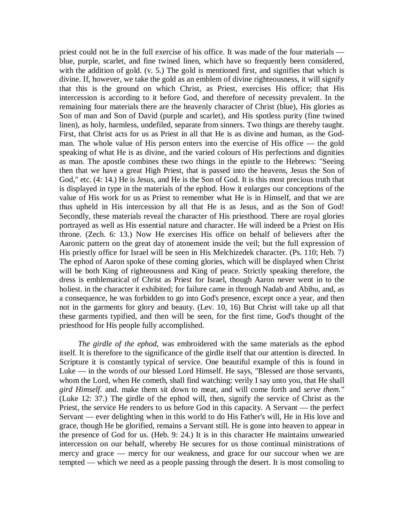priest could not be in the full exercise of his office. It was made of the four materials blue, purple, scarlet, and fine twined linen, which have so frequently been considered, with the addition of gold. (v. 5.) The gold is mentioned first, and signifies that which is divine. If, however, we take the gold as an emblem of divine righteousness, it will signify that this is the ground on which Christ, as Priest, exercises His office; that His intercession is according to it before God, and therefore of necessity prevalent. In the remaining four materials there are the heavenly character of Christ (blue), His glories as Son of man and Son of David (purple and scarlet), and His spotless purity (fine twined linen), as holy, harmless, undefiled, separate from sinners. Two things are thereby taught. First, that Christ acts for us as Priest in all that He is as divine and human, as the Godman. The whole value of His person enters into the exercise of His office — the gold speaking of what He is as divine, and the varied colours of His perfections and dignities as man. The apostle combines these two things in the epistle to the Hebrews: "Seeing then that we have a great High Priest, that is passed into the heavens, Jesus the Son of God," etc. (4: 14.) He is Jesus, and He is the Son of God. It is this most precious truth that is displayed in type in the materials of the ephod. How it enlarges our conceptions of the value of His work for us as Priest to remember what He is in Himself, and that we are thus upheld in His intercession by all that He is as Jesus, and as the Son of God! Secondly, these materials reveal the character of His priesthood. There are royal glories portrayed as well as His essential nature and character. He will indeed be a Priest on His throne. (Zech. 6: 13.) Now He exercises His office on behalf of believers after the Aaronic pattern on the great day of atonement inside the veil; but the full expression of His priestly office for Israel will be seen in His Melchizedek character. (Ps. 110; Heb. 7) The ephod of Aaron spoke of these coming glories, which will be displayed when Christ will be both King of righteousness and King of peace. Strictly speaking therefore, the dress is emblematical of Christ as Priest for Israel, though Aaron never went in to the holiest. in the character it exhibited; for failure came in through Nadab and Abihu, and, as a consequence, he was forbidden to go into God's presence, except once a year, and then not in the garments for glory and beauty. (Lev. 10, 16) But Christ will take up all that these garments typified, and then will be seen, for the first time, God's thought of the priesthood for His people fully accomplished.

*The girdle of the ephod,* was embroidered with the same materials as the ephod itself. It is therefore to the significance of the girdle itself that our attention is directed. In Scripture it is constantly typical of service. One beautiful example of this is found in Luke — in the words of our blessed Lord Himself. He says, "Blessed are those servants, whom the Lord, when He cometh, shall find watching: verily I say unto you, that He shall *gird Himself.* and. make them sit down to meat, and will come forth and *serve them."*  (Luke 12: 37.) The girdle of the ephod will, then, signify the service of Christ as the Priest, the service He renders to us before God in this capacity. A Servant — the perfect Servant — ever delighting when in this world to do His Father's will, He in His love and grace, though He be glorified, remains a Servant still. He is gone into heaven to appear in the presence of God for us. (Heb. 9: 24.) It is in this character He maintains unwearied intercession on our behalf, whereby He secures for us those continual ministrations of mercy and grace — mercy for our weakness, and grace for our succour when we are tempted — which we need as a people passing through the desert. It is most consoling to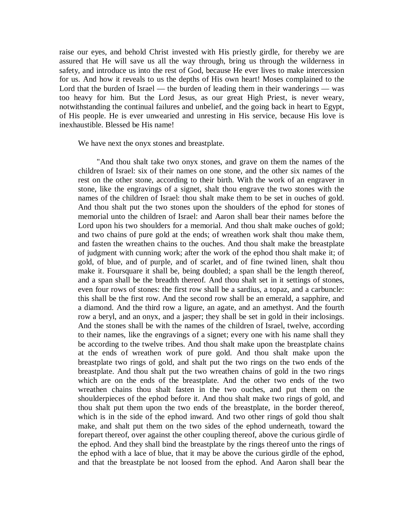raise our eyes, and behold Christ invested with His priestly girdle, for thereby we are assured that He will save us all the way through, bring us through the wilderness in safety, and introduce us into the rest of God, because He ever lives to make intercession for us. And how it reveals to us the depths of His own heart! Moses complained to the Lord that the burden of Israel — the burden of leading them in their wanderings — was too heavy for him. But the Lord Jesus, as our great High Priest, is never weary, notwithstanding the continual failures and unbelief, and the going back in heart to Egypt, of His people. He is ever unwearied and unresting in His service, because His love is inexhaustible. Blessed be His name!

We have next the onyx stones and breastplate.

"And thou shalt take two onyx stones, and grave on them the names of the children of Israel: six of their names on one stone, and the other six names of the rest on the other stone, according to their birth. With the work of an engraver in stone, like the engravings of a signet, shalt thou engrave the two stones with the names of the children of Israel: thou shalt make them to be set in ouches of gold. And thou shalt put the two stones upon the shoulders of the ephod for stones of memorial unto the children of Israel: and Aaron shall bear their names before the Lord upon his two shoulders for a memorial. And thou shalt make ouches of gold; and two chains of pure gold at the ends; of wreathen work shalt thou make them, and fasten the wreathen chains to the ouches. And thou shalt make the breastplate of judgment with cunning work; after the work of the ephod thou shalt make it; of gold, of blue, and of purple, and of scarlet, and of fine twined linen, shalt thou make it. Foursquare it shall be, being doubled; a span shall be the length thereof, and a span shall be the breadth thereof. And thou shalt set in it settings of stones, even four rows of stones: the first row shall be a sardius, a topaz, and a carbuncle: this shall be the first row. And the second row shall be an emerald, a sapphire, and a diamond. And the third row a ligure, an agate, and an amethyst. And the fourth row a beryl, and an onyx, and a jasper; they shall be set in gold in their inclosings. And the stones shall be with the names of the children of Israel, twelve, according to their names, like the engravings of a signet; every one with his name shall they be according to the twelve tribes. And thou shalt make upon the breastplate chains at the ends of wreathen work of pure gold. And thou shalt make upon the breastplate two rings of gold, and shalt put the two rings on the two ends of the breastplate. And thou shalt put the two wreathen chains of gold in the two rings which are on the ends of the breastplate. And the other two ends of the two wreathen chains thou shalt fasten in the two ouches, and put them on the shoulderpieces of the ephod before it. And thou shalt make two rings of gold, and thou shalt put them upon the two ends of the breastplate, in the border thereof, which is in the side of the ephod inward. And two other rings of gold thou shalt make, and shalt put them on the two sides of the ephod underneath, toward the forepart thereof, over against the other coupling thereof, above the curious girdle of the ephod. And they shall bind the breastplate by the rings thereof unto the rings of the ephod with a lace of blue, that it may be above the curious girdle of the ephod, and that the breastplate be not loosed from the ephod. And Aaron shall bear the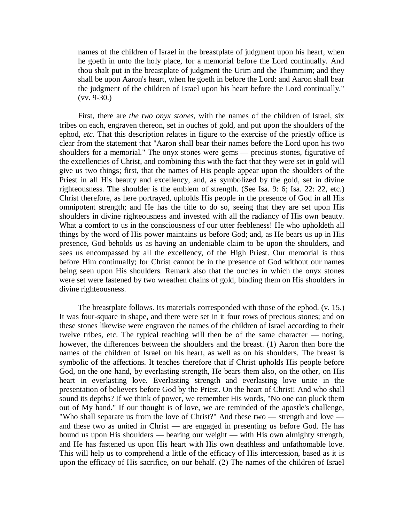names of the children of Israel in the breastplate of judgment upon his heart, when he goeth in unto the holy place, for a memorial before the Lord continually. And thou shalt put in the breastplate of judgment the Urim and the Thummim; and they shall be upon Aaron's heart, when he goeth in before the Lord: and Aaron shall bear the judgment of the children of Israel upon his heart before the Lord continually." (vv. 9-30.)

First, there are *the two onyx stones,* with the names of the children of Israel, six tribes on each, engraven thereon, set in ouches of gold, and put upon the shoulders of the ephod, *etc.* That this description relates in figure to the exercise of the priestly office is clear from the statement that "Aaron shall bear their names before the Lord upon his two shoulders for a memorial." The onyx stones were gems — precious stones, figurative of the excellencies of Christ, and combining this with the fact that they were set in gold will give us two things; first, that the names of His people appear upon the shoulders of the Priest in all His beauty and excellency, and, as symbolized by the gold, set in divine righteousness. The shoulder is the emblem of strength. (See Isa. 9: 6; Isa. 22: 22, etc.) Christ therefore, as here portrayed, upholds His people in the presence of God in all His omnipotent strength; and He has the title to do so, seeing that they are set upon His shoulders in divine righteousness and invested with all the radiancy of His own beauty. What a comfort to us in the consciousness of our utter feebleness! He who upholdeth all things by the word of His power maintains us before God; and, as He bears us up in His presence, God beholds us as having an undeniable claim to be upon the shoulders, and sees us encompassed by all the excellency, of the High Priest. Our memorial is thus before Him continually; for Christ cannot be in the presence of God without our names being seen upon His shoulders. Remark also that the ouches in which the onyx stones were set were fastened by two wreathen chains of gold, binding them on His shoulders in divine righteousness.

The breastplate follows. Its materials corresponded with those of the ephod. (v. 15.) It was four-square in shape, and there were set in it four rows of precious stones; and on these stones likewise were engraven the names of the children of Israel according to their twelve tribes, etc. The typical teaching will then be of the same character — noting, however, the differences between the shoulders and the breast. (1) Aaron then bore the names of the children of Israel on his heart, as well as on his shoulders. The breast is symbolic of the affections. It teaches therefore that if Christ upholds His people before God, on the one hand, by everlasting strength, He bears them also, on the other, on His heart in everlasting love. Everlasting strength and everlasting love unite in the presentation of believers before God by the Priest. On the heart of Christ! And who shall sound its depths? If we think of power, we remember His words, "No one can pluck them out of My hand." If our thought is of love, we are reminded of the apostle's challenge, "Who shall separate us from the love of Christ?" And these two — strength and love and these two as united in Christ — are engaged in presenting us before God. He has bound us upon His shoulders — bearing our weight — with His own almighty strength, and He has fastened us upon His heart with His own deathless and unfathomable love. This will help us to comprehend a little of the efficacy of His intercession, based as it is upon the efficacy of His sacrifice, on our behalf. (2) The names of the children of Israel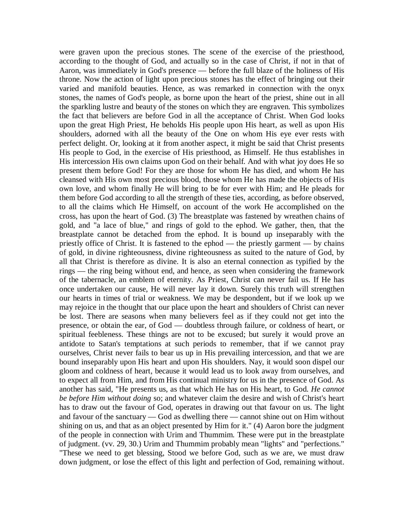were graven upon the precious stones. The scene of the exercise of the priesthood, according to the thought of God, and actually so in the case of Christ, if not in that of Aaron, was immediately in God's presence — before the full blaze of the holiness of His throne. Now the action of light upon precious stones has the effect of bringing out their varied and manifold beauties. Hence, as was remarked in connection with the onyx stones, the names of God's people, as borne upon the heart of the priest, shine out in all the sparkling lustre and beauty of the stones on which they are engraven. This symbolizes the fact that believers are before God in all the acceptance of Christ. When God looks upon the great High Priest, He beholds His people upon His heart, as well as upon His shoulders, adorned with all the beauty of the One on whom His eye ever rests with perfect delight. Or, looking at it from another aspect, it might be said that Christ presents His people to God, in the exercise of His priesthood, as Himself. He thus establishes in His intercession His own claims upon God on their behalf. And with what joy does He so present them before God! For they are those for whom He has died, and whom He has cleansed with His own most precious blood, those whom He has made the objects of His own love, and whom finally He will bring to be for ever with Him; and He pleads for them before God according to all the strength of these ties, according, as before observed, to all the claims which He Himself, on account of the work He accomplished on the cross, has upon the heart of God. (3) The breastplate was fastened by wreathen chains of gold, and "a lace of blue," and rings of gold to the ephod. We gather, then, that the breastplate cannot be detached from the ephod. It is bound up inseparably with the priestly office of Christ. It is fastened to the ephod — the priestly garment — by chains of gold, in divine righteousness, divine righteousness as suited to the nature of God, by all that Christ is therefore as divine. It is also an eternal connection as typified by the rings — the ring being without end, and hence, as seen when considering the framework of the tabernacle, an emblem of eternity. As Priest, Christ can never fail us. If He has once undertaken our cause, He will never lay it down. Surely this truth will strengthen our hearts in times of trial or weakness. We may be despondent, but if we look up we may rejoice in the thought that our place upon the heart and shoulders of Christ can never be lost. There are seasons when many believers feel as if they could not get into the presence, or obtain the ear, of God — doubtless through failure, or coldness of heart, or spiritual feebleness. These things are not to be excused; but surely it would prove an antidote to Satan's temptations at such periods to remember, that if we cannot pray ourselves, Christ never fails to bear us up in His prevailing intercession, and that we are bound inseparably upon His heart and upon His shoulders. Nay, it would soon dispel our gloom and coldness of heart, because it would lead us to look away from ourselves, and to expect all from Him, and from His continual ministry for us in the presence of God. As another has said, "He presents us, as that which He has on His heart, to God. *He cannot be before Him without doing* so; and whatever claim the desire and wish of Christ's heart has to draw out the favour of God, operates in drawing out that favour on us. The light and favour of the sanctuary — God as dwelling there — cannot shine out on Him without shining on us, and that as an object presented by Him for it." (4) Aaron bore the judgment of the people in connection with Urim and Thummim. These were put in the breastplate of judgment. (vv. 29, 30.) Urim and Thummim probably mean "lights" and "perfections." "These we need to get blessing, Stood we before God, such as we are, we must draw down judgment, or lose the effect of this light and perfection of God, remaining without.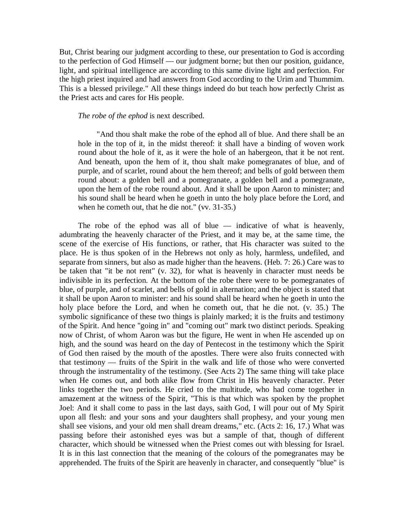But, Christ bearing our judgment according to these, our presentation to God is according to the perfection of God Himself — our judgment borne; but then our position, guidance, light, and spiritual intelligence are according to this same divine light and perfection. For the high priest inquired and had answers from God according to the Urim and Thummim. This is a blessed privilege." All these things indeed do but teach how perfectly Christ as the Priest acts and cares for His people.

*The robe of the ephod* is next described.

"And thou shalt make the robe of the ephod all of blue. And there shall be an hole in the top of it, in the midst thereof: it shall have a binding of woven work round about the hole of it, as it were the hole of an habergeon, that it be not rent. And beneath, upon the hem of it, thou shalt make pomegranates of blue, and of purple, and of scarlet, round about the hem thereof; and bells of gold between them round about: a golden bell and a pomegranate, a golden bell and a pomegranate, upon the hem of the robe round about. And it shall be upon Aaron to minister; and his sound shall be heard when he goeth in unto the holy place before the Lord, and when he cometh out, that he die not." (vv. 31-35.)

The robe of the ephod was all of blue  $-$  indicative of what is heavenly, adumbrating the heavenly character of the Priest, and it may be, at the same time, the scene of the exercise of His functions, or rather, that His character was suited to the place. He is thus spoken of in the Hebrews not only as holy, harmless, undefiled, and separate from sinners, but also as made higher than the heavens. (Heb. 7: 26.) Care was to be taken that "it be not rent" (v. 32), for what is heavenly in character must needs be indivisible in its perfection. At the bottom of the robe there were to be pomegranates of blue, of purple, and of scarlet, and bells of gold in alternation; and the object is stated that it shall be upon Aaron to minister: and his sound shall be heard when he goeth in unto the holy place before the Lord, and when he cometh out, that he die not. (v. 35.) The symbolic significance of these two things is plainly marked; it is the fruits and testimony of the Spirit. And hence "going in" and "coming out" mark two distinct periods. Speaking now of Christ, of whom Aaron was but the figure, He went in when He ascended up on high, and the sound was heard on the day of Pentecost in the testimony which the Spirit of God then raised by the mouth of the apostles. There were also fruits connected with that testimony — fruits of the Spirit in the walk and life of those who were converted through the instrumentality of the testimony. (See Acts 2) The same thing will take place when He comes out, and both alike flow from Christ in His heavenly character. Peter links together the two periods. He cried to the multitude, who had come together in amazement at the witness of the Spirit, "This is that which was spoken by the prophet Joel: And it shall come to pass in the last days, saith God, I will pour out of My Spirit upon all flesh: and your sons and your daughters shall prophesy, and your young men shall see visions, and your old men shall dream dreams," etc. (Acts 2: 16, 17.) What was passing before their astonished eyes was but a sample of that, though of different character, which should be witnessed when the Priest comes out with blessing for Israel. It is in this last connection that the meaning of the colours of the pomegranates may be apprehended. The fruits of the Spirit are heavenly in character, and consequently "blue" is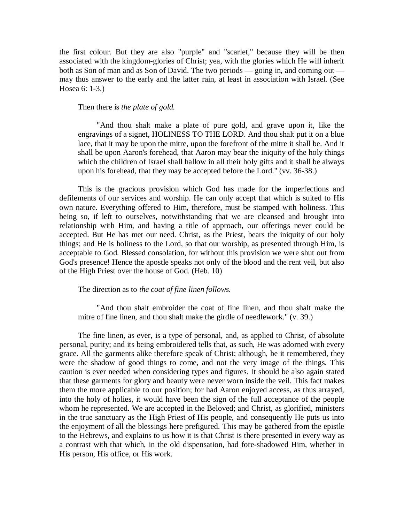the first colour. But they are also "purple" and "scarlet," because they will be then associated with the kingdom-glories of Christ; yea, with the glories which He will inherit both as Son of man and as Son of David. The two periods — going in, and coming out may thus answer to the early and the latter rain, at least in association with Israel. (See Hosea 6: 1-3.)

### Then there is *the plate of gold.*

"And thou shalt make a plate of pure gold, and grave upon it, like the engravings of a signet, HOLINESS TO THE LORD. And thou shalt put it on a blue lace, that it may be upon the mitre, upon the forefront of the mitre it shall be. And it shall be upon Aaron's forehead, that Aaron may bear the iniquity of the holy things which the children of Israel shall hallow in all their holy gifts and it shall be always upon his forehead, that they may be accepted before the Lord." (vv. 36-38.)

This is the gracious provision which God has made for the imperfections and defilements of our services and worship. He can only accept that which is suited to His own nature. Everything offered to Him, therefore, must be stamped with holiness. This being so, if left to ourselves, notwithstanding that we are cleansed and brought into relationship with Him, and having a title of approach, our offerings never could be accepted. But He has met our need. Christ, as the Priest, bears the iniquity of our holy things; and He is holiness to the Lord, so that our worship, as presented through Him, is acceptable to God. Blessed consolation, for without this provision we were shut out from God's presence! Hence the apostle speaks not only of the blood and the rent veil, but also of the High Priest over the house of God. (Heb. 10)

The direction as to *the coat of fine linen follows.*

"And thou shalt embroider the coat of fine linen, and thou shalt make the mitre of fine linen, and thou shalt make the girdle of needlework." (v. 39.)

The fine linen, as ever, is a type of personal, and, as applied to Christ, of absolute personal, purity; and its being embroidered tells that, as such, He was adorned with every grace. All the garments alike therefore speak of Christ; although, be it remembered, they were the shadow of good things to come, and not the very image of the things. This caution is ever needed when considering types and figures. It should be also again stated that these garments for glory and beauty were never worn inside the veil. This fact makes them the more applicable to our position; for had Aaron enjoyed access, as thus arrayed, into the holy of holies, it would have been the sign of the full acceptance of the people whom he represented. We are accepted in the Beloved; and Christ, as glorified, ministers in the true sanctuary as the High Priest of His people, and consequently He puts us into the enjoyment of all the blessings here prefigured. This may be gathered from the epistle to the Hebrews, and explains to us how it is that Christ is there presented in every way as a contrast with that which, in the old dispensation, had fore-shadowed Him, whether in His person, His office, or His work.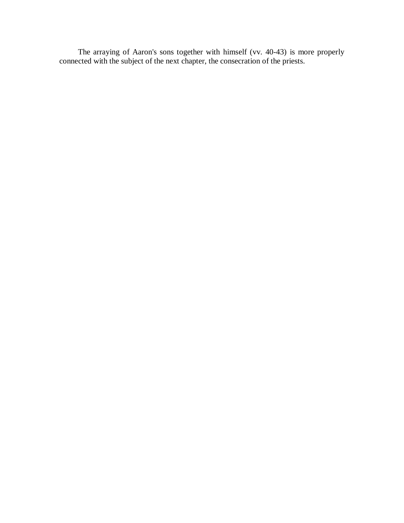The arraying of Aaron's sons together with himself (vv. 40-43) is more properly connected with the subject of the next chapter, the consecration of the priests.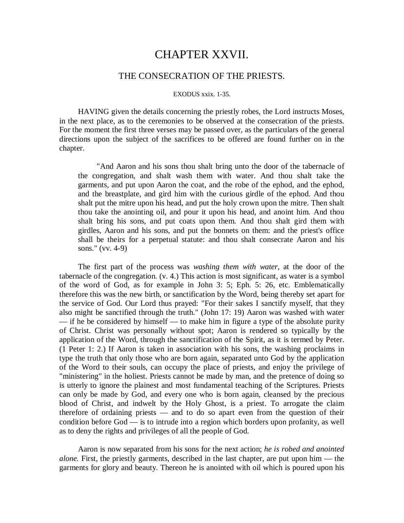## CHAPTER XXVII.

### THE CONSECRATION OF THE PRIESTS.

#### EXODUS xxix. 1-35.

HAVING given the details concerning the priestly robes, the Lord instructs Moses, in the next place, as to the ceremonies to be observed at the consecration of the priests. For the moment the first three verses may be passed over, as the particulars of the general directions upon the subject of the sacrifices to be offered are found further on in the chapter.

"And Aaron and his sons thou shalt bring unto the door of the tabernacle of the congregation, and shalt wash them with water. And thou shalt take the garments, and put upon Aaron the coat, and the robe of the ephod, and the ephod, and the breastplate, and gird him with the curious girdle of the ephod. And thou shalt put the mitre upon his head, and put the holy crown upon the mitre. Then shalt thou take the anointing oil, and pour it upon his head, and anoint him. And thou shalt bring his sons, and put coats upon them. And thou shalt gird them with girdles, Aaron and his sons, and put the bonnets on them: and the priest's office shall be theirs for a perpetual statute: and thou shalt consecrate Aaron and his sons." (vv. 4-9)

The first part of the process was *washing them with water,* at the door of the tabernacle of the congregation. (v. 4.) This action is most significant, as water is a symbol of the word of God, as for example in John 3: 5; Eph. 5: 26, etc. Emblematically therefore this was the new birth, or sanctification by the Word, being thereby set apart for the service of God. Our Lord thus prayed: "For their sakes I sanctify myself, that they also might be sanctified through the truth." (John 17: 19) Aaron was washed with water — if he be considered by himself — to make him in figure a type of the absolute purity of Christ. Christ was personally without spot; Aaron is rendered so typically by the application of the Word, through the sanctification of the Spirit, as it is termed by Peter. (1 Peter 1: 2.) If Aaron is taken in association with his sons, the washing proclaims in type the truth that only those who are born again, separated unto God by the application of the Word to their souls, can occupy the place of priests, and enjoy the privilege of "ministering" in the holiest. Priests cannot be made by man, and the pretence of doing so is utterly to ignore the plainest and most fundamental teaching of the Scriptures. Priests can only be made by God, and every one who is born again, cleansed by the precious blood of Christ, and indwelt by the Holy Ghost, is a priest. To arrogate the claim therefore of ordaining priests — and to do so apart even from the question of their condition before God — is to intrude into a region which borders upon profanity, as well as to deny the rights and privileges of all the people of God.

Aaron is now separated from his sons for the next action; *he is robed and anointed alone.* First, the priestly garments, described in the last chapter, are put upon him — the garments for glory and beauty. Thereon he is anointed with oil which is poured upon his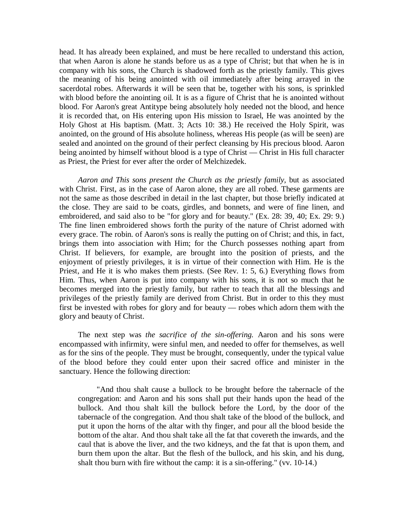head. It has already been explained, and must be here recalled to understand this action, that when Aaron is alone he stands before us as a type of Christ; but that when he is in company with his sons, the Church is shadowed forth as the priestly family. This gives the meaning of his being anointed with oil immediately after being arrayed in the sacerdotal robes. Afterwards it will be seen that be, together with his sons, is sprinkled with blood before the anointing oil. It is as a figure of Christ that he is anointed without blood. For Aaron's great Antitype being absolutely holy needed not the blood, and hence it is recorded that, on His entering upon His mission to Israel, He was anointed by the Holy Ghost at His baptism. (Matt. 3; Acts 10: 38.) He received the Holy Spirit, was anointed, on the ground of His absolute holiness, whereas His people (as will be seen) are sealed and anointed on the ground of their perfect cleansing by His precious blood. Aaron being anointed by himself without blood is a type of Christ — Christ in His full character as Priest, the Priest for ever after the order of Melchizedek.

*Aaron and This sons present the Church as the priestly family,* but as associated with Christ. First, as in the case of Aaron alone, they are all robed. These garments are not the same as those described in detail in the last chapter, but those briefly indicated at the close. They are said to be coats, girdles, and bonnets, and were of fine linen, and embroidered, and said also to be "for glory and for beauty." (Ex. 28: 39, 40; Ex. 29: 9.) The fine linen embroidered shows forth the purity of the nature of Christ adorned with every grace. The robin. of Aaron's sons is really the putting on of Christ; and this, in fact, brings them into association with Him; for the Church possesses nothing apart from Christ. If believers, for example, are brought into the position of priests, and the enjoyment of priestly privileges, it is in virtue of their connection with Him. He is the Priest, and He it is who makes them priests. (See Rev. 1: 5, 6.) Everything flows from Him. Thus, when Aaron is put into company with his sons, it is not so much that he becomes merged into the priestly family, but rather to teach that all the blessings and privileges of the priestly family are derived from Christ. But in order to this they must first be invested with robes for glory and for beauty — robes which adorn them with the glory and beauty of Christ.

The next step was *the sacrifice of the sin-offering.* Aaron and his sons were encompassed with infirmity, were sinful men, and needed to offer for themselves, as well as for the sins of the people. They must be brought, consequently, under the typical value of the blood before they could enter upon their sacred office and minister in the sanctuary. Hence the following direction:

"And thou shalt cause a bullock to be brought before the tabernacle of the congregation: and Aaron and his sons shall put their hands upon the head of the bullock. And thou shalt kill the bullock before the Lord, by the door of the tabernacle of the congregation. And thou shalt take of the blood of the bullock, and put it upon the horns of the altar with thy finger, and pour all the blood beside the bottom of the altar. And thou shalt take all the fat that covereth the inwards, and the caul that is above the liver, and the two kidneys, and the fat that is upon them, and burn them upon the altar. But the flesh of the bullock, and his skin, and his dung, shalt thou burn with fire without the camp: it is a sin-offering." (vv. 10-14.)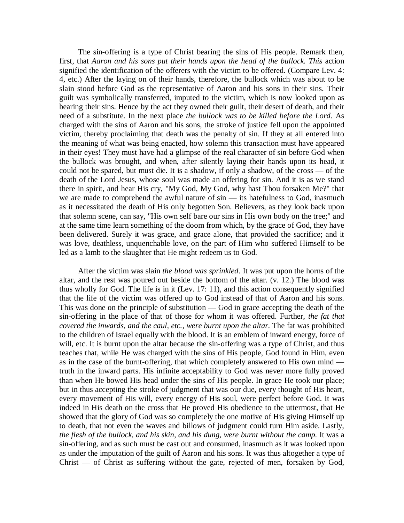The sin-offering is a type of Christ bearing the sins of His people. Remark then, first, that *Aaron and his sons put their hands upon the head of the bullock. This* action signified the identification of the offerers with the victim to be offered. (Compare Lev. 4: 4, etc.) After the laying on of their hands, therefore, the bullock which was about to be slain stood before God as the representative of Aaron and his sons in their sins. Their guilt was symbolically transferred, imputed to the victim, which is now looked upon as bearing their sins. Hence by the act they owned their guilt, their desert of death, and their need of a substitute. In the next place *the bullock was to be killed before the Lord.* As charged with the sins of Aaron and his sons, the stroke of justice fell upon the appointed victim, thereby proclaiming that death was the penalty of sin. If they at all entered into the meaning of what was being enacted, how solemn this transaction must have appeared in their eyes! They must have had a glimpse of the real character of sin before God when the bullock was brought, and when, after silently laying their hands upon its head, it could not be spared, but must die. It is a shadow, if only a shadow, of the cross — of the death of the Lord Jesus, whose soul was made an offering for sin. And it is as we stand there in spirit, and hear His cry, "My God, My God, why hast Thou forsaken Me?" that we are made to comprehend the awful nature of sin — its hatefulness to God, inasmuch as it necessitated the death of His only begotten Son. Believers, as they look back upon that solemn scene, can say, "His own self bare our sins in His own body on the tree;" and at the same time learn something of the doom from which, by the grace of God, they have been delivered. Surely it was grace, and grace alone, that provided the sacrifice; and it was love, deathless, unquenchable love, on the part of Him who suffered Himself to be led as a lamb to the slaughter that He might redeem us to God.

After the victim was slain *the blood was sprinkled.* It was put upon the horns of the altar, and the rest was poured out beside the bottom of the altar. (v. 12.) The blood was thus wholly for God. The life is in it (Lev. 17: 11), and this action consequently signified that the life of the victim was offered up to God instead of that of Aaron and his sons. This was done on the principle of substitution — God in grace accepting the death of the sin-offering in the place of that of those for whom it was offered. Further, *the fat that covered the inwards, and the caul, etc., were burnt upon the altar.* The fat was prohibited to the children of Israel equally with the blood. It is an emblem of inward energy, force of will, etc. It is burnt upon the altar because the sin-offering was a type of Christ, and thus teaches that, while He was charged with the sins of His people, God found in Him, even as in the case of the burnt-offering, that which completely answered to His own mind truth in the inward parts. His infinite acceptability to God was never more fully proved than when He bowed His head under the sins of His people. In grace He took our place; but in thus accepting the stroke of judgment that was our due, every thought of His heart, every movement of His will, every energy of His soul, were perfect before God. It was indeed in His death on the cross that He proved His obedience to the uttermost, that He showed that the glory of God was so completely the one motive of His giving Himself up to death, that not even the waves and billows of judgment could turn Him aside. Lastly, *the flesh of the bullock, and his skin, and his dung, were burnt without the camp.* It was a sin-offering, and as such must be cast out and consumed, inasmuch as it was looked upon as under the imputation of the guilt of Aaron and his sons. It was thus altogether a type of  $Christ - of Christ as suffering without the gate, rejected of men, forsaken by God,$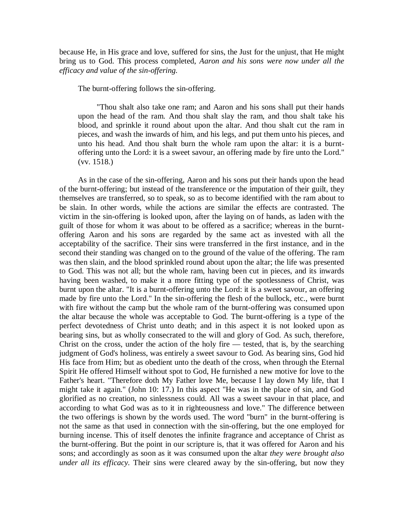because He, in His grace and love, suffered for sins, the Just for the unjust, that He might bring us to God. This process completed, *Aaron and his sons were now under all the efficacy and value of the sin-offering.*

The burnt-offering follows the sin-offering.

"Thou shalt also take one ram; and Aaron and his sons shall put their hands upon the head of the ram. And thou shalt slay the ram, and thou shalt take his blood, and sprinkle it round about upon the altar. And thou shalt cut the ram in pieces, and wash the inwards of him, and his legs, and put them unto his pieces, and unto his head. And thou shalt burn the whole ram upon the altar: it is a burntoffering unto the Lord: it is a sweet savour, an offering made by fire unto the Lord." (vv. 1518.)

As in the case of the sin-offering, Aaron and his sons put their hands upon the head of the burnt-offering; but instead of the transference or the imputation of their guilt, they themselves are transferred, so to speak, so as to become identified with the ram about to be slain. In other words, while the actions are similar the effects are contrasted. The victim in the sin-offering is looked upon, after the laying on of hands, as laden with the guilt of those for whom it was about to be offered as a sacrifice; whereas in the burntoffering Aaron and his sons are regarded by the same act as invested with all the acceptability of the sacrifice. Their sins were transferred in the first instance, and in the second their standing was changed on to the ground of the value of the offering. The ram was then slain, and the blood sprinkled round about upon the altar; the life was presented to God. This was not all; but the whole ram, having been cut in pieces, and its inwards having been washed, to make it a more fitting type of the spotlessness of Christ, was burnt upon the altar. "It is a burnt-offering unto the Lord: it is a sweet savour, an offering made by fire unto the Lord." In the sin-offering the flesh of the bullock, etc., were burnt with fire without the camp but the whole ram of the burnt-offering was consumed upon the altar because the whole was acceptable to God. The burnt-offering is a type of the perfect devotedness of Christ unto death; and in this aspect it is not looked upon as bearing sins, but as wholly consecrated to the will and glory of God. As such, therefore, Christ on the cross, under the action of the holy fire — tested, that is, by the searching judgment of God's holiness, was entirely a sweet savour to God. As bearing sins, God hid His face from Him; but as obedient unto the death of the cross, when through the Eternal Spirit He offered Himself without spot to God, He furnished a new motive for love to the Father's heart. "Therefore doth My Father love Me, because I lay down My life, that I might take it again." (John 10: 17.) In this aspect "He was in the place of sin, and God glorified as no creation, no sinlessness could. All was a sweet savour in that place, and according to what God was as to it in righteousness and love." The difference between the two offerings is shown by the words used. The word "burn" in the burnt-offering is not the same as that used in connection with the sin-offering, but the one employed for burning incense. This of itself denotes the infinite fragrance and acceptance of Christ as the burnt-offering. But the point in our scripture is, that it was offered for Aaron and his sons; and accordingly as soon as it was consumed upon the altar *they were brought also under all its efficacy.* Their sins were cleared away by the sin-offering, but now they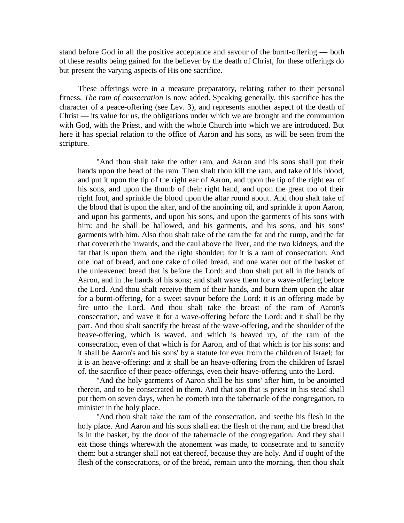stand before God in all the positive acceptance and savour of the burnt-offering — both of these results being gained for the believer by the death of Christ, for these offerings do but present the varying aspects of His one sacrifice.

These offerings were in a measure preparatory, relating rather to their personal fitness. *The ram of consecration* is now added. Speaking generally, this sacrifice has the character of a peace-offering (see Lev. 3), and represents another aspect of the death of Christ — its value for us, the obligations under which we are brought and the communion with God, with the Priest, and with the whole Church into which we are introduced. But here it has special relation to the office of Aaron and his sons, as will be seen from the scripture.

"And thou shalt take the other ram, and Aaron and his sons shall put their hands upon the head of the ram. Then shalt thou kill the ram, and take of his blood, and put it upon the tip of the right ear of Aaron, and upon the tip of the right ear of his sons, and upon the thumb of their right hand, and upon the great too of their right foot, and sprinkle the blood upon the altar round about. And thou shalt take of the blood that is upon the altar, and of the anointing oil, and sprinkle it upon Aaron, and upon his garments, and upon his sons, and upon the garments of his sons with him: and he shall be hallowed, and his garments, and his sons, and his sons' garments with him. Also thou shalt take of the ram the fat and the rump, and the fat that covereth the inwards, and the caul above the liver, and the two kidneys, and the fat that is upon them, and the right shoulder; for it is a ram of consecration. And one loaf of bread, and one cake of oiled bread, and one wafer out of the basket of the unleavened bread that is before the Lord: and thou shalt put all in the hands of Aaron, and in the hands of his sons; and shalt wave them for a wave-offering before the Lord. And thou shalt receive them of their hands, and burn them upon the altar for a burnt-offering, for a sweet savour before the Lord: it is an offering made by fire unto the Lord. And thou shalt take the breast of the ram of Aaron's consecration, and wave it for a wave-offering before the Lord: and it shall be thy part. And thou shalt sanctify the breast of the wave-offering, and the shoulder of the heave-offering, which is waved, and which is heaved up, of the ram of the consecration, even of that which is for Aaron, and of that which is for his sons: and it shall be Aaron's and his sons' by a statute for ever from the children of Israel; for it is an heave-offering: and it shall be an heave-offering from the children of Israel of. the sacrifice of their peace-offerings, even their heave-offering unto the Lord.

"And the holy garments of Aaron shall be his sons' after him, to be anointed therein, and to be consecrated in them. And that son that is priest in his stead shall put them on seven days, when he cometh into the tabernacle of the congregation, to minister in the holy place.

"And thou shalt take the ram of the consecration, and seethe his flesh in the holy place. And Aaron and his sons shall eat the flesh of the ram, and the bread that is in the basket, by the door of the tabernacle of the congregation. And they shall eat those things wherewith the atonement was made, to consecrate and to sanctify them: but a stranger shall not eat thereof, because they are holy. And if ought of the flesh of the consecrations, or of the bread, remain unto the morning, then thou shalt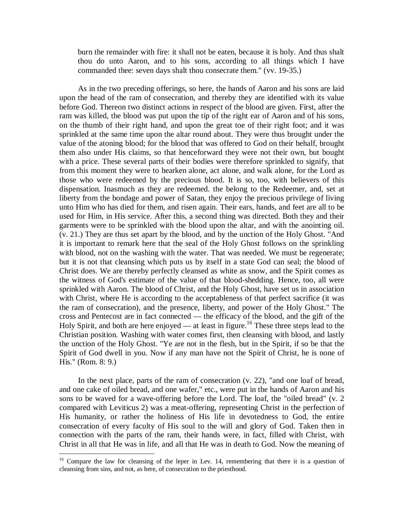burn the remainder with fire: it shall not be eaten, because it is holy. And thus shalt thou do unto Aaron, and to his sons, according to all things which I have commanded thee: seven days shalt thou consecrate them." (vv. 19-35.)

As in the two preceding offerings, so here, the hands of Aaron and his sons are laid upon the head of the ram of consecration, and thereby they are identified with its value before God. Thereon two distinct actions in respect of the blood are given. First, after the ram was killed, the blood was put upon the tip of the right ear of Aaron and of his sons, on the thumb of their right hand, and upon the great toe of their right foot; and it was sprinkled at the same time upon the altar round about. They were thus brought under the value of the atoning blood; for the blood that was offered to God on their behalf, brought them also under His claims, so that henceforward they were not their own, but bought with a price. These several parts of their bodies were therefore sprinkled to signify, that from this moment they were to hearken alone, act alone, and walk alone, for the Lord as those who were redeemed by the precious blood. It is so, too, with believers of this dispensation. Inasmuch as they are redeemed. the belong to the Redeemer, and, set at liberty from the bondage and power of Satan, they enjoy the precious privilege of living unto Him who has died for them, and risen again. Their ears, hands, and feet are all to be used for Him, in His service. After this, a second thing was directed. Both they and their garments were to be sprinkled with the blood upon the altar, and with the anointing oil. (v. 21.) They are thus set apart by the blood, and by the unction of the Holy Ghost. "And it is important to remark here that the seal of the Holy Ghost follows on the sprinkling with blood, not on the washing with the water. That was needed. We must be regenerate; but it is not that cleansing which puts us by itself in a state God can seal; the blood of Christ does. We are thereby perfectly cleansed as white as snow, and the Spirit comes as the witness of God's estimate of the value of that blood-shedding. Hence, too, all were sprinkled with Aaron. The blood of Christ, and the Holy Ghost, have set us in association with Christ, where He is according to the acceptableness of that perfect sacrifice (it was the ram of consecration), and the presence, liberty, and power of the Holy Ghost." The cross and Pentecost are in fact connected — the efficacy of the blood, and the gift of the Holy Spirit, and both are here enjoyed — at least in figure.<sup>16</sup> These three steps lead to the Christian position. Washing with water comes first, then cleansing with blood, and lastly the unction of the Holy Ghost. "Ye are not in the flesh, but in the Spirit, if so be that the Spirit of God dwell in you. Now if any man have not the Spirit of Christ, he is none of His." (Rom. 8: 9.)

In the next place, parts of the ram of consecration (v. 22), "and one loaf of bread, and one cake of oiled bread, and one wafer," etc., were put in the hands of Aaron and his sons to be waved for a wave-offering before the Lord. The loaf, the "oiled bread" (v. 2 compared with Leviticus 2) was a meat-offering, representing Christ in the perfection of His humanity, or rather the holiness of His life in devotedness to God, the entire consecration of every faculty of His soul to the will and glory of God. Taken then in connection with the parts of the ram, their hands were, in fact, filled with Christ, with Christ in all that He was in life, and all that He was in death to God. Now the meaning of

 $\overline{a}$ 

<sup>&</sup>lt;sup>16</sup> Compare the law for cleansing of the leper in Lev. 14, remembering that there it is a question of cleansing from sins, and not, as here, of consecration to the priesthood.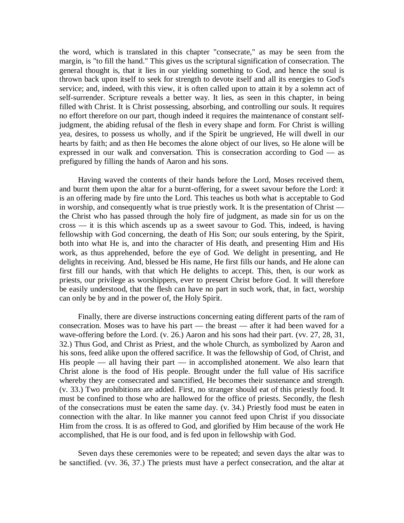the word, which is translated in this chapter "consecrate," as may be seen from the margin, is "to fill the hand." This gives us the scriptural signification of consecration. The general thought is, that it lies in our yielding something to God, and hence the soul is thrown back upon itself to seek for strength to devote itself and all its energies to God's service; and, indeed, with this view, it is often called upon to attain it by a solemn act of self-surrender. Scripture reveals a better way. It lies, as seen in this chapter, in being filled with Christ. It is Christ possessing, absorbing, and controlling our souls. It requires no effort therefore on our part, though indeed it requires the maintenance of constant selfjudgment, the abiding refusal of the flesh in every shape and form. For Christ is willing yea, desires, to possess us wholly, and if the Spirit be ungrieved, He will dwell in our hearts by faith; and as then He becomes the alone object of our lives, so He alone will be expressed in our walk and conversation. This is consecration according to God — as prefigured by filling the hands of Aaron and his sons.

Having waved the contents of their hands before the Lord, Moses received them, and burnt them upon the altar for a burnt-offering, for a sweet savour before the Lord: it is an offering made by fire unto the Lord. This teaches us both what is acceptable to God in worship, and consequently what is true priestly work. It is the presentation of Christ the Christ who has passed through the holy fire of judgment, as made sin for us on the cross — it is this which ascends up as a sweet savour to God. This, indeed, is having fellowship with God concerning, the death of His Son; our souls entering, by the Spirit, both into what He is, and into the character of His death, and presenting Him and His work, as thus apprehended, before the eye of God. We delight in presenting, and He delights in receiving. And, blessed be His name, He first fills our hands, and He alone can first fill our hands, with that which He delights to accept. This, then, is our work as priests, our privilege as worshippers, ever to present Christ before God. It will therefore be easily understood, that the flesh can have no part in such work, that, in fact, worship can only be by and in the power of, the Holy Spirit.

Finally, there are diverse instructions concerning eating different parts of the ram of consecration. Moses was to have his part — the breast — after it had been waved for a wave-offering before the Lord. (v. 26.) Aaron and his sons had their part. (vv. 27, 28, 31, 32.) Thus God, and Christ as Priest, and the whole Church, as symbolized by Aaron and his sons, feed alike upon the offered sacrifice. It was the fellowship of God, of Christ, and His people — all having their part — in accomplished atonement. We also learn that Christ alone is the food of His people. Brought under the full value of His sacrifice whereby they are consecrated and sanctified, He becomes their sustenance and strength. (v. 33.) Two prohibitions are added. First, no stranger should eat of this priestly food. It must be confined to those who are hallowed for the office of priests. Secondly, the flesh of the consecrations must be eaten the same day. (v. 34.) Priestly food must be eaten in connection with the altar. In like manner you cannot feed upon Christ if you dissociate Him from the cross. It is as offered to God, and glorified by Him because of the work He accomplished, that He is our food, and is fed upon in fellowship with God.

Seven days these ceremonies were to be repeated; and seven days the altar was to be sanctified. (vv. 36, 37.) The priests must have a perfect consecration, and the altar at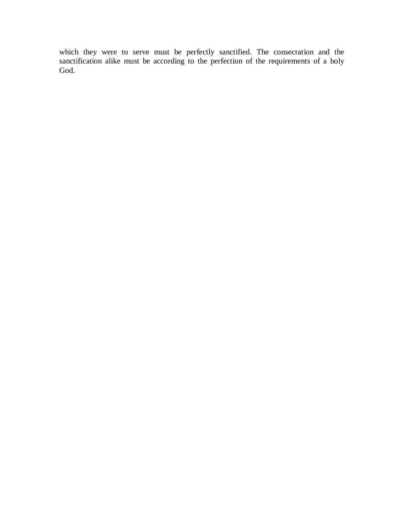which they were to serve must be perfectly sanctified. The consecration and the sanctification alike must be according to the perfection of the requirements of a holy God.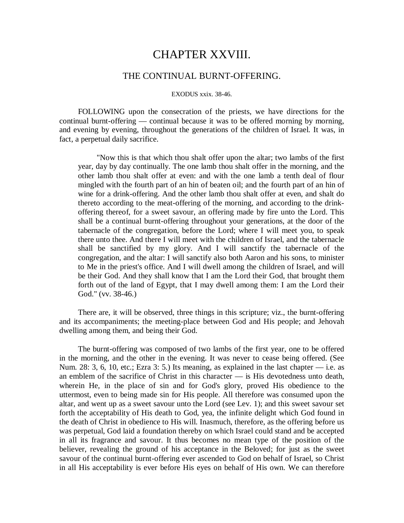## CHAPTER XXVIII.

### THE CONTINUAL BURNT-OFFERING.

#### EXODUS xxix. 38-46.

FOLLOWING upon the consecration of the priests, we have directions for the continual burnt-offering — continual because it was to be offered morning by morning, and evening by evening, throughout the generations of the children of Israel. It was, in fact, a perpetual daily sacrifice.

"Now this is that which thou shalt offer upon the altar; two lambs of the first year, day by day continually. The one lamb thou shalt offer in the morning, and the other lamb thou shalt offer at even: and with the one lamb a tenth deal of flour mingled with the fourth part of an hin of beaten oil; and the fourth part of an hin of wine for a drink-offering. And the other lamb thou shalt offer at even, and shalt do thereto according to the meat-offering of the morning, and according to the drinkoffering thereof, for a sweet savour, an offering made by fire unto the Lord. This shall be a continual burnt-offering throughout your generations, at the door of the tabernacle of the congregation, before the Lord; where I will meet you, to speak there unto thee. And there I will meet with the children of Israel, and the tabernacle shall be sanctified by my glory. And I will sanctify the tabernacle of the congregation, and the altar: I will sanctify also both Aaron and his sons, to minister to Me in the priest's office. And I will dwell among the children of Israel, and will be their God. And they shall know that I am the Lord their God, that brought them forth out of the land of Egypt, that I may dwell among them: I am the Lord their God." (vv. 38-46.)

There are, it will be observed, three things in this scripture; viz., the burnt-offering and its accompaniments; the meeting-place between God and His people; and Jehovah dwelling among them, and being their God.

The burnt-offering was composed of two lambs of the first year, one to be offered in the morning, and the other in the evening. It was never to cease being offered. (See Num. 28: 3, 6, 10, etc.; Ezra 3: 5.) Its meaning, as explained in the last chapter  $-$  i.e. as an emblem of the sacrifice of Christ in this character — is His devotedness unto death, wherein He, in the place of sin and for God's glory, proved His obedience to the uttermost, even to being made sin for His people. All therefore was consumed upon the altar, and went up as a sweet savour unto the Lord (see Lev. 1); and this sweet savour set forth the acceptability of His death to God, yea, the infinite delight which God found in the death of Christ in obedience to His will. Inasmuch, therefore, as the offering before us was perpetual, God laid a foundation thereby on which Israel could stand and be accepted in all its fragrance and savour. It thus becomes no mean type of the position of the believer, revealing the ground of his acceptance in the Beloved; for just as the sweet savour of the continual burnt-offering ever ascended to God on behalf of Israel, so Christ in all His acceptability is ever before His eyes on behalf of His own. We can therefore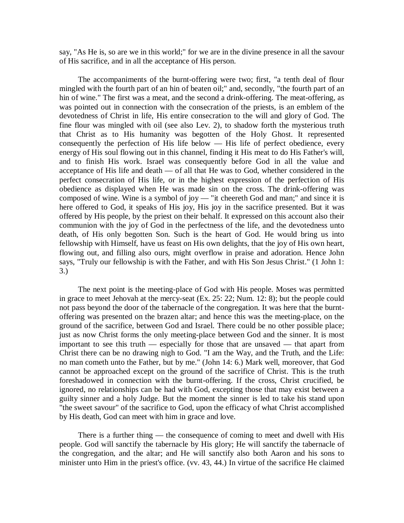say, "As He is, so are we in this world;" for we are in the divine presence in all the savour of His sacrifice, and in all the acceptance of His person.

The accompaniments of the burnt-offering were two; first, "a tenth deal of flour mingled with the fourth part of an hin of beaten oil;" and, secondly, "the fourth part of an hin of wine." The first was a meat, and the second a drink-offering. The meat-offering, as was pointed out in connection with the consecration of the priests, is an emblem of the devotedness of Christ in life, His entire consecration to the will and glory of God. The fine flour was mingled with oil (see also Lev. 2), to shadow forth the mysterious truth that Christ as to His humanity was begotten of the Holy Ghost. It represented consequently the perfection of His life below — His life of perfect obedience, every energy of His soul flowing out in this channel, finding it His meat to do His Father's will, and to finish His work. Israel was consequently before God in all the value and acceptance of His life and death — of all that He was to God, whether considered in the perfect consecration of His life, or in the highest expression of the perfection of His obedience as displayed when He was made sin on the cross. The drink-offering was composed of wine. Wine is a symbol of joy  $-$  "it cheereth God and man;" and since it is here offered to God, it speaks of His joy, His joy in the sacrifice presented. But it was offered by His people, by the priest on their behalf. It expressed on this account also their communion with the joy of God in the perfectness of the life, and the devotedness unto death, of His only begotten Son. Such is the heart of God. He would bring us into fellowship with Himself, have us feast on His own delights, that the joy of His own heart, flowing out, and filling also ours, might overflow in praise and adoration. Hence John says, "Truly our fellowship is with the Father, and with His Son Jesus Christ." (1 John 1: 3.)

The next point is the meeting-place of God with His people. Moses was permitted in grace to meet Jehovah at the mercy-seat (Ex. 25: 22; Num. 12: 8); but the people could not pass beyond the door of the tabernacle of the congregation. It was here that the burntoffering was presented on the brazen altar; and hence this was the meeting-place, on the ground of the sacrifice, between God and Israel. There could be no other possible place; just as now Christ forms the only meeting-place between God and the sinner. It is most important to see this truth — especially for those that are unsaved — that apart from Christ there can be no drawing nigh to God. "I am the Way, and the Truth, and the Life: no man cometh unto the Father, but by me." (John 14: 6.) Mark well, moreover, that God cannot be approached except on the ground of the sacrifice of Christ. This is the truth foreshadowed in connection with the burnt-offering. If the cross, Christ crucified, be ignored, no relationships can be had with God, excepting those that may exist between a guilty sinner and a holy Judge. But the moment the sinner is led to take his stand upon "the sweet savour" of the sacrifice to God, upon the efficacy of what Christ accomplished by His death, God can meet with him in grace and love.

There is a further thing — the consequence of coming to meet and dwell with His people. God will sanctify the tabernacle by His glory; He will sanctify the tabernacle of the congregation, and the altar; and He will sanctify also both Aaron and his sons to minister unto Him in the priest's office. (vv. 43, 44.) In virtue of the sacrifice He claimed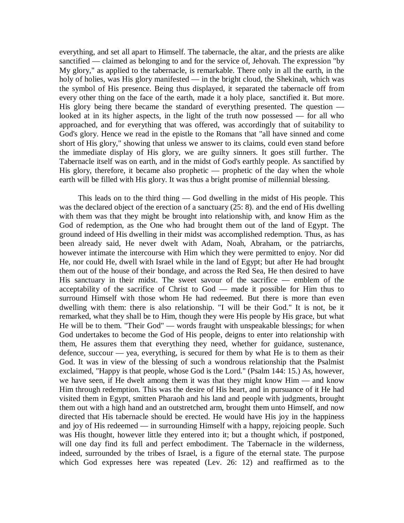everything, and set all apart to Himself. The tabernacle, the altar, and the priests are alike sanctified — claimed as belonging to and for the service of, Jehovah. The expression "by My glory," as applied to the tabernacle, is remarkable. There only in all the earth, in the holy of holies, was His glory manifested — in the bright cloud, the Shekinah, which was the symbol of His presence. Being thus displayed, it separated the tabernacle off from every other thing on the face of the earth, made it a holy place, sanctified it. But more. His glory being there became the standard of everything presented. The question looked at in its higher aspects, in the light of the truth now possessed — for all who approached, and for everything that was offered, was accordingly that of suitability to God's glory. Hence we read in the epistle to the Romans that "all have sinned and come short of His glory," showing that unless we answer to its claims, could even stand before the immediate display of His glory, we are guilty sinners. It goes still further. The Tabernacle itself was on earth, and in the midst of God's earthly people. As sanctified by His glory, therefore, it became also prophetic — prophetic of the day when the whole earth will be filled with His glory. It was thus a bright promise of millennial blessing.

This leads on to the third thing — God dwelling in the midst of His people. This was the declared object of the erection of a sanctuary (25: 8). and the end of His dwelling with them was that they might be brought into relationship with, and know Him as the God of redemption, as the One who had brought them out of the land of Egypt. The ground indeed of His dwelling in their midst was accomplished redemption. Thus, as has been already said, He never dwelt with Adam, Noah, Abraham, or the patriarchs, however intimate the intercourse with Him which they were permitted to enjoy. Nor did He, nor could He, dwell with Israel while in the land of Egypt; but after He had brought them out of the house of their bondage, and across the Red Sea, He then desired to have His sanctuary in their midst. The sweet savour of the sacrifice — emblem of the acceptability of the sacrifice of Christ to God — made it possible for Him thus to surround Himself with those whom He had redeemed. But there is more than even dwelling with them: there is also relationship. "I will be their God." It is not, be it remarked, what they shall be to Him, though they were His people by His grace, but what He will be to them. "Their God" — words fraught with unspeakable blessings; for when God undertakes to become the God of His people, deigns to enter into relationship with them, He assures them that everything they need, whether for guidance, sustenance, defence, succour — yea, everything, is secured for them by what He is to them as their God. It was in view of the blessing of such a wondrous relationship that the Psalmist exclaimed, "Happy is that people, whose God is the Lord." (Psalm 144: 15.) As, however, we have seen, if He dwelt among them it was that they might know Him — and know Him through redemption. This was the desire of His heart, and in pursuance of it He had visited them in Egypt, smitten Pharaoh and his land and people with judgments, brought them out with a high hand and an outstretched arm, brought them unto Himself, and now directed that His tabernacle should be erected. He would have His joy in the happiness and joy of His redeemed — in surrounding Himself with a happy, rejoicing people. Such was His thought, however little they entered into it; but a thought which, if postponed, will one day find its full and perfect embodiment. The Tabernacle in the wilderness, indeed, surrounded by the tribes of Israel, is a figure of the eternal state. The purpose which God expresses here was repeated (Lev. 26: 12) and reaffirmed as to the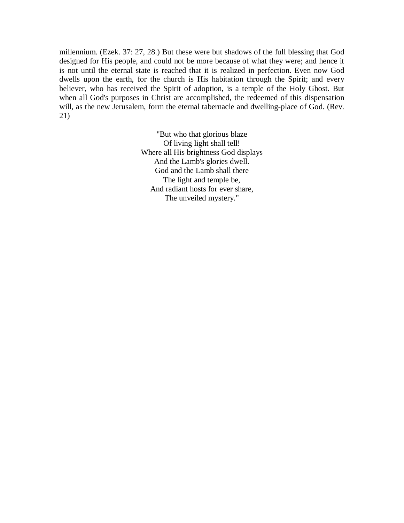millennium. (Ezek. 37: 27, 28.) But these were but shadows of the full blessing that God designed for His people, and could not be more because of what they were; and hence it is not until the eternal state is reached that it is realized in perfection. Even now God dwells upon the earth, for the church is His habitation through the Spirit; and every believer, who has received the Spirit of adoption, is a temple of the Holy Ghost. But when all God's purposes in Christ are accomplished, the redeemed of this dispensation will, as the new Jerusalem, form the eternal tabernacle and dwelling-place of God. (Rev. 21)

> "But who that glorious blaze Of living light shall tell! Where all His brightness God displays And the Lamb's glories dwell. God and the Lamb shall there The light and temple be, And radiant hosts for ever share, The unveiled mystery."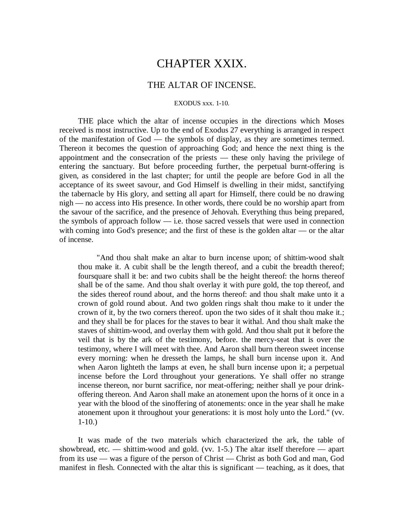## CHAPTER XXIX.

### THE ALTAR OF INCENSE.

#### EXODUS xxx. 1-10.

THE place which the altar of incense occupies in the directions which Moses received is most instructive. Up to the end of Exodus 27 everything is arranged in respect of the manifestation of God — the symbols of display, as they are sometimes termed. Thereon it becomes the question of approaching God; and hence the next thing is the appointment and the consecration of the priests — these only having the privilege of entering the sanctuary. But before proceeding further, the perpetual burnt-offering is given, as considered in the last chapter; for until the people are before God in all the acceptance of its sweet savour, and God Himself is dwelling in their midst, sanctifying the tabernacle by His glory, and setting all apart for Himself, there could be no drawing nigh — no access into His presence. In other words, there could be no worship apart from the savour of the sacrifice, and the presence of Jehovah. Everything thus being prepared, the symbols of approach follow — i.e. those sacred vessels that were used in connection with coming into God's presence; and the first of these is the golden altar — or the altar of incense.

"And thou shalt make an altar to burn incense upon; of shittim-wood shalt thou make it. A cubit shall be the length thereof, and a cubit the breadth thereof; foursquare shall it be: and two cubits shall be the height thereof: the horns thereof shall be of the same. And thou shalt overlay it with pure gold, the top thereof, and the sides thereof round about, and the horns thereof: and thou shalt make unto it a crown of gold round about. And two golden rings shalt thou make to it under the crown of it, by the two corners thereof. upon the two sides of it shalt thou make it.; and they shall be for places for the staves to bear it withal. And thou shalt make the staves of shittim-wood, and overlay them with gold. And thou shalt put it before the veil that is by the ark of the testimony, before. the mercy-seat that is over the testimony, where I will meet with thee. And Aaron shall burn thereon sweet incense every morning: when he dresseth the lamps, he shall burn incense upon it. And when Aaron lighteth the lamps at even, he shall burn incense upon it; a perpetual incense before the Lord throughout your generations. Ye shall offer no strange incense thereon, nor burnt sacrifice, nor meat-offering; neither shall ye pour drinkoffering thereon. And Aaron shall make an atonement upon the horns of it once in a year with the blood of the sinoffering of atonements: once in the year shall he make atonement upon it throughout your generations: it is most holy unto the Lord." (vv.  $1-10.$ )

It was made of the two materials which characterized the ark, the table of showbread, etc. — shittim-wood and gold. (vv. 1-5.) The altar itself therefore — apart from its use — was a figure of the person of Christ — Christ as both God and man, God manifest in flesh. Connected with the altar this is significant — teaching, as it does, that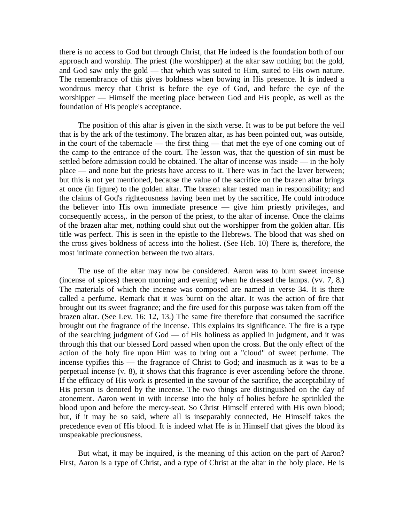there is no access to God but through Christ, that He indeed is the foundation both of our approach and worship. The priest (the worshipper) at the altar saw nothing but the gold, and God saw only the gold — that which was suited to Him, suited to His own nature. The remembrance of this gives boldness when bowing in His presence. It is indeed a wondrous mercy that Christ is before the eye of God, and before the eye of the worshipper — Himself the meeting place between God and His people, as well as the foundation of His people's acceptance.

The position of this altar is given in the sixth verse. It was to be put before the veil that is by the ark of the testimony. The brazen altar, as has been pointed out, was outside, in the court of the tabernacle — the first thing — that met the eye of one coming out of the camp to the entrance of the court. The lesson was, that the question of sin must be settled before admission could be obtained. The altar of incense was inside — in the holy place — and none but the priests have access to it. There was in fact the laver between; but this is not yet mentioned, because the value of the sacrifice on the brazen altar brings at once (in figure) to the golden altar. The brazen altar tested man in responsibility; and the claims of God's righteousness having been met by the sacrifice, He could introduce the believer into His own immediate presence — give him priestly privileges, and consequently access,. in the person of the priest, to the altar of incense. Once the claims of the brazen altar met, nothing could shut out the worshipper from the golden altar. His title was perfect. This is seen in the epistle to the Hebrews. The blood that was shed on the cross gives boldness of access into the holiest. (See Heb. 10) There is, therefore, the most intimate connection between the two altars.

The use of the altar may now be considered. Aaron was to burn sweet incense (incense of spices) thereon morning and evening when he dressed the lamps. (vv. 7, 8.) The materials of which the incense was composed are named in verse 34. It is there called a perfume. Remark that it was burnt on the altar. It was the action of fire that brought out its sweet fragrance; and the fire used for this purpose was taken from off the brazen altar. (See Lev. 16: 12, 13.) The same fire therefore that consumed the sacrifice brought out the fragrance of the incense. This explains its significance. The fire is a type of the searching judgment of God — of His holiness as applied in judgment, and it was through this that our blessed Lord passed when upon the cross. But the only effect of the action of the holy fire upon Him was to bring out a "cloud" of sweet perfume. The incense typifies this — the fragrance of Christ to God; and inasmuch as it was to be a perpetual incense (v. 8), it shows that this fragrance is ever ascending before the throne. If the efficacy of His work is presented in the savour of the sacrifice, the acceptability of His person is denoted by the incense. The two things are distinguished on the day of atonement. Aaron went in with incense into the holy of holies before he sprinkled the blood upon and before the mercy-seat. So Christ Himself entered with His own blood; but, if it may be so said, where all is inseparably connected, He Himself takes the precedence even of His blood. It is indeed what He is in Himself that gives the blood its unspeakable preciousness.

But what, it may be inquired, is the meaning of this action on the part of Aaron? First, Aaron is a type of Christ, and a type of Christ at the altar in the holy place. He is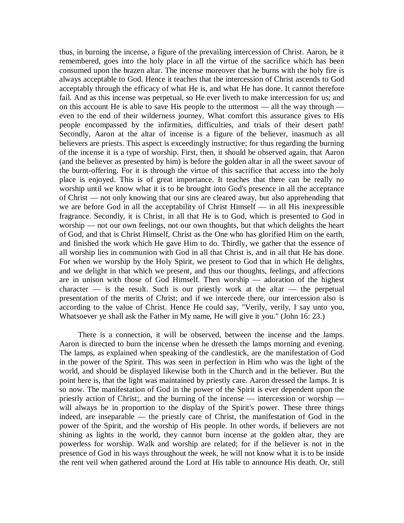thus, in burning the incense, a figure of the prevailing intercession of Christ. Aaron, be it remembered, goes into the holy place in all the virtue of the sacrifice which has been consumed upon the brazen altar. The incense moreover that he burns with the holy fire is always acceptable to God. Hence it teaches that the intercession of Christ ascends to God acceptably through the efficacy of what He is, and what He has done. It cannot therefore fail. And as this incense was perpetual, so He ever liveth to make intercession for us; and on this account He is able to save His people to the uttermost — all the way through even to the end of their wilderness journey. What comfort this assurance gives to His people encompassed by the infirmities, difficulties, and trials of their desert path! Secondly, Aaron at the altar of incense is a figure of the believer, inasmuch as all believers are priests. This aspect is exceedingly instructive; for thus regarding the burning of the incense it is a type of worship. First, then, it should be observed again, that Aaron (and the believer as presented by him) is before the golden altar in all the sweet savour of the burnt-offering. For it is through the virtue of this sacrifice that access into the holy place is enjoyed. This is of great importance. It teaches that there can be really no worship until we know what it is to be brought into God's presence in all the acceptance of Christ — not only knowing that our sins are cleared away, but also apprehending that we are before God in all the acceptability of Christ Himself — in all His inexpressible fragrance. Secondly, it is Christ, in all that He is to God, which is presented to God in worship — not our own feelings, not our own thoughts, but that which delights the heart of God, and that is Christ Himself, Christ as the One who has glorified Him on the earth, and finished the work which He gave Him to do. Thirdly, we gather that the essence of all worship lies in communion with God in all that Christ is, and in all that He has done. For when we worship by the Holy Spirit, we present to God that in which He delights, and we delight in that which we present, and thus our thoughts, feelings, and affections are in unison with those of God Himself. Then worship — adoration of the highest  $character$  — is the result. Such is our priestly work at the altar — the perpetual presentation of the merits of Christ; and if we intercede there, our intercession also is according to the value of Christ. Hence He could say, "Verily, verily, I say unto you, Whatsoever ye shall ask the Father in My name, He will give it you." (John 16: 23.)

There is a connection, it will be observed, between the incense and the lamps. Aaron is directed to burn the incense when he dresseth the lamps morning and evening. The lamps, as explained when speaking of the candlestick, are the manifestation of God in the power of the Spirit. This was seen in perfection in Him who was the light of the world, and should be displayed likewise both in the Church and in the believer. But the point here is, that the light was maintained by priestly care. Aaron dressed the lamps. It is so now. The manifestation of God in the power of the Spirit is ever dependent upon the priestly action of Christ;. and the burning of the incense — intercession or worship will always be in proportion to the display of the Spirit's power. These three things indeed, are inseparable — the priestly care of Christ, the manifestation of God in the power of the Spirit, and the worship of His people. In other words, if believers are not shining as lights in the world, they cannot burn incense at the golden altar, they are powerless for worship. Walk and worship are related; for if the believer is not in the presence of God in his ways throughout the week, he will not know what it is to be inside the rent veil when gathered around the Lord at His table to announce His death. Or, still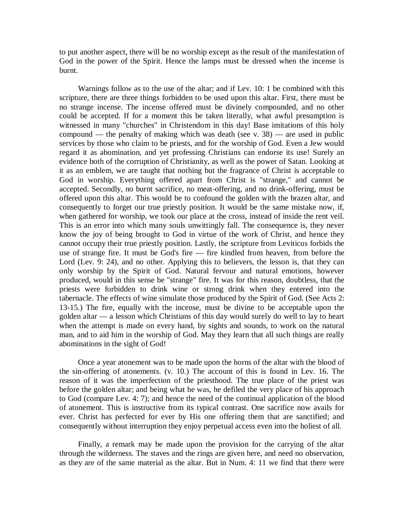to put another aspect, there will be no worship except as the result of the manifestation of God in the power of the Spirit. Hence the lamps must be dressed when the incense is burnt.

Warnings follow as to the use of the altar; and if Lev. 10: 1 be combined with this scripture, there are three things forbidden to be used upon this altar. First, there must be no strange incense. The incense offered must be divinely compounded, and no other could be accepted. If for a moment this be taken literally, what awful presumption is witnessed in many "churches" in Christendom in this day! Base imitations of this holy compound — the penalty of making which was death (see v.  $38$ ) — are used in public services by those who claim to be priests, and for the worship of God. Even a Jew would regard it as abomination, and yet professing Christians can endorse its use! Surely an evidence both of the corruption of Christianity, as well as the power of Satan. Looking at it as an emblem, we are taught that nothing but the fragrance of Christ is acceptable to God in worship. Everything offered apart from Christ is "strange," and cannot be accepted. Secondly, no burnt sacrifice, no meat-offering, and no drink-offering, must be offered upon this altar. This would be to confound the golden with the brazen altar, and consequently to forget our true priestly position. It would be the same mistake now, if, when gathered for worship, we took our place at the cross, instead of inside the rent veil. This is an error into which many souls unwittingly fall. The consequence is, they never know the joy of being brought to God in virtue of the work of Christ, and hence they cannot occupy their true priestly position. Lastly, the scripture from Leviticus forbids the use of strange fire. It must be God's fire — fire kindled from heaven, from before the Lord (Lev. 9: 24), and no other. Applying this to believers, the lesson is, that they can only worship by the Spirit of God. Natural fervour and natural emotions, however produced, would in this sense be "strange" fire. It was for this reason, doubtless, that the priests were forbidden to drink wine or strong drink when they entered into the tabernacle. The effects of wine simulate those produced by the Spirit of God. (See Acts 2: 13-15.) The fire, equally with the incense, must be divine to be acceptable upon the golden altar — a lesson which Christians of this day would surely do well to lay to heart when the attempt is made on every hand, by sights and sounds, to work on the natural man, and to aid him in the worship of God. May they learn that all such things are really abominations in the sight of God!

Once a year atonement was to be made upon the horns of the altar with the blood of the sin-offering of atonements. (v. 10.) The account of this is found in Lev. 16. The reason of it was the imperfection of the priesthood. The true place of the priest was before the golden altar; and being what he was, he defiled the very place of his approach to God (compare Lev. 4: 7); and hence the need of the continual application of the blood of atonement. This is instructive from its typical contrast. One sacrifice now avails for ever. Christ has perfected for ever by His one offering them that are sanctified; and consequently without interruption they enjoy perpetual access even into the holiest of all.

Finally, a remark may be made upon the provision for the carrying of the altar through the wilderness. The staves and the rings are given here, and need no observation, as they are of the same material as the altar. But in Num. 4: 11 we find that there were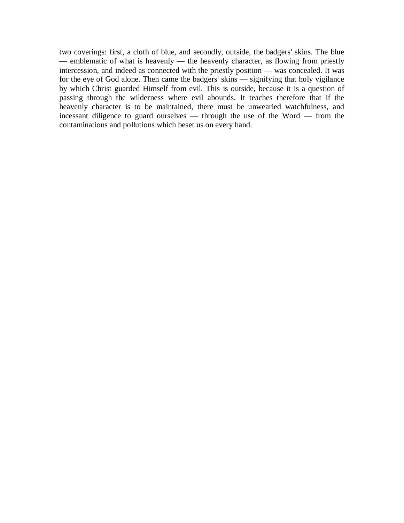two coverings: first, a cloth of blue, and secondly, outside, the badgers' skins. The blue — emblematic of what is heavenly — the heavenly character, as flowing from priestly intercession, and indeed as connected with the priestly position — was concealed. It was for the eye of God alone. Then came the badgers' skins — signifying that holy vigilance by which Christ guarded Himself from evil. This is outside, because it is a question of passing through the wilderness where evil abounds. It teaches therefore that if the heavenly character is to be maintained, there must be unwearied watchfulness, and incessant diligence to guard ourselves — through the use of the Word — from the contaminations and pollutions which beset us on every hand.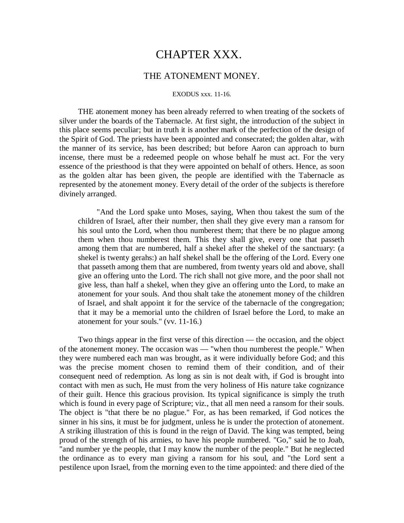# CHAPTER XXX.

### THE ATONEMENT MONEY.

#### EXODUS xxx. 11-16.

THE atonement money has been already referred to when treating of the sockets of silver under the boards of the Tabernacle. At first sight, the introduction of the subject in this place seems peculiar; but in truth it is another mark of the perfection of the design of the Spirit of God. The priests have been appointed and consecrated; the golden altar, with the manner of its service, has been described; but before Aaron can approach to burn incense, there must be a redeemed people on whose behalf he must act. For the very essence of the priesthood is that they were appointed on behalf of others. Hence, as soon as the golden altar has been given, the people are identified with the Tabernacle as represented by the atonement money. Every detail of the order of the subjects is therefore divinely arranged.

"And the Lord spake unto Moses, saying, When thou takest the sum of the children of Israel, after their number, then shall they give every man a ransom for his soul unto the Lord, when thou numberest them; that there be no plague among them when thou numberest them. This they shall give, every one that passeth among them that are numbered, half a shekel after the shekel of the sanctuary: (a shekel is twenty gerahs:) an half shekel shall be the offering of the Lord. Every one that passeth among them that are numbered, from twenty years old and above, shall give an offering unto the Lord. The rich shall not give more, and the poor shall not give less, than half a shekel, when they give an offering unto the Lord, to make an atonement for your souls. And thou shalt take the atonement money of the children of Israel, and shalt appoint it for the service of the tabernacle of the congregation; that it may be a memorial unto the children of Israel before the Lord, to make an atonement for your souls." (vv. 11-16.)

Two things appear in the first verse of this direction — the occasion, and the object of the atonement money. The occasion was — "when thou numberest the people." When they were numbered each man was brought, as it were individually before God; and this was the precise moment chosen to remind them of their condition, and of their consequent need of redemption. As long as sin is not dealt with, if God is brought into contact with men as such, He must from the very holiness of His nature take cognizance of their guilt. Hence this gracious provision. Its typical significance is simply the truth which is found in every page of Scripture; viz., that all men need a ransom for their souls. The object is "that there be no plague." For, as has been remarked, if God notices the sinner in his sins, it must be for judgment, unless he is under the protection of atonement. A striking illustration of this is found in the reign of David. The king was tempted, being proud of the strength of his armies, to have his people numbered. "Go," said he to Joab, "and number ye the people, that I may know the number of the people." But he neglected the ordinance as to every man giving a ransom for his soul, and "the Lord sent a pestilence upon Israel, from the morning even to the time appointed: and there died of the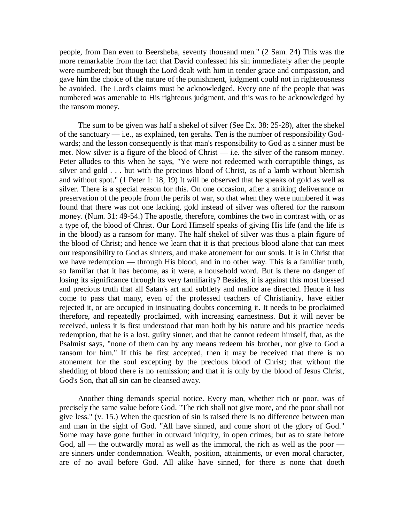people, from Dan even to Beersheba, seventy thousand men." (2 Sam. 24) This was the more remarkable from the fact that David confessed his sin immediately after the people were numbered; but though the Lord dealt with him in tender grace and compassion, and gave him the choice of the nature of the punishment, judgment could not in righteousness be avoided. The Lord's claims must be acknowledged. Every one of the people that was numbered was amenable to His righteous judgment, and this was to be acknowledged by the ransom money.

The sum to be given was half a shekel of silver (See Ex. 38: 25-28), after the shekel of the sanctuary — i.e., as explained, ten gerahs. Ten is the number of responsibility Godwards; and the lesson consequently is that man's responsibility to God as a sinner must be met. Now silver is a figure of the blood of Christ — i.e. the silver of the ransom money. Peter alludes to this when he says, "Ye were not redeemed with corruptible things, as silver and gold . . . but with the precious blood of Christ, as of a lamb without blemish and without spot." (1 Peter 1: 18, 19) It will be observed that he speaks of gold as well as silver. There is a special reason for this. On one occasion, after a striking deliverance or preservation of the people from the perils of war, so that when they were numbered it was found that there was not one lacking, gold instead of silver was offered for the ransom money. (Num. 31: 49-54.) The apostle, therefore, combines the two in contrast with, or as a type of, the blood of Christ. Our Lord Himself speaks of giving His life (and the life is in the blood) as a ransom for many. The half shekel of silver was thus a plain figure of the blood of Christ; and hence we learn that it is that precious blood alone that can meet our responsibility to God as sinners, and make atonement for our souls. It is in Christ that we have redemption — through His blood, and in no other way. This is a familiar truth, so familiar that it has become, as it were, a household word. But is there no danger of losing its significance through its very familiarity? Besides, it is against this most blessed and precious truth that all Satan's art and subtlety and malice are directed. Hence it has come to pass that many, even of the professed teachers of Christianity, have either rejected it, or are occupied in insinuating doubts concerning it. It needs to be proclaimed therefore, and repeatedly proclaimed, with increasing earnestness. But it will never be received, unless it is first understood that man both by his nature and his practice needs redemption, that he is a lost, guilty sinner, and that he cannot redeem himself, that, as the Psalmist says, "none of them can by any means redeem his brother, nor give to God a ransom for him." If this be first accepted, then it may be received that there is no atonement for the soul excepting by the precious blood of Christ; that without the shedding of blood there is no remission; and that it is only by the blood of Jesus Christ, God's Son, that all sin can be cleansed away.

Another thing demands special notice. Every man, whether rich or poor, was of precisely the same value before God. "The rich shall not give more, and the poor shall not give less." (v. 15.) When the question of sin is raised there is no difference between man and man in the sight of God. "All have sinned, and come short of the glory of God." Some may have gone further in outward iniquity, in open crimes; but as to state before God, all — the outwardly moral as well as the immoral, the rich as well as the poor are sinners under condemnation. Wealth, position, attainments, or even moral character, are of no avail before God. All alike have sinned, for there is none that doeth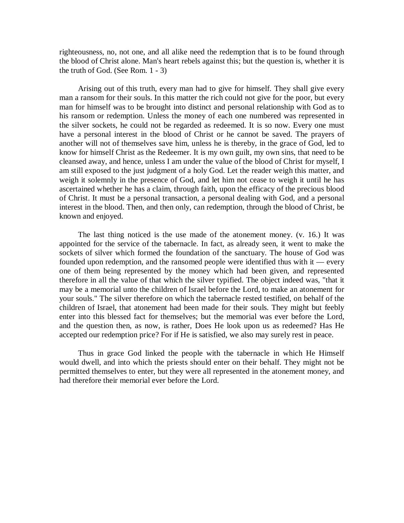righteousness, no, not one, and all alike need the redemption that is to be found through the blood of Christ alone. Man's heart rebels against this; but the question is, whether it is the truth of God. (See Rom. 1 - 3)

Arising out of this truth, every man had to give for himself. They shall give every man a ransom for their souls. In this matter the rich could not give for the poor, but every man for himself was to be brought into distinct and personal relationship with God as to his ransom or redemption. Unless the money of each one numbered was represented in the silver sockets, he could not be regarded as redeemed. It is so now. Every one must have a personal interest in the blood of Christ or he cannot be saved. The prayers of another will not of themselves save him, unless he is thereby, in the grace of God, led to know for himself Christ as the Redeemer. It is my own guilt, my own sins, that need to be cleansed away, and hence, unless I am under the value of the blood of Christ for myself, I am still exposed to the just judgment of a holy God. Let the reader weigh this matter, and weigh it solemnly in the presence of God, and let him not cease to weigh it until he has ascertained whether he has a claim, through faith, upon the efficacy of the precious blood of Christ. It must be a personal transaction, a personal dealing with God, and a personal interest in the blood. Then, and then only, can redemption, through the blood of Christ, be known and enjoyed.

The last thing noticed is the use made of the atonement money. (v. 16.) It was appointed for the service of the tabernacle. In fact, as already seen, it went to make the sockets of silver which formed the foundation of the sanctuary. The house of God was founded upon redemption, and the ransomed people were identified thus with it — every one of them being represented by the money which had been given, and represented therefore in all the value of that which the silver typified. The object indeed was, "that it may be a memorial unto the children of Israel before the Lord, to make an atonement for your souls." The silver therefore on which the tabernacle rested testified, on behalf of the children of Israel, that atonement had been made for their souls. They might but feebly enter into this blessed fact for themselves; but the memorial was ever before the Lord, and the question then, as now, is rather, Does He look upon us as redeemed? Has He accepted our redemption price? For if He is satisfied, we also may surely rest in peace.

Thus in grace God linked the people with the tabernacle in which He Himself would dwell, and into which the priests should enter on their behalf. They might not be permitted themselves to enter, but they were all represented in the atonement money, and had therefore their memorial ever before the Lord.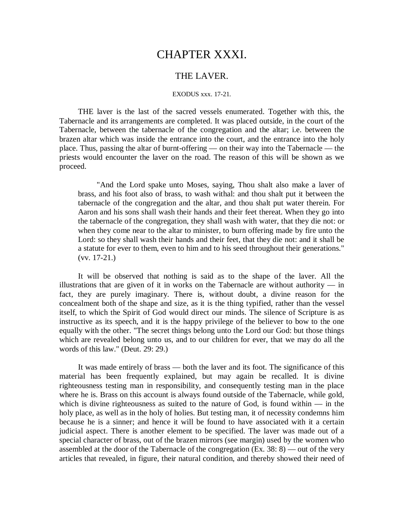# CHAPTER XXXI.

### THE LAVER.

#### EXODUS xxx. 17-21.

THE laver is the last of the sacred vessels enumerated. Together with this, the Tabernacle and its arrangements are completed. It was placed outside, in the court of the Tabernacle, between the tabernacle of the congregation and the altar; i.e. between the brazen altar which was inside the entrance into the court, and the entrance into the holy place. Thus, passing the altar of burnt-offering — on their way into the Tabernacle — the priests would encounter the laver on the road. The reason of this will be shown as we proceed.

"And the Lord spake unto Moses, saying, Thou shalt also make a laver of brass, and his foot also of brass, to wash withal: and thou shalt put it between the tabernacle of the congregation and the altar, and thou shalt put water therein. For Aaron and his sons shall wash their hands and their feet thereat. When they go into the tabernacle of the congregation, they shall wash with water, that they die not: or when they come near to the altar to minister, to burn offering made by fire unto the Lord: so they shall wash their hands and their feet, that they die not: and it shall be a statute for ever to them, even to him and to his seed throughout their generations." (vv. 17-21.)

It will be observed that nothing is said as to the shape of the laver. All the illustrations that are given of it in works on the Tabernacle are without authority — in fact, they are purely imaginary. There is, without doubt, a divine reason for the concealment both of the shape and size, as it is the thing typified, rather than the vessel itself, to which the Spirit of God would direct our minds. The silence of Scripture is as instructive as its speech, and it is the happy privilege of the believer to bow to the one equally with the other. "The secret things belong unto the Lord our God: but those things which are revealed belong unto us, and to our children for ever, that we may do all the words of this law." (Deut. 29: 29.)

It was made entirely of brass — both the laver and its foot. The significance of this material has been frequently explained, but may again be recalled. It is divine righteousness testing man in responsibility, and consequently testing man in the place where he is. Brass on this account is always found outside of the Tabernacle, while gold, which is divine righteousness as suited to the nature of God, is found within  $-$  in the holy place, as well as in the holy of holies. But testing man, it of necessity condemns him because he is a sinner; and hence it will be found to have associated with it a certain judicial aspect. There is another element to be specified. The laver was made out of a special character of brass, out of the brazen mirrors (see margin) used by the women who assembled at the door of the Tabernacle of the congregation (Ex. 38: 8) — out of the very articles that revealed, in figure, their natural condition, and thereby showed their need of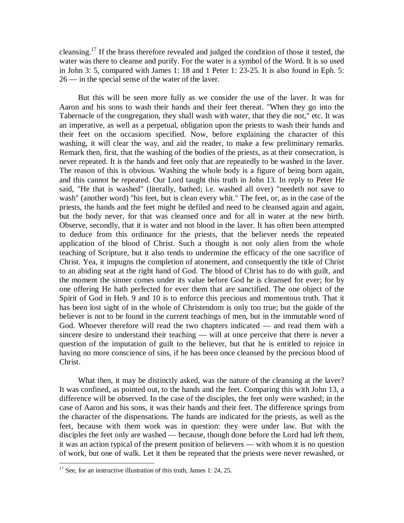cleansing.<sup>17</sup> If the brass therefore revealed and judged the condition of those it tested, the water was there to cleanse and purify. For the water is a symbol of the Word. It is so used in John 3: 5, compared with James 1: 18 and 1 Peter 1: 23-25. It is also found in Eph. 5: 26 — in the special sense of the water of the laver.

But this will be seen more fully as we consider the use of the laver. It was for Aaron and his sons to wash their hands and their feet thereat. "When they go into the Tabernacle of the congregation, they shall wash with water, that they die not," etc. It was an imperative, as well as a perpetual, obligation upon the priests to wash their hands and their feet on the occasions specified. Now, before explaining the character of this washing, it will clear the way, and aid the reader, to make a few preliminary remarks. Remark then, first, that the washing of the bodies of the priests, as at their consecration, is never repeated. It is the hands and feet only that are repeatedly to be washed in the laver. The reason of this is obvious. Washing the whole body is a figure of being born again, and this cannot be repeated. Our Lord taught this truth in John 13. In reply to Peter He said, "He that is washed" (literally, bathed; i.e. washed all over) "needeth not save to wash" (another word) "his feet, but is clean every whit." The feet, or, as in the case of the priests, the hands and the feet might be defiled and need to be cleansed again and again, but the body never, for that was cleansed once and for all in water at the new birth. Observe, secondly, that it is water and not blood in the laver. It has often been attempted to deduce from this ordinance for the priests, that the believer needs the repeated application of the blood of Christ. Such a thought is not only alien from the whole teaching of Scripture, but it also tends to undermine the efficacy of the one sacrifice of Christ. Yea, it impugns the completion of atonement, and consequently the title of Christ to an abiding seat at the right hand of God. The blood of Christ has to do with guilt, and the moment the sinner comes under its value before God he is cleansed for ever; for by one offering He hath perfected for ever them that are sanctified. The one object of the Spirit of God in Heb. 9 and 10 is to enforce this precious and momentous truth. That it has been lost sight of in the whole of Christendom is only too true; but the guide of the believer is not to be found in the current teachings of men, but in the immutable word of God. Whoever therefore will read the two chapters indicated — and read them with a sincere desire to understand their teaching — will at once perceive that there is never a question of the imputation of guilt to the believer, but that he is entitled to rejoice in having no more conscience of sins, if he has been once cleansed by the precious blood of Christ.

What then, it may be distinctly asked, was the nature of the cleansing at the laver? It was confined, as pointed out, to the hands and the feet. Comparing this with John 13, a difference will be observed. In the case of the disciples, the feet only were washed; in the case of Aaron and his sons, it was their hands and their feet. The difference springs from the character of the dispensations. The hands are indicated for the priests, as well as the feet, because with them work was in question: they were under law. But with the disciples the feet only are washed — because, though done before the Lord had left them, it was an action typical of the present position of believers — with whom it is no question of work, but one of walk. Let it then be repeated that the priests were never rewashed, or

 $\overline{a}$ 

 $17$  See, for an instructive illustration of this truth, James 1: 24, 25.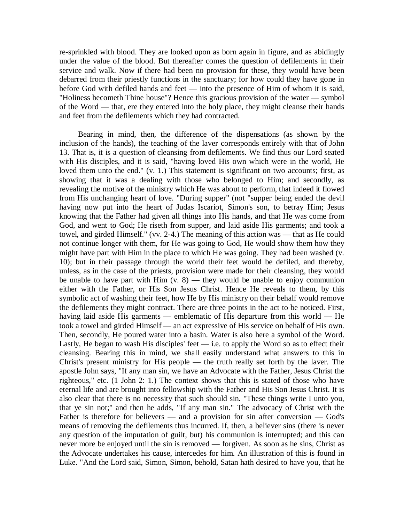re-sprinkled with blood. They are looked upon as born again in figure, and as abidingly under the value of the blood. But thereafter comes the question of defilements in their service and walk. Now if there had been no provision for these, they would have been debarred from their priestly functions in the sanctuary; for how could they have gone in before God with defiled hands and feet — into the presence of Him of whom it is said, "Holiness becometh Thine house"? Hence this gracious provision of the water — symbol of the Word — that, ere they entered into the holy place, they might cleanse their hands and feet from the defilements which they had contracted.

Bearing in mind, then, the difference of the dispensations (as shown by the inclusion of the hands), the teaching of the laver corresponds entirely with that of John 13. That is, it is a question of cleansing from defilements. We find thus our Lord seated with His disciples, and it is said, "having loved His own which were in the world, He loved them unto the end." (v. 1.) This statement is significant on two accounts; first, as showing that it was a dealing with those who belonged to Him; and secondly, as revealing the motive of the ministry which He was about to perform, that indeed it flowed from His unchanging heart of love. "During supper" (not "supper being ended the devil having now put into the heart of Judas Iscariot, Simon's son, to betray Him; Jesus knowing that the Father had given all things into His hands, and that He was come from God, and went to God; He riseth from supper, and laid aside His garments; and took a towel, and girded Himself." (vv. 2-4.) The meaning of this action was — that as He could not continue longer with them, for He was going to God, He would show them how they might have part with Him in the place to which He was going. They had been washed (v. 10); but in their passage through the world their feet would be defiled, and thereby, unless, as in the case of the priests, provision were made for their cleansing, they would be unable to have part with Him  $(v, 8)$  — they would be unable to enjoy communion either with the Father, or His Son Jesus Christ. Hence He reveals to them, by this symbolic act of washing their feet, how He by His ministry on their behalf would remove the defilements they might contract. There are three points in the act to be noticed. First, having laid aside His garments — emblematic of His departure from this world — He took a towel and girded Himself — an act expressive of His service on behalf of His own. Then, secondly, He poured water into a basin. Water is also here a symbol of the Word. Lastly, He began to wash His disciples' feet  $-$  i.e. to apply the Word so as to effect their cleansing. Bearing this in mind, we shall easily understand what answers to this in Christ's present ministry for His people — the truth really set forth by the laver. The apostle John says, "If any man sin, we have an Advocate with the Father, Jesus Christ the righteous," etc. (1 John 2: 1.) The context shows that this is stated of those who have eternal life and are brought into fellowship with the Father and His Son Jesus Christ. It is also clear that there is no necessity that such should sin. "These things write I unto you, that ye sin not;" and then he adds, "If any man sin." The advocacy of Christ with the Father is therefore for believers — and a provision for sin after conversion — God's means of removing the defilements thus incurred. If, then, a believer sins (there is never any question of the imputation of guilt, but) his communion is interrupted; and this can never more be enjoyed until the sin is removed — forgiven. As soon as he sins, Christ as the Advocate undertakes his cause, intercedes for him. An illustration of this is found in Luke. "And the Lord said, Simon, Simon, behold, Satan hath desired to have you, that he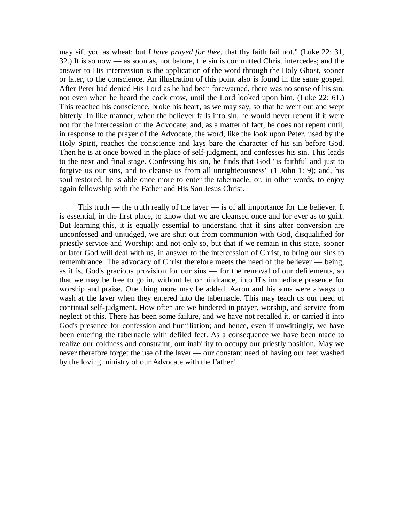may sift you as wheat: but *I have prayed for thee,* that thy faith fail not." (Luke 22: 31, 32.) It is so now — as soon as, not before, the sin is committed Christ intercedes; and the answer to His intercession is the application of the word through the Holy Ghost, sooner or later, to the conscience. An illustration of this point also is found in the same gospel. After Peter had denied His Lord as he had been forewarned, there was no sense of his sin, not even when he heard the cock crow, until the Lord looked upon him. (Luke 22: 61.) This reached his conscience, broke his heart, as we may say, so that he went out and wept bitterly. In like manner, when the believer falls into sin, he would never repent if it were not for the intercession of the Advocate; and, as a matter of fact, he does not repent until, in response to the prayer of the Advocate, the word, like the look upon Peter, used by the Holy Spirit, reaches the conscience and lays bare the character of his sin before God. Then he is at once bowed in the place of self-judgment, and confesses his sin. This leads to the next and final stage. Confessing his sin, he finds that God "is faithful and just to forgive us our sins, and to cleanse us from all unrighteousness" (1 John 1: 9); and, his soul restored, he is able once more to enter the tabernacle, or, in other words, to enjoy again fellowship with the Father and His Son Jesus Christ.

This truth — the truth really of the laver — is of all importance for the believer. It is essential, in the first place, to know that we are cleansed once and for ever as to guilt. But learning this, it is equally essential to understand that if sins after conversion are unconfessed and unjudged, we are shut out from communion with God, disqualified for priestly service and Worship; and not only so, but that if we remain in this state, sooner or later God will deal with us, in answer to the intercession of Christ, to bring our sins to remembrance. The advocacy of Christ therefore meets the need of the believer — being, as it is, God's gracious provision for our sins — for the removal of our defilements, so that we may be free to go in, without let or hindrance, into His immediate presence for worship and praise. One thing more may be added. Aaron and his sons were always to wash at the laver when they entered into the tabernacle. This may teach us our need of continual self-judgment. How often are we hindered in prayer, worship, and service from neglect of this. There has been some failure, and we have not recalled it, or carried it into God's presence for confession and humiliation; and hence, even if unwittingly, we have been entering the tabernacle with defiled feet. As a consequence we have been made to realize our coldness and constraint, our inability to occupy our priestly position. May we never therefore forget the use of the laver — our constant need of having our feet washed by the loving ministry of our Advocate with the Father!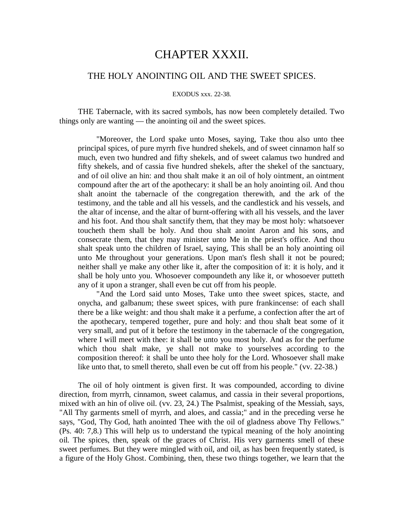## CHAPTER XXXII.

## THE HOLY ANOINTING OIL AND THE SWEET SPICES.

#### EXODUS xxx. 22-38.

THE Tabernacle, with its sacred symbols, has now been completely detailed. Two things only are wanting — the anointing oil and the sweet spices.

"Moreover, the Lord spake unto Moses, saying, Take thou also unto thee principal spices, of pure myrrh five hundred shekels, and of sweet cinnamon half so much, even two hundred and fifty shekels, and of sweet calamus two hundred and fifty shekels, and of cassia five hundred shekels, after the shekel of the sanctuary, and of oil olive an hin: and thou shalt make it an oil of holy ointment, an ointment compound after the art of the apothecary: it shall be an holy anointing oil. And thou shalt anoint the tabernacle of the congregation therewith, and the ark of the testimony, and the table and all his vessels, and the candlestick and his vessels, and the altar of incense, and the altar of burnt-offering with all his vessels, and the laver and his foot. And thou shalt sanctify them, that they may be most holy: whatsoever toucheth them shall be holy. And thou shalt anoint Aaron and his sons, and consecrate them, that they may minister unto Me in the priest's office. And thou shalt speak unto the children of Israel, saying, This shall be an holy anointing oil unto Me throughout your generations. Upon man's flesh shall it not be poured; neither shall ye make any other like it, after the composition of it: it is holy, and it shall be holy unto you. Whosoever compoundeth any like it, or whosoever putteth any of it upon a stranger, shall even be cut off from his people.

"And the Lord said unto Moses, Take unto thee sweet spices, stacte, and onycha, and galbanum; these sweet spices, with pure frankincense: of each shall there be a like weight: and thou shalt make it a perfume, a confection after the art of the apothecary, tempered together, pure and holy: and thou shalt beat some of it very small, and put of it before the testimony in the tabernacle of the congregation, where I will meet with thee: it shall be unto you most holy. And as for the perfume which thou shalt make, ye shall not make to yourselves according to the composition thereof: it shall be unto thee holy for the Lord. Whosoever shall make like unto that, to smell thereto, shall even be cut off from his people." (vv. 22-38.)

The oil of holy ointment is given first. It was compounded, according to divine direction, from myrrh, cinnamon, sweet calamus, and cassia in their several proportions, mixed with an hin of olive oil. (vv. 23, 24.) The Psalmist, speaking of the Messiah, says, "All Thy garments smell of myrrh, and aloes, and cassia;" and in the preceding verse he says, "God, Thy God, hath anointed Thee with the oil of gladness above Thy Fellows." (Ps. 40: 7,8.) This will help us to understand the typical meaning of the holy anointing oil. The spices, then, speak of the graces of Christ. His very garments smell of these sweet perfumes. But they were mingled with oil, and oil, as has been frequently stated, is a figure of the Holy Ghost. Combining, then, these two things together, we learn that the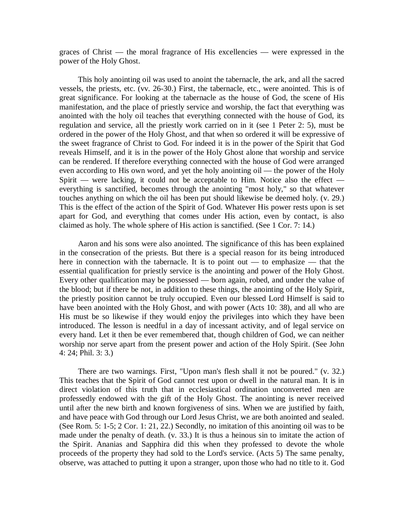graces of Christ — the moral fragrance of His excellencies — were expressed in the power of the Holy Ghost.

This holy anointing oil was used to anoint the tabernacle, the ark, and all the sacred vessels, the priests, etc. (vv. 26-30.) First, the tabernacle, etc., were anointed. This is of great significance. For looking at the tabernacle as the house of God, the scene of His manifestation, and the place of priestly service and worship, the fact that everything was anointed with the holy oil teaches that everything connected with the house of God, its regulation and service, all the priestly work carried on in it (see 1 Peter 2: 5), must be ordered in the power of the Holy Ghost, and that when so ordered it will be expressive of the sweet fragrance of Christ to God. For indeed it is in the power of the Spirit that God reveals Himself, and it is in the power of the Holy Ghost alone that worship and service can be rendered. If therefore everything connected with the house of God were arranged even according to His own word, and yet the holy anointing oil — the power of the Holy Spirit — were lacking, it could not be acceptable to Him. Notice also the effect everything is sanctified, becomes through the anointing "most holy," so that whatever touches anything on which the oil has been put should likewise be deemed holy. (v. 29.) This is the effect of the action of the Spirit of God. Whatever His power rests upon is set apart for God, and everything that comes under His action, even by contact, is also claimed as holy. The whole sphere of His action is sanctified. (See 1 Cor. 7: 14.)

Aaron and his sons were also anointed. The significance of this has been explained in the consecration of the priests. But there is a special reason for its being introduced here in connection with the tabernacle. It is to point out — to emphasize — that the essential qualification for priestly service is the anointing and power of the Holy Ghost. Every other qualification may be possessed — born again, robed, and under the value of the blood; but if there be not, in addition to these things, the anointing of the Holy Spirit, the priestly position cannot be truly occupied. Even our blessed Lord Himself is said to have been anointed with the Holy Ghost, and with power (Acts 10: 38), and all who are His must be so likewise if they would enjoy the privileges into which they have been introduced. The lesson is needful in a day of incessant activity, and of legal service on every hand. Let it then be ever remembered that, though children of God, we can neither worship nor serve apart from the present power and action of the Holy Spirit. (See John 4: 24; Phil. 3: 3.)

There are two warnings. First, "Upon man's flesh shall it not be poured." (v. 32.) This teaches that the Spirit of God cannot rest upon or dwell in the natural man. It is in direct violation of this truth that in ecclesiastical ordination unconverted men are professedly endowed with the gift of the Holy Ghost. The anointing is never received until after the new birth and known forgiveness of sins. When we are justified by faith, and have peace with God through our Lord Jesus Christ, we are both anointed and sealed. (See Rom. 5: 1-5; 2 Cor. 1: 21, 22.) Secondly, no imitation of this anointing oil was to be made under the penalty of death. (v. 33.) It is thus a heinous sin to imitate the action of the Spirit. Ananias and Sapphira did this when they professed to devote the whole proceeds of the property they had sold to the Lord's service. (Acts 5) The same penalty, observe, was attached to putting it upon a stranger, upon those who had no title to it. God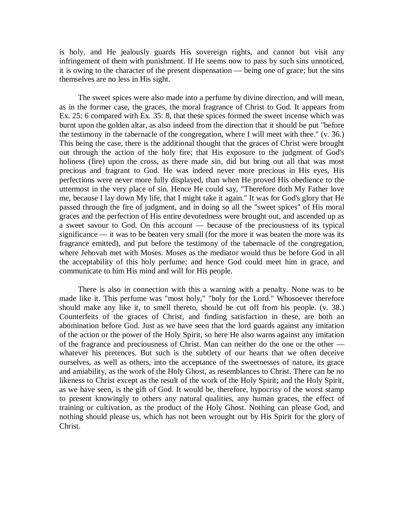is holy, and He jealously guards His sovereign rights, and cannot but visit any infringement of them with punishment. If He seems now to pass by such sins unnoticed, it is owing to the character of the present dispensation — being one of grace; but the sins themselves are no less in His sight.

The sweet spices were also made into a perfume by divine direction, and will mean, as in the former case, the graces, the moral fragrance of Christ to God. It appears from Ex. 25: 6 compared with Ex. 35: 8, that these spices formed the sweet incense which was burnt upon the golden altar, as also indeed from the direction that it should be put "before the testimony in the tabernacle of the congregation, where I will meet with thee." (v. 36.) This being the case, there is the additional thought that the graces of Christ were brought out through the action of the holy fire; that His exposure to the judgment of God's holiness (fire) upon the cross, as there made sin, did but bring out all that was most precious and fragrant to God. He was indeed never more precious in His eyes, His perfections were never more fully displayed, than when He proved His obedience to the uttermost in the very place of sin. Hence He could say, "Therefore doth My Father love me, because I lay down My life, that I might take it again." It was for God's glory that He passed through the fire of judgment, and in doing so all the "sweet spices" of His moral graces and the perfection of His entire devotedness were brought out, and ascended up as a sweet savour to God. On this account — because of the preciousness of its typical significance — it was to be beaten very small (for the more it was beaten the more was its fragrance emitted), and put before the testimony of the tabernacle of the congregation, where Jehovah met with Moses. Moses as the mediator would thus be before God in all the acceptability of this holy perfume; and hence God could meet him in grace, and communicate to him His mind and will for His people.

There is also in connection with this a warning with a penalty. None was to be made like it. This perfume was "most holy," "holy for the Lord." Whosoever therefore should make any like it, to smell thereto, should be cut off from his people. (v. 38.) Counterfeits of the graces of Christ, and finding satisfaction in these, are both an abomination before God. Just as we have seen that the lord guards against any imitation of the action or the power of the Holy Spirit, so here He also warns against any imitation of the fragrance and preciousness of Christ. Man can neither do the one or the other whatever his pretences. But such is the subtlety of our hearts that we often deceive ourselves, as well as others, into the acceptance of the sweetnesses of nature, its grace and amiability, as the work of the Holy Ghost, as resemblances to Christ. There can be no likeness to Christ except as the result of the work of the Holy Spirit; and the Holy Spirit, as we have seen, is the gift of God. It would be, therefore, hypocrisy of the worst stamp to present knowingly to others any natural qualities, any human graces, the effect of training or cultivation, as the product of the Holy Ghost. Nothing can please God, and nothing should please us, which has not been wrought out by His Spirit for the glory of Christ.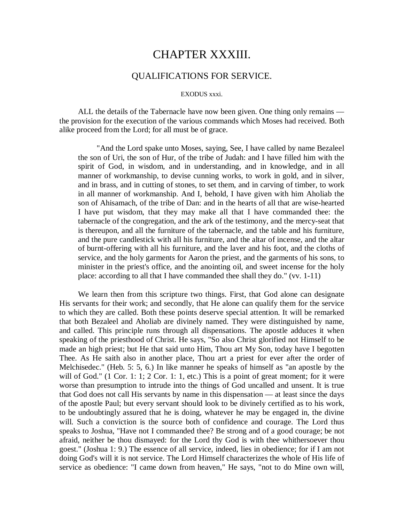# CHAPTER XXXIII.

## QUALIFICATIONS FOR SERVICE.

#### EXODUS xxxi.

ALL the details of the Tabernacle have now been given. One thing only remains the provision for the execution of the various commands which Moses had received. Both alike proceed from the Lord; for all must be of grace.

"And the Lord spake unto Moses, saying, See, I have called by name Bezaleel the son of Uri, the son of Hur, of the tribe of Judah: and I have filled him with the spirit of God, in wisdom, and in understanding, and in knowledge, and in all manner of workmanship, to devise cunning works, to work in gold, and in silver, and in brass, and in cutting of stones, to set them, and in carving of timber, to work in all manner of workmanship. And I, behold, I have given with him Aholiab the son of Ahisamach, of the tribe of Dan: and in the hearts of all that are wise-hearted I have put wisdom, that they may make all that I have commanded thee: the tabernacle of the congregation, and the ark of the testimony, and the mercy-seat that is thereupon, and all the furniture of the tabernacle, and the table and his furniture, and the pure candlestick with all his furniture, and the altar of incense, and the altar of burnt-offering with all his furniture, and the laver and his foot, and the cloths of service, and the holy garments for Aaron the priest, and the garments of his sons, to minister in the priest's office, and the anointing oil, and sweet incense for the holy place: according to all that I have commanded thee shall they do." (vv. 1-11)

We learn then from this scripture two things. First, that God alone can designate His servants for their work; and secondly, that He alone can qualify them for the service to which they are called. Both these points deserve special attention. It will be remarked that both Bezaleel and Aholiab are divinely named. They were distinguished by name, and called. This principle runs through all dispensations. The apostle adduces it when speaking of the priesthood of Christ. He says, "So also Christ glorified not Himself to be made an high priest; but He that said unto Him, Thou art My Son, today have I begotten Thee. As He saith also in another place, Thou art a priest for ever after the order of Melchisedec." (Heb. 5: 5, 6.) In like manner he speaks of himself as "an apostle by the will of God." (1 Cor. 1: 1; 2 Cor. 1: 1, etc.) This is a point of great moment; for it were worse than presumption to intrude into the things of God uncalled and unsent. It is true that God does not call His servants by name in this dispensation — at least since the days of the apostle Paul; but every servant should look to be divinely certified as to his work, to be undoubtingly assured that he is doing, whatever he may be engaged in, the divine will. Such a conviction is the source both of confidence and courage. The Lord thus speaks to Joshua, "Have not I commanded thee? Be strong and of a good courage; be not afraid, neither be thou dismayed: for the Lord thy God is with thee whithersoever thou goest." (Joshua 1: 9.) The essence of all service, indeed, lies in obedience; for if I am not doing God's will it is not service. The Lord Himself characterizes the whole of His life of service as obedience: "I came down from heaven," He says, "not to do Mine own will,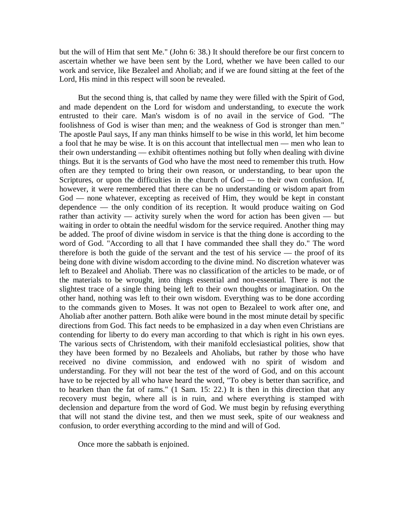but the will of Him that sent Me." (John 6: 38.) It should therefore be our first concern to ascertain whether we have been sent by the Lord, whether we have been called to our work and service, like Bezaleel and Aholiab; and if we are found sitting at the feet of the Lord, His mind in this respect will soon be revealed.

But the second thing is, that called by name they were filled with the Spirit of God, and made dependent on the Lord for wisdom and understanding, to execute the work entrusted to their care. Man's wisdom is of no avail in the service of God. "The foolishness of God is wiser than men; and the weakness of God is stronger than men." The apostle Paul says, If any man thinks himself to be wise in this world, let him become a fool that he may be wise. It is on this account that intellectual men — men who lean to their own understanding — exhibit oftentimes nothing but folly when dealing with divine things. But it is the servants of God who have the most need to remember this truth. How often are they tempted to bring their own reason, or understanding, to bear upon the Scriptures, or upon the difficulties in the church of God — to their own confusion. If, however, it were remembered that there can be no understanding or wisdom apart from God — none whatever, excepting as received of Him, they would be kept in constant dependence — the only condition of its reception. It would produce waiting on God rather than activity — activity surely when the word for action has been given — but waiting in order to obtain the needful wisdom for the service required. Another thing may be added. The proof of divine wisdom in service is that the thing done is according to the word of God. "According to all that I have commanded thee shall they do." The word therefore is both the guide of the servant and the test of his service — the proof of its being done with divine wisdom according to the divine mind. No discretion whatever was left to Bezaleel and Aholiab. There was no classification of the articles to be made, or of the materials to be wrought, into things essential and non-essential. There is not the slightest trace of a single thing being left to their own thoughts or imagination. On the other hand, nothing was left to their own wisdom. Everything was to be done according to the commands given to Moses. It was not open to Bezaleel to work after one, and Aholiab after another pattern. Both alike were bound in the most minute detail by specific directions from God. This fact needs to be emphasized in a day when even Christians are contending for liberty to do every man according to that which is right in his own eyes. The various sects of Christendom, with their manifold ecclesiastical polities, show that they have been formed by no Bezaleels and Aholiabs, but rather by those who have received no divine commission, and endowed with no spirit of wisdom and understanding. For they will not bear the test of the word of God, and on this account have to be rejected by all who have heard the word, "To obey is better than sacrifice, and to hearken than the fat of rams." (1 Sam. 15: 22.) It is then in this direction that any recovery must begin, where all is in ruin, and where everything is stamped with declension and departure from the word of God. We must begin by refusing everything that will not stand the divine test, and then we must seek, spite of our weakness and confusion, to order everything according to the mind and will of God.

Once more the sabbath is enjoined.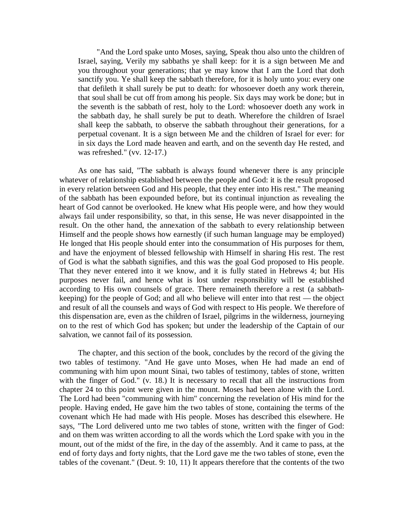"And the Lord spake unto Moses, saying, Speak thou also unto the children of Israel, saying, Verily my sabbaths ye shall keep: for it is a sign between Me and you throughout your generations; that ye may know that I am the Lord that doth sanctify you. Ye shall keep the sabbath therefore, for it is holy unto you: every one that defileth it shall surely be put to death: for whosoever doeth any work therein, that soul shall be cut off from among his people. Six days may work be done; but in the seventh is the sabbath of rest, holy to the Lord: whosoever doeth any work in the sabbath day, he shall surely be put to death. Wherefore the children of Israel shall keep the sabbath, to observe the sabbath throughout their generations, for a perpetual covenant. It is a sign between Me and the children of Israel for ever: for in six days the Lord made heaven and earth, and on the seventh day He rested, and was refreshed." (vv. 12-17.)

As one has said, "The sabbath is always found whenever there is any principle whatever of relationship established between the people and God: it is the result proposed in every relation between God and His people, that they enter into His rest." The meaning of the sabbath has been expounded before, but its continual injunction as revealing the heart of God cannot be overlooked. He knew what His people were, and how they would always fail under responsibility, so that, in this sense, He was never disappointed in the result. On the other hand, the annexation of the sabbath to every relationship between Himself and the people shows how earnestly (if such human language may be employed) He longed that His people should enter into the consummation of His purposes for them, and have the enjoyment of blessed fellowship with Himself in sharing His rest. The rest of God is what the sabbath signifies, and this was the goal God proposed to His people. That they never entered into it we know, and it is fully stated in Hebrews 4; but His purposes never fail, and hence what is lost under responsibility will be established according to His own counsels of grace. There remaineth therefore a rest (a sabbathkeeping) for the people of God; and all who believe will enter into that rest — the object and result of all the counsels and ways of God with respect to His people. We therefore of this dispensation are, even as the children of Israel, pilgrims in the wilderness, journeying on to the rest of which God has spoken; but under the leadership of the Captain of our salvation, we cannot fail of its possession.

The chapter, and this section of the book, concludes by the record of the giving the two tables of testimony. "And He gave unto Moses, when He had made an end of communing with him upon mount Sinai, two tables of testimony, tables of stone, written with the finger of God." (v. 18.) It is necessary to recall that all the instructions from chapter 24 to this point were given in the mount. Moses had been alone with the Lord. The Lord had been "communing with him" concerning the revelation of His mind for the people. Having ended, He gave him the two tables of stone, containing the terms of the covenant which He had made with His people. Moses has described this elsewhere. He says, "The Lord delivered unto me two tables of stone, written with the finger of God: and on them was written according to all the words which the Lord spake with you in the mount, out of the midst of the fire, in the day of the assembly. And it came to pass, at the end of forty days and forty nights, that the Lord gave me the two tables of stone, even the tables of the covenant." (Deut. 9: 10, 11) It appears therefore that the contents of the two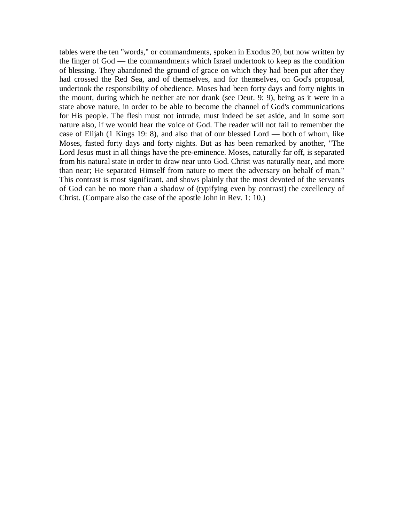tables were the ten "words," or commandments, spoken in Exodus 20, but now written by the finger of God — the commandments which Israel undertook to keep as the condition of blessing. They abandoned the ground of grace on which they had been put after they had crossed the Red Sea, and of themselves, and for themselves, on God's proposal, undertook the responsibility of obedience. Moses had been forty days and forty nights in the mount, during which he neither ate nor drank (see Deut. 9: 9), being as it were in a state above nature, in order to be able to become the channel of God's communications for His people. The flesh must not intrude, must indeed be set aside, and in some sort nature also, if we would hear the voice of God. The reader will not fail to remember the case of Elijah (1 Kings 19: 8), and also that of our blessed Lord — both of whom, like Moses, fasted forty days and forty nights. But as has been remarked by another, "The Lord Jesus must in all things have the pre-eminence. Moses, naturally far off, is separated from his natural state in order to draw near unto God. Christ was naturally near, and more than near; He separated Himself from nature to meet the adversary on behalf of man." This contrast is most significant, and shows plainly that the most devoted of the servants of God can be no more than a shadow of (typifying even by contrast) the excellency of Christ. (Compare also the case of the apostle John in Rev. 1: 10.)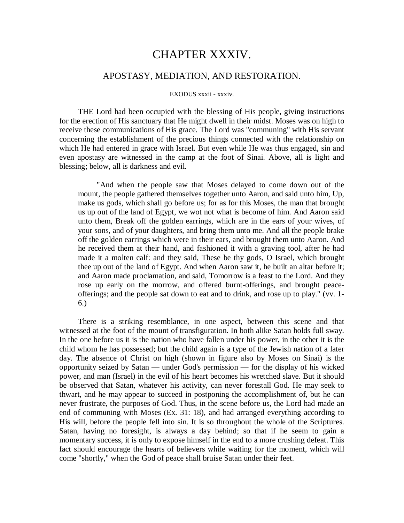# CHAPTER XXXIV.

## APOSTASY, MEDIATION, AND RESTORATION.

#### EXODUS xxxii - xxxiv.

THE Lord had been occupied with the blessing of His people, giving instructions for the erection of His sanctuary that He might dwell in their midst. Moses was on high to receive these communications of His grace. The Lord was "communing" with His servant concerning the establishment of the precious things connected with the relationship on which He had entered in grace with Israel. But even while He was thus engaged, sin and even apostasy are witnessed in the camp at the foot of Sinai. Above, all is light and blessing; below, all is darkness and evil.

"And when the people saw that Moses delayed to come down out of the mount, the people gathered themselves together unto Aaron, and said unto him, Up, make us gods, which shall go before us; for as for this Moses, the man that brought us up out of the land of Egypt, we wot not what is become of him. And Aaron said unto them, Break off the golden earrings, which are in the ears of your wives, of your sons, and of your daughters, and bring them unto me. And all the people brake off the golden earrings which were in their ears, and brought them unto Aaron. And he received them at their hand, and fashioned it with a graving tool, after he had made it a molten calf: and they said, These be thy gods, O Israel, which brought thee up out of the land of Egypt. And when Aaron saw it, he built an altar before it; and Aaron made proclamation, and said, Tomorrow is a feast to the Lord. And they rose up early on the morrow, and offered burnt-offerings, and brought peaceofferings; and the people sat down to eat and to drink, and rose up to play." (vv. 1- 6.)

There is a striking resemblance, in one aspect, between this scene and that witnessed at the foot of the mount of transfiguration. In both alike Satan holds full sway. In the one before us it is the nation who have fallen under his power, in the other it is the child whom he has possessed; but the child again is a type of the Jewish nation of a later day. The absence of Christ on high (shown in figure also by Moses on Sinai) is the opportunity seized by Satan — under God's permission — for the display of his wicked power, and man (Israel) in the evil of his heart becomes his wretched slave. But it should be observed that Satan, whatever his activity, can never forestall God. He may seek to thwart, and he may appear to succeed in postponing the accomplishment of, but he can never frustrate, the purposes of God. Thus, in the scene before us, the Lord had made an end of communing with Moses (Ex. 31: 18), and had arranged everything according to His will, before the people fell into sin. It is so throughout the whole of the Scriptures. Satan, having no foresight, is always a day behind; so that if he seem to gain a momentary success, it is only to expose himself in the end to a more crushing defeat. This fact should encourage the hearts of believers while waiting for the moment, which will come "shortly," when the God of peace shall bruise Satan under their feet.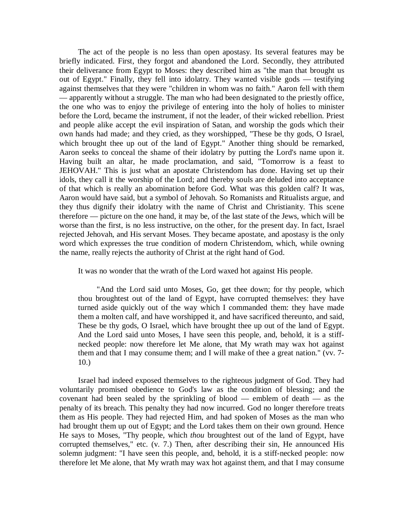The act of the people is no less than open apostasy. Its several features may be briefly indicated. First, they forgot and abandoned the Lord. Secondly, they attributed their deliverance from Egypt to Moses: they described him as "the man that brought us out of Egypt." Finally, they fell into idolatry. They wanted visible gods — testifying against themselves that they were "children in whom was no faith." Aaron fell with them — apparently without a struggle. The man who had been designated to the priestly office, the one who was to enjoy the privilege of entering into the holy of holies to minister before the Lord, became the instrument, if not the leader, of their wicked rebellion. Priest and people alike accept the evil inspiration of Satan, and worship the gods which their own hands had made; and they cried, as they worshipped, "These be thy gods, O Israel, which brought thee up out of the land of Egypt." Another thing should be remarked, Aaron seeks to conceal the shame of their idolatry by putting the Lord's name upon it. Having built an altar, he made proclamation, and said, "Tomorrow is a feast to JEHOVAH." This is just what an apostate Christendom has done. Having set up their idols, they call it the worship of the Lord; and thereby souls are deluded into acceptance of that which is really an abomination before God. What was this golden calf? It was, Aaron would have said, but a symbol of Jehovah. So Romanists and Ritualists argue, and they thus dignify their idolatry with the name of Christ and Christianity. This scene therefore — picture on the one hand, it may be, of the last state of the Jews, which will be worse than the first, is no less instructive, on the other, for the present day. In fact, Israel rejected Jehovah, and His servant Moses. They became apostate, and apostasy is the only word which expresses the true condition of modern Christendom, which, while owning the name, really rejects the authority of Christ at the right hand of God.

It was no wonder that the wrath of the Lord waxed hot against His people.

"And the Lord said unto Moses, Go, get thee down; for thy people, which thou broughtest out of the land of Egypt, have corrupted themselves: they have turned aside quickly out of the way which I commanded them: they have made them a molten calf, and have worshipped it, and have sacrificed thereunto, and said, These be thy gods, O Israel, which have brought thee up out of the land of Egypt. And the Lord said unto Moses, I have seen this people, and, behold, it is a stiffnecked people: now therefore let Me alone, that My wrath may wax hot against them and that I may consume them; and I will make of thee a great nation." (vv. 7- 10.)

Israel had indeed exposed themselves to the righteous judgment of God. They had voluntarily promised obedience to God's law as the condition of blessing; and the covenant had been sealed by the sprinkling of blood — emblem of death — as the penalty of its breach. This penalty they had now incurred. God no longer therefore treats them as His people. They had rejected Him, and had spoken of Moses as the man who had brought them up out of Egypt; and the Lord takes them on their own ground. Hence He says to Moses, "Thy people, which *thou* broughtest out of the land of Egypt, have corrupted themselves," etc. (v. 7.) Then, after describing their sin, He announced His solemn judgment: "I have seen this people, and, behold, it is a stiff-necked people: now therefore let Me alone, that My wrath may wax hot against them, and that I may consume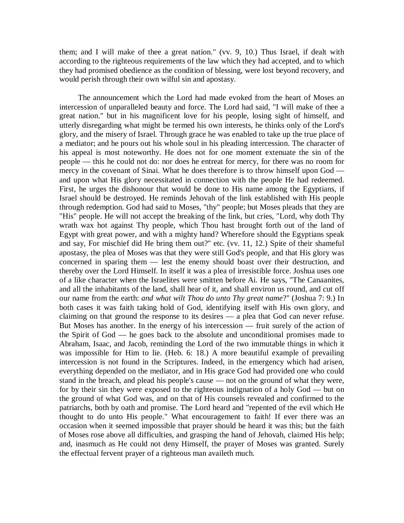them; and I will make of thee a great nation." (vv. 9, 10.) Thus Israel, if dealt with according to the righteous requirements of the law which they had accepted, and to which they had promised obedience as the condition of blessing, were lost beyond recovery, and would perish through their own wilful sin and apostasy.

The announcement which the Lord had made evoked from the heart of Moses an intercession of unparalleled beauty and force. The Lord had said, "I will make of thee a great nation." but in his magnificent love for his people, losing sight of himself, and utterly disregarding what might be termed his own interests, he thinks only of the Lord's glory, and the misery of Israel. Through grace he was enabled to take up the true place of a mediator; and he pours out his whole soul in his pleading intercession. The character of his appeal is most noteworthy. He does not for one moment extenuate the sin of the people — this he could not do: nor does he entreat for mercy, for there was no room for mercy in the covenant of Sinai. What he does therefore is to throw himself upon God and upon what His glory necessitated in connection with the people He had redeemed. First, he urges the dishonour that would be done to His name among the Egyptians, if Israel should be destroyed. He reminds Jehovah of the link established with His people through redemption. God had said to Moses, "thy" people; but Moses pleads that they are "His" people. He will not accept the breaking of the link, but cries, "Lord, why doth Thy wrath wax hot against Thy people, which Thou hast brought forth out of the land of Egypt with great power, and with a mighty hand? Wherefore should the Egyptians speak and say, For mischief did He bring them out?" etc. (vv. 11, 12.) Spite of their shameful apostasy, the plea of Moses was that they were still God's people, and that His glory was concerned in sparing them — lest the enemy should boast over their destruction, and thereby over the Lord Himself. In itself it was a plea of irresistible force. Joshua uses one of a like character when the Israelites were smitten before Ai. He says, "The Canaanites, and all the inhabitants of the land, shall hear of it, and shall environ us round, and cut off our name from the earth: *and what wilt Thou do unto Thy great name*?" (Joshua 7: 9.) In both cases it was faith taking hold of God, identifying itself with His own glory, and claiming on that ground the response to its desires — a plea that God can never refuse. But Moses has another. In the energy of his intercession — fruit surely of the action of the Spirit of God — he goes back to the absolute and unconditional promises made to Abraham, Isaac, and Jacob, reminding the Lord of the two immutable things in which it was impossible for Him to lie. (Heb. 6: 18.) A more beautiful example of prevailing intercession is not found in the Scriptures. Indeed, in the emergency which had arisen, everything depended on the mediator, and in His grace God had provided one who could stand in the breach, and plead his people's cause — not on the ground of what they were, for by their sin they were exposed to the righteous indignation of a holy God — but on the ground of what God was, and on that of His counsels revealed and confirmed to the patriarchs, both by oath and promise. The Lord heard and "repented of the evil which He thought to do unto His people." What encouragement to faith! If ever there was an occasion when it seemed impossible that prayer should be heard it was this; but the faith of Moses rose above all difficulties, and grasping the hand of Jehovah, claimed His help; and, inasmuch as He could not deny Himself, the prayer of Moses was granted. Surely the effectual fervent prayer of a righteous man availeth much.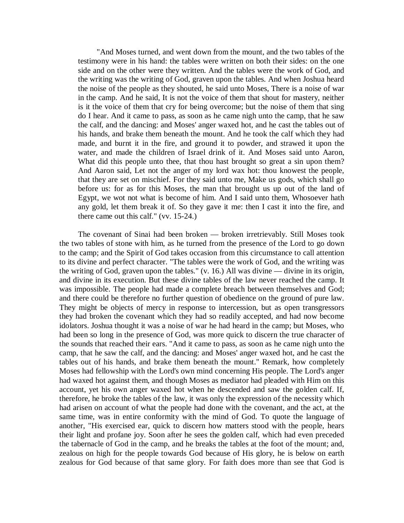"And Moses turned, and went down from the mount, and the two tables of the testimony were in his hand: the tables were written on both their sides: on the one side and on the other were they written. And the tables were the work of God, and the writing was the writing of God, graven upon the tables. And when Joshua heard the noise of the people as they shouted, he said unto Moses, There is a noise of war in the camp. And he said, It is not the voice of them that shout for mastery, neither is it the voice of them that cry for being overcome; but the noise of them that sing do I hear. And it came to pass, as soon as he came nigh unto the camp, that he saw the calf, and the dancing: and Moses' anger waxed hot, and he cast the tables out of his hands, and brake them beneath the mount. And he took the calf which they had made, and burnt it in the fire, and ground it to powder, and strawed it upon the water, and made the children of Israel drink of it. And Moses said unto Aaron, What did this people unto thee, that thou hast brought so great a sin upon them? And Aaron said, Let not the anger of my lord wax hot: thou knowest the people, that they are set on mischief. For they said unto me, Make us gods, which shall go before us: for as for this Moses, the man that brought us up out of the land of Egypt, we wot not what is become of him. And I said unto them, Whosoever hath any gold, let them break it of. So they gave it me: then I cast it into the fire, and there came out this calf." (vv. 15-24.)

The covenant of Sinai had been broken — broken irretrievably. Still Moses took the two tables of stone with him, as he turned from the presence of the Lord to go down to the camp; and the Spirit of God takes occasion from this circumstance to call attention to its divine and perfect character. "The tables were the work of God, and the writing was the writing of God, graven upon the tables." (v. 16.) All was divine — divine in its origin, and divine in its execution. But these divine tables of the law never reached the camp. It was impossible. The people had made a complete breach between themselves and God; and there could be therefore no further question of obedience on the ground of pure law. They might be objects of mercy in response to intercession, but as open transgressors they had broken the covenant which they had so readily accepted, and had now become idolators. Joshua thought it was a noise of war he had heard in the camp; but Moses, who had been so long in the presence of God, was more quick to discern the true character of the sounds that reached their ears. "And it came to pass, as soon as he came nigh unto the camp, that he saw the calf, and the dancing: and Moses' anger waxed hot, and he cast the tables out of his hands, and brake them beneath the mount." Remark, how completely Moses had fellowship with the Lord's own mind concerning His people. The Lord's anger had waxed hot against them, and though Moses as mediator had pleaded with Him on this account, yet his own anger waxed hot when he descended and saw the golden calf. If, therefore, he broke the tables of the law, it was only the expression of the necessity which had arisen on account of what the people had done with the covenant, and the act, at the same time, was in entire conformity with the mind of God. To quote the language of another, "His exercised ear, quick to discern how matters stood with the people, hears their light and profane joy. Soon after he sees the golden calf, which had even preceded the tabernacle of God in the camp, and he breaks the tables at the foot of the mount; and, zealous on high for the people towards God because of His glory, he is below on earth zealous for God because of that same glory. For faith does more than see that God is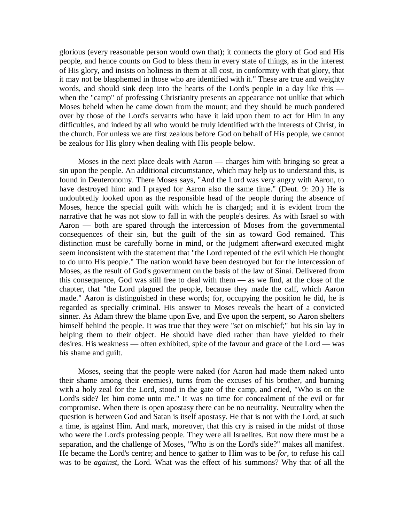glorious (every reasonable person would own that); it connects the glory of God and His people, and hence counts on God to bless them in every state of things, as in the interest of His glory, and insists on holiness in them at all cost, in conformity with that glory, that it may not be blasphemed in those who are identified with it." These are true and weighty words, and should sink deep into the hearts of the Lord's people in a day like this when the "camp" of professing Christianity presents an appearance not unlike that which Moses beheld when he came down from the mount; and they should be much pondered over by those of the Lord's servants who have it laid upon them to act for Him in any difficulties, and indeed by all who would be truly identified with the interests of Christ, in the church. For unless we are first zealous before God on behalf of His people, we cannot be zealous for His glory when dealing with His people below.

Moses in the next place deals with Aaron — charges him with bringing so great a sin upon the people. An additional circumstance, which may help us to understand this, is found in Deuteronomy. There Moses says, "And the Lord was very angry with Aaron, to have destroyed him: and I prayed for Aaron also the same time." (Deut. 9: 20.) He is undoubtedly looked upon as the responsible head of the people during the absence of Moses, hence the special guilt with which he is charged; and it is evident from the narrative that he was not slow to fall in with the people's desires. As with Israel so with Aaron — both are spared through the intercession of Moses from the governmental consequences of their sin, but the guilt of the sin as toward God remained. This distinction must be carefully borne in mind, or the judgment afterward executed might seem inconsistent with the statement that "the Lord repented of the evil which He thought to do unto His people." The nation would have been destroyed but for the intercession of Moses, as the result of God's government on the basis of the law of Sinai. Delivered from this consequence, God was still free to deal with them — as we find, at the close of the chapter, that "the Lord plagued the people, because they made the calf, which Aaron made." Aaron is distinguished in these words; for, occupying the position he did, he is regarded as specially criminal. His answer to Moses reveals the heart of a convicted sinner. As Adam threw the blame upon Eve, and Eve upon the serpent, so Aaron shelters himself behind the people. It was true that they were "set on mischief;" but his sin lay in helping them to their object. He should have died rather than have yielded to their desires. His weakness — often exhibited, spite of the favour and grace of the Lord — was his shame and guilt.

Moses, seeing that the people were naked (for Aaron had made them naked unto their shame among their enemies), turns from the excuses of his brother, and burning with a holy zeal for the Lord, stood in the gate of the camp, and cried, "Who is on the Lord's side? let him come unto me." It was no time for concealment of the evil or for compromise. When there is open apostasy there can be no neutrality. Neutrality when the question is between God and Satan is itself apostasy. He that is not with the Lord, at such a time, is against Him. And mark, moreover, that this cry is raised in the midst of those who were the Lord's professing people. They were all Israelites. But now there must be a separation, and the challenge of Moses, "Who is on the Lord's side?" makes all manifest. He became the Lord's centre; and hence to gather to Him was to be *for*, to refuse his call was to be *against*, the Lord. What was the effect of his summons? Why that of all the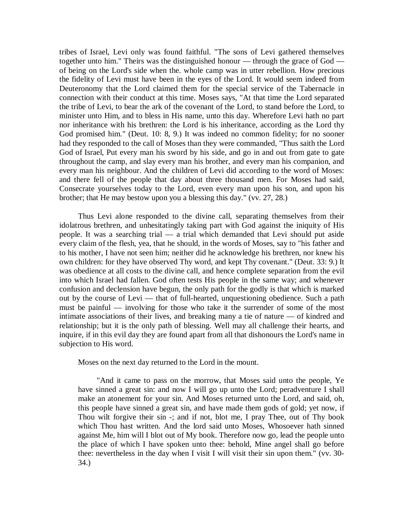tribes of Israel, Levi only was found faithful. "The sons of Levi gathered themselves together unto him." Theirs was the distinguished honour — through the grace of God of being on the Lord's side when the. whole camp was in utter rebellion. How precious the fidelity of Levi must have been in the eyes of the Lord. It would seem indeed from Deuteronomy that the Lord claimed them for the special service of the Tabernacle in connection with their conduct at this time. Moses says, "At that time the Lord separated the tribe of Levi, to bear the ark of the covenant of the Lord, to stand before the Lord, to minister unto Him, and to bless in His name, unto this day. Wherefore Levi hath no part nor inheritance with his brethren: the Lord is his inheritance, according as the Lord thy God promised him." (Deut. 10: 8, 9.) It was indeed no common fidelity; for no sooner had they responded to the call of Moses than they were commanded, "Thus saith the Lord God of Israel, Put every man his sword by his side, and go in and out from gate to gate throughout the camp, and slay every man his brother, and every man his companion, and every man his neighbour. And the children of Levi did according to the word of Moses: and there fell of the people that day about three thousand men. For Moses had said, Consecrate yourselves today to the Lord, even every man upon his son, and upon his brother; that He may bestow upon you a blessing this day." (vv. 27, 28.)

Thus Levi alone responded to the divine call, separating themselves from their idolatrous brethren, and unhesitatingly taking part with God against the iniquity of His people. It was a searching trial — a trial which demanded that Levi should put aside every claim of the flesh, yea, that he should, in the words of Moses, say to "his father and to his mother, I have not seen him; neither did he acknowledge his brethren, nor knew his own children: for they have observed Thy word, and kept Thy covenant." (Deut. 33: 9.) It was obedience at all costs to the divine call, and hence complete separation from the evil into which Israel had fallen. God often tests His people in the same way; and whenever confusion and declension have begun, the only path for the godly is that which is marked out by the course of Levi — that of full-hearted, unquestioning obedience. Such a path must be painful — involving for those who take it the surrender of some of the most intimate associations of their lives, and breaking many a tie of nature — of kindred and relationship; but it is the only path of blessing. Well may all challenge their hearts, and inquire, if in this evil day they are found apart from all that dishonours the Lord's name in subjection to His word.

Moses on the next day returned to the Lord in the mount.

"And it came to pass on the morrow, that Moses said unto the people, Ye have sinned a great sin: and now I will go up unto the Lord; peradventure I shall make an atonement for your sin. And Moses returned unto the Lord, and said, oh, this people have sinned a great sin, and have made them gods of gold; yet now, if Thou wilt forgive their sin -; and if not, blot me, I pray Thee, out of Thy book which Thou hast written. And the lord said unto Moses, Whosoever hath sinned against Me, him will I blot out of My book. Therefore now go, lead the people unto the place of which I have spoken unto thee: behold, Mine angel shall go before thee: nevertheless in the day when I visit I will visit their sin upon them." (vv. 30- 34.)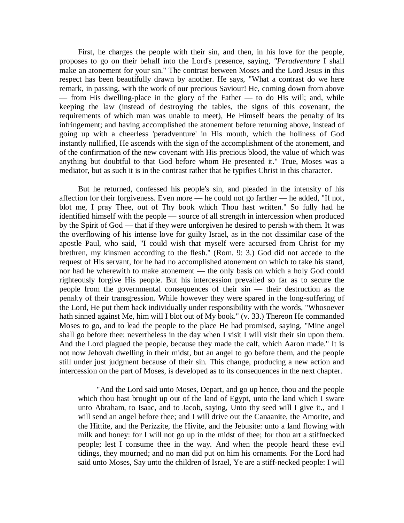First, he charges the people with their sin, and then, in his love for the people, proposes to go on their behalf into the Lord's presence, saying, *"Peradventure* I shall make an atonement for your sin." The contrast between Moses and the Lord Jesus in this respect has been beautifully drawn by another. He says, "What a contrast do we here remark, in passing, with the work of our precious Saviour! He, coming down from above — from His dwelling-place in the glory of the Father — to do His will; and, while keeping the law (instead of destroying the tables, the signs of this covenant, the requirements of which man was unable to meet), He Himself bears the penalty of its infringement; and having accomplished the atonement before returning above, instead of going up with a cheerless 'peradventure' in His mouth, which the holiness of God instantly nullified, He ascends with the sign of the accomplishment of the atonement, and of the confirmation of the new covenant with His precious blood, the value of which was anything but doubtful to that God before whom He presented it." True, Moses was a mediator, but as such it is in the contrast rather that he typifies Christ in this character.

But he returned, confessed his people's sin, and pleaded in the intensity of his affection for their forgiveness. Even more — he could not go farther — he added, "If not, blot me, I pray Thee, out of Thy book which Thou hast written." So fully had he identified himself with the people — source of all strength in intercession when produced by the Spirit of God — that if they were unforgiven he desired to perish with them. It was the overflowing of his intense love for guilty Israel, as in the not dissimilar case of the apostle Paul, who said, "I could wish that myself were accursed from Christ for my brethren, my kinsmen according to the flesh." (Rom. 9: 3.) God did not accede to the request of His servant, for he had no accomplished atonement on which to take his stand, nor had he wherewith to make atonement — the only basis on which a holy God could righteously forgive His people. But his intercession prevailed so far as to secure the people from the governmental consequences of their sin — their destruction as the penalty of their transgression. While however they were spared in the long-suffering of the Lord, He put them back individually under responsibility with the words, "Whosoever hath sinned against Me, him will I blot out of My book." (v. 33.) Thereon He commanded Moses to go, and to lead the people to the place He had promised, saying, "Mine angel shall go before thee: nevertheless in the day when I visit I will visit their sin upon them. And the Lord plagued the people, because they made the calf, which Aaron made." It is not now Jehovah dwelling in their midst, but an angel to go before them, and the people still under just judgment because of their sin. This change, producing a new action and intercession on the part of Moses, is developed as to its consequences in the next chapter.

"And the Lord said unto Moses, Depart, and go up hence, thou and the people which thou hast brought up out of the land of Egypt, unto the land which I sware unto Abraham, to Isaac, and to Jacob, saying, Unto thy seed will I give it., and I will send an angel before thee; and I will drive out the Canaanite, the Amorite, and the Hittite, and the Perizzite, the Hivite, and the Jebusite: unto a land flowing with milk and honey: for I will not go up in the midst of thee; for thou art a stiffnecked people; lest I consume thee in the way. And when the people heard these evil tidings, they mourned; and no man did put on him his ornaments. For the Lord had said unto Moses, Say unto the children of Israel, Ye are a stiff-necked people: I will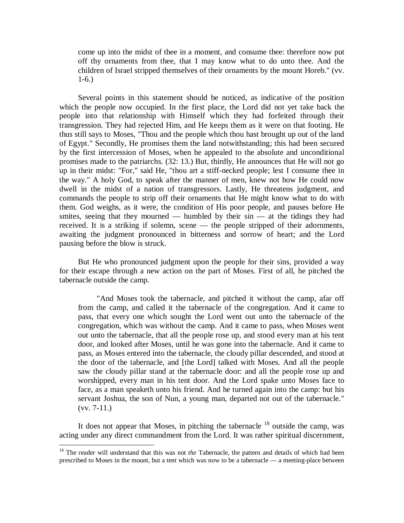come up into the midst of thee in a moment, and consume thee: therefore now put off thy ornaments from thee, that I may know what to do unto thee. And the children of Israel stripped themselves of their ornaments by the mount Horeb." (vv. 1-6.)

Several points in this statement should be noticed, as indicative of the position which the people now occupied. In the first place, the Lord did not yet take back the people into that relationship with Himself which they had forfeited through their transgression. They had rejected Him, and He keeps them as it were on that footing. He thus still says to Moses, "Thou and the people which thou hast brought up out of the land of Egypt." Secondly, He promises them the land notwithstanding; this had been secured by the first intercession of Moses, when he appealed to the absolute and unconditional promises made to the patriarchs. (32: 13.) But, thirdly, He announces that He will not go up in their midst: "For," said He, "thou art a stiff-necked people; lest I consume thee in the way." A holy God, to speak after the manner of men, knew not how He could now dwell in the midst of a nation of transgressors. Lastly, He threatens judgment, and commands the people to strip off their ornaments that He might know what to do with them. God weighs, as it were, the condition of His poor people, and pauses before He smites, seeing that they mourned — humbled by their sin — at the tidings they had received. It is a striking if solemn, scene — the people stripped of their adornments, awaiting the judgment pronounced in bitterness and sorrow of heart; and the Lord pausing before the blow is struck.

But He who pronounced judgment upon the people for their sins, provided a way for their escape through a new action on the part of Moses. First of all, he pitched the tabernacle outside the camp.

"And Moses took the tabernacle, and pitched it without the camp, afar off from the camp, and called it the tabernacle of the congregation. And it came to pass, that every one which sought the Lord went out unto the tabernacle of the congregation, which was without the camp. And it came to pass, when Moses went out unto the tabernacle, that all the people rose up, and stood every man at his tent door, and looked after Moses, until he was gone into the tabernacle. And it came to pass, as Moses entered into the tabernacle, the cloudy pillar descended, and stood at the door of the tabernacle, and [the Lord] talked with Moses. And all the people saw the cloudy pillar stand at the tabernacle door: and all the people rose up and worshipped, every man in his tent door. And the Lord spake unto Moses face to face, as a man speaketh unto his friend. And he turned again into the camp: but his servant Joshua, the son of Nun, a young man, departed not out of the tabernacle."  $(vv. 7-11.)$ 

It does not appear that Moses, in pitching the tabernacle  $18$  outside the camp, was acting under any direct commandment from the Lord. It was rather spiritual discernment,

 $\overline{a}$ 

<sup>&</sup>lt;sup>18</sup> The reader will understand that this was not *the* Tabernacle, the pattern and details of which had been prescribed to Moses in the mount, but a tent which was now to be a tabernacle — a meeting-place between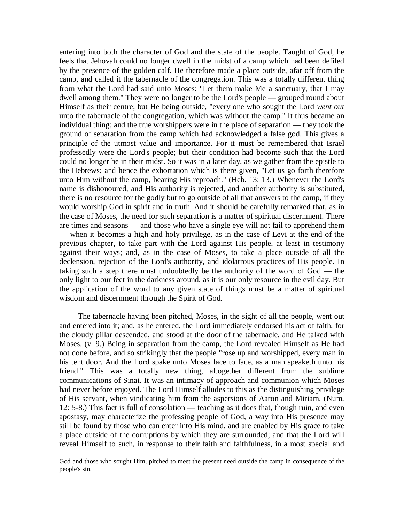entering into both the character of God and the state of the people. Taught of God, he feels that Jehovah could no longer dwell in the midst of a camp which had been defiled by the presence of the golden calf. He therefore made a place outside, afar off from the camp, and called it the tabernacle of the congregation. This was a totally different thing from what the Lord had said unto Moses: "Let them make Me a sanctuary, that I may dwell among them." They were no longer to be the Lord's people — grouped round about Himself as their centre; but He being outside, "every one who sought the Lord *went out*  unto the tabernacle of the congregation, which was without the camp." It thus became an individual thing; and the true worshippers were in the place of separation — they took the ground of separation from the camp which had acknowledged a false god. This gives a principle of the utmost value and importance. For it must be remembered that Israel professedly were the Lord's people; but their condition had become such that the Lord could no longer be in their midst. So it was in a later day, as we gather from the epistle to the Hebrews; and hence the exhortation which is there given, "Let us go forth therefore unto Him without the camp, bearing His reproach." (Heb. 13: 13.) Whenever the Lord's name is dishonoured, and His authority is rejected, and another authority is substituted, there is no resource for the godly but to go outside of all that answers to the camp, if they would worship God in spirit and in truth. And it should be carefully remarked that, as in the case of Moses, the need for such separation is a matter of spiritual discernment. There are times and seasons — and those who have a single eye will not fail to apprehend them — when it becomes a high and holy privilege, as in the case of Levi at the end of the previous chapter, to take part with the Lord against His people, at least in testimony against their ways; and, as in the case of Moses, to take a place outside of all the declension, rejection of the Lord's authority, and idolatrous practices of His people. In taking such a step there must undoubtedly be the authority of the word of God — the only light to our feet in the darkness around, as it is our only resource in the evil day. But the application of the word to any given state of things must be a matter of spiritual wisdom and discernment through the Spirit of God.

The tabernacle having been pitched, Moses, in the sight of all the people, went out and entered into it; and, as he entered, the Lord immediately endorsed his act of faith, for the cloudy pillar descended, and stood at the door of the tabernacle, and He talked with Moses. (v. 9.) Being in separation from the camp, the Lord revealed Himself as He had not done before, and so strikingly that the people "rose up and worshipped, every man in his tent door. And the Lord spake unto Moses face to face, as a man speaketh unto his friend." This was a totally new thing, altogether different from the sublime communications of Sinai. It was an intimacy of approach and communion which Moses had never before enjoyed. The Lord Himself alludes to this as the distinguishing privilege of His servant, when vindicating him from the aspersions of Aaron and Miriam. (Num. 12: 5-8.) This fact is full of consolation — teaching as it does that, though ruin, and even apostasy, may characterize the professing people of God, a way into His presence may still be found by those who can enter into His mind, and are enabled by His grace to take a place outside of the corruptions by which they are surrounded; and that the Lord will reveal Himself to such, in response to their faith and faithfulness, in a most special and

 $\overline{a}$ 

God and those who sought Him, pitched to meet the present need outside the camp in consequence of the people's sin.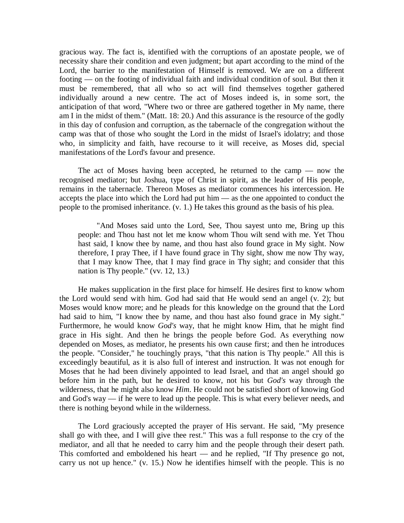gracious way. The fact is, identified with the corruptions of an apostate people, we of necessity share their condition and even judgment; but apart according to the mind of the Lord, the barrier to the manifestation of Himself is removed. We are on a different footing — on the footing of individual faith and individual condition of soul. But then it must be remembered, that all who so act will find themselves together gathered individually around a new centre. The act of Moses indeed is, in some sort, the anticipation of that word, "Where two or three are gathered together in My name, there am I in the midst of them." (Matt. 18: 20.) And this assurance is the resource of the godly in this day of confusion and corruption, as the tabernacle of the congregation without the camp was that of those who sought the Lord in the midst of Israel's idolatry; and those who, in simplicity and faith, have recourse to it will receive, as Moses did, special manifestations of the Lord's favour and presence.

The act of Moses having been accepted, he returned to the camp — now the recognised mediator; but Joshua, type of Christ in spirit, as the leader of His people, remains in the tabernacle. Thereon Moses as mediator commences his intercession. He accepts the place into which the Lord had put him — as the one appointed to conduct the people to the promised inheritance. (v. 1.) He takes this ground as the basis of his plea.

"And Moses said unto the Lord, See, Thou sayest unto me, Bring up this people: and Thou hast not let me know whom Thou wilt send with me. Yet Thou hast said, I know thee by name, and thou hast also found grace in My sight. Now therefore, I pray Thee, if I have found grace in Thy sight, show me now Thy way, that I may know Thee, that I may find grace in Thy sight; and consider that this nation is Thy people." (vv. 12, 13.)

He makes supplication in the first place for himself. He desires first to know whom the Lord would send with him. God had said that He would send an angel (v. 2); but Moses would know more; and he pleads for this knowledge on the ground that the Lord had said to him, "I know thee by name, and thou hast also found grace in My sight." Furthermore, he would know *God's* way, that he might know Him, that he might find grace in His sight. And then he brings the people before God. As everything now depended on Moses, as mediator, he presents his own cause first; and then he introduces the people. "Consider," he touchingly prays, "that this nation is Thy people." All this is exceedingly beautiful, as it is also full of interest and instruction. It was not enough for Moses that he had been divinely appointed to lead Israel, and that an angel should go before him in the path, but he desired to know, not his but *God's* way through the wilderness, that he might also know *Him*. He could not be satisfied short of knowing God and God's way — if he were to lead up the people. This is what every believer needs, and there is nothing beyond while in the wilderness.

The Lord graciously accepted the prayer of His servant. He said, "My presence shall go with thee, and I will give thee rest." This was a full response to the cry of the mediator, and all that he needed to carry him and the people through their desert path. This comforted and emboldened his heart — and he replied, "If Thy presence go not, carry us not up hence." (v. 15.) Now he identifies himself with the people. This is no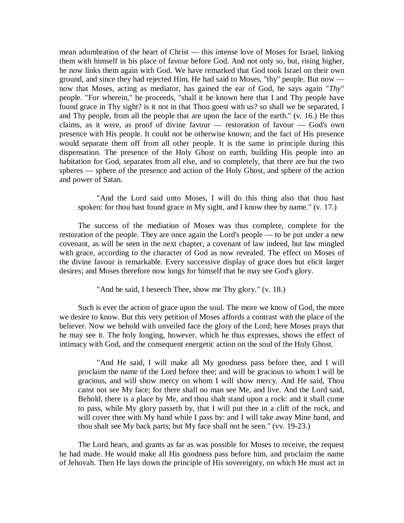mean adumbration of the heart of Christ — this intense love of Moses for Israel, linking them with himself in his place of favour before God. And not only so, but, rising higher, he now links them again with God. We have remarked that God took Israel on their own ground, and since they had rejected Him, He had said to Moses, "thy" people. But now now that Moses, acting as mediator, has gained the ear of God, he says again "*Thy*" people. "For wherein," he proceeds, "shall it be known here that I and Thy people have found grace in Thy sight? is it not in that Thou goest with us? so shall we be separated, I and Thy people, from all the people that are upon the face of the earth." (v. 16.) He thus claims, as it were, as proof of divine favour — restoration of favour — God's own presence with His people. It could not be otherwise known; and the fact of His presence would separate them off from all other people. It is the same in principle during this dispensation. The presence of the Holy Ghost on earth, building His people into an habitation for God, separates from all else, and so completely, that there are but the two spheres — sphere of the presence and action of the Holy Ghost, and sphere of the action and power of Satan.

"And the Lord said unto Moses, I will do this thing also that thou hast spoken: for thou hast found grace in My sight, and I know thee by name." (v. 17.)

The success of the mediation of Moses was thus complete, complete for the restoration of the people. They are once again the Lord's people — to be put under a new covenant, as will be seen in the next chapter, a covenant of law indeed, but law mingled with grace, according to the character of God as now revealed. The effect on Moses of the divine favour is remarkable. Every successive display of grace does but elicit larger desires; and Moses therefore now longs for himself that he may see God's glory.

"And he said, I beseech Thee, show me Thy glory." (v. 18.)

Such is ever the action of grace upon the soul. The more we know of God, the more we desire to know. But this very petition of Moses affords a contrast with the place of the believer. Now we behold with unveiled face the glory of the Lord; here Moses prays that he may see it. The holy longing, however, which he thus expresses, shows the effect of intimacy with God, and the consequent energetic action on the soul of the Holy Ghost.

"And He said, I will make all My goodness pass before thee, and I will proclaim the name of the Lord before thee; and will be gracious to whom I will be gracious, and will show mercy on whom I will show mercy. And He said, Thou canst not see My face; for there shall no man see Me, and live. And the Lord said, Behold, there is a place by Me, and thou shalt stand upon a rock: and it shall come to pass, while My glory passeth by, that I will put thee in a clift of the rock, and will cover thee with My hand while I pass by: and I will take away Mine hand, and thou shalt see My back parts; but My face shall not be seen." (vv. 19-23.)

The Lord hears, and grants as far as was possible for Moses to receive, the request he had made. He would make all His goodness pass before him, and proclaim the name of Jehovah. Then He lays down the principle of His sovereignty, on which He must act in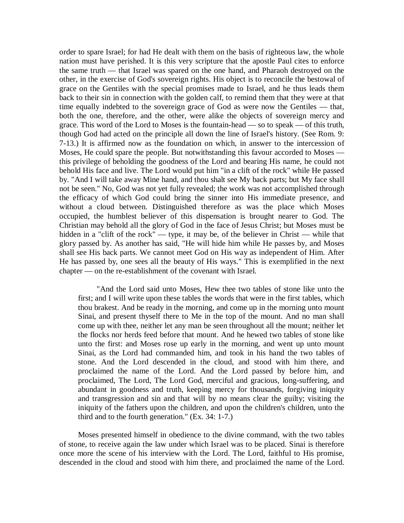order to spare Israel; for had He dealt with them on the basis of righteous law, the whole nation must have perished. It is this very scripture that the apostle Paul cites to enforce the same truth — that Israel was spared on the one hand, and Pharaoh destroyed on the other, in the exercise of God's sovereign rights. His object is to reconcile the bestowal of grace on the Gentiles with the special promises made to Israel, and he thus leads them back to their sin in connection with the golden calf, to remind them that they were at that time equally indebted to the sovereign grace of God as were now the Gentiles — that, both the one, therefore, and the other, were alike the objects of sovereign mercy and grace. This word of the Lord to Moses is the fountain-head — so to speak — of this truth, though God had acted on the principle all down the line of Israel's history. (See Rom. 9: 7-13.) It is affirmed now as the foundation on which, in answer to the intercession of Moses, He could spare the people. But notwithstanding this favour accorded to Moses this privilege of beholding the goodness of the Lord and bearing His name, he could not behold His face and live. The Lord would put him "in a clift of the rock" while He passed by. "And I will take away Mine hand, and thou shalt see My back parts; but My face shall not be seen." No, God was not yet fully revealed; the work was not accomplished through the efficacy of which God could bring the sinner into His immediate presence, and without a cloud between. Distinguished therefore as was the place which Moses occupied, the humblest believer of this dispensation is brought nearer to God. The Christian may behold all the glory of God in the face of Jesus Christ; but Moses must be hidden in a "clift of the rock" — type, it may be, of the believer in Christ — while that glory passed by. As another has said, "He will hide him while He passes by, and Moses shall see His back parts. We cannot meet God on His way as independent of Him. After He has passed by, one sees all the beauty of His ways." This is exemplified in the next chapter — on the re-establishment of the covenant with Israel.

"And the Lord said unto Moses, Hew thee two tables of stone like unto the first; and I will write upon these tables the words that were in the first tables, which thou brakest. And be ready in the morning, and come up in the morning unto mount Sinai, and present thyself there to Me in the top of the mount. And no man shall come up with thee, neither let any man be seen throughout all the mount; neither let the flocks nor herds feed before that mount. And he hewed two tables of stone like unto the first: and Moses rose up early in the morning, and went up unto mount Sinai, as the Lord had commanded him, and took in his hand the two tables of stone. And the Lord descended in the cloud, and stood with him there, and proclaimed the name of the Lord. And the Lord passed by before him, and proclaimed, The Lord, The Lord God, merciful and gracious, long-suffering, and abundant in goodness and truth, keeping mercy for thousands, forgiving iniquity and transgression and sin and that will by no means clear the guilty; visiting the iniquity of the fathers upon the children, and upon the children's children, unto the third and to the fourth generation." (Ex. 34: 1-7.)

Moses presented himself in obedience to the divine command, with the two tables of stone, to receive again the law under which Israel was to be placed. Sinai is therefore once more the scene of his interview with the Lord. The Lord, faithful to His promise, descended in the cloud and stood with him there, and proclaimed the name of the Lord.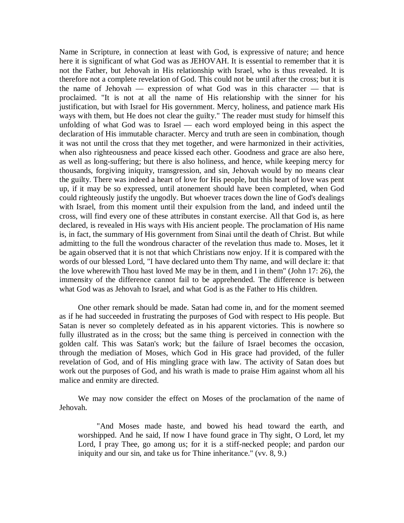Name in Scripture, in connection at least with God, is expressive of nature; and hence here it is significant of what God was as JEHOVAH. It is essential to remember that it is not the Father, but Jehovah in His relationship with Israel, who is thus revealed. It is therefore not a complete revelation of God. This could not be until after the cross; but it is the name of Jehovah — expression of what God was in this character — that is proclaimed. "It is not at all the name of His relationship with the sinner for his justification, but with Israel for His government. Mercy, holiness, and patience mark His ways with them, but He does not clear the guilty." The reader must study for himself this unfolding of what God was to Israel — each word employed being in this aspect the declaration of His immutable character. Mercy and truth are seen in combination, though it was not until the cross that they met together, and were harmonized in their activities, when also righteousness and peace kissed each other. Goodness and grace are also here, as well as long-suffering; but there is also holiness, and hence, while keeping mercy for thousands, forgiving iniquity, transgression, and sin, Jehovah would by no means clear the guilty. There was indeed a heart of love for His people, but this heart of love was pent up, if it may be so expressed, until atonement should have been completed, when God could righteously justify the ungodly. But whoever traces down the line of God's dealings with Israel, from this moment until their expulsion from the land, and indeed until the cross, will find every one of these attributes in constant exercise. All that God is, as here declared, is revealed in His ways with His ancient people. The proclamation of His name is, in fact, the summary of His government from Sinai until the death of Christ. But while admitting to the full the wondrous character of the revelation thus made to. Moses, let it be again observed that it is not that which Christians now enjoy. If it is compared with the words of our blessed Lord, "I have declared unto them Thy name, and will declare it: that the love wherewith Thou hast loved Me may be in them, and I in them" (John 17: 26), the immensity of the difference cannot fail to be apprehended. The difference is between what God was as Jehovah to Israel, and what God is as the Father to His children.

One other remark should be made. Satan had come in, and for the moment seemed as if he had succeeded in frustrating the purposes of God with respect to His people. But Satan is never so completely defeated as in his apparent victories. This is nowhere so fully illustrated as in the cross; but the same thing is perceived in connection with the golden calf. This was Satan's work; but the failure of Israel becomes the occasion, through the mediation of Moses, which God in His grace had provided, of the fuller revelation of God, and of His mingling grace with law. The activity of Satan does but work out the purposes of God, and his wrath is made to praise Him against whom all his malice and enmity are directed.

We may now consider the effect on Moses of the proclamation of the name of Jehovah.

"And Moses made haste, and bowed his head toward the earth, and worshipped. And he said, If now I have found grace in Thy sight, O Lord, let my Lord, I pray Thee, go among us; for it is a stiff-necked people; and pardon our iniquity and our sin, and take us for Thine inheritance." (vv. 8, 9.)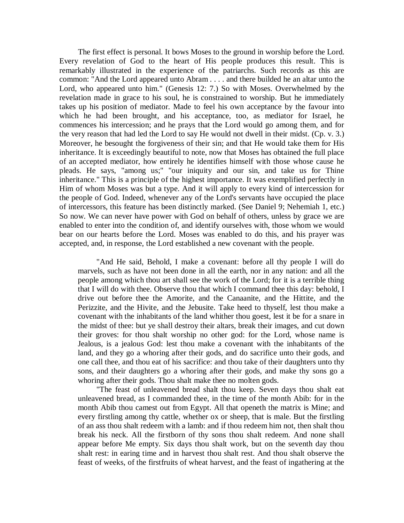The first effect is personal. It bows Moses to the ground in worship before the Lord. Every revelation of God to the heart of His people produces this result. This is remarkably illustrated in the experience of the patriarchs. Such records as this are common: "And the Lord appeared unto Abram . . . . and there builded he an altar unto the Lord, who appeared unto him." (Genesis 12: 7.) So with Moses. Overwhelmed by the revelation made in grace to his soul, he is constrained to worship. But he immediately takes up his position of mediator. Made to feel his own acceptance by the favour into which he had been brought, and his acceptance, too, as mediator for Israel, he commences his intercession; and he prays that the Lord would go among them, and for the very reason that had led the Lord to say He would not dwell in their midst. (Cp. v. 3.) Moreover, he besought the forgiveness of their sin; and that He would take them for His inheritance. It is exceedingly beautiful to note, now that Moses has obtained the full place of an accepted mediator, how entirely he identifies himself with those whose cause he pleads. He says, "among us;" "our iniquity and our sin, and take us for Thine inheritance." This is a principle of the highest importance. It was exemplified perfectly in Him of whom Moses was but a type. And it will apply to every kind of intercession for the people of God. Indeed, whenever any of the Lord's servants have occupied the place of intercessors, this feature has been distinctly marked. (See Daniel 9; Nehemiah 1, etc.) So now. We can never have power with God on behalf of others, unless by grace we are enabled to enter into the condition of, and identify ourselves with, those whom we would bear on our hearts before the Lord. Moses was enabled to do this, and his prayer was accepted, and, in response, the Lord established a new covenant with the people.

"And He said, Behold, I make a covenant: before all thy people I will do marvels, such as have not been done in all the earth, nor in any nation: and all the people among which thou art shall see the work of the Lord; for it is a terrible thing that I will do with thee. Observe thou that which I command thee this day: behold, I drive out before thee the Amorite, and the Canaanite, and the Hittite, and the Perizzite, and the Hivite, and the Jebusite. Take heed to thyself, lest thou make a covenant with the inhabitants of the land whither thou goest, lest it be for a snare in the midst of thee: but ye shall destroy their altars, break their images, and cut down their groves: for thou shalt worship no other god: for the Lord, whose name is Jealous, is a jealous God: lest thou make a covenant with the inhabitants of the land, and they go a whoring after their gods, and do sacrifice unto their gods, and one call thee, and thou eat of his sacrifice: and thou take of their daughters unto thy sons, and their daughters go a whoring after their gods, and make thy sons go a whoring after their gods. Thou shalt make thee no molten gods.

"The feast of unleavened bread shalt thou keep. Seven days thou shalt eat unleavened bread, as I commanded thee, in the time of the month Abib: for in the month Abib thou camest out from Egypt. All that openeth the matrix is Mine; and every firstling among thy cattle, whether ox or sheep, that is male. But the firstling of an ass thou shalt redeem with a lamb: and if thou redeem him not, then shalt thou break his neck. All the firstborn of thy sons thou shalt redeem. And none shall appear before Me empty. Six days thou shalt work, but on the seventh day thou shalt rest: in earing time and in harvest thou shalt rest. And thou shalt observe the feast of weeks, of the firstfruits of wheat harvest, and the feast of ingathering at the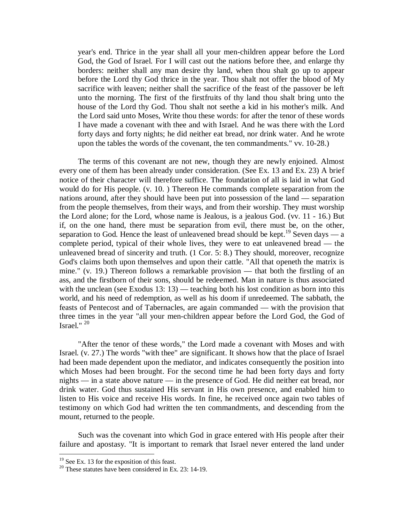year's end. Thrice in the year shall all your men-children appear before the Lord God, the God of Israel. For I will cast out the nations before thee, and enlarge thy borders: neither shall any man desire thy land, when thou shalt go up to appear before the Lord thy God thrice in the year. Thou shalt not offer the blood of My sacrifice with leaven; neither shall the sacrifice of the feast of the passover be left unto the morning. The first of the firstfruits of thy land thou shalt bring unto the house of the Lord thy God. Thou shalt not seethe a kid in his mother's milk. And the Lord said unto Moses, Write thou these words: for after the tenor of these words I have made a covenant with thee and with Israel. And he was there with the Lord forty days and forty nights; he did neither eat bread, nor drink water. And he wrote upon the tables the words of the covenant, the ten commandments." vv. 10-28.)

The terms of this covenant are not new, though they are newly enjoined. Almost every one of them has been already under consideration. (See Ex. 13 and Ex. 23) A brief notice of their character will therefore suffice. The foundation of all is laid in what God would do for His people. (v. 10. ) Thereon He commands complete separation from the nations around, after they should have been put into possession of the land — separation from the people themselves, from their ways, and from their worship. They must worship the Lord alone; for the Lord, whose name is Jealous, is a jealous God. (vv. 11 - 16.) But if, on the one hand, there must be separation from evil, there must be, on the other, separation to God. Hence the least of unleavened bread should be kept.<sup>19</sup> Seven days — a complete period, typical of their whole lives, they were to eat unleavened bread — the unleavened bread of sincerity and truth. (1 Cor. 5: 8.) They should, moreover, recognize God's claims both upon themselves and upon their cattle. "All that openeth the matrix is mine." (v. 19.) Thereon follows a remarkable provision — that both the firstling of an ass, and the firstborn of their sons, should be redeemed. Man in nature is thus associated with the unclean (see Exodus 13: 13) — teaching both his lost condition as born into this world, and his need of redemption, as well as his doom if unredeemed. The sabbath, the feasts of Pentecost and of Tabernacles, are again commanded — with the provision that three times in the year "all your men-children appear before the Lord God, the God of Israel." $^{20}$ 

"After the tenor of these words," the Lord made a covenant with Moses and with Israel. (v. 27.) The words "with thee" are significant. It shows how that the place of Israel had been made dependent upon the mediator, and indicates consequently the position into which Moses had been brought. For the second time he had been forty days and forty nights — in a state above nature — in the presence of God. He did neither eat bread, nor drink water. God thus sustained His servant in His own presence, and enabled him to listen to His voice and receive His words. In fine, he received once again two tables of testimony on which God had written the ten commandments, and descending from the mount, returned to the people.

Such was the covenant into which God in grace entered with His people after their failure and apostasy. "It is important to remark that Israel never entered the land under

 $\overline{a}$ 

 $19$  See Ex. 13 for the exposition of this feast.

<sup>&</sup>lt;sup>20</sup> These statutes have been considered in Ex. 23: 14-19.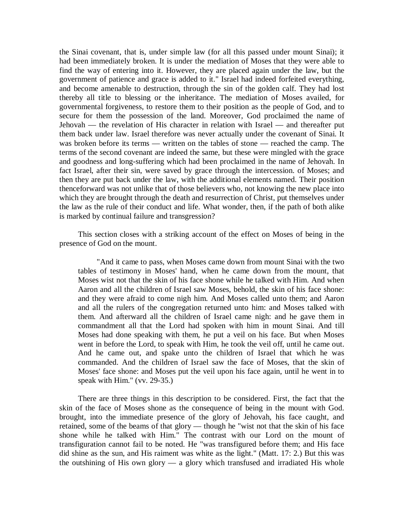the Sinai covenant, that is, under simple law (for all this passed under mount Sinai); it had been immediately broken. It is under the mediation of Moses that they were able to find the way of entering into it. However, they are placed again under the law, but the government of patience and grace is added to it." Israel had indeed forfeited everything, and become amenable to destruction, through the sin of the golden calf. They had lost thereby all title to blessing or the inheritance. The mediation of Moses availed, for governmental forgiveness, to restore them to their position as the people of God, and to secure for them the possession of the land. Moreover, God proclaimed the name of Jehovah — the revelation of His character in relation with Israel — and thereafter put them back under law. Israel therefore was never actually under the covenant of Sinai. It was broken before its terms — written on the tables of stone — reached the camp. The terms of the second covenant are indeed the same, but these were mingled with the grace and goodness and long-suffering which had been proclaimed in the name of Jehovah. In fact Israel, after their sin, were saved by grace through the intercession. of Moses; and then they are put back under the law, with the additional elements named. Their position thenceforward was not unlike that of those believers who, not knowing the new place into which they are brought through the death and resurrection of Christ, put themselves under the law as the rule of their conduct and life. What wonder, then, if the path of both alike is marked by continual failure and transgression?

This section closes with a striking account of the effect on Moses of being in the presence of God on the mount.

"And it came to pass, when Moses came down from mount Sinai with the two tables of testimony in Moses' hand, when he came down from the mount, that Moses wist not that the skin of his face shone while he talked with Him. And when Aaron and all the children of Israel saw Moses, behold, the skin of his face shone: and they were afraid to come nigh him. And Moses called unto them; and Aaron and all the rulers of the congregation returned unto him: and Moses talked with them. And afterward all the children of Israel came nigh: and he gave them in commandment all that the Lord had spoken with him in mount Sinai. And till Moses had done speaking with them, he put a veil on his face. But when Moses went in before the Lord, to speak with Him, he took the veil off, until he came out. And he came out, and spake unto the children of Israel that which he was commanded. And the children of Israel saw the face of Moses, that the skin of Moses' face shone: and Moses put the veil upon his face again, until he went in to speak with Him." (vv. 29-35.)

There are three things in this description to be considered. First, the fact that the skin of the face of Moses shone as the consequence of being in the mount with God. brought, into the immediate presence of the glory of Jehovah, his face caught, and retained, some of the beams of that glory — though he "wist not that the skin of his face shone while he talked with Him." The contrast with our Lord on the mount of transfiguration cannot fail to be noted. He "was transfigured before them; and His face did shine as the sun, and His raiment was white as the light." (Matt. 17: 2.) But this was the outshining of His own glory  $\frac{1}{2}$  a glory which transfused and irradiated His whole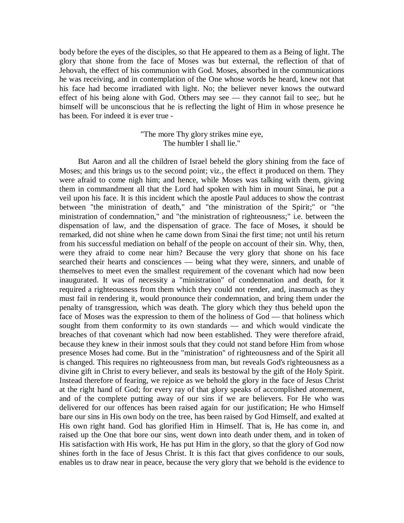body before the eyes of the disciples, so that He appeared to them as a Being of light. The glory that shone from the face of Moses was but external, the reflection of that of Jehovah, the effect of his communion with God. Moses, absorbed in the communications he was receiving, and in contemplation of the One whose words he heard, knew not that his face had become irradiated with light. No; the believer never knows the outward effect of his being alone with God. Others may see — they cannot fail to see;. but he himself will be unconscious that he is reflecting the light of Him in whose presence he has been. For indeed it is ever true -

> "The more Thy glory strikes mine eye, The humbler I shall lie."

But Aaron and all the children of Israel beheld the glory shining from the face of Moses; and this brings us to the second point; viz., the effect it produced on them. They were afraid to come nigh him; and hence, while Moses was talking with them, giving them in commandment all that the Lord had spoken with him in mount Sinai, he put a veil upon his face. It is this incident which the apostle Paul adduces to show the contrast between "the ministration of death," and "the ministration of the Spirit;" or "the ministration of condemnation," and "the ministration of righteousness;" i.e. between the dispensation of law, and the dispensation of grace. The face of Moses, it should be remarked, did not shine when he came down from Sinai the first time; not until his return from his successful mediation on behalf of the people on account of their sin. Why, then, were they afraid to come near him? Because the very glory that shone on his face searched their hearts and consciences — being what they were, sinners, and unable of themselves to meet even the smallest requirement of the covenant which had now been inaugurated. It was of necessity a "ministration" of condemnation and death, for it required a righteousness from them which they could not render, and, inasmuch as they must fail in rendering it, would pronounce their condemnation, and bring them under the penalty of transgression, which was death. The glory which they thus beheld upon the face of Moses was the expression to them of the holiness of God — that holiness which sought from them conformity to its own standards — and which would vindicate the breaches of that covenant which had now been established. They were therefore afraid, because they knew in their inmost souls that they could not stand before Him from whose presence Moses had come. But in the "ministration" of righteousness and of the Spirit all is changed. This requires no righteousness from man, but reveals God's righteousness as a divine gift in Christ to every believer, and seals its bestowal by the gift of the Holy Spirit. Instead therefore of fearing, we rejoice as we behold the glory in the face of Jesus Christ at the right hand of God; for every ray of that glory speaks of accomplished atonement, and of the complete putting away of our sins if we are believers. For He who was delivered for our offences has been raised again for our justification; He who Himself bare our sins in His own body on the tree, has been raised by God Himself, and exalted at His own right hand. God has glorified Him in Himself. That is, He has come in, and raised up the One that bore our sins, went down into death under them, and in token of His satisfaction with His work, He has put Him in the glory, so that the glory of God now shines forth in the face of Jesus Christ. It is this fact that gives confidence to our souls, enables us to draw near in peace, because the very glory that we behold is the evidence to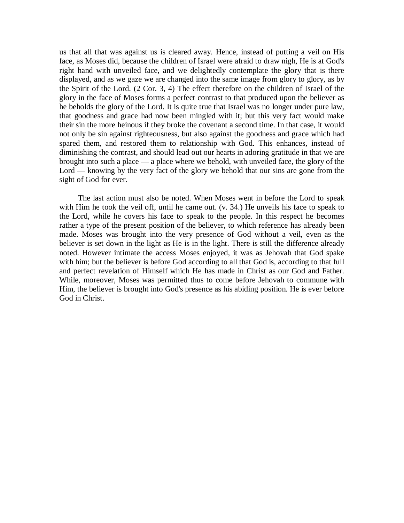us that all that was against us is cleared away. Hence, instead of putting a veil on His face, as Moses did, because the children of Israel were afraid to draw nigh, He is at God's right hand with unveiled face, and we delightedly contemplate the glory that is there displayed, and as we gaze we are changed into the same image from glory to glory, as by the Spirit of the Lord. (2 Cor. 3, 4) The effect therefore on the children of Israel of the glory in the face of Moses forms a perfect contrast to that produced upon the believer as he beholds the glory of the Lord. It is quite true that Israel was no longer under pure law, that goodness and grace had now been mingled with it; but this very fact would make their sin the more heinous if they broke the covenant a second time. In that case, it would not only be sin against righteousness, but also against the goodness and grace which had spared them, and restored them to relationship with God. This enhances, instead of diminishing the contrast, and should lead out our hearts in adoring gratitude in that we are brought into such a place — a place where we behold, with unveiled face, the glory of the Lord — knowing by the very fact of the glory we behold that our sins are gone from the sight of God for ever.

The last action must also be noted. When Moses went in before the Lord to speak with Him he took the veil off, until he came out. (v. 34.) He unveils his face to speak to the Lord, while he covers his face to speak to the people. In this respect he becomes rather a type of the present position of the believer, to which reference has already been made. Moses was brought into the very presence of God without a veil, even as the believer is set down in the light as He is in the light. There is still the difference already noted. However intimate the access Moses enjoyed, it was as Jehovah that God spake with him; but the believer is before God according to all that God is, according to that full and perfect revelation of Himself which He has made in Christ as our God and Father. While, moreover, Moses was permitted thus to come before Jehovah to commune with Him, the believer is brought into God's presence as his abiding position. He is ever before God in Christ.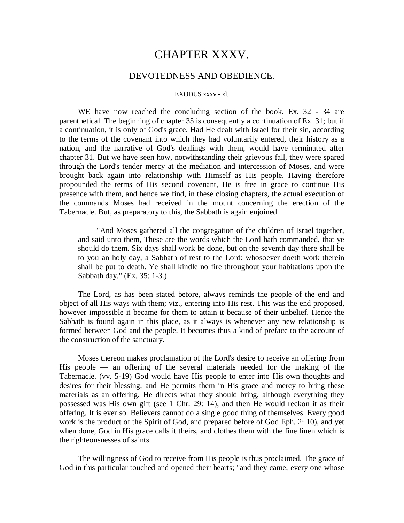# CHAPTER XXXV.

### DEVOTEDNESS AND OBEDIENCE.

#### EXODUS xxxv - xl.

WE have now reached the concluding section of the book. Ex. 32 - 34 are parenthetical. The beginning of chapter 35 is consequently a continuation of Ex. 31; but if a continuation, it is only of God's grace. Had He dealt with Israel for their sin, according to the terms of the covenant into which they had voluntarily entered, their history as a nation, and the narrative of God's dealings with them, would have terminated after chapter 31. But we have seen how, notwithstanding their grievous fall, they were spared through the Lord's tender mercy at the mediation and intercession of Moses, and were brought back again into relationship with Himself as His people. Having therefore propounded the terms of His second covenant, He is free in grace to continue His presence with them, and hence we find, in these closing chapters, the actual execution of the commands Moses had received in the mount concerning the erection of the Tabernacle. But, as preparatory to this, the Sabbath is again enjoined.

"And Moses gathered all the congregation of the children of Israel together, and said unto them, These are the words which the Lord hath commanded, that ye should do them. Six days shall work be done, but on the seventh day there shall be to you an holy day, a Sabbath of rest to the Lord: whosoever doeth work therein shall be put to death. Ye shall kindle no fire throughout your habitations upon the Sabbath day." (Ex. 35: 1-3.)

The Lord, as has been stated before, always reminds the people of the end and object of all His ways with them; viz., entering into His rest. This was the end proposed, however impossible it became for them to attain it because of their unbelief. Hence the Sabbath is found again in this place, as it always is whenever any new relationship is formed between God and the people. It becomes thus a kind of preface to the account of the construction of the sanctuary.

Moses thereon makes proclamation of the Lord's desire to receive an offering from His people — an offering of the several materials needed for the making of the Tabernacle. (vv. 5-19) God would have His people to enter into His own thoughts and desires for their blessing, and He permits them in His grace and mercy to bring these materials as an offering. He directs what they should bring, although everything they possessed was His own gift (see 1 Chr. 29: 14), and then He would reckon it as their offering. It is ever so. Believers cannot do a single good thing of themselves. Every good work is the product of the Spirit of God, and prepared before of God Eph. 2: 10), and yet when done, God in His grace calls it theirs, and clothes them with the fine linen which is the righteousnesses of saints.

The willingness of God to receive from His people is thus proclaimed. The grace of God in this particular touched and opened their hearts; "and they came, every one whose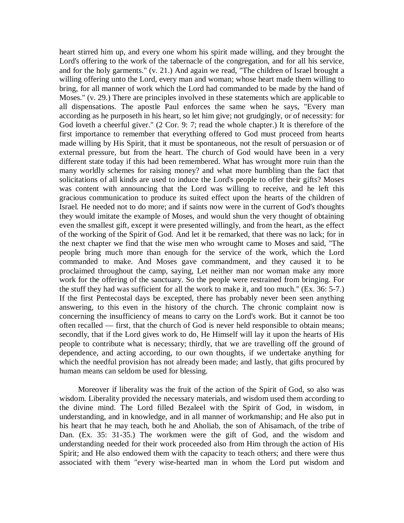heart stirred him up, and every one whom his spirit made willing, and they brought the Lord's offering to the work of the tabernacle of the congregation, and for all his service, and for the holy garments." (v. 21.) And again we read, "The children of Israel brought a willing offering unto the Lord, every man and woman; whose heart made them willing to bring, for all manner of work which the Lord had commanded to be made by the hand of Moses." (v. 29.) There are principles involved in these statements which are applicable to all dispensations. The apostle Paul enforces the same when he says, "Every man according as he purposeth in his heart, so let him give; not grudgingly, or of necessity: for God loveth a cheerful giver." (2 Cor. 9: 7; read the whole chapter.) It is therefore of the first importance to remember that everything offered to God must proceed from hearts made willing by His Spirit, that it must be spontaneous, not the result of persuasion or of external pressure, but from the heart. The church of God would have been in a very different state today if this had been remembered. What has wrought more ruin than the many worldly schemes for raising money? and what more humbling than the fact that solicitations of all kinds are used to induce the Lord's people to offer their gifts? Moses was content with announcing that the Lord was willing to receive, and he left this gracious communication to produce its suited effect upon the hearts of the children of Israel. He needed not to do more; and if saints now were in the current of God's thoughts they would imitate the example of Moses, and would shun the very thought of obtaining even the smallest gift, except it were presented willingly, and from the heart, as the effect of the working of the Spirit of God. And let it be remarked, that there was no lack; for in the next chapter we find that the wise men who wrought came to Moses and said, "The people bring much more than enough for the service of the work, which the Lord commanded to make. And Moses gave commandment, and they caused it to be proclaimed throughout the camp, saying, Let neither man nor woman make any more work for the offering of the sanctuary. So the people were restrained from bringing. For the stuff they had was sufficient for all the work to make it, and too much." (Ex. 36: 5-7.) If the first Pentecostal days be excepted, there has probably never been seen anything answering, to this even in the history of the church. The chronic complaint now is concerning the insufficiency of means to carry on the Lord's work. But it cannot be too often recalled — first, that the church of God is never held responsible to obtain means; secondly, that if the Lord gives work to do, He Himself will lay it upon the hearts of His people to contribute what is necessary; thirdly, that we are travelling off the ground of dependence, and acting according, to our own thoughts, if we undertake anything for which the needful provision has not already been made; and lastly, that gifts procured by human means can seldom be used for blessing.

Moreover if liberality was the fruit of the action of the Spirit of God, so also was wisdom. Liberality provided the necessary materials, and wisdom used them according to the divine mind. The Lord filled Bezaleel with the Spirit of God, in wisdom, in understanding, and in knowledge, and in all manner of workmanship; and He also put in his heart that he may teach, both he and Aholiab, the son of Ahisamach, of the tribe of Dan. (Ex. 35: 31-35.) The workmen were the gift of God, and the wisdom and understanding needed for their work proceeded also from Him through the action of His Spirit; and He also endowed them with the capacity to teach others; and there were thus associated with them "every wise-hearted man in whom the Lord put wisdom and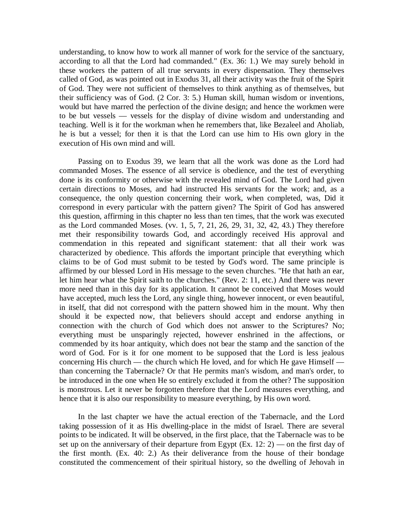understanding, to know how to work all manner of work for the service of the sanctuary, according to all that the Lord had commanded." (Ex. 36: 1.) We may surely behold in these workers the pattern of all true servants in every dispensation. They themselves called of God, as was pointed out in Exodus 31, all their activity was the fruit of the Spirit of God. They were not sufficient of themselves to think anything as of themselves, but their sufficiency was of God. (2 Cor. 3: 5.) Human skill, human wisdom or inventions, would but have marred the perfection of the divine design; and hence the workmen were to be but vessels — vessels for the display of divine wisdom and understanding and teaching. Well is it for the workman when he remembers that, like Bezaleel and Aholiab, he is but a vessel; for then it is that the Lord can use him to His own glory in the execution of His own mind and will.

Passing on to Exodus 39, we learn that all the work was done as the Lord had commanded Moses. The essence of all service is obedience, and the test of everything done is its conformity or otherwise with the revealed mind of God. The Lord had given certain directions to Moses, and had instructed His servants for the work; and, as a consequence, the only question concerning their work, when completed, was, Did it correspond in every particular with the pattern given? The Spirit of God has answered this question, affirming in this chapter no less than ten times, that the work was executed as the Lord commanded Moses. (vv. 1, 5, 7, 21, 26, 29, 31, 32, 42, 43.) They therefore met their responsibility towards God, and accordingly received His approval and commendation in this repeated and significant statement: that all their work was characterized by obedience. This affords the important principle that everything which claims to be of God must submit to be tested by God's word. The same principle is affirmed by our blessed Lord in His message to the seven churches. "He that hath an ear, let him hear what the Spirit saith to the churches." (Rev. 2: 11, etc.) And there was never more need than in this day for its application. It cannot be conceived that Moses would have accepted, much less the Lord, any single thing, however innocent, or even beautiful, in itself, that did not correspond with the pattern showed him in the mount. Why then should it be expected now, that believers should accept and endorse anything in connection with the church of God which does not answer to the Scriptures? No; everything must be unsparingly rejected, however enshrined in the affections, or commended by its hoar antiquity, which does not bear the stamp and the sanction of the word of God. For is it for one moment to be supposed that the Lord is less jealous concerning His church — the church which He loved, and for which He gave Himself than concerning the Tabernacle? Or that He permits man's wisdom, and man's order, to be introduced in the one when He so entirely excluded it from the other? The supposition is monstrous. Let it never be forgotten therefore that the Lord measures everything, and hence that it is also our responsibility to measure everything, by His own word.

In the last chapter we have the actual erection of the Tabernacle, and the Lord taking possession of it as His dwelling-place in the midst of Israel. There are several points to be indicated. It will be observed, in the first place, that the Tabernacle was to be set up on the anniversary of their departure from Egypt (Ex.  $12: 2$ ) — on the first day of the first month. (Ex. 40: 2.) As their deliverance from the house of their bondage constituted the commencement of their spiritual history, so the dwelling of Jehovah in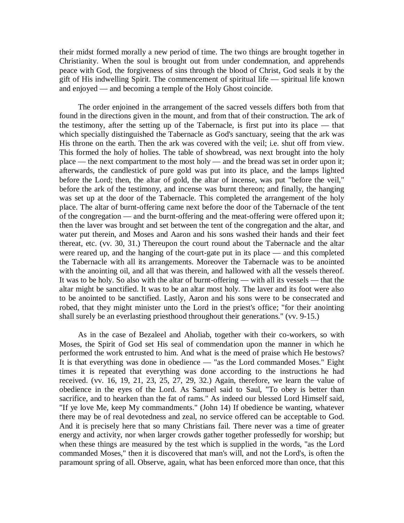their midst formed morally a new period of time. The two things are brought together in Christianity. When the soul is brought out from under condemnation, and apprehends peace with God, the forgiveness of sins through the blood of Christ, God seals it by the gift of His indwelling Spirit. The commencement of spiritual life — spiritual life known and enjoyed — and becoming a temple of the Holy Ghost coincide.

The order enjoined in the arrangement of the sacred vessels differs both from that found in the directions given in the mount, and from that of their construction. The ark of the testimony, after the setting up of the Tabernacle, is first put into its place — that which specially distinguished the Tabernacle as God's sanctuary, seeing that the ark was His throne on the earth. Then the ark was covered with the veil; i.e. shut off from view. This formed the holy of holies. The table of showbread, was next brought into the holy place — the next compartment to the most holy — and the bread was set in order upon it; afterwards, the candlestick of pure gold was put into its place, and the lamps lighted before the Lord; then, the altar of gold, the altar of incense, was put "before the veil," before the ark of the testimony, and incense was burnt thereon; and finally, the hanging was set up at the door of the Tabernacle. This completed the arrangement of the holy place. The altar of burnt-offering came next before the door of the Tabernacle of the tent of the congregation — and the burnt-offering and the meat-offering were offered upon it; then the laver was brought and set between the tent of the congregation and the altar, and water put therein, and Moses and Aaron and his sons washed their hands and their feet thereat, etc. (vv. 30, 31.) Thereupon the court round about the Tabernacle and the altar were reared up, and the hanging of the court-gate put in its place — and this completed the Tabernacle with all its arrangements. Moreover the Tabernacle was to be anointed with the anointing oil, and all that was therein, and hallowed with all the vessels thereof. It was to be holy. So also with the altar of burnt-offering — with all its vessels — that the altar might be sanctified. It was to be an altar most holy. The laver and its foot were also to be anointed to be sanctified. Lastly, Aaron and his sons were to be consecrated and robed, that they might minister unto the Lord in the priest's office; "for their anointing shall surely be an everlasting priesthood throughout their generations." (vv. 9-15.)

As in the case of Bezaleel and Aholiab, together with their co-workers, so with Moses, the Spirit of God set His seal of commendation upon the manner in which he performed the work entrusted to him. And what is the meed of praise which He bestows? It is that everything was done in obedience — "as the Lord commanded Moses." Eight times it is repeated that everything was done according to the instructions he had received. (vv. 16, 19, 21, 23, 25, 27, 29, 32.) Again, therefore, we learn the value of obedience in the eyes of the Lord. As Samuel said to Saul, "To obey is better than sacrifice, and to hearken than the fat of rams." As indeed our blessed Lord Himself said, "If ye love Me, keep My commandments." (John 14) If obedience be wanting, whatever there may be of real devotedness and zeal, no service offered can be acceptable to God. And it is precisely here that so many Christians fail. There never was a time of greater energy and activity, nor when larger crowds gather together professedly for worship; but when these things are measured by the test which is supplied in the words, "as the Lord commanded Moses," then it is discovered that man's will, and not the Lord's, is often the paramount spring of all. Observe, again, what has been enforced more than once, that this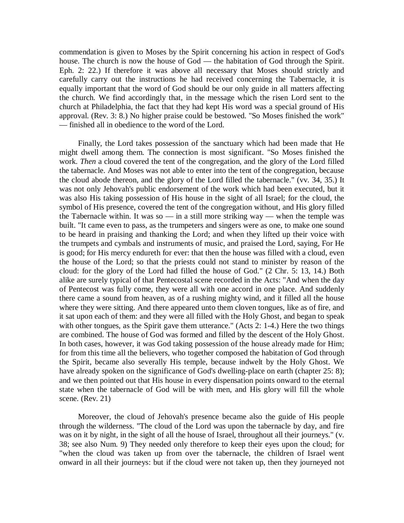commendation is given to Moses by the Spirit concerning his action in respect of God's house. The church is now the house of God — the habitation of God through the Spirit. Eph. 2: 22.) If therefore it was above all necessary that Moses should strictly and carefully carry out the instructions he had received concerning the Tabernacle, it is equally important that the word of God should be our only guide in all matters affecting the church. We find accordingly that, in the message which the risen Lord sent to the church at Philadelphia, the fact that they had kept His word was a special ground of His approval. (Rev. 3: 8.) No higher praise could be bestowed. "So Moses finished the work" — finished all in obedience to the word of the Lord.

Finally, the Lord takes possession of the sanctuary which had been made that He might dwell among them. The connection is most significant. "So Moses finished the work. *Then* a cloud covered the tent of the congregation, and the glory of the Lord filled the tabernacle. And Moses was not able to enter into the tent of the congregation, because the cloud abode thereon, and the glory of the Lord filled the tabernacle." (vv. 34, 35.) It was not only Jehovah's public endorsement of the work which had been executed, but it was also His taking possession of His house in the sight of all Israel; for the cloud, the symbol of His presence, covered the tent of the congregation without, and His glory filled the Tabernacle within. It was so  $-$  in a still more striking way  $-$  when the temple was built. "It came even to pass, as the trumpeters and singers were as one, to make one sound to be heard in praising and thanking the Lord; and when they lifted up their voice with the trumpets and cymbals and instruments of music, and praised the Lord, saying, For He is good; for His mercy endureth for ever: that then the house was filled with a cloud, even the house of the Lord; so that the priests could not stand to minister by reason of the cloud: for the glory of the Lord had filled the house of God." (2 Chr. 5: 13, 14.) Both alike are surely typical of that Pentecostal scene recorded in the Acts: "And when the day of Pentecost was fully come, they were all with one accord in one place. And suddenly there came a sound from heaven, as of a rushing mighty wind, and it filled all the house where they were sitting. And there appeared unto them cloven tongues, like as of fire, and it sat upon each of them: and they were all filled with the Holy Ghost, and began to speak with other tongues, as the Spirit gave them utterance." (Acts 2: 1-4.) Here the two things are combined. The house of God was formed and filled by the descent of the Holy Ghost. In both cases, however, it was God taking possession of the house already made for Him; for from this time all the believers, who together composed the habitation of God through the Spirit, became also severally His temple, because indwelt by the Holy Ghost. We have already spoken on the significance of God's dwelling-place on earth (chapter 25: 8); and we then pointed out that His house in every dispensation points onward to the eternal state when the tabernacle of God will be with men, and His glory will fill the whole scene. (Rev. 21)

Moreover, the cloud of Jehovah's presence became also the guide of His people through the wilderness. "The cloud of the Lord was upon the tabernacle by day, and fire was on it by night, in the sight of all the house of Israel, throughout all their journeys." (v. 38; see also Num. 9) They needed only therefore to keep their eyes upon the cloud; for "when the cloud was taken up from over the tabernacle, the children of Israel went onward in all their journeys: but if the cloud were not taken up, then they journeyed not